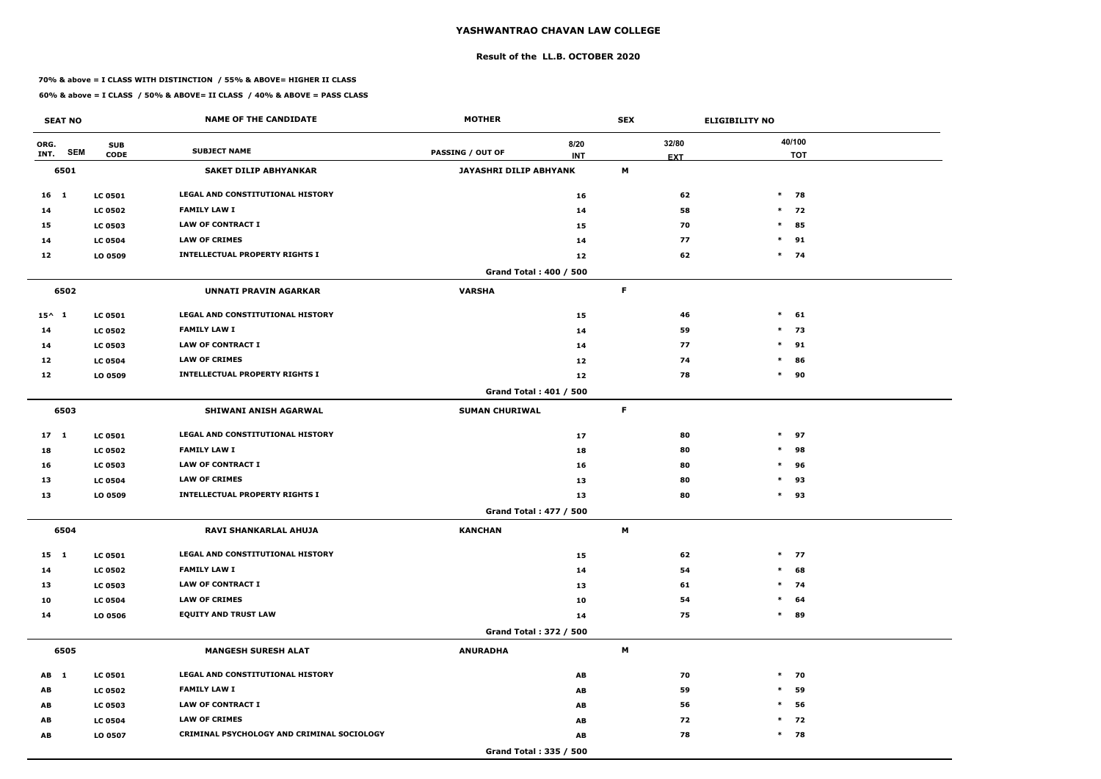#### **Result of the LL.B. OCTOBER 2020**

#### **70% & above = I CLASS WITH DISTINCTION / 55% & ABOVE= HIGHER II CLASS**

| <b>SEAT NO</b>             |                           | <b>NAME OF THE CANDIDATE</b>               | <b>MOTHER</b>           |                        | <b>SEX</b>          | <b>ELIGIBILITY NO</b> |                      |
|----------------------------|---------------------------|--------------------------------------------|-------------------------|------------------------|---------------------|-----------------------|----------------------|
| ORG.<br><b>SEM</b><br>INT. | <b>SUB</b><br><b>CODE</b> | <b>SUBJECT NAME</b>                        | <b>PASSING / OUT OF</b> | 8/20<br><b>INT</b>     | 32/80<br><b>EXT</b> |                       | 40/100<br><b>TOT</b> |
| 6501                       |                           | <b>SAKET DILIP ABHYANKAR</b>               | JAYASHRI DILIP ABHYANK  |                        | M                   |                       |                      |
| 16 1                       | <b>LC 0501</b>            | LEGAL AND CONSTITUTIONAL HISTORY           |                         | 16                     |                     | $\ast$<br>62          | 78                   |
| 14                         | <b>LC 0502</b>            | <b>FAMILY LAW I</b>                        |                         | 14                     |                     | 58                    | $*$ 72               |
| 15                         | <b>LC 0503</b>            | <b>LAW OF CONTRACT I</b>                   |                         | 15                     |                     | $\ast$<br>70          | 85                   |
| 14                         | <b>LC 0504</b>            | <b>LAW OF CRIMES</b>                       |                         | 14                     |                     | $\ast$<br>77          | 91                   |
| 12                         | LO 0509                   | <b>INTELLECTUAL PROPERTY RIGHTS I</b>      |                         | 12                     |                     | 62                    | $*$ 74               |
|                            |                           |                                            |                         | Grand Total: 400 / 500 |                     |                       |                      |
| 6502                       |                           | <b>UNNATI PRAVIN AGARKAR</b>               | <b>VARSHA</b>           |                        | F                   |                       |                      |
| $15^{\wedge}$ 1            | <b>LC 0501</b>            | <b>LEGAL AND CONSTITUTIONAL HISTORY</b>    |                         | 15                     |                     | $\ast$<br>46          | 61                   |
| 14                         | <b>LC 0502</b>            | <b>FAMILY LAW I</b>                        |                         | 14                     |                     | 59                    | $*$ 73               |
| 14                         | <b>LC 0503</b>            | <b>LAW OF CONTRACT I</b>                   |                         | 14                     |                     | 77<br>$\ast$          | 91                   |
| 12                         | <b>LC 0504</b>            | <b>LAW OF CRIMES</b>                       |                         | 12                     |                     | 74<br>$\ast$          | 86                   |
| 12                         | LO 0509                   | <b>INTELLECTUAL PROPERTY RIGHTS I</b>      |                         | 12                     |                     | 78<br>$\ast$          | 90                   |
|                            |                           |                                            |                         | Grand Total: 401 / 500 |                     |                       |                      |
| 6503                       |                           | SHIWANI ANISH AGARWAL                      | <b>SUMAN CHURIWAL</b>   |                        | F                   |                       |                      |
| 17 <sub>1</sub>            | <b>LC 0501</b>            | LEGAL AND CONSTITUTIONAL HISTORY           |                         | 17                     |                     | $\ast$<br>80          | 97                   |
| 18                         | <b>LC 0502</b>            | <b>FAMILY LAW I</b>                        |                         | 18                     |                     | 80<br>$\ast$          | 98                   |
| 16                         | <b>LC 0503</b>            | <b>LAW OF CONTRACT I</b>                   |                         | 16                     |                     | 80<br>$\ast$          | 96                   |
| 13                         | <b>LC 0504</b>            | <b>LAW OF CRIMES</b>                       |                         | 13                     |                     | 80<br>$\ast$          | 93                   |
| 13                         | LO 0509                   | <b>INTELLECTUAL PROPERTY RIGHTS I</b>      |                         | 13                     |                     | 80<br>$\ast$          | 93                   |
|                            |                           |                                            |                         | Grand Total: 477 / 500 |                     |                       |                      |
| 6504                       |                           | RAVI SHANKARLAL AHUJA                      | <b>KANCHAN</b>          |                        | M                   |                       |                      |
| 15 1                       | <b>LC 0501</b>            | LEGAL AND CONSTITUTIONAL HISTORY           |                         | 15                     |                     | 62                    | $*$ 77               |
| 14                         | <b>LC 0502</b>            | <b>FAMILY LAW I</b>                        |                         | 14                     |                     | 54<br>$\ast$          | 68                   |
| 13                         | <b>LC 0503</b>            | <b>LAW OF CONTRACT I</b>                   |                         | 13                     |                     | 61                    | $*$ 74               |
| 10                         | <b>LC 0504</b>            | <b>LAW OF CRIMES</b>                       |                         | 10                     |                     | 54<br>$\ast$          | 64                   |
| 14                         | <b>LO 0506</b>            | <b>EQUITY AND TRUST LAW</b>                |                         | 14                     |                     | $\ast$<br>75          | 89                   |
|                            |                           |                                            |                         | Grand Total: 372 / 500 |                     |                       |                      |
| 6505                       |                           | <b>MANGESH SURESH ALAT</b>                 | <b>ANURADHA</b>         |                        | M                   |                       |                      |
| AB 1                       | <b>LC 0501</b>            | LEGAL AND CONSTITUTIONAL HISTORY           |                         | AB                     |                     | 70                    | $*$ 70               |
| AB                         | <b>LC 0502</b>            | <b>FAMILY LAW I</b>                        |                         | AB                     |                     | 59<br>$\ast$          | 59                   |
| AB                         | <b>LC 0503</b>            | LAW OF CONTRACT I                          |                         | AB                     |                     | 56<br>$\ast$          | 56                   |
| AB                         | <b>LC 0504</b>            | <b>LAW OF CRIMES</b>                       |                         | AB                     |                     | 72                    | $*$ 72               |
| AB                         | LO 0507                   | CRIMINAL PSYCHOLOGY AND CRIMINAL SOCIOLOGY |                         | AB                     |                     | 78                    | $*$ 78               |
|                            |                           |                                            |                         | Grand Total: 335 / 500 |                     |                       |                      |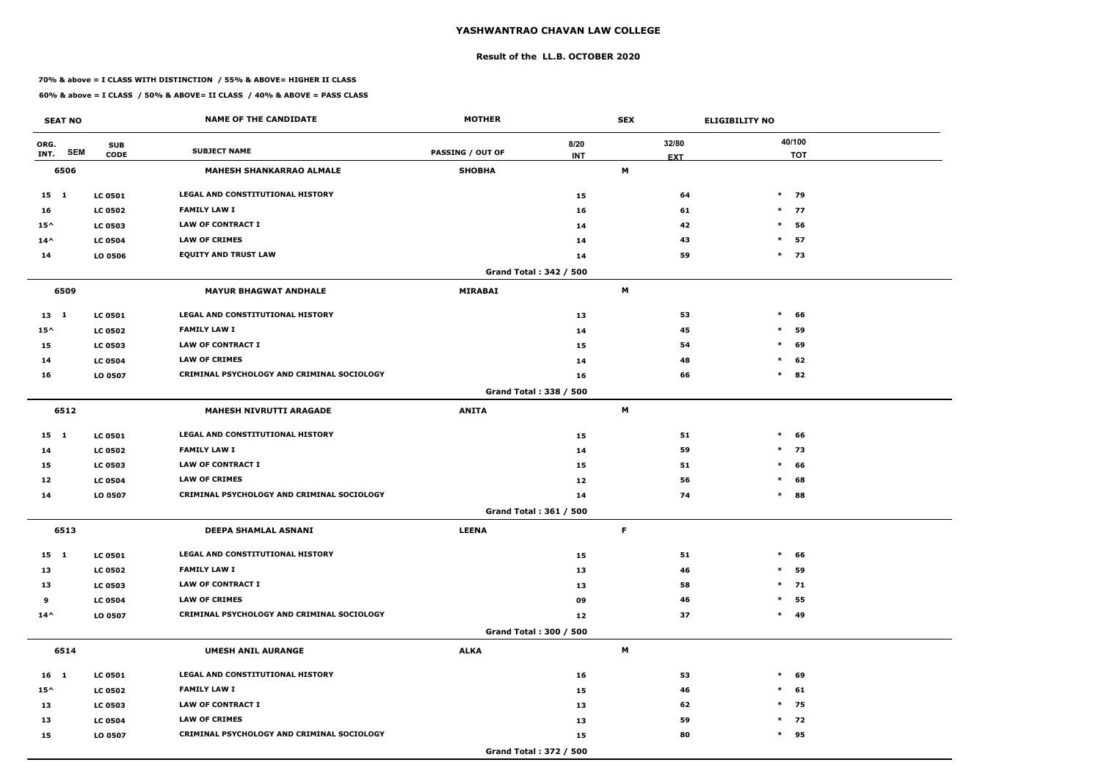#### **Result of the LL.B. OCTOBER 2020**

#### **70% & above = I CLASS WITH DISTINCTION / 55% & ABOVE= HIGHER II CLASS**

| <b>SEAT NO</b>     |                | <b>NAME OF THE CANDIDATE</b>               | <b>MOTHER</b>           |                               | <b>SEX</b> |            | <b>ELIGIBILITY NO</b> |
|--------------------|----------------|--------------------------------------------|-------------------------|-------------------------------|------------|------------|-----------------------|
| ORG.               | <b>SUB</b>     |                                            |                         | 8/20                          |            | 32/80      | 40/100                |
| <b>SEM</b><br>INT. | <b>CODE</b>    | <b>SUBJECT NAME</b>                        | <b>PASSING / OUT OF</b> | <b>INT</b>                    |            | <b>EXT</b> | <b>TOT</b>            |
| 6506               |                | <b>MAHESH SHANKARRAO ALMALE</b>            | <b>SHOBHA</b>           |                               | M          |            |                       |
| 15 1               | <b>LC 0501</b> | <b>LEGAL AND CONSTITUTIONAL HISTORY</b>    |                         | 15                            |            | 64         | $*$ 79                |
| 16                 | <b>LC 0502</b> | <b>FAMILY LAW I</b>                        |                         | 16                            |            | 61         | $*$ 77                |
| $15^{\wedge}$      | <b>LC 0503</b> | <b>LAW OF CONTRACT I</b>                   |                         | 14                            |            | 42         | $\ast$<br>56          |
| $14^{\wedge}$      | <b>LC 0504</b> | <b>LAW OF CRIMES</b>                       |                         | 14                            |            | 43         | $\ast$<br>57          |
| 14                 | LO 0506        | <b>EQUITY AND TRUST LAW</b>                |                         | 14                            |            | 59         | $*$ 73                |
|                    |                |                                            |                         | <b>Grand Total: 342 / 500</b> |            |            |                       |
| 6509               |                | <b>MAYUR BHAGWAT ANDHALE</b>               | <b>MIRABAI</b>          |                               | M          |            |                       |
| $13 \quad 1$       | <b>LC 0501</b> | <b>LEGAL AND CONSTITUTIONAL HISTORY</b>    |                         | 13                            |            | 53         | $\ast$<br>66          |
| $15^{\wedge}$      | <b>LC 0502</b> | <b>FAMILY LAW I</b>                        |                         | 14                            |            | 45         | $\ast$<br>59          |
| 15                 | <b>LC 0503</b> | <b>LAW OF CONTRACT I</b>                   |                         | 15                            |            | 54         | $\ast$<br>69          |
| 14                 | <b>LC 0504</b> | <b>LAW OF CRIMES</b>                       |                         | 14                            |            | 48         | 62<br>$\ast$          |
| 16                 | LO 0507        | CRIMINAL PSYCHOLOGY AND CRIMINAL SOCIOLOGY |                         | 16                            |            | 66         | $\ast$<br>82          |
|                    |                |                                            |                         | Grand Total: 338 / 500        |            |            |                       |
| 6512               |                | <b>MAHESH NIVRUTTI ARAGADE</b>             | <b>ANITA</b>            |                               | М          |            |                       |
| $15 \quad 1$       | <b>LC 0501</b> | LEGAL AND CONSTITUTIONAL HISTORY           |                         | 15                            |            | 51         | $\ast$<br>66          |
| 14                 | <b>LC 0502</b> | <b>FAMILY LAW I</b>                        |                         | 14                            |            | 59         | $\ast$<br>73          |
| 15                 | <b>LC 0503</b> | <b>LAW OF CONTRACT I</b>                   |                         | 15                            |            | 51         | $\ast$<br>66          |
| 12                 | <b>LC 0504</b> | <b>LAW OF CRIMES</b>                       |                         | 12                            |            | 56         | $\ast$<br>68          |
| 14                 | LO 0507        | CRIMINAL PSYCHOLOGY AND CRIMINAL SOCIOLOGY |                         | 14                            |            | 74         | $\ast$<br>88          |
|                    |                |                                            |                         | Grand Total: 361 / 500        |            |            |                       |
| 6513               |                | DEEPA SHAMLAL ASNANI                       | <b>LEENA</b>            |                               | F.         |            |                       |
| $15 \quad 1$       | <b>LC 0501</b> | <b>LEGAL AND CONSTITUTIONAL HISTORY</b>    |                         | 15                            |            | 51         | $\ast$<br>66          |
| 13                 | <b>LC 0502</b> | <b>FAMILY LAW I</b>                        |                         | 13                            |            | 46         | $\ast$<br>59          |
| 13                 | <b>LC 0503</b> | LAW OF CONTRACT I                          |                         | 13                            |            | 58         | $*$ 71                |
| 9                  | <b>LC 0504</b> | <b>LAW OF CRIMES</b>                       |                         | 09                            |            | 46         | 55<br>$\ast$          |
| $14^{\wedge}$      | LO 0507        | CRIMINAL PSYCHOLOGY AND CRIMINAL SOCIOLOGY |                         | 12                            |            | 37         | $*$ 49                |
|                    |                |                                            |                         | Grand Total: 300 / 500        |            |            |                       |
| 6514               |                | <b>UMESH ANIL AURANGE</b>                  | <b>ALKA</b>             |                               | M          |            |                       |
| $16 \quad 1$       | <b>LC 0501</b> | LEGAL AND CONSTITUTIONAL HISTORY           |                         | 16                            |            | 53         | $\ast$<br>69          |
| $15^{\wedge}$      | <b>LC 0502</b> | <b>FAMILY LAW I</b>                        |                         | 15                            |            | 46         | $\ast$<br>61          |
| 13                 | <b>LC 0503</b> | <b>LAW OF CONTRACT I</b>                   |                         | 13                            |            | 62         | $*$ 75                |
| 13                 | <b>LC 0504</b> | <b>LAW OF CRIMES</b>                       |                         | 13                            |            | 59         | $*$ 72                |
| 15                 | LO 0507        | CRIMINAL PSYCHOLOGY AND CRIMINAL SOCIOLOGY |                         | 15                            |            | 80         | $*$ 95                |
|                    |                |                                            |                         | Grand Total: 372 / 500        |            |            |                       |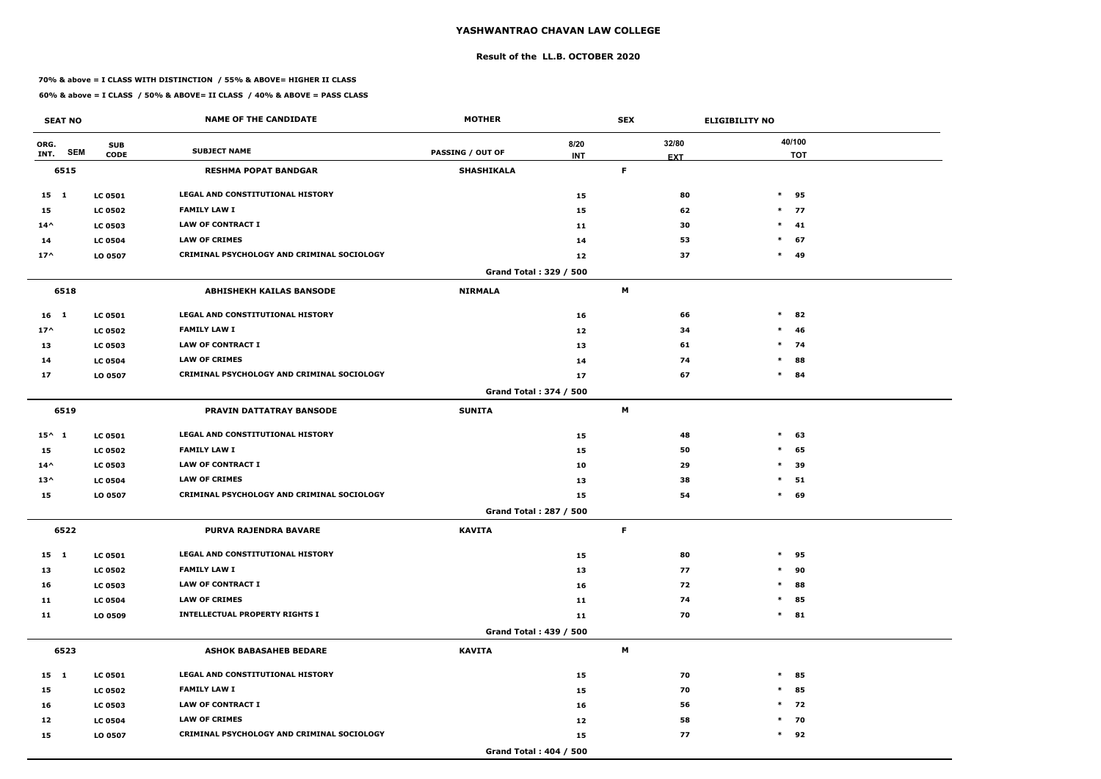#### **Result of the LL.B. OCTOBER 2020**

#### **70% & above = I CLASS WITH DISTINCTION / 55% & ABOVE= HIGHER II CLASS**

| <b>SEAT NO</b>     |                | <b>NAME OF THE CANDIDATE</b>                      | <b>MOTHER</b>                 |            | <b>SEX</b> |            | <b>ELIGIBILITY NO</b> |
|--------------------|----------------|---------------------------------------------------|-------------------------------|------------|------------|------------|-----------------------|
| ORG.               | <b>SUB</b>     |                                                   |                               | 8/20       |            | 32/80      | 40/100                |
| <b>SEM</b><br>INT. | <b>CODE</b>    | <b>SUBJECT NAME</b>                               | <b>PASSING / OUT OF</b>       | <b>INT</b> |            | <b>EXT</b> | <b>TOT</b>            |
| 6515               |                | <b>RESHMA POPAT BANDGAR</b>                       | <b>SHASHIKALA</b>             |            | F          |            |                       |
| 15 1               | <b>LC 0501</b> | <b>LEGAL AND CONSTITUTIONAL HISTORY</b>           |                               | 15         |            | 80         | $\ast$<br>95          |
| 15                 | <b>LC 0502</b> | <b>FAMILY LAW I</b>                               |                               | 15         |            | 62         | $*$ 77                |
| $14^{\wedge}$      | <b>LC 0503</b> | <b>LAW OF CONTRACT I</b>                          |                               | 11         |            | 30         | $\ast$<br>41          |
| 14                 | <b>LC 0504</b> | <b>LAW OF CRIMES</b>                              |                               | 14         |            | 53         | $\ast$<br>67          |
| $17^$              | LO 0507        | <b>CRIMINAL PSYCHOLOGY AND CRIMINAL SOCIOLOGY</b> |                               | 12         |            | 37         | $*$ 49                |
|                    |                |                                                   | <b>Grand Total: 329 / 500</b> |            |            |            |                       |
| 6518               |                | <b>ABHISHEKH KAILAS BANSODE</b>                   | <b>NIRMALA</b>                |            | M          |            |                       |
| 16 <sub>1</sub>    | <b>LC 0501</b> | <b>LEGAL AND CONSTITUTIONAL HISTORY</b>           |                               | 16         |            | 66         | $\ast$<br>82          |
| $17^$              | <b>LC 0502</b> | <b>FAMILY LAW I</b>                               |                               | 12         |            | 34         | $\ast$<br>46          |
| 13                 | <b>LC 0503</b> | <b>LAW OF CONTRACT I</b>                          |                               | 13         |            | 61         | $*$ 74                |
| 14                 | <b>LC 0504</b> | <b>LAW OF CRIMES</b>                              |                               | 14         |            | 74         | 88<br>$\ast$          |
| 17                 | LO 0507        | CRIMINAL PSYCHOLOGY AND CRIMINAL SOCIOLOGY        |                               | 17         |            | 67         | $\ast$<br>84          |
|                    |                |                                                   | <b>Grand Total: 374 / 500</b> |            |            |            |                       |
| 6519               |                | PRAVIN DATTATRAY BANSODE                          | <b>SUNITA</b>                 |            | М          |            |                       |
| $15^{\wedge} 1$    | <b>LC 0501</b> | LEGAL AND CONSTITUTIONAL HISTORY                  |                               | 15         |            | 48         | $\ast$<br>63          |
| 15                 | <b>LC 0502</b> | <b>FAMILY LAW I</b>                               |                               | 15         |            | 50         | 65<br>$\ast$          |
| $14^{\wedge}$      | <b>LC 0503</b> | <b>LAW OF CONTRACT I</b>                          |                               | 10         |            | 29         | 39<br>$\ast$          |
| $13^{\wedge}$      | <b>LC 0504</b> | <b>LAW OF CRIMES</b>                              |                               | 13         |            | 38         | $\ast$<br>51          |
| 15                 | LO 0507        | CRIMINAL PSYCHOLOGY AND CRIMINAL SOCIOLOGY        |                               | 15         |            | 54         | $\ast$<br>69          |
|                    |                |                                                   | Grand Total: 287 / 500        |            |            |            |                       |
| 6522               |                | PURVA RAJENDRA BAVARE                             | <b>KAVITA</b>                 |            | F.         |            |                       |
| $15 \quad 1$       | <b>LC 0501</b> | LEGAL AND CONSTITUTIONAL HISTORY                  |                               | 15         |            | 80         | $\ast$<br>95          |
| 13                 | <b>LC 0502</b> | <b>FAMILY LAW I</b>                               |                               | 13         |            | 77         | 90<br>$\ast$          |
| 16                 | <b>LC 0503</b> | LAW OF CONTRACT I                                 |                               | 16         |            | 72         | $\ast$<br>88          |
| 11                 | <b>LC 0504</b> | <b>LAW OF CRIMES</b>                              |                               | 11         |            | 74         | 85<br>$\ast$          |
| 11                 | LO 0509        | <b>INTELLECTUAL PROPERTY RIGHTS I</b>             |                               | 11         |            | 70         | $*$ 81                |
|                    |                |                                                   | Grand Total: 439 / 500        |            |            |            |                       |
| 6523               |                | <b>ASHOK BABASAHEB BEDARE</b>                     | <b>KAVITA</b>                 |            | M          |            |                       |
| 15 1               | <b>LC 0501</b> | LEGAL AND CONSTITUTIONAL HISTORY                  |                               | 15         |            | 70         | $\ast$<br>85          |
| 15                 | <b>LC 0502</b> | <b>FAMILY LAW I</b>                               |                               | 15         |            | 70         | $\ast$<br>85          |
| 16                 | <b>LC 0503</b> | LAW OF CONTRACT I                                 |                               | 16         |            | 56         | $*$ 72                |
| 12                 | <b>LC 0504</b> | <b>LAW OF CRIMES</b>                              |                               | 12         |            | 58         | $*$ 70                |
| 15                 | LO 0507        | CRIMINAL PSYCHOLOGY AND CRIMINAL SOCIOLOGY        |                               | 15         |            | 77         | $*$ 92                |
|                    |                |                                                   | <b>Grand Total: 404 / 500</b> |            |            |            |                       |
|                    |                |                                                   |                               |            |            |            |                       |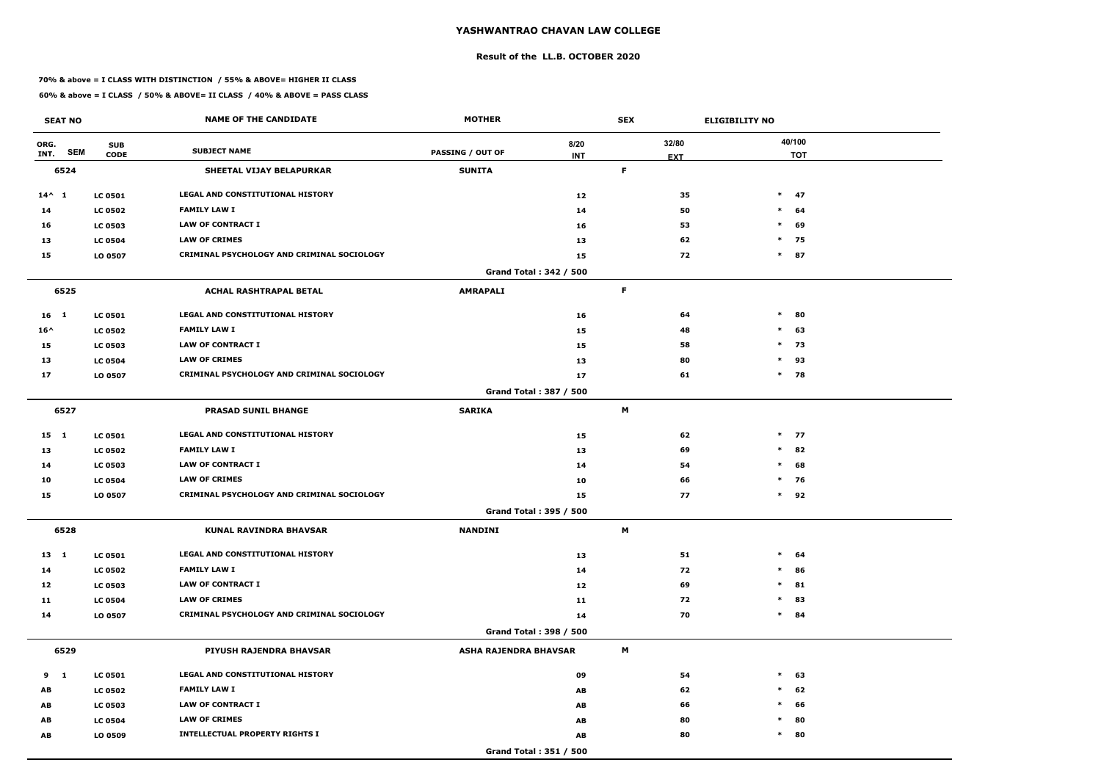#### **Result of the LL.B. OCTOBER 2020**

#### **70% & above = I CLASS WITH DISTINCTION / 55% & ABOVE= HIGHER II CLASS**

| <b>SEAT NO</b>             |                           | <b>NAME OF THE CANDIDATE</b>                      | <b>MOTHER</b>                |                               | <b>SEX</b> |                     | <b>ELIGIBILITY NO</b> |            |
|----------------------------|---------------------------|---------------------------------------------------|------------------------------|-------------------------------|------------|---------------------|-----------------------|------------|
| ORG.<br><b>SEM</b><br>INT. | <b>SUB</b><br><b>CODE</b> | <b>SUBJECT NAME</b>                               | <b>PASSING / OUT OF</b>      | 8/20<br><b>INT</b>            |            | 32/80<br><b>EXT</b> | 40/100                | <b>TOT</b> |
| 6524                       |                           | SHEETAL VIJAY BELAPURKAR                          | <b>SUNITA</b>                |                               | F          |                     |                       |            |
| $14^{\wedge} 1$            | <b>LC 0501</b>            | <b>LEGAL AND CONSTITUTIONAL HISTORY</b>           |                              | 12                            |            | 35                  | $*$ 47                |            |
| 14                         | <b>LC 0502</b>            | <b>FAMILY LAW I</b>                               |                              | 14                            |            | 50                  | $\ast$                | 64         |
| 16                         | <b>LC 0503</b>            | <b>LAW OF CONTRACT I</b>                          |                              | 16                            |            | 53                  | $\ast$                | 69         |
| 13                         | <b>LC 0504</b>            | <b>LAW OF CRIMES</b>                              |                              | 13                            |            | 62                  | $*$ 75                |            |
| 15                         | LO 0507                   | CRIMINAL PSYCHOLOGY AND CRIMINAL SOCIOLOGY        |                              | 15                            |            | 72                  | $*$ 87                |            |
|                            |                           |                                                   |                              | <b>Grand Total: 342 / 500</b> |            |                     |                       |            |
| 6525                       |                           | <b>ACHAL RASHTRAPAL BETAL</b>                     | <b>AMRAPALI</b>              |                               | F          |                     |                       |            |
| $16$ 1                     | <b>LC 0501</b>            | LEGAL AND CONSTITUTIONAL HISTORY                  |                              | 16                            |            | 64                  | $\ast$                | 80         |
| $16^{\wedge}$              | <b>LC 0502</b>            | <b>FAMILY LAW I</b>                               |                              | 15                            |            | 48                  | $\ast$                | 63         |
| 15                         | <b>LC 0503</b>            | <b>LAW OF CONTRACT I</b>                          |                              | 15                            |            | 58                  | $*$ 73                |            |
| 13                         | <b>LC 0504</b>            | <b>LAW OF CRIMES</b>                              |                              | 13                            |            | 80                  | $*$ 93                |            |
| 17                         | LO 0507                   | <b>CRIMINAL PSYCHOLOGY AND CRIMINAL SOCIOLOGY</b> |                              | 17                            |            | 61                  | $*$ 78                |            |
|                            |                           |                                                   |                              | Grand Total: 387 / 500        |            |                     |                       |            |
| 6527                       |                           | <b>PRASAD SUNIL BHANGE</b>                        | <b>SARIKA</b>                |                               | M          |                     |                       |            |
| $15 \quad 1$               | <b>LC 0501</b>            | LEGAL AND CONSTITUTIONAL HISTORY                  |                              | 15                            |            | 62                  | $*$ 77                |            |
| 13                         | <b>LC 0502</b>            | <b>FAMILY LAW I</b>                               |                              | 13                            |            | 69                  | $*$ 82                |            |
| 14                         | <b>LC 0503</b>            | <b>LAW OF CONTRACT I</b>                          |                              | 14                            |            | 54                  | $\ast$                | 68         |
| 10                         | <b>LC 0504</b>            | <b>LAW OF CRIMES</b>                              |                              | 10                            |            | 66                  | $\ast$                | 76         |
| 15                         | LO 0507                   | CRIMINAL PSYCHOLOGY AND CRIMINAL SOCIOLOGY        |                              | 15                            |            | 77                  | $*$ 92                |            |
|                            |                           |                                                   |                              | Grand Total: 395 / 500        |            |                     |                       |            |
| 6528                       |                           | <b>KUNAL RAVINDRA BHAVSAR</b>                     | <b>NANDINI</b>               |                               | M          |                     |                       |            |
| $13 \quad 1$               | <b>LC 0501</b>            | LEGAL AND CONSTITUTIONAL HISTORY                  |                              | 13                            |            | 51                  | $*$ 64                |            |
| 14                         | <b>LC 0502</b>            | <b>FAMILY LAW I</b>                               |                              | 14                            |            | 72                  | $*$ 86                |            |
| 12                         | <b>LC 0503</b>            | LAW OF CONTRACT I                                 |                              | 12                            |            | 69                  | $*$ 81                |            |
| 11                         | <b>LC 0504</b>            | <b>LAW OF CRIMES</b>                              |                              | 11                            |            | 72                  | $*$ 83                |            |
| 14                         | LO 0507                   | CRIMINAL PSYCHOLOGY AND CRIMINAL SOCIOLOGY        |                              | 14                            |            | 70                  | $*$ 84                |            |
|                            |                           |                                                   |                              | Grand Total: 398 / 500        |            |                     |                       |            |
| 6529                       |                           | PIYUSH RAJENDRA BHAVSAR                           | <b>ASHA RAJENDRA BHAVSAR</b> |                               | M          |                     |                       |            |
| $9 \quad 1$                | <b>LC 0501</b>            | LEGAL AND CONSTITUTIONAL HISTORY                  |                              | 09                            |            | 54                  | $*$ 63                |            |
| AB                         | <b>LC 0502</b>            | <b>FAMILY LAW I</b>                               |                              | AB                            |            | 62                  | $\ast$                | 62         |
| AB                         | <b>LC 0503</b>            | LAW OF CONTRACT I                                 |                              | AB                            |            | 66                  | $\ast$                | 66         |
| AB                         | <b>LC 0504</b>            | <b>LAW OF CRIMES</b>                              |                              | AB                            |            | 80                  | $\ast$                | 80         |
| AB                         | LO 0509                   | <b>INTELLECTUAL PROPERTY RIGHTS I</b>             |                              | AB                            |            | 80                  | $\ast$                | 80         |
|                            |                           |                                                   |                              | Grand Total: 351 / 500        |            |                     |                       |            |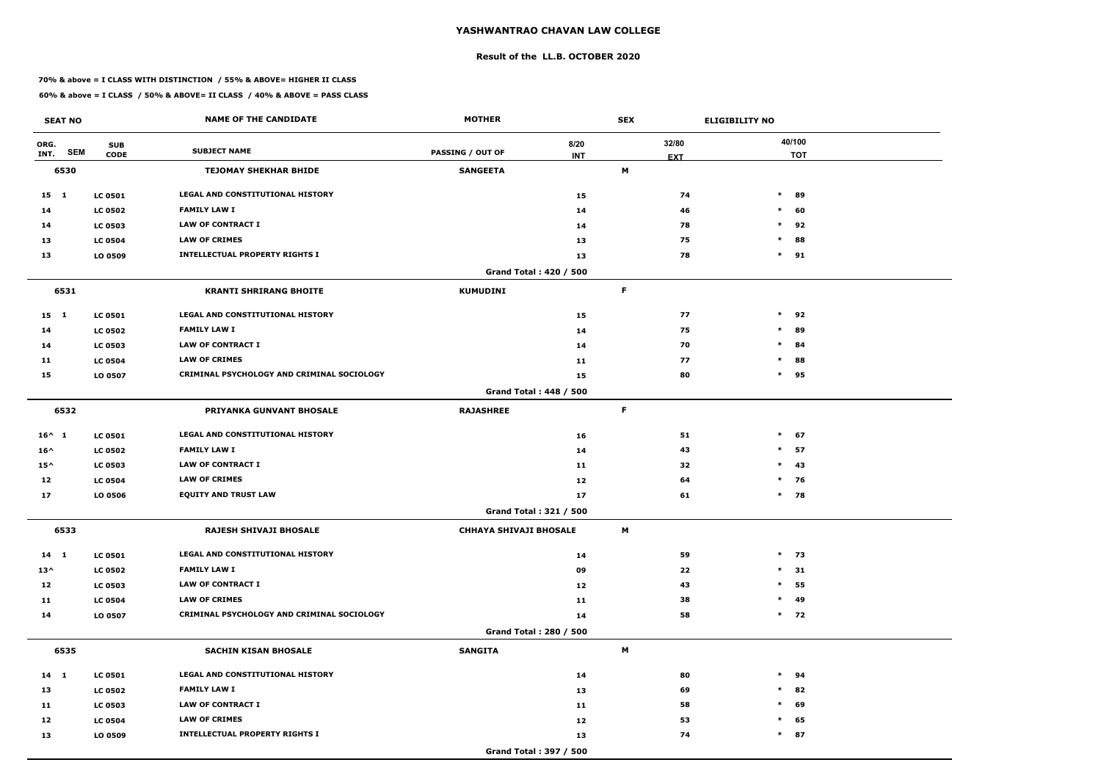#### **Result of the LL.B. OCTOBER 2020**

#### **70% & above = I CLASS WITH DISTINCTION / 55% & ABOVE= HIGHER II CLASS**

| <b>SEAT NO</b>             |                           | <b>NAME OF THE CANDIDATE</b>                      | <b>MOTHER</b>                 |                               | <b>SEX</b> |                     | <b>ELIGIBILITY NO</b> |
|----------------------------|---------------------------|---------------------------------------------------|-------------------------------|-------------------------------|------------|---------------------|-----------------------|
| ORG.<br><b>SEM</b><br>INT. | <b>SUB</b><br><b>CODE</b> | <b>SUBJECT NAME</b>                               | <b>PASSING / OUT OF</b>       | 8/20<br><b>INT</b>            |            | 32/80<br><b>EXT</b> | 40/100<br><b>TOT</b>  |
| 6530                       |                           | <b>TEJOMAY SHEKHAR BHIDE</b>                      | <b>SANGEETA</b>               |                               | M          |                     |                       |
| $15 \quad 1$               | <b>LC 0501</b>            | LEGAL AND CONSTITUTIONAL HISTORY                  |                               | 15                            |            | 74                  | $\ast$<br>89          |
| 14                         | <b>LC 0502</b>            | <b>FAMILY LAW I</b>                               |                               | 14                            |            | 46                  | $\ast$<br>60          |
| 14                         | <b>LC 0503</b>            | <b>LAW OF CONTRACT I</b>                          |                               | 14                            |            | 78                  | 92<br>$\ast$          |
| 13                         | <b>LC 0504</b>            | <b>LAW OF CRIMES</b>                              |                               | 13                            |            | 75                  | $\ast$<br>88          |
| 13                         | LO 0509                   | <b>INTELLECTUAL PROPERTY RIGHTS I</b>             |                               | 13                            |            | 78                  | $\ast$<br>91          |
|                            |                           |                                                   |                               | Grand Total: 420 / 500        |            |                     |                       |
| 6531                       |                           | <b>KRANTI SHRIRANG BHOITE</b>                     | <b>KUMUDINI</b>               |                               | F          |                     |                       |
| $15 \quad 1$               | <b>LC 0501</b>            | <b>LEGAL AND CONSTITUTIONAL HISTORY</b>           |                               | 15                            |            | 77                  | $\ast$<br>92          |
| 14                         | <b>LC 0502</b>            | <b>FAMILY LAW I</b>                               |                               | 14                            |            | 75                  | $\ast$<br>89          |
| 14                         | <b>LC 0503</b>            | <b>LAW OF CONTRACT I</b>                          |                               | 14                            |            | 70                  | $\ast$<br>84          |
| 11                         | <b>LC 0504</b>            | <b>LAW OF CRIMES</b>                              |                               | 11                            |            | 77                  | $\ast$<br>88          |
| 15                         | LO 0507                   | <b>CRIMINAL PSYCHOLOGY AND CRIMINAL SOCIOLOGY</b> |                               | 15                            |            | 80                  | 95<br>$\ast$          |
|                            |                           |                                                   |                               | <b>Grand Total: 448 / 500</b> |            |                     |                       |
| 6532                       |                           | <b>PRIYANKA GUNVANT BHOSALE</b>                   | <b>RAJASHREE</b>              |                               | F          |                     |                       |
| $16^{\wedge} 1$            | <b>LC 0501</b>            | LEGAL AND CONSTITUTIONAL HISTORY                  |                               | 16                            |            | 51                  | $\ast$<br>67          |
| $16^{\wedge}$              | <b>LC 0502</b>            | <b>FAMILY LAW I</b>                               |                               | 14                            |            | 43                  | $\ast$<br>57          |
| $15^{\wedge}$              | <b>LC 0503</b>            | <b>LAW OF CONTRACT I</b>                          |                               | 11                            |            | 32                  | $\ast$<br>43          |
| 12                         | <b>LC 0504</b>            | <b>LAW OF CRIMES</b>                              |                               | 12                            |            | 64                  | $*$ 76                |
| 17                         | LO 0506                   | <b>EQUITY AND TRUST LAW</b>                       |                               | 17                            |            | 61                  | $\ast$<br>78          |
|                            |                           |                                                   |                               | Grand Total: 321 / 500        |            |                     |                       |
| 6533                       |                           | RAJESH SHIVAJI BHOSALE                            | <b>CHHAYA SHIVAJI BHOSALE</b> |                               | M          |                     |                       |
| $14 \quad 1$               | <b>LC 0501</b>            | LEGAL AND CONSTITUTIONAL HISTORY                  |                               | 14                            |            | 59                  | $*$ 73                |
| $13^{\wedge}$              | <b>LC 0502</b>            | <b>FAMILY LAW I</b>                               |                               | 09                            |            | 22                  | $\ast$<br>31          |
| 12                         | <b>LC 0503</b>            | <b>LAW OF CONTRACT I</b>                          |                               | 12                            |            | 43                  | $\ast$<br>55          |
| 11                         | <b>LC 0504</b>            | <b>LAW OF CRIMES</b>                              |                               | 11                            |            | 38                  | 49<br>$\ast$          |
| 14                         | LO 0507                   | CRIMINAL PSYCHOLOGY AND CRIMINAL SOCIOLOGY        |                               | 14                            |            | 58                  | $*$ 72                |
|                            |                           |                                                   |                               | <b>Grand Total: 280 / 500</b> |            |                     |                       |
| 6535                       |                           | <b>SACHIN KISAN BHOSALE</b>                       | <b>SANGITA</b>                |                               | M          |                     |                       |
| $14 \quad 1$               | <b>LC 0501</b>            | LEGAL AND CONSTITUTIONAL HISTORY                  |                               | 14                            |            | 80                  | $\ast$<br>94          |
| 13                         | <b>LC 0502</b>            | <b>FAMILY LAW I</b>                               |                               | 13                            |            | 69                  | 82<br>$\ast$          |
| 11                         | <b>LC 0503</b>            | <b>LAW OF CONTRACT I</b>                          |                               | 11                            |            | 58                  | 69<br>$\ast$          |
| 12                         | <b>LC 0504</b>            | <b>LAW OF CRIMES</b>                              |                               | 12                            |            | 53                  | $\ast$<br>65          |
| 13                         | LO 0509                   | <b>INTELLECTUAL PROPERTY RIGHTS I</b>             |                               | 13                            |            | 74                  | $*$ 87                |
|                            |                           |                                                   |                               | Grand Total: 397 / 500        |            |                     |                       |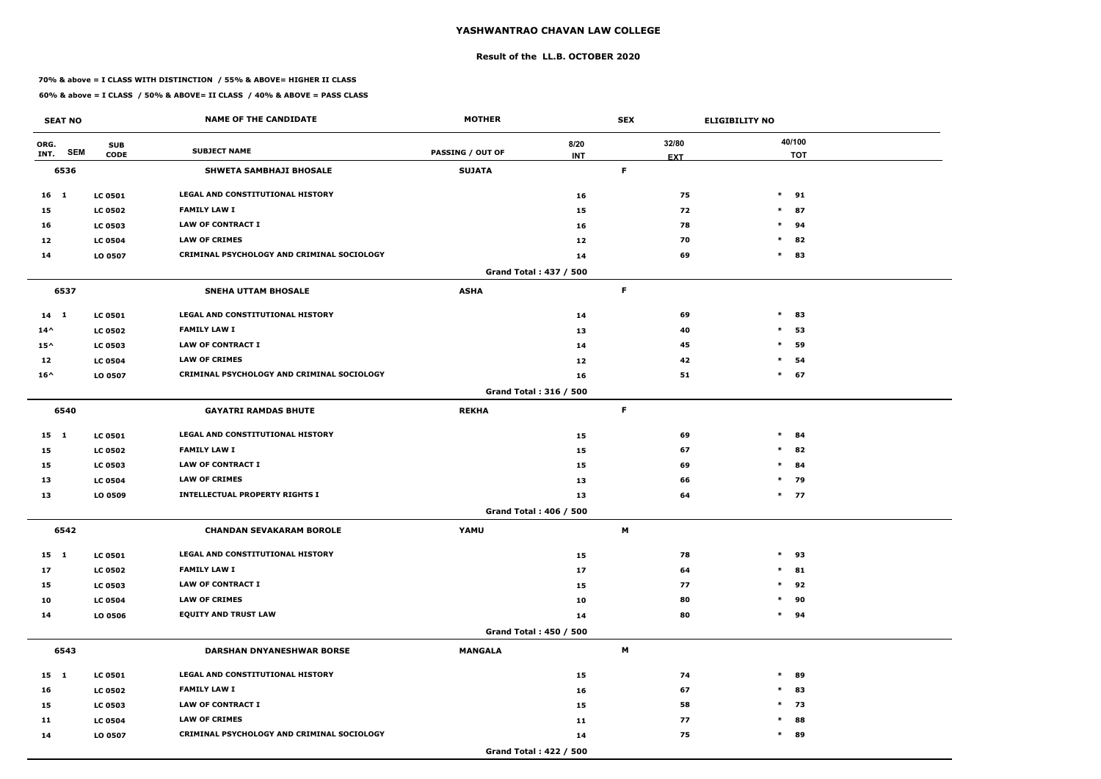#### **Result of the LL.B. OCTOBER 2020**

#### **70% & above = I CLASS WITH DISTINCTION / 55% & ABOVE= HIGHER II CLASS**

| <b>SEAT NO</b>             |                           | <b>NAME OF THE CANDIDATE</b>                      | <b>MOTHER</b>           |                        | <b>SEX</b>  |                     | <b>ELIGIBILITY NO</b> |
|----------------------------|---------------------------|---------------------------------------------------|-------------------------|------------------------|-------------|---------------------|-----------------------|
| ORG.<br><b>SEM</b><br>INT. | <b>SUB</b><br><b>CODE</b> | <b>SUBJECT NAME</b>                               | <b>PASSING / OUT OF</b> | 8/20<br><b>INT</b>     |             | 32/80<br><b>EXT</b> | 40/100<br><b>TOT</b>  |
| 6536                       |                           | <b>SHWETA SAMBHAJI BHOSALE</b>                    | <b>SUJATA</b>           |                        | $\mathsf F$ |                     |                       |
| 16 1                       | <b>LC 0501</b>            | LEGAL AND CONSTITUTIONAL HISTORY                  |                         | 16                     |             | 75                  | $\ast$<br>91          |
| 15                         | <b>LC 0502</b>            | <b>FAMILY LAW I</b>                               |                         | 15                     |             | 72                  | $\ast$<br>87          |
| 16                         | <b>LC 0503</b>            | <b>LAW OF CONTRACT I</b>                          |                         | 16                     |             | 78                  | 94<br>$\ast$          |
| 12                         | <b>LC 0504</b>            | <b>LAW OF CRIMES</b>                              |                         | 12                     |             | 70                  | $\ast$<br>82          |
| 14                         | LO 0507                   | CRIMINAL PSYCHOLOGY AND CRIMINAL SOCIOLOGY        |                         | 14                     |             | 69                  | $\ast$<br>83          |
|                            |                           |                                                   |                         | Grand Total: 437 / 500 |             |                     |                       |
| 6537                       |                           | <b>SNEHA UTTAM BHOSALE</b>                        | <b>ASHA</b>             |                        | F           |                     |                       |
| $14 \quad 1$               | <b>LC 0501</b>            | <b>LEGAL AND CONSTITUTIONAL HISTORY</b>           |                         | 14                     |             | 69                  | $\ast$<br>83          |
| $14^{\wedge}$              | <b>LC 0502</b>            | <b>FAMILY LAW I</b>                               |                         | 13                     |             | 40                  | $\ast$<br>53          |
| $15^{\wedge}$              | <b>LC 0503</b>            | <b>LAW OF CONTRACT I</b>                          |                         | 14                     |             | 45                  | $\ast$<br>59          |
| 12                         | <b>LC 0504</b>            | <b>LAW OF CRIMES</b>                              |                         | 12                     |             | 42                  | $\ast$<br>54          |
| $16^{\wedge}$              | LO 0507                   | <b>CRIMINAL PSYCHOLOGY AND CRIMINAL SOCIOLOGY</b> |                         | 16                     |             | 51                  | $\ast$<br>67          |
|                            |                           |                                                   |                         | Grand Total: 316 / 500 |             |                     |                       |
| 6540                       |                           | <b>GAYATRI RAMDAS BHUTE</b>                       | <b>REKHA</b>            |                        | $\mathsf F$ |                     |                       |
| $15 \quad 1$               | <b>LC 0501</b>            | LEGAL AND CONSTITUTIONAL HISTORY                  |                         | 15                     |             | 69                  | $\ast$<br>84          |
| 15                         | <b>LC 0502</b>            | <b>FAMILY LAW I</b>                               |                         | 15                     |             | 67                  | $\ast$<br>82          |
| 15                         | <b>LC 0503</b>            | <b>LAW OF CONTRACT I</b>                          |                         | 15                     |             | 69                  | $\ast$<br>84          |
| 13                         | <b>LC 0504</b>            | <b>LAW OF CRIMES</b>                              |                         | 13                     |             | 66                  | $*$ 79                |
| 13                         | LO 0509                   | <b>INTELLECTUAL PROPERTY RIGHTS I</b>             |                         | 13                     |             | 64                  | $*$ 77                |
|                            |                           |                                                   |                         | Grand Total: 406 / 500 |             |                     |                       |
| 6542                       |                           | <b>CHANDAN SEVAKARAM BOROLE</b>                   | YAMU                    |                        | M           |                     |                       |
| 15 1                       | <b>LC 0501</b>            | LEGAL AND CONSTITUTIONAL HISTORY                  |                         | 15                     |             | 78                  | $\ast$<br>93          |
| 17                         | <b>LC 0502</b>            | <b>FAMILY LAW I</b>                               |                         | 17                     |             | 64                  | 81<br>$\ast$          |
| 15                         | <b>LC 0503</b>            | <b>LAW OF CONTRACT I</b>                          |                         | 15                     |             | 77                  | $\ast$<br>92          |
| 10                         | <b>LC 0504</b>            | <b>LAW OF CRIMES</b>                              |                         | 10                     |             | 80                  | 90<br>$\ast$          |
| 14                         | <b>LO 0506</b>            | <b>EQUITY AND TRUST LAW</b>                       |                         | 14                     |             | 80                  | $\ast$<br>94          |
|                            |                           |                                                   |                         | Grand Total: 450 / 500 |             |                     |                       |
| 6543                       |                           | <b>DARSHAN DNYANESHWAR BORSE</b>                  | <b>MANGALA</b>          |                        | M           |                     |                       |
| $15 \quad 1$               | <b>LC 0501</b>            | LEGAL AND CONSTITUTIONAL HISTORY                  |                         | 15                     |             | 74                  | $\ast$<br>89          |
| 16                         | <b>LC 0502</b>            | <b>FAMILY LAW I</b>                               |                         | 16                     |             | 67                  | 83<br>$\ast$          |
| 15                         | <b>LC 0503</b>            | LAW OF CONTRACT I                                 |                         | 15                     |             | 58                  | $*$ 73                |
| 11                         | <b>LC 0504</b>            | <b>LAW OF CRIMES</b>                              |                         | 11                     |             | 77                  | 88<br>$\ast$          |
| 14                         | LO 0507                   | CRIMINAL PSYCHOLOGY AND CRIMINAL SOCIOLOGY        |                         | 14                     |             | 75                  | $\ast$<br>89          |
|                            |                           |                                                   |                         | Grand Total: 422 / 500 |             |                     |                       |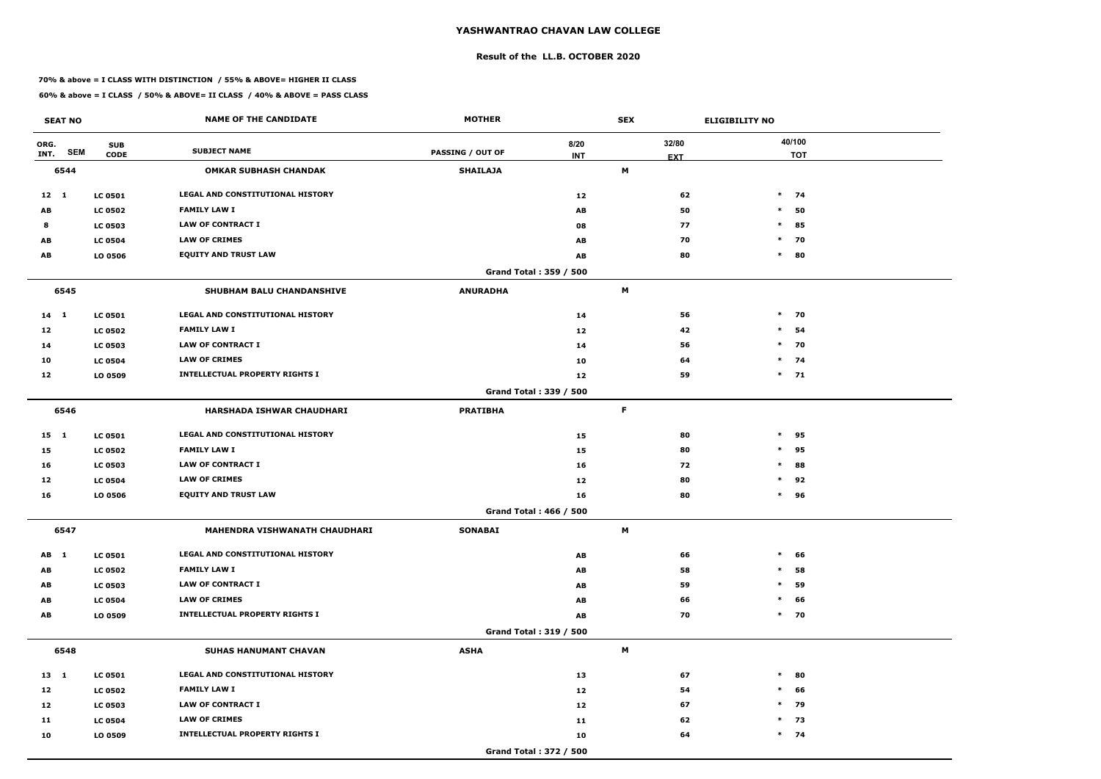#### **Result of the LL.B. OCTOBER 2020**

#### **70% & above = I CLASS WITH DISTINCTION / 55% & ABOVE= HIGHER II CLASS**

|              | <b>SEAT NO</b> |                           | <b>NAME OF THE CANDIDATE</b>            | <b>MOTHER</b>           |                        | <b>SEX</b>  |                     | <b>ELIGIBILITY NO</b> |
|--------------|----------------|---------------------------|-----------------------------------------|-------------------------|------------------------|-------------|---------------------|-----------------------|
| ORG.<br>INT. | <b>SEM</b>     | <b>SUB</b><br><b>CODE</b> | <b>SUBJECT NAME</b>                     | <b>PASSING / OUT OF</b> | 8/20<br><b>INT</b>     |             | 32/80<br><b>EXT</b> | 40/100<br><b>TOT</b>  |
|              | 6544           |                           | <b>OMKAR SUBHASH CHANDAK</b>            | <b>SHAILAJA</b>         |                        | M           |                     |                       |
| $12 \quad 1$ |                | <b>LC 0501</b>            | LEGAL AND CONSTITUTIONAL HISTORY        |                         | 12                     |             | 62                  | $\ast$<br>74          |
| AB           |                | <b>LC 0502</b>            | <b>FAMILY LAW I</b>                     |                         | AB                     |             | 50                  | $\ast$<br>50          |
| 8            |                | <b>LC 0503</b>            | <b>LAW OF CONTRACT I</b>                |                         | 08                     |             | 77                  | $\ast$<br>85          |
| AB           |                | <b>LC 0504</b>            | <b>LAW OF CRIMES</b>                    |                         | AB                     |             | 70                  | $\ast$<br>70          |
| AB           |                | LO 0506                   | <b>EQUITY AND TRUST LAW</b>             |                         | AB                     |             | 80                  | $\ast$<br>80          |
|              |                |                           |                                         |                         | Grand Total: 359 / 500 |             |                     |                       |
|              | 6545           |                           | SHUBHAM BALU CHANDANSHIVE               | <b>ANURADHA</b>         |                        | M           |                     |                       |
| 14 1         |                | <b>LC 0501</b>            | <b>LEGAL AND CONSTITUTIONAL HISTORY</b> |                         | 14                     |             | 56                  | $\ast$<br>70          |
| 12           |                | <b>LC 0502</b>            | <b>FAMILY LAW I</b>                     |                         | 12                     |             | 42                  | $\ast$<br>54          |
| 14           |                | <b>LC 0503</b>            | <b>LAW OF CONTRACT I</b>                |                         | 14                     |             | 56                  | $\ast$<br>70          |
| 10           |                | <b>LC 0504</b>            | <b>LAW OF CRIMES</b>                    |                         | 10                     |             | 64                  | $*$ 74                |
| 12           |                | LO 0509                   | <b>INTELLECTUAL PROPERTY RIGHTS I</b>   |                         | 12                     |             | 59                  | $*$ 71                |
|              |                |                           |                                         |                         | Grand Total: 339 / 500 |             |                     |                       |
|              | 6546           |                           | <b>HARSHADA ISHWAR CHAUDHARI</b>        | <b>PRATIBHA</b>         |                        | $\mathsf F$ |                     |                       |
| $15 \quad 1$ |                | <b>LC 0501</b>            | LEGAL AND CONSTITUTIONAL HISTORY        |                         | 15                     |             | 80                  | $\ast$<br>95          |
| 15           |                | <b>LC 0502</b>            | <b>FAMILY LAW I</b>                     |                         | 15                     |             | 80                  | 95<br>$\ast$          |
| 16           |                | <b>LC 0503</b>            | <b>LAW OF CONTRACT I</b>                |                         | 16                     |             | 72                  | $\ast$<br>88          |
| 12           |                | <b>LC 0504</b>            | <b>LAW OF CRIMES</b>                    |                         | 12                     |             | 80                  | $\ast$<br>92          |
| 16           |                | LO 0506                   | <b>EQUITY AND TRUST LAW</b>             |                         | 16                     |             | 80                  | $\ast$<br>96          |
|              |                |                           |                                         |                         | Grand Total: 466 / 500 |             |                     |                       |
|              | 6547           |                           | MAHENDRA VISHWANATH CHAUDHARI           | <b>SONABAI</b>          |                        | M           |                     |                       |
| AB 1         |                | <b>LC 0501</b>            | LEGAL AND CONSTITUTIONAL HISTORY        |                         | AB                     |             | 66                  | $\ast$<br>66          |
| AB           |                | <b>LC 0502</b>            | <b>FAMILY LAW I</b>                     |                         | AB                     |             | 58                  | $\ast$<br>58          |
| AB           |                | <b>LC 0503</b>            | LAW OF CONTRACT I                       |                         | AB                     |             | 59                  | $\ast$<br>59          |
| AB           |                | <b>LC 0504</b>            | <b>LAW OF CRIMES</b>                    |                         | AB                     |             | 66                  | 66<br>$\ast$          |
| AB           |                | LO 0509                   | <b>INTELLECTUAL PROPERTY RIGHTS I</b>   |                         | AB                     |             | 70                  | $\ast$<br>70          |
|              |                |                           |                                         |                         | Grand Total: 319 / 500 |             |                     |                       |
|              | 6548           |                           | SUHAS HANUMANT CHAVAN                   | <b>ASHA</b>             |                        | M           |                     |                       |
| $13 \quad 1$ |                | <b>LC 0501</b>            | LEGAL AND CONSTITUTIONAL HISTORY        |                         | 13                     |             | 67                  | $\ast$<br>80          |
| 12           |                | <b>LC 0502</b>            | <b>FAMILY LAW I</b>                     |                         | 12                     |             | 54                  | 66<br>$\ast$          |
| 12           |                | <b>LC 0503</b>            | LAW OF CONTRACT I                       |                         | 12                     |             | 67                  | $*$ 79                |
| 11           |                | <b>LC 0504</b>            | <b>LAW OF CRIMES</b>                    |                         | 11                     |             | 62                  | 73<br>$*$             |
| 10           |                | LO 0509                   | <b>INTELLECTUAL PROPERTY RIGHTS I</b>   |                         | 10                     |             | 64                  | $*$ 74                |
|              |                |                           |                                         |                         | Grand Total: 372 / 500 |             |                     |                       |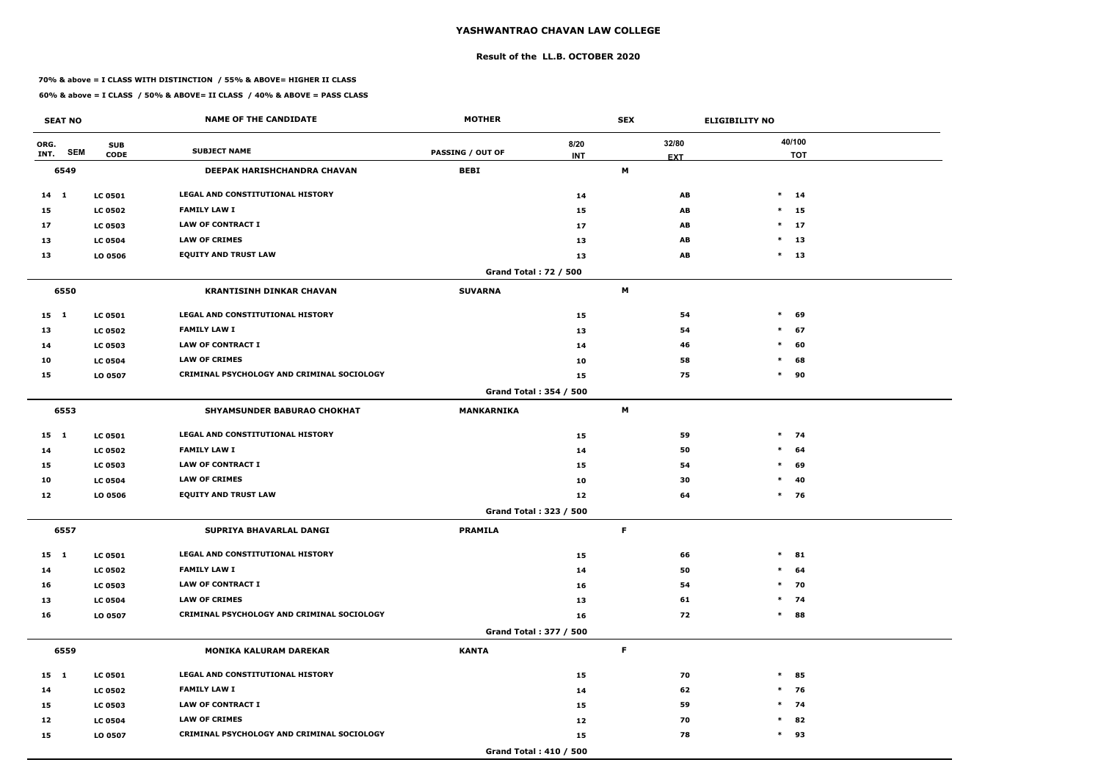#### **Result of the LL.B. OCTOBER 2020**

#### **70% & above = I CLASS WITH DISTINCTION / 55% & ABOVE= HIGHER II CLASS**

| <b>SEAT NO</b> |            |                           | <b>NAME OF THE CANDIDATE</b>                      | <b>MOTHER</b>                |                    | <b>SEX</b> |                     | <b>ELIGIBILITY NO</b> |    |
|----------------|------------|---------------------------|---------------------------------------------------|------------------------------|--------------------|------------|---------------------|-----------------------|----|
| ORG.<br>INT.   | <b>SEM</b> | <b>SUB</b><br><b>CODE</b> | <b>SUBJECT NAME</b>                               | <b>PASSING / OUT OF</b>      | 8/20<br><b>INT</b> |            | 32/80<br><b>EXT</b> | 40/100<br><b>TOT</b>  |    |
| 6549           |            |                           | DEEPAK HARISHCHANDRA CHAVAN                       | <b>BEBI</b>                  |                    | M          |                     |                       |    |
| $14 \quad 1$   |            | <b>LC 0501</b>            | LEGAL AND CONSTITUTIONAL HISTORY                  |                              | 14                 |            | AB                  | $*$ 14                |    |
| 15             |            | <b>LC 0502</b>            | <b>FAMILY LAW I</b>                               |                              | 15                 |            | AB                  | $*$ 15                |    |
| 17             |            | <b>LC 0503</b>            | <b>LAW OF CONTRACT I</b>                          |                              | 17                 |            | AB                  | $*$ 17                |    |
| 13             |            | <b>LC 0504</b>            | <b>LAW OF CRIMES</b>                              |                              | 13                 |            | AB                  | $*$ 13                |    |
| 13             |            | LO 0506                   | <b>EQUITY AND TRUST LAW</b>                       |                              | 13                 |            | AB                  | $*$ 13                |    |
|                |            |                           |                                                   | <b>Grand Total: 72 / 500</b> |                    |            |                     |                       |    |
| 6550           |            |                           | <b>KRANTISINH DINKAR CHAVAN</b>                   | <b>SUVARNA</b>               |                    | M          |                     |                       |    |
| 15 1           |            | <b>LC 0501</b>            | LEGAL AND CONSTITUTIONAL HISTORY                  |                              | 15                 |            | 54                  | $\ast$<br>69          |    |
| 13             |            | <b>LC 0502</b>            | <b>FAMILY LAW I</b>                               |                              | 13                 |            | 54                  | $\ast$<br>67          |    |
| 14             |            | <b>LC 0503</b>            | <b>LAW OF CONTRACT I</b>                          |                              | 14                 |            | 46                  | $\ast$<br>60          |    |
| 10             |            | <b>LC 0504</b>            | <b>LAW OF CRIMES</b>                              |                              | 10                 |            | 58                  | 68<br>$\ast$          |    |
| 15             |            | LO 0507                   | <b>CRIMINAL PSYCHOLOGY AND CRIMINAL SOCIOLOGY</b> |                              | 15                 |            | 75                  | $\ast$<br>90          |    |
|                |            |                           |                                                   | Grand Total: 354 / 500       |                    |            |                     |                       |    |
| 6553           |            |                           | SHYAMSUNDER BABURAO CHOKHAT                       | <b>MANKARNIKA</b>            |                    | M          |                     |                       |    |
| $15 \quad 1$   |            | <b>LC 0501</b>            | LEGAL AND CONSTITUTIONAL HISTORY                  |                              | 15                 |            | 59                  | $*$ 74                |    |
| 14             |            | <b>LC 0502</b>            | <b>FAMILY LAW I</b>                               |                              | 14                 |            | 50                  | $*$ 64                |    |
| 15             |            | <b>LC 0503</b>            | <b>LAW OF CONTRACT I</b>                          |                              | 15                 |            | 54                  | $\ast$<br>69          |    |
| 10             |            | <b>LC 0504</b>            | <b>LAW OF CRIMES</b>                              |                              | 10                 |            | 30                  | $\ast$                | 40 |
| 12             |            | LO 0506                   | <b>EQUITY AND TRUST LAW</b>                       |                              | 12                 |            | 64                  | $*$ 76                |    |
|                |            |                           |                                                   | Grand Total: 323 / 500       |                    |            |                     |                       |    |
| 6557           |            |                           | SUPRIYA BHAVARLAL DANGI                           | <b>PRAMILA</b>               |                    | F.         |                     |                       |    |
| 15 1           |            | <b>LC 0501</b>            | LEGAL AND CONSTITUTIONAL HISTORY                  |                              | 15                 |            | 66                  | $*$ 81                |    |
| 14             |            | <b>LC 0502</b>            | <b>FAMILY LAW I</b>                               |                              | 14                 |            | 50                  | $*$ 64                |    |
| 16             |            | <b>LC 0503</b>            | <b>LAW OF CONTRACT I</b>                          |                              | 16                 |            | 54                  | $*$ 70                |    |
| 13             |            | <b>LC 0504</b>            | <b>LAW OF CRIMES</b>                              |                              | 13                 |            | 61                  | $*$ 74                |    |
| 16             |            | LO 0507                   | CRIMINAL PSYCHOLOGY AND CRIMINAL SOCIOLOGY        |                              | 16                 |            | 72                  | $*$ 88                |    |
|                |            |                           |                                                   | Grand Total: 377 / 500       |                    |            |                     |                       |    |
| 6559           |            |                           | <b>MONIKA KALURAM DAREKAR</b>                     | <b>KANTA</b>                 |                    | F.         |                     |                       |    |
| 15 1           |            | <b>LC 0501</b>            | LEGAL AND CONSTITUTIONAL HISTORY                  |                              | 15                 |            | 70                  | $*$ 85                |    |
| 14             |            | <b>LC 0502</b>            | <b>FAMILY LAW I</b>                               |                              | 14                 |            | 62                  | $*$ 76                |    |
| 15             |            | <b>LC 0503</b>            | LAW OF CONTRACT I                                 |                              | 15                 |            | 59                  | $*$ 74                |    |
| 12             |            | <b>LC 0504</b>            | <b>LAW OF CRIMES</b>                              |                              | 12                 |            | 70                  | $*$ 82                |    |
| 15             |            | LO 0507                   | CRIMINAL PSYCHOLOGY AND CRIMINAL SOCIOLOGY        |                              | 15                 |            | 78                  | $*$ 93                |    |
|                |            |                           |                                                   | Grand Total: 410 / 500       |                    |            |                     |                       |    |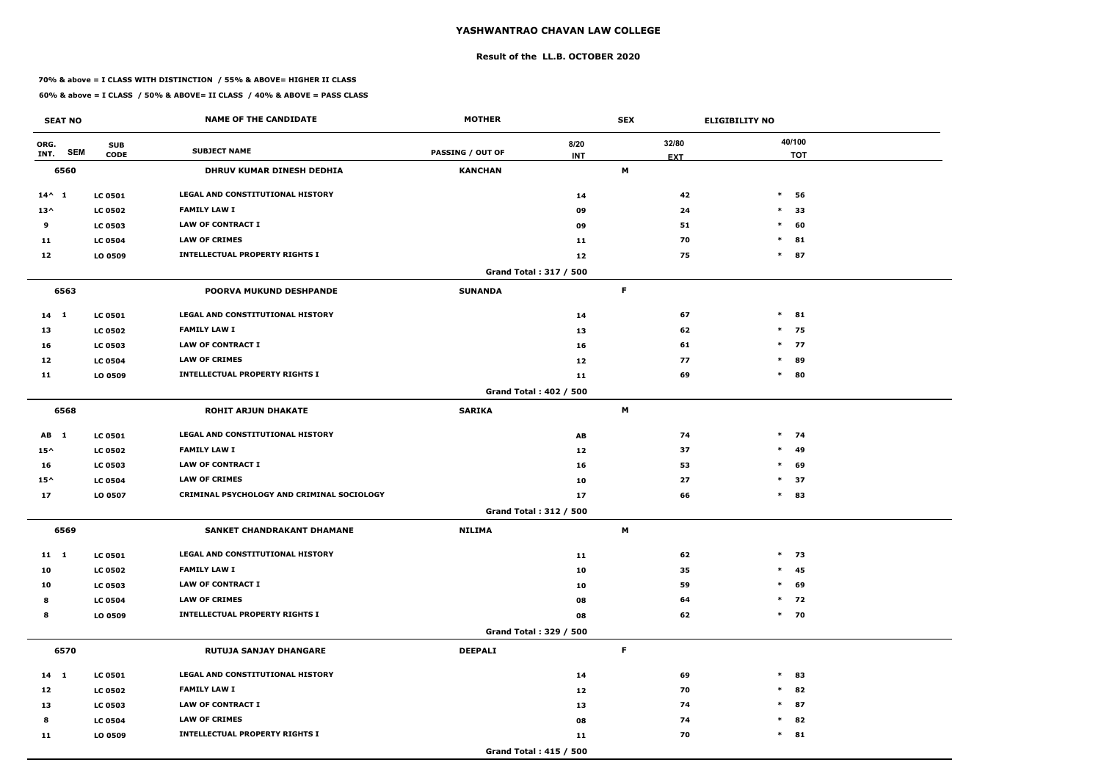#### **Result of the LL.B. OCTOBER 2020**

#### **70% & above = I CLASS WITH DISTINCTION / 55% & ABOVE= HIGHER II CLASS**

| <b>SEAT NO</b>             |                           | <b>NAME OF THE CANDIDATE</b>               | <b>MOTHER</b>           |                        | <b>SEX</b>          | <b>ELIGIBILITY NO</b> |
|----------------------------|---------------------------|--------------------------------------------|-------------------------|------------------------|---------------------|-----------------------|
| ORG.<br><b>SEM</b><br>INT. | <b>SUB</b><br><b>CODE</b> | <b>SUBJECT NAME</b>                        | <b>PASSING / OUT OF</b> | 8/20<br><b>INT</b>     | 32/80<br><b>EXT</b> | 40/100<br><b>TOT</b>  |
| 6560                       |                           | DHRUV KUMAR DINESH DEDHIA                  | <b>KANCHAN</b>          |                        | M                   |                       |
| $14^{\wedge} 1$            | <b>LC 0501</b>            | LEGAL AND CONSTITUTIONAL HISTORY           |                         | 14                     |                     | 42<br>$\ast$<br>56    |
| $13^{\wedge}$              | <b>LC 0502</b>            | <b>FAMILY LAW I</b>                        |                         | 09                     |                     | 24<br>$\ast$<br>33    |
| 9                          | <b>LC 0503</b>            | <b>LAW OF CONTRACT I</b>                   |                         | 09                     |                     | 60<br>51<br>$\ast$    |
| 11                         | <b>LC 0504</b>            | <b>LAW OF CRIMES</b>                       |                         | 11                     |                     | 70<br>$\ast$<br>81    |
| 12                         | LO 0509                   | <b>INTELLECTUAL PROPERTY RIGHTS I</b>      |                         | 12                     |                     | 87<br>75<br>$\ast$    |
|                            |                           |                                            |                         | Grand Total: 317 / 500 |                     |                       |
| 6563                       |                           | <b>POORVA MUKUND DESHPANDE</b>             | <b>SUNANDA</b>          |                        | F                   |                       |
| $14 \quad 1$               | <b>LC 0501</b>            | <b>LEGAL AND CONSTITUTIONAL HISTORY</b>    |                         | 14                     |                     | 67<br>$\ast$<br>81    |
| 13                         | <b>LC 0502</b>            | <b>FAMILY LAW I</b>                        |                         | 13                     |                     | $*$ 75<br>62          |
| 16                         | <b>LC 0503</b>            | <b>LAW OF CONTRACT I</b>                   |                         | 16                     |                     | 61<br>$*$ 77          |
| 12                         | <b>LC 0504</b>            | <b>LAW OF CRIMES</b>                       |                         | 12                     |                     | 89<br>77<br>$\ast$    |
| 11                         | LO 0509                   | <b>INTELLECTUAL PROPERTY RIGHTS I</b>      |                         | 11                     |                     | 69<br>80<br>$\ast$    |
|                            |                           |                                            |                         | Grand Total: 402 / 500 |                     |                       |
| 6568                       |                           | <b>ROHIT ARJUN DHAKATE</b>                 | <b>SARIKA</b>           |                        | M                   |                       |
| AB 1                       | <b>LC 0501</b>            | LEGAL AND CONSTITUTIONAL HISTORY           |                         | AB                     |                     | 74<br>$*$ 74          |
| $15^{\wedge}$              | <b>LC 0502</b>            | <b>FAMILY LAW I</b>                        |                         | 12                     |                     | 49<br>37<br>$\ast$    |
| 16                         | <b>LC 0503</b>            | <b>LAW OF CONTRACT I</b>                   |                         | 16                     |                     | 53<br>$\ast$<br>69    |
| $15^{\wedge}$              | <b>LC 0504</b>            | <b>LAW OF CRIMES</b>                       |                         | 10                     |                     | 27<br>$\ast$<br>37    |
| 17                         | LO 0507                   | CRIMINAL PSYCHOLOGY AND CRIMINAL SOCIOLOGY |                         | 17                     |                     | 66<br>$\ast$<br>83    |
|                            |                           |                                            |                         | Grand Total: 312 / 500 |                     |                       |
| 6569                       |                           | SANKET CHANDRAKANT DHAMANE                 | <b>NILIMA</b>           |                        | M                   |                       |
| $11 \quad 1$               | <b>LC 0501</b>            | LEGAL AND CONSTITUTIONAL HISTORY           |                         | 11                     |                     | $*$ 73<br>62          |
| 10                         | <b>LC 0502</b>            | <b>FAMILY LAW I</b>                        |                         | 10                     |                     | 45<br>35<br>$\ast$    |
| 10                         | <b>LC 0503</b>            | <b>LAW OF CONTRACT I</b>                   |                         | 10                     |                     | 69<br>59<br>$\ast$    |
| 8                          | <b>LC 0504</b>            | <b>LAW OF CRIMES</b>                       |                         | 08                     |                     | $*$ 72<br>64          |
| 8                          | LO 0509                   | <b>INTELLECTUAL PROPERTY RIGHTS I</b>      |                         | 08                     |                     | $*$ 70<br>62          |
|                            |                           |                                            |                         | Grand Total: 329 / 500 |                     |                       |
| 6570                       |                           | <b>RUTUJA SANJAY DHANGARE</b>              | <b>DEEPALI</b>          |                        | F                   |                       |
| $14 \quad 1$               | <b>LC 0501</b>            | LEGAL AND CONSTITUTIONAL HISTORY           |                         | 14                     |                     | 69<br>$\ast$<br>83    |
| 12                         | <b>LC 0502</b>            | <b>FAMILY LAW I</b>                        |                         | 12                     |                     | 82<br>70<br>$\ast$    |
| 13                         | <b>LC 0503</b>            | <b>LAW OF CONTRACT I</b>                   |                         | 13                     |                     | 87<br>74<br>$\ast$    |
| 8                          | <b>LC 0504</b>            | <b>LAW OF CRIMES</b>                       |                         | 08                     |                     | 82<br>74<br>$\ast$    |
| 11                         | LO 0509                   | <b>INTELLECTUAL PROPERTY RIGHTS I</b>      |                         | 11                     |                     | $*$ 81<br>70          |
|                            |                           |                                            |                         | Grand Total: 415 / 500 |                     |                       |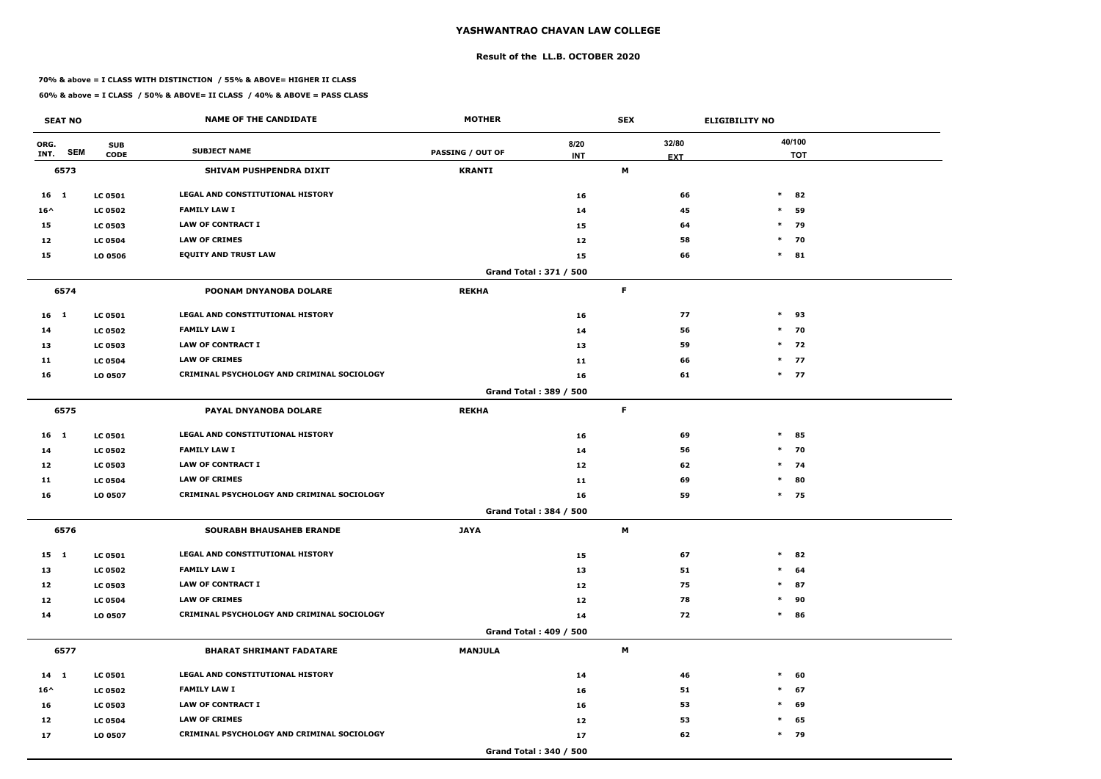#### **Result of the LL.B. OCTOBER 2020**

#### **70% & above = I CLASS WITH DISTINCTION / 55% & ABOVE= HIGHER II CLASS**

| <b>SEAT NO</b>  |            |                           | <b>NAME OF THE CANDIDATE</b>               | <b>MOTHER</b>           |                               | <b>SEX</b>  |                     | <b>ELIGIBILITY NO</b> |
|-----------------|------------|---------------------------|--------------------------------------------|-------------------------|-------------------------------|-------------|---------------------|-----------------------|
| ORG.<br>INT.    | <b>SEM</b> | <b>SUB</b><br><b>CODE</b> | <b>SUBJECT NAME</b>                        | <b>PASSING / OUT OF</b> | 8/20<br><b>INT</b>            |             | 32/80<br><b>EXT</b> | 40/100<br><b>TOT</b>  |
| 6573            |            |                           | SHIVAM PUSHPENDRA DIXIT                    | <b>KRANTI</b>           |                               | M           |                     |                       |
| 16 1            |            | <b>LC 0501</b>            | <b>LEGAL AND CONSTITUTIONAL HISTORY</b>    |                         | 16                            |             | 66                  | $\ast$<br>82          |
| $16^{\wedge}$   |            | <b>LC 0502</b>            | <b>FAMILY LAW I</b>                        |                         | 14                            |             | 45                  | $\ast$<br>59          |
| 15              |            | <b>LC 0503</b>            | <b>LAW OF CONTRACT I</b>                   |                         | 15                            |             | 64                  | $*$ 79                |
| 12              |            | <b>LC 0504</b>            | <b>LAW OF CRIMES</b>                       |                         | 12                            |             | 58                  | $\ast$<br>70          |
| 15              |            | LO 0506                   | <b>EQUITY AND TRUST LAW</b>                |                         | 15                            |             | 66                  | $\ast$<br>81          |
|                 |            |                           |                                            |                         | Grand Total: 371 / 500        |             |                     |                       |
| 6574            |            |                           | POONAM DNYANOBA DOLARE                     | <b>REKHA</b>            |                               | $\mathsf F$ |                     |                       |
| 16 <sub>1</sub> |            | <b>LC 0501</b>            | <b>LEGAL AND CONSTITUTIONAL HISTORY</b>    |                         | 16                            |             | 77                  | $\ast$<br>93          |
| 14              |            | <b>LC 0502</b>            | <b>FAMILY LAW I</b>                        |                         | 14                            |             | 56                  | $*$ 70                |
| 13              |            | <b>LC 0503</b>            | <b>LAW OF CONTRACT I</b>                   |                         | 13                            |             | 59                  | $*$ 72                |
| 11              |            | <b>LC 0504</b>            | <b>LAW OF CRIMES</b>                       |                         | 11                            |             | 66                  | $*$ 77                |
| 16              |            | LO 0507                   | CRIMINAL PSYCHOLOGY AND CRIMINAL SOCIOLOGY |                         | 16                            |             | 61                  | $*$ 77                |
|                 |            |                           |                                            |                         | Grand Total: 389 / 500        |             |                     |                       |
| 6575            |            |                           | PAYAL DNYANOBA DOLARE                      | <b>REKHA</b>            |                               | F           |                     |                       |
| 16 1            |            | <b>LC 0501</b>            | LEGAL AND CONSTITUTIONAL HISTORY           |                         | 16                            |             | 69                  | $\ast$<br>85          |
| 14              |            | <b>LC 0502</b>            | <b>FAMILY LAW I</b>                        |                         | 14                            |             | 56                  | $*$ 70                |
| 12              |            | <b>LC 0503</b>            | <b>LAW OF CONTRACT I</b>                   |                         | 12                            |             | 62                  | $\ast$<br>74          |
| 11              |            | <b>LC 0504</b>            | <b>LAW OF CRIMES</b>                       |                         | 11                            |             | 69                  | $\ast$<br>80          |
| 16              |            | LO 0507                   | CRIMINAL PSYCHOLOGY AND CRIMINAL SOCIOLOGY |                         | 16                            |             | 59                  | $*$ 75                |
|                 |            |                           |                                            |                         | Grand Total: 384 / 500        |             |                     |                       |
| 6576            |            |                           | SOURABH BHAUSAHEB ERANDE                   | <b>JAYA</b>             |                               | M           |                     |                       |
| 15 1            |            | <b>LC 0501</b>            | LEGAL AND CONSTITUTIONAL HISTORY           |                         | 15                            |             | 67                  | $\ast$<br>82          |
| 13              |            | <b>LC 0502</b>            | <b>FAMILY LAW I</b>                        |                         | 13                            |             | 51                  | $\ast$<br>64          |
| 12              |            | <b>LC 0503</b>            | <b>LAW OF CONTRACT I</b>                   |                         | 12                            |             | 75                  | $\ast$<br>87          |
| 12              |            | <b>LC 0504</b>            | <b>LAW OF CRIMES</b>                       |                         | 12                            |             | 78                  | 90<br>$\ast$          |
| 14              |            | LO 0507                   | CRIMINAL PSYCHOLOGY AND CRIMINAL SOCIOLOGY |                         | 14                            |             | 72                  | $\ast$<br>86          |
|                 |            |                           |                                            |                         | <b>Grand Total: 409 / 500</b> |             |                     |                       |
| 6577            |            |                           | <b>BHARAT SHRIMANT FADATARE</b>            | <b>MANJULA</b>          |                               | M           |                     |                       |
| $14 \quad 1$    |            | <b>LC 0501</b>            | LEGAL AND CONSTITUTIONAL HISTORY           |                         | 14                            |             | 46                  | $\ast$<br>60          |
| $16^{\wedge}$   |            | <b>LC 0502</b>            | <b>FAMILY LAW I</b>                        |                         | 16                            |             | 51                  | $\ast$<br>67          |
| 16              |            | <b>LC 0503</b>            | <b>LAW OF CONTRACT I</b>                   |                         | 16                            |             | 53                  | 69<br>$\ast$          |
| 12              |            | <b>LC 0504</b>            | <b>LAW OF CRIMES</b>                       |                         | 12                            |             | 53                  | 65<br>$\ast$          |
| 17              |            | LO 0507                   | CRIMINAL PSYCHOLOGY AND CRIMINAL SOCIOLOGY |                         | 17                            |             | 62                  | $*$ 79                |
|                 |            |                           |                                            |                         | Grand Total: 340 / 500        |             |                     |                       |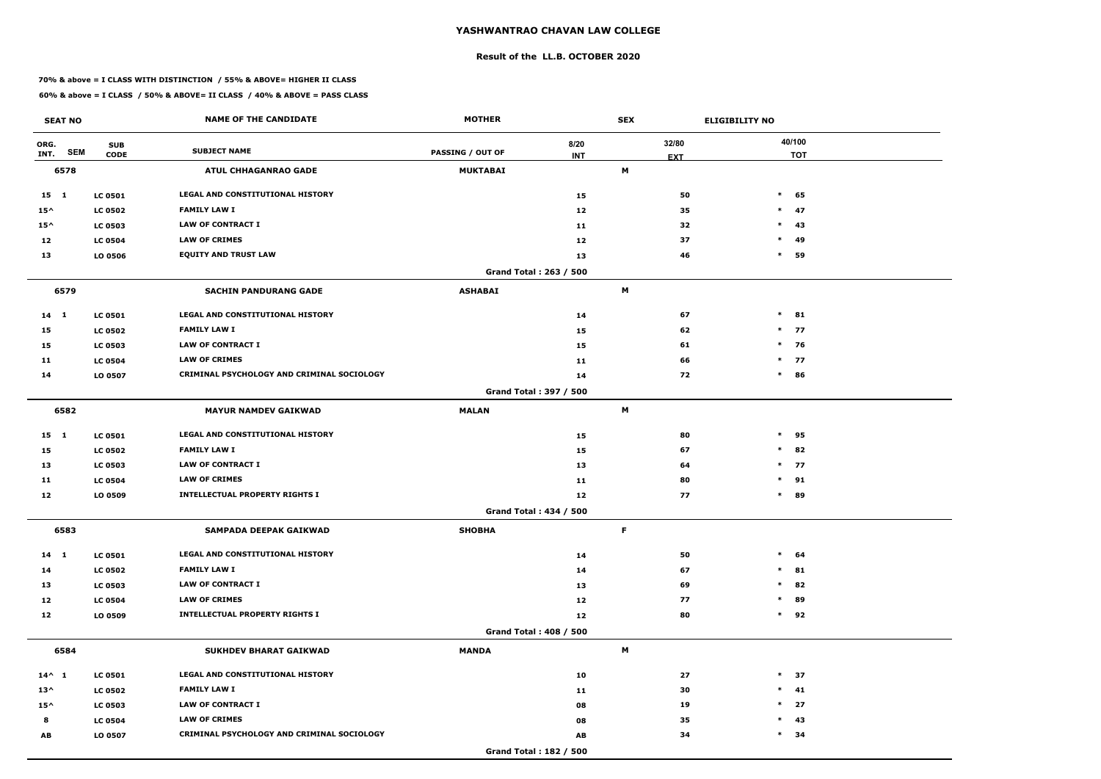#### **Result of the LL.B. OCTOBER 2020**

#### **70% & above = I CLASS WITH DISTINCTION / 55% & ABOVE= HIGHER II CLASS**

| <b>SEAT NO</b>  |                                         | <b>NAME OF THE CANDIDATE</b>               | <b>MOTHER</b>           |                        | <b>SEX</b> |            | <b>ELIGIBILITY NO</b> |
|-----------------|-----------------------------------------|--------------------------------------------|-------------------------|------------------------|------------|------------|-----------------------|
| ORG.<br>INT.    | <b>SUB</b><br><b>SEM</b><br><b>CODE</b> | <b>SUBJECT NAME</b>                        | <b>PASSING / OUT OF</b> | 8/20<br><b>INT</b>     |            | 32/80      | 40/100<br><b>TOT</b>  |
| 6578            |                                         | <b>ATUL CHHAGANRAO GADE</b>                | <b>MUKTABAI</b>         |                        | M          | <b>EXT</b> |                       |
| $15 \quad 1$    | <b>LC 0501</b>                          | <b>LEGAL AND CONSTITUTIONAL HISTORY</b>    |                         | 15                     |            | 50         | $\ast$<br>65          |
| $15^{\wedge}$   | <b>LC 0502</b>                          | <b>FAMILY LAW I</b>                        |                         | 12                     |            | 35         | 47<br>$\ast$          |
| $15^{\wedge}$   | <b>LC 0503</b>                          | <b>LAW OF CONTRACT I</b>                   |                         | 11                     |            | 32         | $\ast$<br>43          |
| 12              | <b>LC 0504</b>                          | <b>LAW OF CRIMES</b>                       |                         | 12                     |            | 37         | $\ast$<br>49          |
| 13              | LO 0506                                 | <b>EQUITY AND TRUST LAW</b>                |                         | 13                     |            | 46         | $\ast$<br>59          |
|                 |                                         |                                            |                         | Grand Total: 263 / 500 |            |            |                       |
| 6579            |                                         | <b>SACHIN PANDURANG GADE</b>               | <b>ASHABAI</b>          |                        | M          |            |                       |
| $14 \quad 1$    | <b>LC 0501</b>                          | LEGAL AND CONSTITUTIONAL HISTORY           |                         | 14                     |            | 67         | $\ast$<br>81          |
| 15              | <b>LC 0502</b>                          | <b>FAMILY LAW I</b>                        |                         | 15                     |            | 62         | $*$ 77                |
| 15              | <b>LC 0503</b>                          | <b>LAW OF CONTRACT I</b>                   |                         | 15                     |            | 61         | $*$ 76                |
| 11              | <b>LC 0504</b>                          | <b>LAW OF CRIMES</b>                       |                         | 11                     |            | 66         | $\ast$<br>77          |
| 14              | LO 0507                                 | CRIMINAL PSYCHOLOGY AND CRIMINAL SOCIOLOGY |                         | 14                     |            | 72         | $\ast$<br>86          |
|                 |                                         |                                            |                         | Grand Total: 397 / 500 |            |            |                       |
| 6582            |                                         | <b>MAYUR NAMDEV GAIKWAD</b>                | <b>MALAN</b>            |                        | M          |            |                       |
| $15 \quad 1$    | <b>LC 0501</b>                          | LEGAL AND CONSTITUTIONAL HISTORY           |                         | 15                     |            | 80         | $\ast$<br>95          |
| 15              | <b>LC 0502</b>                          | <b>FAMILY LAW I</b>                        |                         | 15                     |            | 67         | $\ast$<br>82          |
| 13              | <b>LC 0503</b>                          | <b>LAW OF CONTRACT I</b>                   |                         | 13                     |            | 64         | $\ast$<br>77          |
| 11              | <b>LC 0504</b>                          | <b>LAW OF CRIMES</b>                       |                         | 11                     |            | 80         | $*$ 91                |
| 12              | LO 0509                                 | <b>INTELLECTUAL PROPERTY RIGHTS I</b>      |                         | 12                     |            | 77         | $\ast$<br>89          |
|                 |                                         |                                            |                         | Grand Total: 434 / 500 |            |            |                       |
| 6583            |                                         | SAMPADA DEEPAK GAIKWAD                     | <b>SHOBHA</b>           |                        | F          |            |                       |
| $14$ 1          | <b>LC 0501</b>                          | LEGAL AND CONSTITUTIONAL HISTORY           |                         | 14                     |            | 50         | $\ast$<br>64          |
| 14              | <b>LC 0502</b>                          | <b>FAMILY LAW I</b>                        |                         | 14                     |            | 67         | 81<br>$\ast$          |
| 13              | <b>LC 0503</b>                          | LAW OF CONTRACT I                          |                         | 13                     |            | 69         | 82<br>$\ast$          |
| 12              | <b>LC 0504</b>                          | <b>LAW OF CRIMES</b>                       |                         | 12                     |            | 77         | 89<br>$\ast$          |
| 12              | LO 0509                                 | <b>INTELLECTUAL PROPERTY RIGHTS I</b>      |                         | 12                     |            | 80         | 92<br>$\ast$          |
|                 |                                         |                                            |                         | Grand Total: 408 / 500 |            |            |                       |
| 6584            |                                         | <b>SUKHDEV BHARAT GAIKWAD</b>              | <b>MANDA</b>            |                        | M          |            |                       |
| $14^{\wedge} 1$ | <b>LC 0501</b>                          | LEGAL AND CONSTITUTIONAL HISTORY           |                         | 10                     |            | 27         | $*$ 37                |
| $13^{\wedge}$   | <b>LC 0502</b>                          | <b>FAMILY LAW I</b>                        |                         | 11                     |            | 30         | $\ast$<br>41          |
| $15^{\wedge}$   | <b>LC 0503</b>                          | LAW OF CONTRACT I                          |                         | 08                     |            | 19         | $\ast$<br>27          |
| 8               | <b>LC 0504</b>                          | <b>LAW OF CRIMES</b>                       |                         | 08                     |            | 35         | 43<br>$\ast$          |
| AB              | LO 0507                                 | CRIMINAL PSYCHOLOGY AND CRIMINAL SOCIOLOGY |                         | AB                     |            | 34         | $\ast$<br>34          |
|                 |                                         |                                            |                         | Grand Total: 182 / 500 |            |            |                       |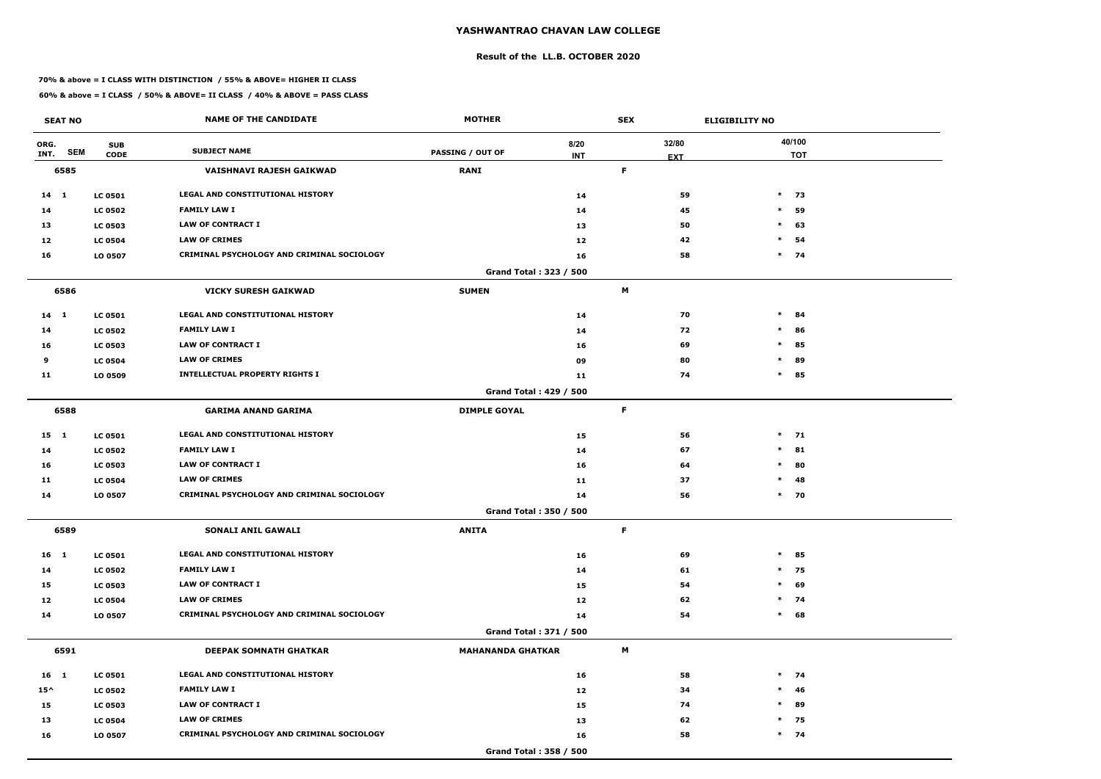#### **Result of the LL.B. OCTOBER 2020**

#### **70% & above = I CLASS WITH DISTINCTION / 55% & ABOVE= HIGHER II CLASS**

| <b>SEAT NO</b>     |                | <b>NAME OF THE CANDIDATE</b>                      | <b>MOTHER</b>                 |            | <b>SEX</b> |            | <b>ELIGIBILITY NO</b> |
|--------------------|----------------|---------------------------------------------------|-------------------------------|------------|------------|------------|-----------------------|
| ORG.               | <b>SUB</b>     | <b>SUBJECT NAME</b>                               |                               | 8/20       |            | 32/80      | 40/100                |
| <b>SEM</b><br>INT. | <b>CODE</b>    |                                                   | <b>PASSING / OUT OF</b>       | <b>INT</b> |            | <b>EXT</b> | <b>TOT</b>            |
| 6585               |                | VAISHNAVI RAJESH GAIKWAD                          | <b>RANI</b>                   |            | F          |            |                       |
| $14$ 1             | <b>LC 0501</b> | LEGAL AND CONSTITUTIONAL HISTORY                  |                               | 14         |            | 59         | $\ast$<br>73          |
| 14                 | <b>LC 0502</b> | <b>FAMILY LAW I</b>                               |                               | 14         |            | 45         | $\ast$<br>59          |
| 13                 | <b>LC 0503</b> | <b>LAW OF CONTRACT I</b>                          |                               | 13         |            | 50         | $\ast$<br>63          |
| 12                 | <b>LC 0504</b> | <b>LAW OF CRIMES</b>                              |                               | 12         |            | 42         | $\ast$<br>54          |
| 16                 | LO 0507        | <b>CRIMINAL PSYCHOLOGY AND CRIMINAL SOCIOLOGY</b> |                               | 16         |            | 58         | $*$ 74                |
|                    |                |                                                   | Grand Total: 323 / 500        |            |            |            |                       |
| 6586               |                | <b>VICKY SURESH GAIKWAD</b>                       | <b>SUMEN</b>                  |            | M          |            |                       |
| $14 \quad 1$       | <b>LC 0501</b> | LEGAL AND CONSTITUTIONAL HISTORY                  |                               | 14         |            | 70         | $\ast$<br>84          |
| 14                 | <b>LC 0502</b> | <b>FAMILY LAW I</b>                               |                               | 14         |            | 72         | $\ast$<br>86          |
| 16                 | <b>LC 0503</b> | <b>LAW OF CONTRACT I</b>                          |                               | 16         |            | 69         | $\ast$<br>85          |
| 9                  | <b>LC 0504</b> | <b>LAW OF CRIMES</b>                              |                               | 09         |            | 80         | 89<br>$\ast$          |
| 11                 | LO 0509        | <b>INTELLECTUAL PROPERTY RIGHTS I</b>             |                               | 11         |            | 74         | $\ast$<br>85          |
|                    |                |                                                   | <b>Grand Total: 429 / 500</b> |            |            |            |                       |
| 6588               |                | <b>GARIMA ANAND GARIMA</b>                        | <b>DIMPLE GOYAL</b>           |            | F          |            |                       |
| $15 \quad 1$       | <b>LC 0501</b> | LEGAL AND CONSTITUTIONAL HISTORY                  |                               | 15         |            | 56         | $*$ 71                |
| 14                 | <b>LC 0502</b> | <b>FAMILY LAW I</b>                               |                               | 14         |            | 67         | $\ast$<br>81          |
| 16                 | <b>LC 0503</b> | <b>LAW OF CONTRACT I</b>                          |                               | 16         |            | 64         | 80<br>$\ast$          |
| 11                 | <b>LC 0504</b> | <b>LAW OF CRIMES</b>                              |                               | 11         |            | 37         | $\ast$<br>48          |
| 14                 | LO 0507        | CRIMINAL PSYCHOLOGY AND CRIMINAL SOCIOLOGY        |                               | 14         |            | 56         | $\ast$<br>70          |
|                    |                |                                                   | Grand Total: 350 / 500        |            |            |            |                       |
| 6589               |                | SONALI ANIL GAWALI                                | <b>ANITA</b>                  |            | F.         |            |                       |
| 16 <sub>1</sub>    | <b>LC 0501</b> | LEGAL AND CONSTITUTIONAL HISTORY                  |                               | 16         |            | 69         | $\ast$<br>85          |
| 14                 | <b>LC 0502</b> | <b>FAMILY LAW I</b>                               |                               | 14         |            | 61         | 75<br>$\ast$          |
| 15                 | <b>LC 0503</b> | <b>LAW OF CONTRACT I</b>                          |                               | 15         |            | 54         | $\ast$<br>69          |
| 12                 | <b>LC 0504</b> | <b>LAW OF CRIMES</b>                              |                               | 12         |            | 62         | $*$ 74                |
| 14                 | LO 0507        | CRIMINAL PSYCHOLOGY AND CRIMINAL SOCIOLOGY        |                               | 14         |            | 54         | 68<br>$\ast$          |
|                    |                |                                                   | Grand Total: 371 / 500        |            |            |            |                       |
| 6591               |                | DEEPAK SOMNATH GHATKAR                            | <b>MAHANANDA GHATKAR</b>      |            | M          |            |                       |
| 16 1               | <b>LC 0501</b> | LEGAL AND CONSTITUTIONAL HISTORY                  |                               | 16         |            | 58         | $*$ 74                |
| $15^{\wedge}$      | <b>LC 0502</b> | <b>FAMILY LAW I</b>                               |                               | 12         |            | 34         | 46<br>$\ast$          |
| 15                 | <b>LC 0503</b> | LAW OF CONTRACT I                                 |                               | 15         |            | 74         | 89<br>$\ast$          |
| 13                 | <b>LC 0504</b> | <b>LAW OF CRIMES</b>                              |                               | 13         |            | 62         | 75<br>$\ast$          |
| 16                 | LO 0507        | CRIMINAL PSYCHOLOGY AND CRIMINAL SOCIOLOGY        |                               | 16         |            | 58         | $*$ 74                |
|                    |                |                                                   | Grand Total: 358 / 500        |            |            |            |                       |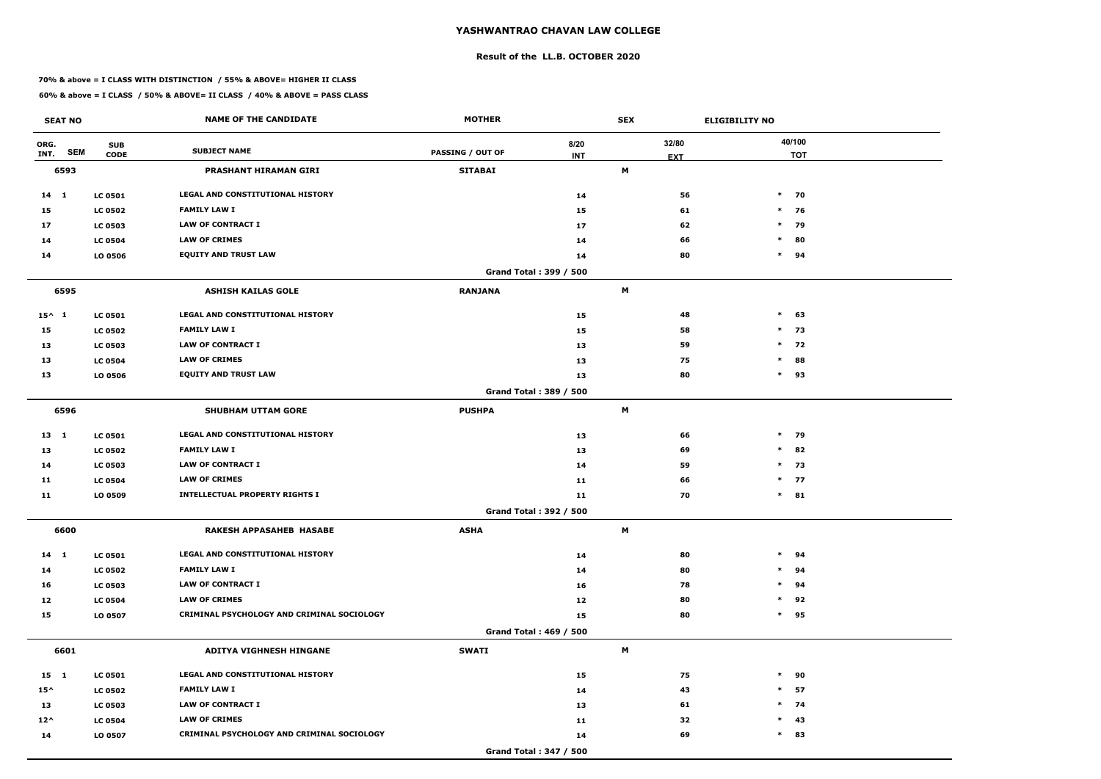#### **Result of the LL.B. OCTOBER 2020**

#### **70% & above = I CLASS WITH DISTINCTION / 55% & ABOVE= HIGHER II CLASS**

| <b>SEAT NO</b>             |                           | <b>NAME OF THE CANDIDATE</b>               | <b>MOTHER</b>           |                               | <b>SEX</b> |                     | <b>ELIGIBILITY NO</b> |
|----------------------------|---------------------------|--------------------------------------------|-------------------------|-------------------------------|------------|---------------------|-----------------------|
| ORG.<br><b>SEM</b><br>INT. | <b>SUB</b><br><b>CODE</b> | <b>SUBJECT NAME</b>                        | <b>PASSING / OUT OF</b> | 8/20<br><b>INT</b>            |            | 32/80<br><b>EXT</b> | 40/100<br><b>TOT</b>  |
| 6593                       |                           | <b>PRASHANT HIRAMAN GIRI</b>               | <b>SITABAI</b>          |                               | M          |                     |                       |
| 14 1                       | <b>LC 0501</b>            | LEGAL AND CONSTITUTIONAL HISTORY           |                         | 14                            |            | 56                  | $*$ 70                |
| 15                         | <b>LC 0502</b>            | <b>FAMILY LAW I</b>                        |                         | 15                            |            | 61                  | $*$ 76                |
| 17                         | <b>LC 0503</b>            | <b>LAW OF CONTRACT I</b>                   |                         | 17                            |            | 62                  | $*$ 79                |
| 14                         | <b>LC 0504</b>            | <b>LAW OF CRIMES</b>                       |                         | 14                            |            | 66                  | $\ast$<br>80          |
| 14                         | LO 0506                   | <b>EQUITY AND TRUST LAW</b>                |                         | 14                            |            | 80                  | $*$ 94                |
|                            |                           |                                            |                         | Grand Total: 399 / 500        |            |                     |                       |
| 6595                       |                           | <b>ASHISH KAILAS GOLE</b>                  | <b>RANJANA</b>          |                               | M          |                     |                       |
| $15^{\wedge}$ 1            | <b>LC 0501</b>            | LEGAL AND CONSTITUTIONAL HISTORY           |                         | 15                            |            | 48                  | $\ast$<br>63          |
| 15                         | <b>LC 0502</b>            | <b>FAMILY LAW I</b>                        |                         | 15                            |            | 58                  | $\ast$<br>73          |
| 13                         | <b>LC 0503</b>            | <b>LAW OF CONTRACT I</b>                   |                         | 13                            |            | 59                  | $*$ 72                |
| 13                         | <b>LC 0504</b>            | <b>LAW OF CRIMES</b>                       |                         | 13                            |            | 75                  | $\ast$<br>88          |
| 13                         | LO 0506                   | <b>EQUITY AND TRUST LAW</b>                |                         | 13                            |            | 80                  | $*$ 93                |
|                            |                           |                                            |                         | Grand Total: 389 / 500        |            |                     |                       |
| 6596                       |                           | <b>SHUBHAM UTTAM GORE</b>                  | <b>PUSHPA</b>           |                               | M          |                     |                       |
| $13 \quad 1$               | <b>LC 0501</b>            | LEGAL AND CONSTITUTIONAL HISTORY           |                         | 13                            |            | 66                  | $*$ 79                |
| 13                         | <b>LC 0502</b>            | <b>FAMILY LAW I</b>                        |                         | 13                            |            | 69                  | $*$ 82                |
| 14                         | <b>LC 0503</b>            | <b>LAW OF CONTRACT I</b>                   |                         | 14                            |            | 59                  | $*$ 73                |
| 11                         | <b>LC 0504</b>            | <b>LAW OF CRIMES</b>                       |                         | 11                            |            | 66                  | $*$ 77                |
| 11                         | LO 0509                   | <b>INTELLECTUAL PROPERTY RIGHTS I</b>      |                         | 11                            |            | 70                  | $*$ 81                |
|                            |                           |                                            |                         | <b>Grand Total: 392 / 500</b> |            |                     |                       |
| 6600                       |                           | <b>RAKESH APPASAHEB HASABE</b>             | <b>ASHA</b>             |                               | M          |                     |                       |
| 14 1                       | <b>LC 0501</b>            | LEGAL AND CONSTITUTIONAL HISTORY           |                         | 14                            |            | 80                  | $*$ 94                |
| 14                         | <b>LC 0502</b>            | <b>FAMILY LAW I</b>                        |                         | 14                            |            | 80                  | $*$ 94                |
| 16                         | <b>LC 0503</b>            | <b>LAW OF CONTRACT I</b>                   |                         | 16                            |            | 78                  | $*$ 94                |
| 12                         | <b>LC 0504</b>            | <b>LAW OF CRIMES</b>                       |                         | 12                            |            | 80                  | $*$ 92                |
| 15                         | LO 0507                   | CRIMINAL PSYCHOLOGY AND CRIMINAL SOCIOLOGY |                         | 15                            |            | 80                  | $*$ 95                |
|                            |                           |                                            |                         | <b>Grand Total: 469 / 500</b> |            |                     |                       |
| 6601                       |                           | ADITYA VIGHNESH HINGANE                    | <b>SWATI</b>            |                               | M          |                     |                       |
| 15 1                       | <b>LC 0501</b>            | LEGAL AND CONSTITUTIONAL HISTORY           |                         | 15                            |            | 75                  | $*$ 90                |
| $15^{\wedge}$              | <b>LC 0502</b>            | <b>FAMILY LAW I</b>                        |                         | 14                            |            | 43                  | $*$ 57                |
| 13                         | <b>LC 0503</b>            | LAW OF CONTRACT I                          |                         | 13                            |            | 61                  | $*$ 74                |
| $12^{\wedge}$              | <b>LC 0504</b>            | <b>LAW OF CRIMES</b>                       |                         | 11                            |            | 32                  | $*$ 43                |
| 14                         | LO 0507                   | CRIMINAL PSYCHOLOGY AND CRIMINAL SOCIOLOGY |                         | 14                            |            | 69                  | $*$ 83                |
|                            |                           |                                            |                         | Grand Total: 347 / 500        |            |                     |                       |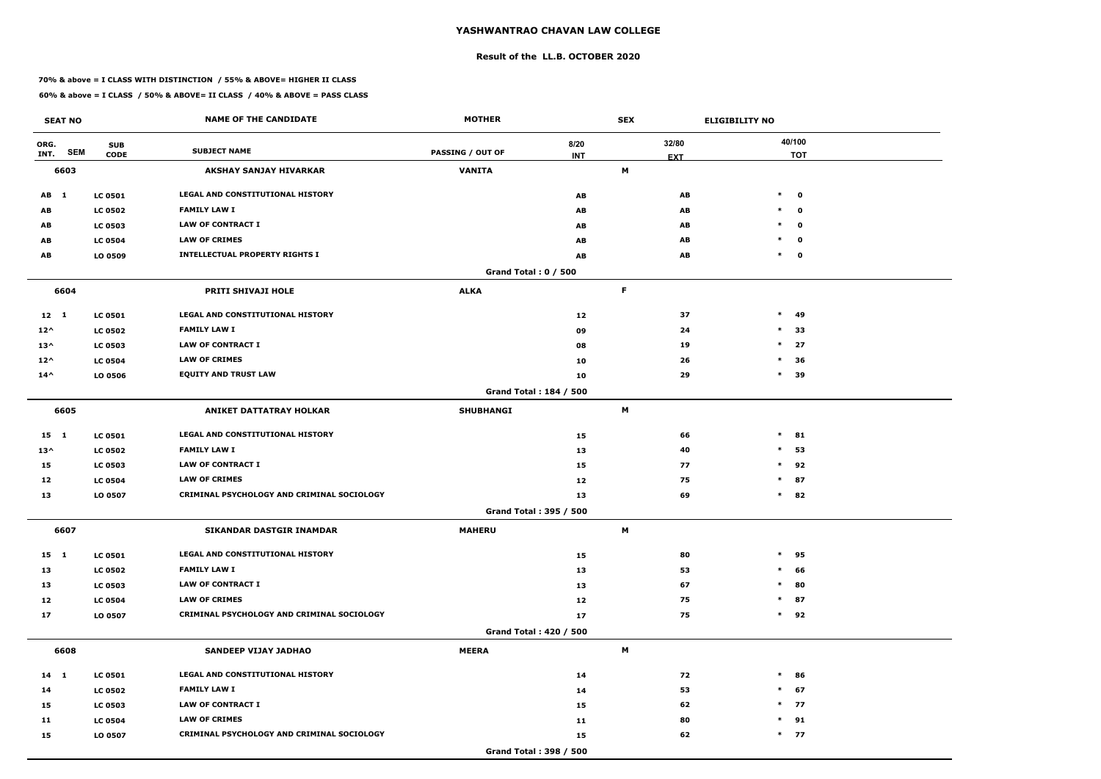#### **Result of the LL.B. OCTOBER 2020**

#### **70% & above = I CLASS WITH DISTINCTION / 55% & ABOVE= HIGHER II CLASS**

| <b>SEAT NO</b>             |                           | <b>NAME OF THE CANDIDATE</b>               | <b>MOTHER</b>               |                    | <b>SEX</b> |                     | <b>ELIGIBILITY NO</b>  |
|----------------------------|---------------------------|--------------------------------------------|-----------------------------|--------------------|------------|---------------------|------------------------|
| ORG.<br><b>SEM</b><br>INT. | <b>SUB</b><br><b>CODE</b> | <b>SUBJECT NAME</b>                        | <b>PASSING / OUT OF</b>     | 8/20<br><b>INT</b> |            | 32/80<br><b>EXT</b> | 40/100<br><b>TOT</b>   |
| 6603                       |                           | <b>AKSHAY SANJAY HIVARKAR</b>              | <b>VANITA</b>               |                    | М          |                     |                        |
| AB 1                       | <b>LC 0501</b>            | LEGAL AND CONSTITUTIONAL HISTORY           |                             | AB                 |            | AB                  | $\ast$<br>$\mathbf{o}$ |
| AB                         | <b>LC 0502</b>            | <b>FAMILY LAW I</b>                        |                             | AB                 |            | AB                  | $\ast$<br>$\mathbf{o}$ |
| AB                         | <b>LC 0503</b>            | <b>LAW OF CONTRACT I</b>                   |                             | AB                 |            | AB                  | $\mathbf{o}$<br>$\ast$ |
| AB                         | <b>LC 0504</b>            | <b>LAW OF CRIMES</b>                       |                             | AB                 |            | AB                  | $\ast$<br>$\mathbf 0$  |
| AB                         | LO 0509                   | <b>INTELLECTUAL PROPERTY RIGHTS I</b>      |                             | AB                 |            | AB                  | $\ast$<br>$\mathbf 0$  |
|                            |                           |                                            | <b>Grand Total: 0 / 500</b> |                    |            |                     |                        |
| 6604                       |                           | PRITI SHIVAJI HOLE                         | <b>ALKA</b>                 |                    | F          |                     |                        |
| $12 \quad 1$               | <b>LC 0501</b>            | LEGAL AND CONSTITUTIONAL HISTORY           |                             | 12                 |            | 37                  | $\ast$<br>49           |
| $12^{\wedge}$              | <b>LC 0502</b>            | <b>FAMILY LAW I</b>                        |                             | 09                 |            | 24                  | $\ast$<br>33           |
| $13^{\wedge}$              | <b>LC 0503</b>            | <b>LAW OF CONTRACT I</b>                   |                             | 08                 |            | 19                  | $*$ 27                 |
| $12^{\wedge}$              | <b>LC 0504</b>            | <b>LAW OF CRIMES</b>                       |                             | 10                 |            | 26                  | 36<br>$\ast$           |
| $14^{\wedge}$              | LO 0506                   | <b>EQUITY AND TRUST LAW</b>                |                             | 10                 |            | 29                  | $\ast$<br>39           |
|                            |                           |                                            | Grand Total: 184 / 500      |                    |            |                     |                        |
| 6605                       |                           | <b>ANIKET DATTATRAY HOLKAR</b>             | <b>SHUBHANGI</b>            |                    | M          |                     |                        |
| $15 \quad 1$               | <b>LC 0501</b>            | LEGAL AND CONSTITUTIONAL HISTORY           |                             | 15                 |            | 66                  | $\ast$<br>81           |
| $13^{\wedge}$              | <b>LC 0502</b>            | <b>FAMILY LAW I</b>                        |                             | 13                 |            | 40                  | $\ast$<br>53           |
| 15                         | <b>LC 0503</b>            | <b>LAW OF CONTRACT I</b>                   |                             | 15                 |            | 77                  | $\ast$<br>92           |
| 12                         | <b>LC 0504</b>            | <b>LAW OF CRIMES</b>                       |                             | 12                 |            | 75                  | $\ast$<br>87           |
| 13                         | LO 0507                   | CRIMINAL PSYCHOLOGY AND CRIMINAL SOCIOLOGY |                             | 13                 |            | 69                  | $\ast$<br>82           |
|                            |                           |                                            | Grand Total: 395 / 500      |                    |            |                     |                        |
| 6607                       |                           | SIKANDAR DASTGIR INAMDAR                   | <b>MAHERU</b>               |                    | M          |                     |                        |
| 15 1                       | <b>LC 0501</b>            | LEGAL AND CONSTITUTIONAL HISTORY           |                             | 15                 |            | 80                  | $*$ 95                 |
| 13                         | <b>LC 0502</b>            | <b>FAMILY LAW I</b>                        |                             | 13                 |            | 53                  | $\ast$<br>66           |
| 13                         | <b>LC 0503</b>            | LAW OF CONTRACT I                          |                             | 13                 |            | 67                  | 80<br>$\ast$           |
| 12                         | <b>LC 0504</b>            | <b>LAW OF CRIMES</b>                       |                             | 12                 |            | 75                  | $*$ 87                 |
| 17                         | LO 0507                   | CRIMINAL PSYCHOLOGY AND CRIMINAL SOCIOLOGY |                             | 17                 |            | 75                  | $*$ 92                 |
|                            |                           |                                            | Grand Total: 420 / 500      |                    |            |                     |                        |
| 6608                       |                           | SANDEEP VIJAY JADHAO                       | <b>MEERA</b>                |                    | M          |                     |                        |
| $14 \quad 1$               | <b>LC 0501</b>            | LEGAL AND CONSTITUTIONAL HISTORY           |                             | 14                 |            | 72                  | $*$ 86                 |
| 14                         | <b>LC 0502</b>            | <b>FAMILY LAW I</b>                        |                             | 14                 |            | 53                  | $*$ 67                 |
| 15                         | <b>LC 0503</b>            | LAW OF CONTRACT I                          |                             | 15                 |            | 62                  | $*$ 77                 |
| 11                         | <b>LC 0504</b>            | <b>LAW OF CRIMES</b>                       |                             | 11                 |            | 80                  | $*$ 91                 |
| 15                         | LO 0507                   | CRIMINAL PSYCHOLOGY AND CRIMINAL SOCIOLOGY |                             | 15                 |            | 62                  | $*$ 77                 |
|                            |                           |                                            | Grand Total: 398 / 500      |                    |            |                     |                        |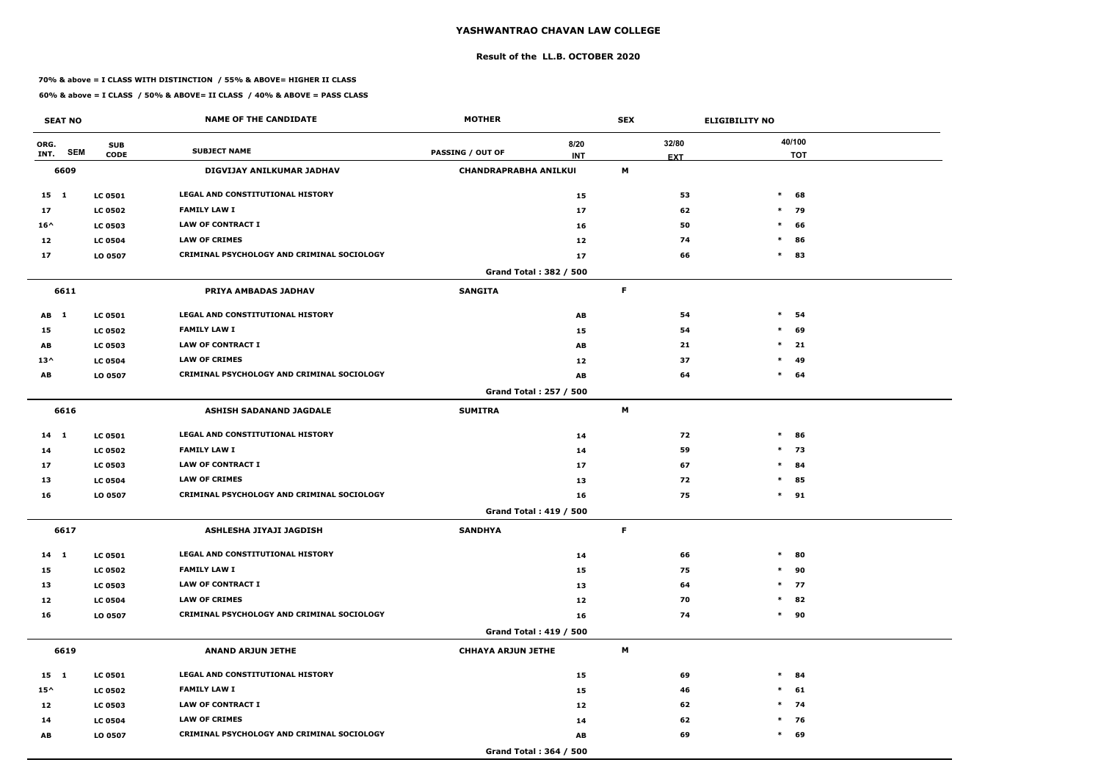#### **Result of the LL.B. OCTOBER 2020**

#### **70% & above = I CLASS WITH DISTINCTION / 55% & ABOVE= HIGHER II CLASS**

| <b>SEAT NO</b>             |                           | <b>NAME OF THE CANDIDATE</b>               | <b>MOTHER</b>                |                               | <b>SEX</b> |                     | <b>ELIGIBILITY NO</b> |
|----------------------------|---------------------------|--------------------------------------------|------------------------------|-------------------------------|------------|---------------------|-----------------------|
| ORG.<br><b>SEM</b><br>INT. | <b>SUB</b><br><b>CODE</b> | <b>SUBJECT NAME</b>                        | <b>PASSING / OUT OF</b>      | 8/20<br><b>INT</b>            |            | 32/80<br><b>EXT</b> | 40/100<br><b>TOT</b>  |
| 6609                       |                           | DIGVIJAY ANILKUMAR JADHAV                  | <b>CHANDRAPRABHA ANILKUI</b> |                               | М          |                     |                       |
| $15 \quad 1$               | <b>LC 0501</b>            | LEGAL AND CONSTITUTIONAL HISTORY           |                              | 15                            |            | 53                  | $\ast$<br>68          |
| 17                         | <b>LC 0502</b>            | <b>FAMILY LAW I</b>                        |                              | 17                            |            | 62                  | $\ast$<br>79          |
| $16^{\wedge}$              | <b>LC 0503</b>            | <b>LAW OF CONTRACT I</b>                   |                              | 16                            |            | 50                  | $\ast$<br>66          |
| 12                         | <b>LC 0504</b>            | <b>LAW OF CRIMES</b>                       |                              | 12                            |            | 74                  | $\ast$<br>86          |
| 17                         | LO 0507                   | CRIMINAL PSYCHOLOGY AND CRIMINAL SOCIOLOGY |                              | 17                            |            | 66                  | $\ast$<br>83          |
|                            |                           |                                            |                              | Grand Total: 382 / 500        |            |                     |                       |
| 6611                       |                           | PRIYA AMBADAS JADHAV                       | <b>SANGITA</b>               |                               | F          |                     |                       |
| AB 1                       | <b>LC 0501</b>            | <b>LEGAL AND CONSTITUTIONAL HISTORY</b>    |                              | AB                            |            | 54                  | $\ast$<br>54          |
| 15                         | <b>LC 0502</b>            | <b>FAMILY LAW I</b>                        |                              | 15                            |            | 54                  | $\ast$<br>69          |
| AB                         | <b>LC 0503</b>            | <b>LAW OF CONTRACT I</b>                   |                              | AB                            |            | 21                  | $\ast$<br>21          |
| $13^{\wedge}$              | <b>LC 0504</b>            | <b>LAW OF CRIMES</b>                       |                              | 12                            |            | 37                  | 49<br>$\ast$          |
| AB                         | LO 0507                   | CRIMINAL PSYCHOLOGY AND CRIMINAL SOCIOLOGY |                              | AB                            |            | 64                  | $\ast$<br>64          |
|                            |                           |                                            |                              | Grand Total: 257 / 500        |            |                     |                       |
| 6616                       |                           | <b>ASHISH SADANAND JAGDALE</b>             | <b>SUMITRA</b>               |                               | М          |                     |                       |
| $14$ 1                     | <b>LC 0501</b>            | LEGAL AND CONSTITUTIONAL HISTORY           |                              | 14                            |            | 72                  | $\ast$<br>86          |
| 14                         | <b>LC 0502</b>            | <b>FAMILY LAW I</b>                        |                              | 14                            |            | 59                  | $*$ 73                |
| 17                         | <b>LC 0503</b>            | <b>LAW OF CONTRACT I</b>                   |                              | 17                            |            | 67                  | $\ast$<br>84          |
| 13                         | <b>LC 0504</b>            | <b>LAW OF CRIMES</b>                       |                              | 13                            |            | 72                  | $\ast$<br>85          |
| 16                         | LO 0507                   | CRIMINAL PSYCHOLOGY AND CRIMINAL SOCIOLOGY |                              | 16                            |            | 75                  | $\ast$<br>91          |
|                            |                           |                                            |                              | <b>Grand Total: 419 / 500</b> |            |                     |                       |
| 6617                       |                           | ASHLESHA JIYAJI JAGDISH                    | <b>SANDHYA</b>               |                               | F          |                     |                       |
| $14 \quad 1$               | <b>LC 0501</b>            | LEGAL AND CONSTITUTIONAL HISTORY           |                              | 14                            |            | 66                  | $\ast$<br>80          |
| 15                         | <b>LC 0502</b>            | <b>FAMILY LAW I</b>                        |                              | 15                            |            | 75                  | $*$<br>90             |
| 13                         | <b>LC 0503</b>            | <b>LAW OF CONTRACT I</b>                   |                              | 13                            |            | 64                  | $*$ 77                |
| 12                         | <b>LC 0504</b>            | <b>LAW OF CRIMES</b>                       |                              | 12                            |            | 70                  | 82<br>$\ast$          |
| 16                         | LO 0507                   | CRIMINAL PSYCHOLOGY AND CRIMINAL SOCIOLOGY |                              | 16                            |            | 74                  | $*$<br>90             |
|                            |                           |                                            |                              | Grand Total: 419 / 500        |            |                     |                       |
| 6619                       |                           | <b>ANAND ARJUN JETHE</b>                   | <b>CHHAYA ARJUN JETHE</b>    |                               | M          |                     |                       |
| 15 1                       | <b>LC 0501</b>            | LEGAL AND CONSTITUTIONAL HISTORY           |                              | 15                            |            | 69                  | $\ast$<br>84          |
| $15^{\wedge}$              | <b>LC 0502</b>            | <b>FAMILY LAW I</b>                        |                              | 15                            |            | 46                  | $*$ 61                |
| 12                         | <b>LC 0503</b>            | <b>LAW OF CONTRACT I</b>                   |                              | 12                            |            | 62                  | $*$ 74                |
| 14                         | <b>LC 0504</b>            | <b>LAW OF CRIMES</b>                       |                              | 14                            |            | 62                  | $*$ 76                |
| AB                         | LO 0507                   | CRIMINAL PSYCHOLOGY AND CRIMINAL SOCIOLOGY |                              | AB                            |            | 69                  | $\ast$<br>69          |
|                            |                           |                                            |                              | Grand Total: 364 / 500        |            |                     |                       |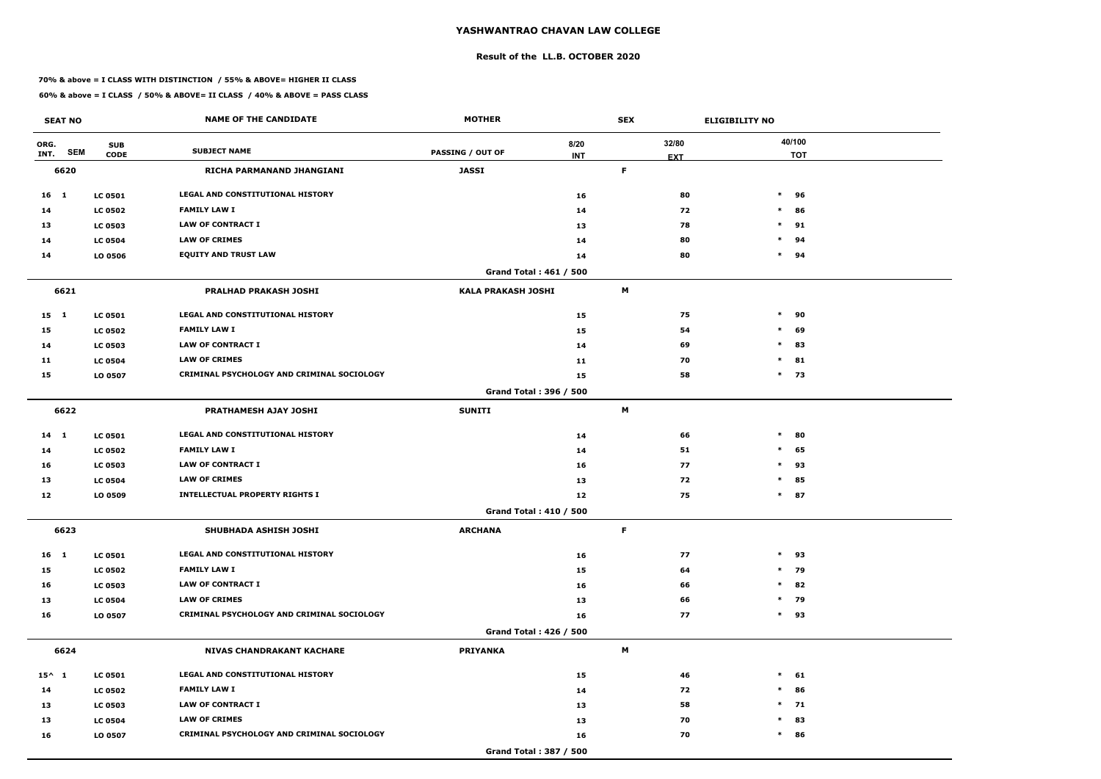#### **Result of the LL.B. OCTOBER 2020**

#### **70% & above = I CLASS WITH DISTINCTION / 55% & ABOVE= HIGHER II CLASS**

|                 | <b>SEAT NO</b> |                           | <b>NAME OF THE CANDIDATE</b>               | <b>MOTHER</b>             |                               | <b>SEX</b> |                     | <b>ELIGIBILITY NO</b> |
|-----------------|----------------|---------------------------|--------------------------------------------|---------------------------|-------------------------------|------------|---------------------|-----------------------|
| ORG.<br>INT.    | <b>SEM</b>     | <b>SUB</b><br><b>CODE</b> | <b>SUBJECT NAME</b>                        | <b>PASSING / OUT OF</b>   | 8/20<br><b>INT</b>            |            | 32/80<br><b>EXT</b> | 40/100<br><b>TOT</b>  |
|                 | 6620           |                           | RICHA PARMANAND JHANGIANI                  | <b>JASSI</b>              |                               | F          |                     |                       |
| 16 1            |                | <b>LC 0501</b>            | <b>LEGAL AND CONSTITUTIONAL HISTORY</b>    |                           | 16                            |            | 80                  | $\ast$<br>96          |
| 14              |                | <b>LC 0502</b>            | <b>FAMILY LAW I</b>                        |                           | 14                            |            | 72                  | $\ast$<br>86          |
| 13              |                | <b>LC 0503</b>            | <b>LAW OF CONTRACT I</b>                   |                           | 13                            |            | 78                  | $\ast$<br>91          |
| 14              |                | <b>LC 0504</b>            | <b>LAW OF CRIMES</b>                       |                           | 14                            |            | 80                  | $\ast$<br>94          |
| 14              |                | LO 0506                   | <b>EQUITY AND TRUST LAW</b>                |                           | 14                            |            | 80                  | $\ast$<br>94          |
|                 |                |                           |                                            |                           | Grand Total: 461 / 500        |            |                     |                       |
|                 | 6621           |                           | PRALHAD PRAKASH JOSHI                      | <b>KALA PRAKASH JOSHI</b> |                               | M          |                     |                       |
| 15 1            |                | <b>LC 0501</b>            | <b>LEGAL AND CONSTITUTIONAL HISTORY</b>    |                           | 15                            |            | 75                  | $\ast$<br>90          |
| 15              |                | <b>LC 0502</b>            | <b>FAMILY LAW I</b>                        |                           | 15                            |            | 54                  | $\ast$<br>69          |
| 14              |                | <b>LC 0503</b>            | <b>LAW OF CONTRACT I</b>                   |                           | 14                            |            | 69                  | $\ast$<br>83          |
| 11              |                | <b>LC 0504</b>            | <b>LAW OF CRIMES</b>                       |                           | 11                            |            | 70                  | 81<br>$\ast$          |
| 15              |                | LO 0507                   | CRIMINAL PSYCHOLOGY AND CRIMINAL SOCIOLOGY |                           | 15                            |            | 58                  | $*$ 73                |
|                 |                |                           |                                            |                           | Grand Total: 396 / 500        |            |                     |                       |
|                 | 6622           |                           | <b>PRATHAMESH AJAY JOSHI</b>               | <b>SUNITI</b>             |                               | M          |                     |                       |
| 14 1            |                | <b>LC 0501</b>            | LEGAL AND CONSTITUTIONAL HISTORY           |                           | 14                            |            | 66                  | $\ast$<br>80          |
| 14              |                | <b>LC 0502</b>            | <b>FAMILY LAW I</b>                        |                           | 14                            |            | 51                  | 65<br>$\ast$          |
| 16              |                | <b>LC 0503</b>            | <b>LAW OF CONTRACT I</b>                   |                           | 16                            |            | 77                  | $\ast$<br>93          |
| 13              |                | <b>LC 0504</b>            | <b>LAW OF CRIMES</b>                       |                           | 13                            |            | 72                  | $\ast$<br>85          |
| 12              |                | LO 0509                   | <b>INTELLECTUAL PROPERTY RIGHTS I</b>      |                           | 12                            |            | 75                  | $\ast$<br>87          |
|                 |                |                           |                                            |                           | <b>Grand Total: 410 / 500</b> |            |                     |                       |
|                 | 6623           |                           | SHUBHADA ASHISH JOSHI                      | <b>ARCHANA</b>            |                               | F          |                     |                       |
| 16 1            |                | <b>LC 0501</b>            | LEGAL AND CONSTITUTIONAL HISTORY           |                           | 16                            |            | 77                  | $\ast$<br>93          |
| 15              |                | <b>LC 0502</b>            | <b>FAMILY LAW I</b>                        |                           | 15                            |            | 64                  | 79<br>$\ast$          |
| 16              |                | <b>LC 0503</b>            | <b>LAW OF CONTRACT I</b>                   |                           | 16                            |            | 66                  | $*$ 82                |
| 13              |                | <b>LC 0504</b>            | <b>LAW OF CRIMES</b>                       |                           | 13                            |            | 66                  | $*$ 79                |
| 16              |                | LO 0507                   | CRIMINAL PSYCHOLOGY AND CRIMINAL SOCIOLOGY |                           | 16                            |            | 77                  | 93<br>$\ast$          |
|                 |                |                           |                                            |                           | <b>Grand Total: 426 / 500</b> |            |                     |                       |
|                 | 6624           |                           | <b>NIVAS CHANDRAKANT KACHARE</b>           | <b>PRIYANKA</b>           |                               | M          |                     |                       |
| $15^{\wedge}$ 1 |                | <b>LC 0501</b>            | LEGAL AND CONSTITUTIONAL HISTORY           |                           | 15                            |            | 46                  | $*$ 61                |
| 14              |                | <b>LC 0502</b>            | <b>FAMILY LAW I</b>                        |                           | 14                            |            | 72                  | $\ast$<br>86          |
| 13              |                | <b>LC 0503</b>            | <b>LAW OF CONTRACT I</b>                   |                           | 13                            |            | 58                  | $*$ 71                |
| 13              |                | <b>LC 0504</b>            | <b>LAW OF CRIMES</b>                       |                           | 13                            |            | 70                  | 83<br>$\ast$          |
| 16              |                | LO 0507                   | CRIMINAL PSYCHOLOGY AND CRIMINAL SOCIOLOGY |                           | 16                            |            | 70                  | $\ast$<br>86          |
|                 |                |                           |                                            |                           | Grand Total: 387 / 500        |            |                     |                       |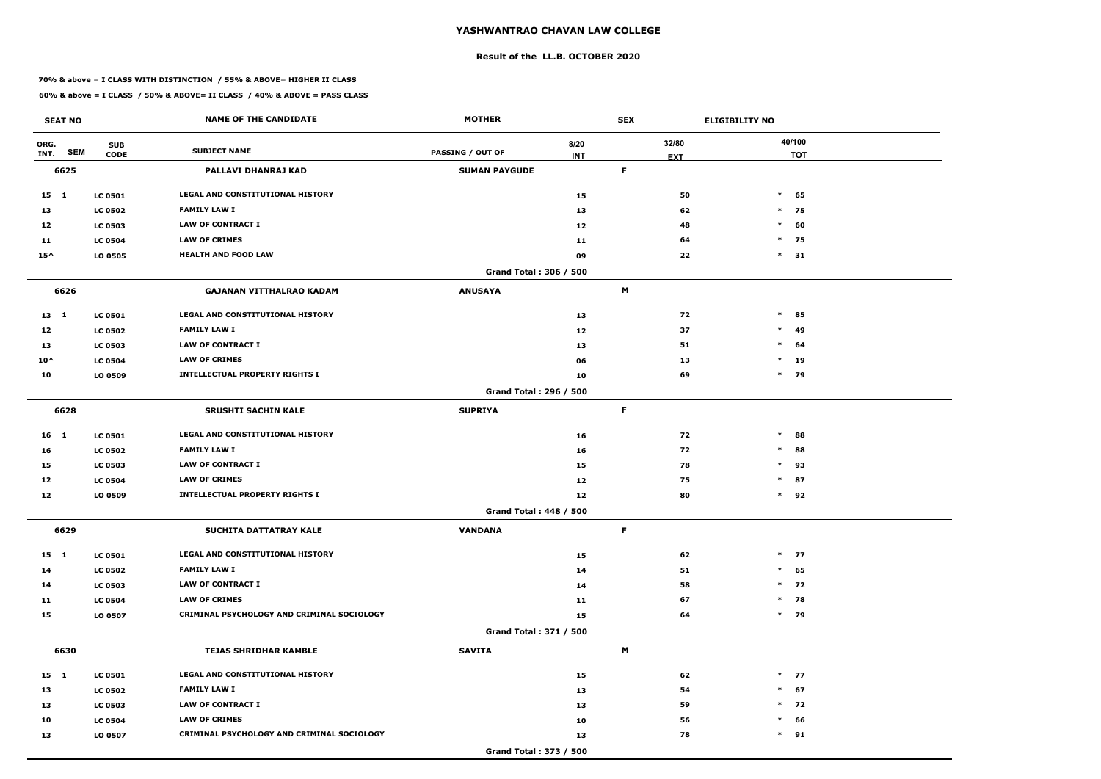#### **Result of the LL.B. OCTOBER 2020**

#### **70% & above = I CLASS WITH DISTINCTION / 55% & ABOVE= HIGHER II CLASS**

| <b>SEAT NO</b>             |                           | <b>NAME OF THE CANDIDATE</b>               | <b>MOTHER</b>                 |                    | <b>SEX</b> |                     | <b>ELIGIBILITY NO</b> |
|----------------------------|---------------------------|--------------------------------------------|-------------------------------|--------------------|------------|---------------------|-----------------------|
| ORG.<br><b>SEM</b><br>INT. | <b>SUB</b><br><b>CODE</b> | <b>SUBJECT NAME</b>                        | <b>PASSING / OUT OF</b>       | 8/20<br><b>INT</b> |            | 32/80<br><b>EXT</b> | 40/100<br><b>TOT</b>  |
| 6625                       |                           | PALLAVI DHANRAJ KAD                        | <b>SUMAN PAYGUDE</b>          |                    | F          |                     |                       |
| $15 \quad 1$               | <b>LC 0501</b>            | LEGAL AND CONSTITUTIONAL HISTORY           |                               | 15                 |            | 50                  | $*$ 65                |
| 13                         | <b>LC 0502</b>            | <b>FAMILY LAW I</b>                        |                               | 13                 |            | 62                  | $*$ 75                |
| 12                         | <b>LC 0503</b>            | <b>LAW OF CONTRACT I</b>                   |                               | 12                 |            | 48                  | $\ast$<br>60          |
| 11                         | <b>LC 0504</b>            | <b>LAW OF CRIMES</b>                       |                               | 11                 |            | 64                  | $*$ 75                |
| $15^{\wedge}$              | LO 0505                   | <b>HEALTH AND FOOD LAW</b>                 |                               | 09                 |            | 22                  | $\ast$<br>31          |
|                            |                           |                                            | Grand Total: 306 / 500        |                    |            |                     |                       |
| 6626                       |                           | <b>GAJANAN VITTHALRAO KADAM</b>            | <b>ANUSAYA</b>                |                    | М          |                     |                       |
| $13 \quad 1$               | <b>LC 0501</b>            | LEGAL AND CONSTITUTIONAL HISTORY           |                               | 13                 |            | 72                  | $\ast$<br>85          |
| 12                         | <b>LC 0502</b>            | <b>FAMILY LAW I</b>                        |                               | 12                 |            | 37                  | $\ast$<br>49          |
| 13                         | <b>LC 0503</b>            | <b>LAW OF CONTRACT I</b>                   |                               | 13                 |            | 51                  | $*$ 64                |
| $10^{\wedge}$              | <b>LC 0504</b>            | <b>LAW OF CRIMES</b>                       |                               | 06                 |            | 13                  | $*$ 19                |
| 10                         | LO 0509                   | <b>INTELLECTUAL PROPERTY RIGHTS I</b>      |                               | 10                 |            | 69                  | $*$ 79                |
|                            |                           |                                            | Grand Total: 296 / 500        |                    |            |                     |                       |
| 6628                       |                           | <b>SRUSHTI SACHIN KALE</b>                 | <b>SUPRIYA</b>                |                    | F          |                     |                       |
| 16 <sub>1</sub>            | <b>LC 0501</b>            | LEGAL AND CONSTITUTIONAL HISTORY           |                               | 16                 |            | 72                  | $\ast$<br>88          |
| 16                         | <b>LC 0502</b>            | <b>FAMILY LAW I</b>                        |                               | 16                 |            | 72                  | $\ast$<br>88          |
| 15                         | <b>LC 0503</b>            | <b>LAW OF CONTRACT I</b>                   |                               | 15                 |            | 78                  | $*$<br>93             |
| 12                         | <b>LC 0504</b>            | <b>LAW OF CRIMES</b>                       |                               | 12                 |            | 75                  | $\ast$<br>87          |
| 12                         | LO 0509                   | <b>INTELLECTUAL PROPERTY RIGHTS I</b>      |                               | 12                 |            | 80                  | $*$ 92                |
|                            |                           |                                            | <b>Grand Total: 448 / 500</b> |                    |            |                     |                       |
| 6629                       |                           | SUCHITA DATTATRAY KALE                     | <b>VANDANA</b>                |                    | F          |                     |                       |
| $15 \quad 1$               | <b>LC 0501</b>            | LEGAL AND CONSTITUTIONAL HISTORY           |                               | 15                 |            | 62                  | $*$ 77                |
| 14                         | <b>LC 0502</b>            | <b>FAMILY LAW I</b>                        |                               | 14                 |            | 51                  | $*$ 65                |
| 14                         | <b>LC 0503</b>            | <b>LAW OF CONTRACT I</b>                   |                               | 14                 |            | 58                  | $*$ 72                |
| 11                         | <b>LC 0504</b>            | <b>LAW OF CRIMES</b>                       |                               | 11                 |            | 67                  | $*$ 78                |
| 15                         | LO 0507                   | CRIMINAL PSYCHOLOGY AND CRIMINAL SOCIOLOGY |                               | 15                 |            | 64                  | $*$ 79                |
|                            |                           |                                            | Grand Total: 371 / 500        |                    |            |                     |                       |
| 6630                       |                           | <b>TEJAS SHRIDHAR KAMBLE</b>               | <b>SAVITA</b>                 |                    | М          |                     |                       |
| 15 1                       | <b>LC 0501</b>            | LEGAL AND CONSTITUTIONAL HISTORY           |                               | 15                 |            | 62                  | $*$ 77                |
| 13                         | <b>LC 0502</b>            | <b>FAMILY LAW I</b>                        |                               | 13                 |            | 54                  | $*$ 67                |
| 13                         | <b>LC 0503</b>            | <b>LAW OF CONTRACT I</b>                   |                               | 13                 |            | 59                  | $*$ 72                |
| 10                         | <b>LC 0504</b>            | <b>LAW OF CRIMES</b>                       |                               | 10                 |            | 56                  | $*$ 66                |
| 13                         | LO 0507                   | CRIMINAL PSYCHOLOGY AND CRIMINAL SOCIOLOGY |                               | 13                 |            | 78                  | $*$ 91                |
|                            |                           |                                            | Grand Total: 373 / 500        |                    |            |                     |                       |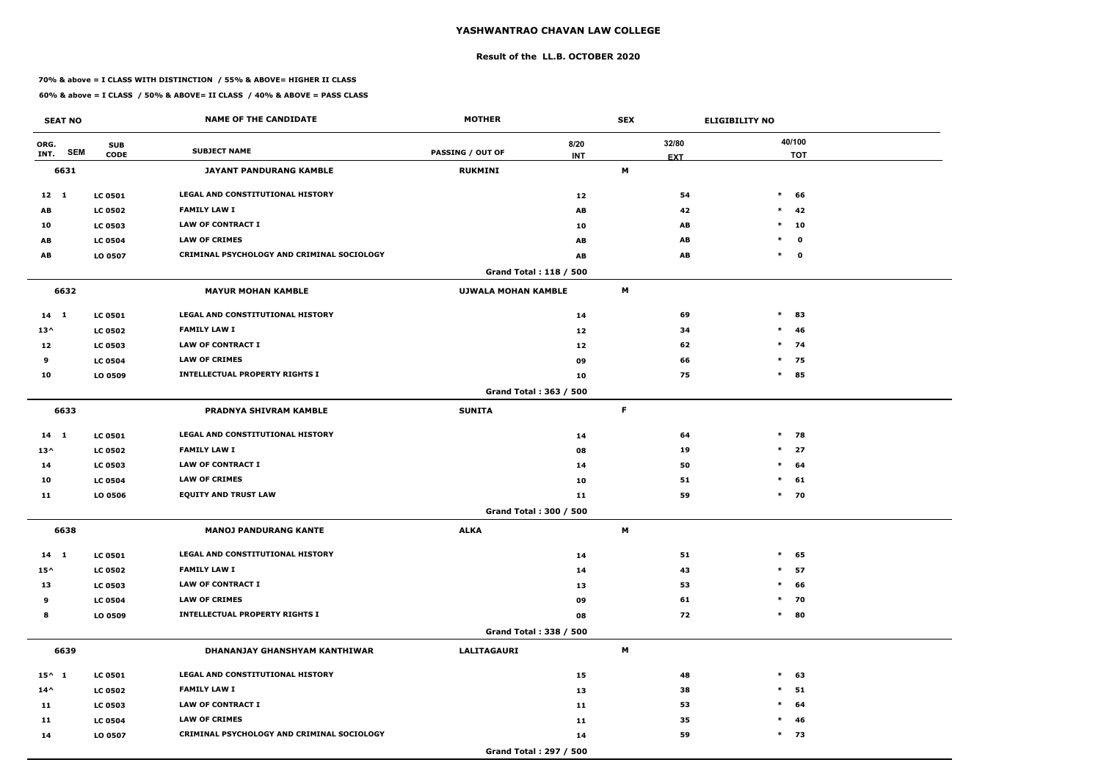#### **Result of the LL.B. OCTOBER 2020**

#### **70% & above = I CLASS WITH DISTINCTION / 55% & ABOVE= HIGHER II CLASS**

| <b>SEAT NO</b>  |                           | <b>NAME OF THE CANDIDATE</b>               | <b>MOTHER</b>              |                        | <b>SEX</b> |            | <b>ELIGIBILITY NO</b> |
|-----------------|---------------------------|--------------------------------------------|----------------------------|------------------------|------------|------------|-----------------------|
| ORG.            | <b>SUB</b>                | <b>SUBJECT NAME</b>                        |                            | 8/20                   |            | 32/80      | 40/100                |
| INT.            | <b>SEM</b><br><b>CODE</b> |                                            | <b>PASSING / OUT OF</b>    | <b>INT</b>             |            | <b>EXT</b> | <b>TOT</b>            |
| 6631            |                           | <b>JAYANT PANDURANG KAMBLE</b>             | <b>RUKMINI</b>             |                        | M          |            |                       |
| $12 \quad 1$    | <b>LC 0501</b>            | <b>LEGAL AND CONSTITUTIONAL HISTORY</b>    |                            | 12                     |            | 54         | $\ast$<br>66          |
| AB              | <b>LC 0502</b>            | <b>FAMILY LAW I</b>                        |                            | AB                     |            | 42         | $\ast$<br>42          |
| 10              | <b>LC 0503</b>            | <b>LAW OF CONTRACT I</b>                   |                            | 10                     |            | AB         | $\ast$<br>10          |
| AB              | <b>LC 0504</b>            | <b>LAW OF CRIMES</b>                       |                            | AB                     |            | AB         | $\mathbf 0$<br>$\ast$ |
| AB              | LO 0507                   | CRIMINAL PSYCHOLOGY AND CRIMINAL SOCIOLOGY |                            | AB                     |            | AB         | $*$ 0                 |
|                 |                           |                                            |                            | Grand Total: 118 / 500 |            |            |                       |
| 6632            |                           | <b>MAYUR MOHAN KAMBLE</b>                  | <b>UJWALA MOHAN KAMBLE</b> |                        | M          |            |                       |
| $14 \quad 1$    | <b>LC 0501</b>            | LEGAL AND CONSTITUTIONAL HISTORY           |                            | 14                     |            | 69         | $\ast$<br>83          |
| $13^{\wedge}$   | <b>LC 0502</b>            | <b>FAMILY LAW I</b>                        |                            | 12                     |            | 34         | $\ast$<br>46          |
| 12              | <b>LC 0503</b>            | <b>LAW OF CONTRACT I</b>                   |                            | 12                     |            | 62         | $*$ 74                |
| 9               | <b>LC 0504</b>            | <b>LAW OF CRIMES</b>                       |                            | 09                     |            | 66         | $*$ 75                |
| 10              | LO 0509                   | <b>INTELLECTUAL PROPERTY RIGHTS I</b>      |                            | 10                     |            | 75         | $\ast$<br>85          |
|                 |                           |                                            |                            | Grand Total: 363 / 500 |            |            |                       |
| 6633            |                           | PRADNYA SHIVRAM KAMBLE                     | <b>SUNITA</b>              |                        | F          |            |                       |
| 14 1            | <b>LC 0501</b>            | LEGAL AND CONSTITUTIONAL HISTORY           |                            | 14                     |            | 64         | $*$ 78                |
| $13^{\wedge}$   | <b>LC 0502</b>            | <b>FAMILY LAW I</b>                        |                            | 08                     |            | 19         | $\ast$<br>27          |
| 14              | <b>LC 0503</b>            | <b>LAW OF CONTRACT I</b>                   |                            | 14                     |            | 50         | $\ast$<br>64          |
| 10              | <b>LC 0504</b>            | <b>LAW OF CRIMES</b>                       |                            | 10                     |            | 51         | $\ast$<br>61          |
| 11              | LO 0506                   | <b>EQUITY AND TRUST LAW</b>                |                            | 11                     |            | 59         | $*$ 70                |
|                 |                           |                                            |                            | Grand Total: 300 / 500 |            |            |                       |
| 6638            |                           | <b>MANOJ PANDURANG KANTE</b>               | <b>ALKA</b>                |                        | M          |            |                       |
| $14 \quad 1$    | <b>LC 0501</b>            | <b>LEGAL AND CONSTITUTIONAL HISTORY</b>    |                            | 14                     |            | 51         | $\ast$<br>65          |
| $15^{\wedge}$   | <b>LC 0502</b>            | <b>FAMILY LAW I</b>                        |                            | 14                     |            | 43         | 57<br>$\ast$          |
| 13              | <b>LC 0503</b>            | LAW OF CONTRACT I                          |                            | 13                     |            | 53         | $\ast$<br>66          |
| 9               | <b>LC 0504</b>            | <b>LAW OF CRIMES</b>                       |                            | 09                     |            | 61         | 70<br>$\ast$          |
| 8               | LO 0509                   | <b>INTELLECTUAL PROPERTY RIGHTS I</b>      |                            | 08                     |            | 72         | 80<br>$\ast$          |
|                 |                           |                                            |                            | Grand Total: 338 / 500 |            |            |                       |
| 6639            |                           | DHANANJAY GHANSHYAM KANTHIWAR              | <b>LALITAGAURI</b>         |                        | M          |            |                       |
| $15^{\wedge}$ 1 | <b>LC 0501</b>            | LEGAL AND CONSTITUTIONAL HISTORY           |                            | 15                     |            | 48         | $\ast$<br>63          |
| $14^{\wedge}$   | <b>LC 0502</b>            | <b>FAMILY LAW I</b>                        |                            | 13                     |            | 38         | $\ast$<br>51          |
| 11              | <b>LC 0503</b>            | LAW OF CONTRACT I                          |                            | 11                     |            | 53         | 64<br>$\ast$          |
| 11              | <b>LC 0504</b>            | <b>LAW OF CRIMES</b>                       |                            | 11                     |            | 35         | $\ast$<br>46          |
| 14              | LO 0507                   | CRIMINAL PSYCHOLOGY AND CRIMINAL SOCIOLOGY |                            | 14                     |            | 59         | $*$ 73                |
|                 |                           |                                            |                            | Grand Total: 297 / 500 |            |            |                       |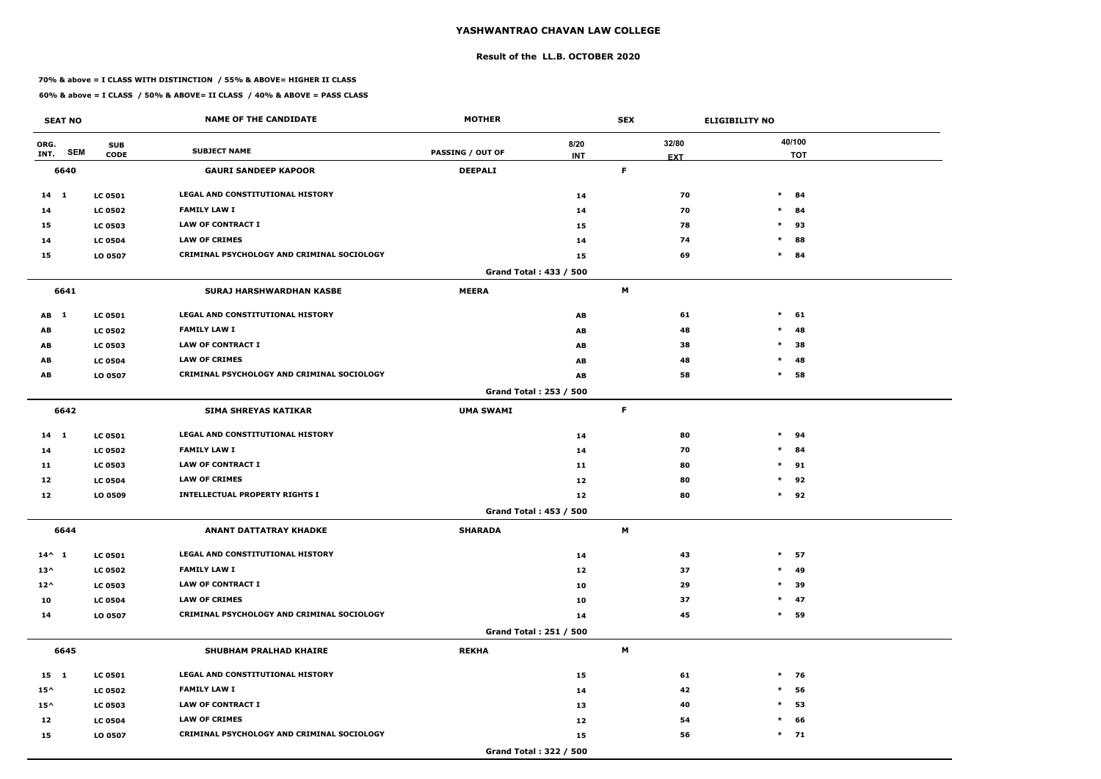#### **Result of the LL.B. OCTOBER 2020**

#### **70% & above = I CLASS WITH DISTINCTION / 55% & ABOVE= HIGHER II CLASS**

| <b>SEAT NO</b>             |                           | <b>NAME OF THE CANDIDATE</b>               | <b>MOTHER</b>           |                    | <b>SEX</b> |                     | <b>ELIGIBILITY NO</b> |
|----------------------------|---------------------------|--------------------------------------------|-------------------------|--------------------|------------|---------------------|-----------------------|
| ORG.<br><b>SEM</b><br>INT. | <b>SUB</b><br><b>CODE</b> | <b>SUBJECT NAME</b>                        | <b>PASSING / OUT OF</b> | 8/20<br><b>INT</b> |            | 32/80<br><b>EXT</b> | 40/100<br><b>TOT</b>  |
| 6640                       |                           | <b>GAURI SANDEEP KAPOOR</b>                | <b>DEEPALI</b>          |                    | F.         |                     |                       |
| $14 \quad 1$               | <b>LC 0501</b>            | LEGAL AND CONSTITUTIONAL HISTORY           |                         | 14                 |            | 70                  | $\ast$<br>84          |
| 14                         | <b>LC 0502</b>            | <b>FAMILY LAW I</b>                        |                         | 14                 |            | 70                  | $\ast$<br>84          |
| 15                         | <b>LC 0503</b>            | <b>LAW OF CONTRACT I</b>                   |                         | 15                 |            | 78                  | $\ast$<br>93          |
| 14                         | <b>LC 0504</b>            | <b>LAW OF CRIMES</b>                       |                         | 14                 |            | 74                  | $\ast$<br>88          |
| 15                         | LO 0507                   | CRIMINAL PSYCHOLOGY AND CRIMINAL SOCIOLOGY |                         | 15                 |            | 69                  | $\ast$<br>84          |
|                            |                           |                                            | Grand Total: 433 / 500  |                    |            |                     |                       |
| 6641                       |                           | <b>SURAJ HARSHWARDHAN KASBE</b>            | <b>MEERA</b>            |                    | М          |                     |                       |
| AB 1                       | <b>LC 0501</b>            | LEGAL AND CONSTITUTIONAL HISTORY           |                         | AB                 |            | 61                  | $\ast$<br>61          |
| AB                         | <b>LC 0502</b>            | <b>FAMILY LAW I</b>                        |                         | AB                 |            | 48                  | $\ast$<br>48          |
| AB                         | <b>LC 0503</b>            | <b>LAW OF CONTRACT I</b>                   |                         | AB                 |            | 38                  | $\ast$<br>38          |
| AB                         | <b>LC 0504</b>            | <b>LAW OF CRIMES</b>                       |                         | AB                 |            | 48                  | $\ast$<br>48          |
| AB                         | LO 0507                   | CRIMINAL PSYCHOLOGY AND CRIMINAL SOCIOLOGY |                         | AB                 |            | 58                  | $\ast$<br>58          |
|                            |                           |                                            | Grand Total: 253 / 500  |                    |            |                     |                       |
| 6642                       |                           | <b>SIMA SHREYAS KATIKAR</b>                | <b>UMA SWAMI</b>        |                    | F          |                     |                       |
| $14$ 1                     | <b>LC 0501</b>            | LEGAL AND CONSTITUTIONAL HISTORY           |                         | 14                 |            | 80                  | $\ast$<br>94          |
| 14                         | <b>LC 0502</b>            | <b>FAMILY LAW I</b>                        |                         | 14                 |            | 70                  | $\ast$<br>84          |
| 11                         | <b>LC 0503</b>            | <b>LAW OF CONTRACT I</b>                   |                         | 11                 |            | 80                  | $\ast$<br>91          |
| 12                         | <b>LC 0504</b>            | <b>LAW OF CRIMES</b>                       |                         | 12                 |            | 80                  | $\ast$<br>92          |
| 12                         | LO 0509                   | <b>INTELLECTUAL PROPERTY RIGHTS I</b>      |                         | 12                 |            | 80                  | $\ast$<br>92          |
|                            |                           |                                            | Grand Total: 453 / 500  |                    |            |                     |                       |
| 6644                       |                           | <b>ANANT DATTATRAY KHADKE</b>              | <b>SHARADA</b>          |                    | M          |                     |                       |
| $14^{\wedge} 1$            | <b>LC 0501</b>            | LEGAL AND CONSTITUTIONAL HISTORY           |                         | 14                 |            | 43                  | $*$ 57                |
| $13^{\wedge}$              | <b>LC 0502</b>            | <b>FAMILY LAW I</b>                        |                         | 12                 |            | 37                  | $\ast$<br>-49         |
| $12^{\wedge}$              | <b>LC 0503</b>            | LAW OF CONTRACT I                          |                         | 10                 |            | 29                  | $\ast$<br>39          |
| 10                         | <b>LC 0504</b>            | <b>LAW OF CRIMES</b>                       |                         | 10                 |            | 37                  | $*$ 47                |
| 14                         | LO 0507                   | CRIMINAL PSYCHOLOGY AND CRIMINAL SOCIOLOGY |                         | 14                 |            | 45                  | $*$ 59                |
|                            |                           |                                            | Grand Total: 251 / 500  |                    |            |                     |                       |
| 6645                       |                           | <b>SHUBHAM PRALHAD KHAIRE</b>              | <b>REKHA</b>            |                    | M          |                     |                       |
| 15 1                       | <b>LC 0501</b>            | LEGAL AND CONSTITUTIONAL HISTORY           |                         | 15                 |            | 61                  | $*$ 76                |
| $15^{\wedge}$              | <b>LC 0502</b>            | <b>FAMILY LAW I</b>                        |                         | 14                 |            | 42                  | $\ast$<br>56          |
| $15^{\wedge}$              | <b>LC 0503</b>            | LAW OF CONTRACT I                          |                         | 13                 |            | 40                  | $\ast$<br>53          |
| 12                         | <b>LC 0504</b>            | <b>LAW OF CRIMES</b>                       |                         | 12                 |            | 54                  | $*$ 66                |
| 15                         | LO 0507                   | CRIMINAL PSYCHOLOGY AND CRIMINAL SOCIOLOGY |                         | 15                 |            | 56                  | $*$ 71                |
|                            |                           |                                            | Grand Total: 322 / 500  |                    |            |                     |                       |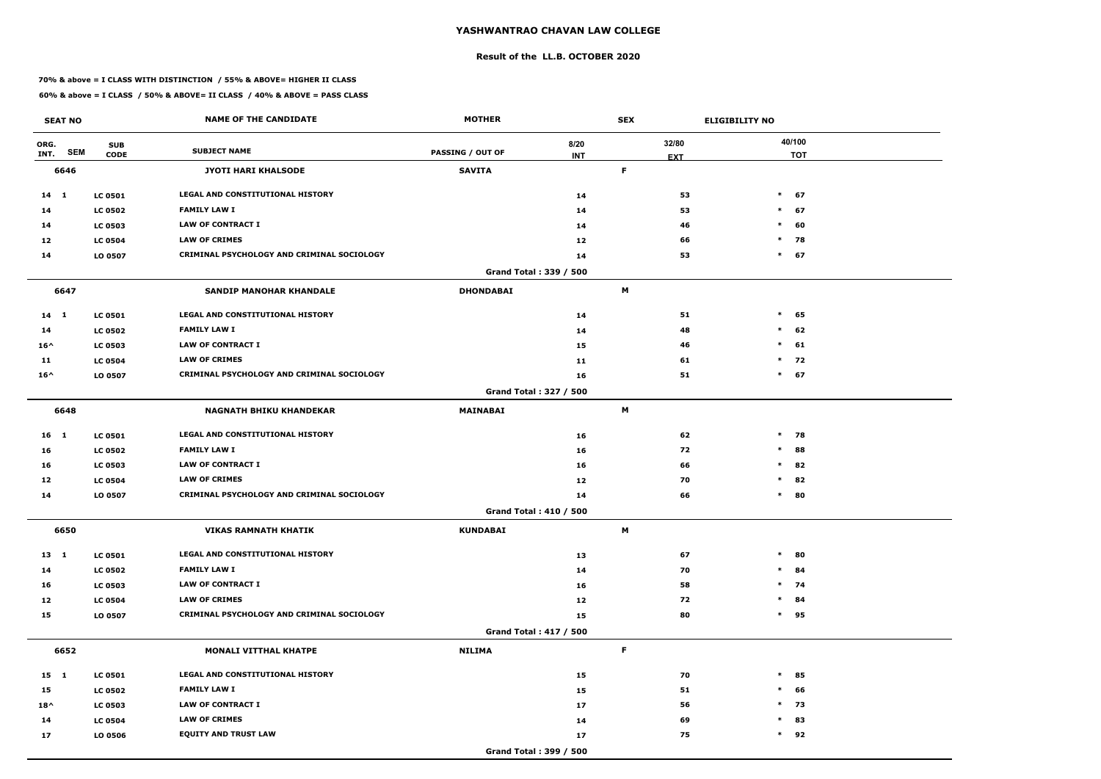#### **Result of the LL.B. OCTOBER 2020**

#### **70% & above = I CLASS WITH DISTINCTION / 55% & ABOVE= HIGHER II CLASS**

| <b>SEAT NO</b>             |                           | <b>NAME OF THE CANDIDATE</b>                      | <b>MOTHER</b>           |                    | <b>SEX</b> |                     | <b>ELIGIBILITY NO</b> |                      |
|----------------------------|---------------------------|---------------------------------------------------|-------------------------|--------------------|------------|---------------------|-----------------------|----------------------|
| ORG.<br><b>SEM</b><br>INT. | <b>SUB</b><br><b>CODE</b> | <b>SUBJECT NAME</b>                               | <b>PASSING / OUT OF</b> | 8/20<br><b>INT</b> |            | 32/80<br><b>EXT</b> |                       | 40/100<br><b>TOT</b> |
| 6646                       |                           | <b>JYOTI HARI KHALSODE</b>                        | <b>SAVITA</b>           |                    | F          |                     |                       |                      |
| $14 \quad 1$               | <b>LC 0501</b>            | LEGAL AND CONSTITUTIONAL HISTORY                  |                         | 14                 |            | 53                  |                       | $*$ 67               |
| 14                         | <b>LC 0502</b>            | <b>FAMILY LAW I</b>                               |                         | 14                 |            | 53                  | $*$                   | 67                   |
| 14                         | <b>LC 0503</b>            | <b>LAW OF CONTRACT I</b>                          |                         | 14                 |            | 46                  | $\ast$                | 60                   |
| 12                         | <b>LC 0504</b>            | <b>LAW OF CRIMES</b>                              |                         | 12                 |            | 66                  | $\ast$                | 78                   |
| 14                         | LO 0507                   | <b>CRIMINAL PSYCHOLOGY AND CRIMINAL SOCIOLOGY</b> |                         | 14                 |            | 53                  |                       | $*$ 67               |
|                            |                           |                                                   | Grand Total: 339 / 500  |                    |            |                     |                       |                      |
| 6647                       |                           | <b>SANDIP MANOHAR KHANDALE</b>                    | <b>DHONDABAI</b>        |                    | M          |                     |                       |                      |
| $14 \quad 1$               | <b>LC 0501</b>            | <b>LEGAL AND CONSTITUTIONAL HISTORY</b>           |                         | 14                 |            | 51                  | $\ast$                | 65                   |
| 14                         | <b>LC 0502</b>            | <b>FAMILY LAW I</b>                               |                         | 14                 |            | 48                  | $\ast$                | 62                   |
| $16^{\wedge}$              | <b>LC 0503</b>            | <b>LAW OF CONTRACT I</b>                          |                         | 15                 |            | 46                  | $\ast$                | 61                   |
| 11                         | <b>LC 0504</b>            | <b>LAW OF CRIMES</b>                              |                         | 11                 |            | 61                  | $\ast$                | 72                   |
| $16^{\wedge}$              | LO 0507                   | CRIMINAL PSYCHOLOGY AND CRIMINAL SOCIOLOGY        |                         | 16                 |            | 51                  |                       | $*$ 67               |
|                            |                           |                                                   | Grand Total: 327 / 500  |                    |            |                     |                       |                      |
| 6648                       |                           | <b>NAGNATH BHIKU KHANDEKAR</b>                    | MAINABAI                |                    | M          |                     |                       |                      |
| 16 <sub>1</sub>            | <b>LC 0501</b>            | LEGAL AND CONSTITUTIONAL HISTORY                  |                         | 16                 |            | 62                  | $\ast$                | 78                   |
| 16                         | <b>LC 0502</b>            | <b>FAMILY LAW I</b>                               |                         | 16                 |            | 72                  | $\ast$                | 88                   |
| 16                         | <b>LC 0503</b>            | <b>LAW OF CONTRACT I</b>                          |                         | 16                 |            | 66                  | $*$                   | 82                   |
| 12                         | <b>LC 0504</b>            | <b>LAW OF CRIMES</b>                              |                         | 12                 |            | 70                  | $\ast$                | 82                   |
| 14                         | LO 0507                   | CRIMINAL PSYCHOLOGY AND CRIMINAL SOCIOLOGY        |                         | 14                 |            | 66                  | $\ast$                | 80                   |
|                            |                           |                                                   | Grand Total: 410 / 500  |                    |            |                     |                       |                      |
| 6650                       |                           | <b>VIKAS RAMNATH KHATIK</b>                       | <b>KUNDABAI</b>         |                    | M          |                     |                       |                      |
| $13 \quad 1$               | <b>LC 0501</b>            | LEGAL AND CONSTITUTIONAL HISTORY                  |                         | 13                 |            | 67                  | $\ast$                | 80                   |
| 14                         | <b>LC 0502</b>            | <b>FAMILY LAW I</b>                               |                         | 14                 |            | 70                  |                       | $*$ 84               |
| 16                         | <b>LC 0503</b>            | <b>LAW OF CONTRACT I</b>                          |                         | 16                 |            | 58                  |                       | $*$ 74               |
| 12                         | <b>LC 0504</b>            | <b>LAW OF CRIMES</b>                              |                         | 12                 |            | 72                  |                       | $*$ 84               |
| 15                         | LO 0507                   | CRIMINAL PSYCHOLOGY AND CRIMINAL SOCIOLOGY        |                         | 15                 |            | 80                  |                       | $*$ 95               |
|                            |                           |                                                   | Grand Total: 417 / 500  |                    |            |                     |                       |                      |
| 6652                       |                           | <b>MONALI VITTHAL KHATPE</b>                      | <b>NILIMA</b>           |                    | F          |                     |                       |                      |
| $15 \quad 1$               | <b>LC 0501</b>            | LEGAL AND CONSTITUTIONAL HISTORY                  |                         | 15                 |            | 70                  |                       | $*$ 85               |
| 15                         | <b>LC 0502</b>            | <b>FAMILY LAW I</b>                               |                         | 15                 |            | 51                  | $\ast$                | 66                   |
| $18^{\wedge}$              | <b>LC 0503</b>            | LAW OF CONTRACT I                                 |                         | 17                 |            | 56                  |                       | $*$ 73               |
| 14                         | <b>LC 0504</b>            | <b>LAW OF CRIMES</b>                              |                         | 14                 |            | 69                  | $\ast$                | 83                   |
| 17                         | LO 0506                   | <b>EQUITY AND TRUST LAW</b>                       |                         | 17                 |            | 75                  |                       | $*$ 92               |
|                            |                           |                                                   | Grand Total: 399 / 500  |                    |            |                     |                       |                      |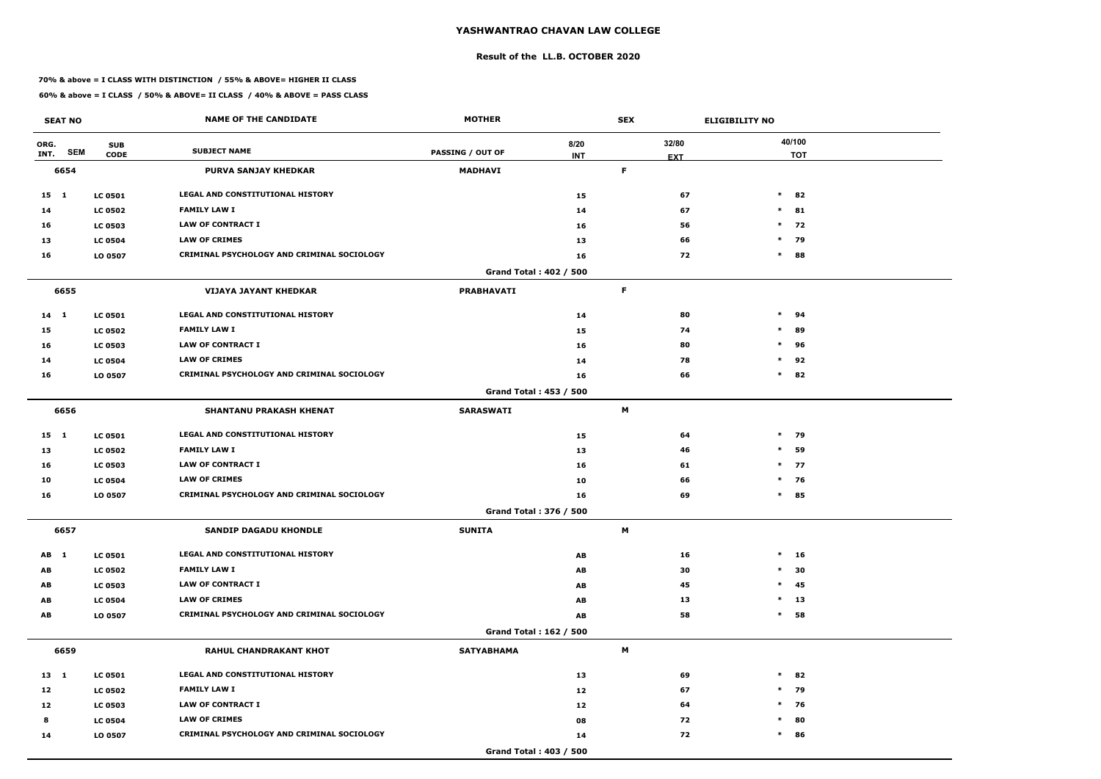#### **Result of the LL.B. OCTOBER 2020**

#### **70% & above = I CLASS WITH DISTINCTION / 55% & ABOVE= HIGHER II CLASS**

| <b>SEAT NO</b> |                           | <b>NAME OF THE CANDIDATE</b>                      | <b>MOTHER</b>                 |            | <b>SEX</b> |            | <b>ELIGIBILITY NO</b> |
|----------------|---------------------------|---------------------------------------------------|-------------------------------|------------|------------|------------|-----------------------|
| ORG.           | <b>SUB</b>                | <b>SUBJECT NAME</b>                               |                               | 8/20       |            | 32/80      | 40/100                |
| INT.           | <b>SEM</b><br><b>CODE</b> |                                                   | <b>PASSING / OUT OF</b>       | <b>INT</b> |            | <b>EXT</b> | <b>TOT</b>            |
| 6654           |                           | <b>PURVA SANJAY KHEDKAR</b>                       | <b>MADHAVI</b>                |            | F          |            |                       |
| 15 1           | <b>LC 0501</b>            | <b>LEGAL AND CONSTITUTIONAL HISTORY</b>           |                               | 15         |            | 67         | $\ast$<br>82          |
| 14             | <b>LC 0502</b>            | <b>FAMILY LAW I</b>                               |                               | 14         |            | 67         | $\ast$<br>81          |
| 16             | <b>LC 0503</b>            | <b>LAW OF CONTRACT I</b>                          |                               | 16         |            | 56         | $\ast$<br>72          |
| 13             | <b>LC 0504</b>            | <b>LAW OF CRIMES</b>                              |                               | 13         |            | 66         | $*$ 79                |
| 16             | LO 0507                   | <b>CRIMINAL PSYCHOLOGY AND CRIMINAL SOCIOLOGY</b> |                               | 16         |            | 72         | $\ast$<br>88          |
|                |                           |                                                   | <b>Grand Total: 402 / 500</b> |            |            |            |                       |
| 6655           |                           | <b>VIJAYA JAYANT KHEDKAR</b>                      | <b>PRABHAVATI</b>             |            | F          |            |                       |
| $14 \quad 1$   | <b>LC 0501</b>            | <b>LEGAL AND CONSTITUTIONAL HISTORY</b>           |                               | 14         |            | 80         | $\ast$<br>94          |
| 15             | <b>LC 0502</b>            | <b>FAMILY LAW I</b>                               |                               | 15         |            | 74         | $\ast$<br>89          |
| 16             | <b>LC 0503</b>            | <b>LAW OF CONTRACT I</b>                          |                               | 16         |            | 80         | $\ast$<br>96          |
| 14             | <b>LC 0504</b>            | <b>LAW OF CRIMES</b>                              |                               | 14         |            | 78         | 92<br>$\ast$          |
| 16             | LO 0507                   | CRIMINAL PSYCHOLOGY AND CRIMINAL SOCIOLOGY        |                               | 16         |            | 66         | $\ast$<br>82          |
|                |                           |                                                   | <b>Grand Total: 453 / 500</b> |            |            |            |                       |
| 6656           |                           | <b>SHANTANU PRAKASH KHENAT</b>                    | <b>SARASWATI</b>              |            | М          |            |                       |
| $15 \quad 1$   | <b>LC 0501</b>            | LEGAL AND CONSTITUTIONAL HISTORY                  |                               | 15         |            | 64         | $*$ 79                |
| 13             | <b>LC 0502</b>            | <b>FAMILY LAW I</b>                               |                               | 13         |            | 46         | 59<br>$\ast$          |
| 16             | <b>LC 0503</b>            | <b>LAW OF CONTRACT I</b>                          |                               | 16         |            | 61         | $*$ 77                |
| 10             | <b>LC 0504</b>            | <b>LAW OF CRIMES</b>                              |                               | 10         |            | 66         | $*$ 76                |
| 16             | LO 0507                   | CRIMINAL PSYCHOLOGY AND CRIMINAL SOCIOLOGY        |                               | 16         |            | 69         | $\ast$<br>85          |
|                |                           |                                                   | Grand Total: 376 / 500        |            |            |            |                       |
| 6657           |                           | <b>SANDIP DAGADU KHONDLE</b>                      | <b>SUNITA</b>                 |            | M          |            |                       |
| AB 1           | <b>LC 0501</b>            | <b>LEGAL AND CONSTITUTIONAL HISTORY</b>           |                               | AB         |            | 16         | $*$ 16                |
| AB             | <b>LC 0502</b>            | <b>FAMILY LAW I</b>                               |                               | AB         |            | 30         | 30<br>$\ast$          |
| AB             | <b>LC 0503</b>            | LAW OF CONTRACT I                                 |                               | AB         |            | 45         | $\ast$<br>45          |
| AB             | <b>LC 0504</b>            | <b>LAW OF CRIMES</b>                              |                               | AB         |            | 13         | $\ast$<br>13          |
| AB             | LO 0507                   | CRIMINAL PSYCHOLOGY AND CRIMINAL SOCIOLOGY        |                               | AB         |            | 58         | 58<br>$\ast$          |
|                |                           |                                                   | Grand Total: 162 / 500        |            |            |            |                       |
| 6659           |                           | <b>RAHUL CHANDRAKANT KHOT</b>                     | <b>SATYABHAMA</b>             |            | M          |            |                       |
| 13 1           | <b>LC 0501</b>            | LEGAL AND CONSTITUTIONAL HISTORY                  |                               | 13         |            | 69         | $\ast$<br>82          |
| 12             | <b>LC 0502</b>            | <b>FAMILY LAW I</b>                               |                               | 12         |            | 67         | $*$ 79                |
| 12             | <b>LC 0503</b>            | LAW OF CONTRACT I                                 |                               | 12         |            | 64         | $*$ 76                |
| 8              | <b>LC 0504</b>            | <b>LAW OF CRIMES</b>                              |                               | 08         |            | 72         | 80<br>$\ast$          |
| 14             | LO 0507                   | CRIMINAL PSYCHOLOGY AND CRIMINAL SOCIOLOGY        |                               | 14         |            | 72         | $\ast$<br>86          |
|                |                           |                                                   | <b>Grand Total: 403 / 500</b> |            |            |            |                       |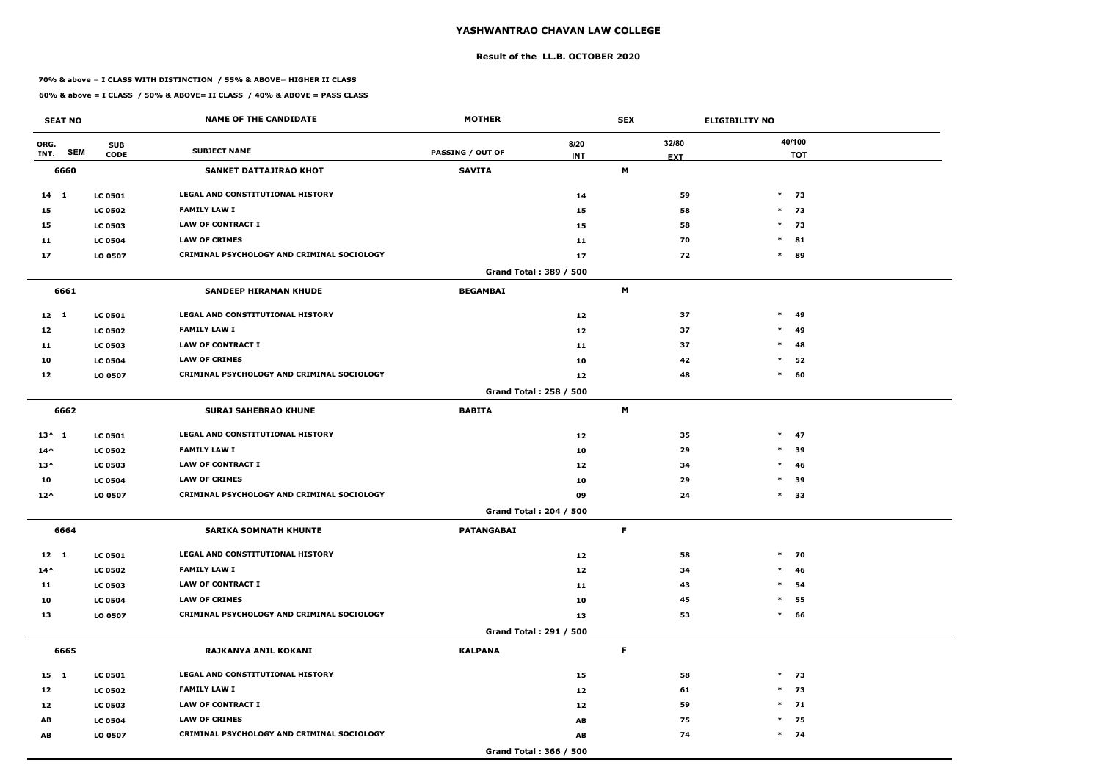#### **Result of the LL.B. OCTOBER 2020**

#### **70% & above = I CLASS WITH DISTINCTION / 55% & ABOVE= HIGHER II CLASS**

| <b>SEAT NO</b>             |                           | <b>NAME OF THE CANDIDATE</b>                      | <b>MOTHER</b>           |                    | <b>SEX</b> |                     | <b>ELIGIBILITY NO</b> |
|----------------------------|---------------------------|---------------------------------------------------|-------------------------|--------------------|------------|---------------------|-----------------------|
| ORG.<br><b>SEM</b><br>INT. | <b>SUB</b><br><b>CODE</b> | <b>SUBJECT NAME</b>                               | <b>PASSING / OUT OF</b> | 8/20<br><b>INT</b> |            | 32/80<br><b>EXT</b> | 40/100<br><b>TOT</b>  |
| 6660                       |                           | SANKET DATTAJIRAO KHOT                            | <b>SAVITA</b>           |                    | M          |                     |                       |
| $14 \quad 1$               | <b>LC 0501</b>            | <b>LEGAL AND CONSTITUTIONAL HISTORY</b>           |                         | 14                 |            | 59                  | $*$ 73                |
| 15                         | <b>LC 0502</b>            | <b>FAMILY LAW I</b>                               |                         | 15                 |            | 58                  | $*$ 73                |
| 15                         | <b>LC 0503</b>            | <b>LAW OF CONTRACT I</b>                          |                         | 15                 |            | 58                  | $*$ 73                |
| 11                         | <b>LC 0504</b>            | <b>LAW OF CRIMES</b>                              |                         | 11                 |            | 70                  | $\ast$<br>81          |
| 17                         | LO 0507                   | CRIMINAL PSYCHOLOGY AND CRIMINAL SOCIOLOGY        |                         | 17                 |            | 72                  | $\ast$<br>89          |
|                            |                           |                                                   | Grand Total: 389 / 500  |                    |            |                     |                       |
| 6661                       |                           | <b>SANDEEP HIRAMAN KHUDE</b>                      | <b>BEGAMBAI</b>         |                    | М          |                     |                       |
| $12 \quad 1$               | <b>LC 0501</b>            | LEGAL AND CONSTITUTIONAL HISTORY                  |                         | 12                 |            | 37                  | $\ast$<br>49          |
| 12                         | <b>LC 0502</b>            | <b>FAMILY LAW I</b>                               |                         | 12                 |            | 37                  | $\ast$<br>49          |
| 11                         | <b>LC 0503</b>            | <b>LAW OF CONTRACT I</b>                          |                         | 11                 |            | 37                  | $\ast$<br>48          |
| 10                         | <b>LC 0504</b>            | <b>LAW OF CRIMES</b>                              |                         | 10                 |            | 42                  | 52<br>$\ast$          |
| 12                         | LO 0507                   | CRIMINAL PSYCHOLOGY AND CRIMINAL SOCIOLOGY        |                         | 12                 |            | 48                  | $\ast$<br>60          |
|                            |                           |                                                   | Grand Total: 258 / 500  |                    |            |                     |                       |
| 6662                       |                           | <b>SURAJ SAHEBRAO KHUNE</b>                       | <b>BABITA</b>           |                    | M          |                     |                       |
| $13^{\wedge} 1$            | <b>LC 0501</b>            | LEGAL AND CONSTITUTIONAL HISTORY                  |                         | 12                 |            | 35                  | $\ast$<br>47          |
| $14^{\wedge}$              | <b>LC 0502</b>            | <b>FAMILY LAW I</b>                               |                         | 10                 |            | 29                  | $\ast$<br>39          |
| $13^{\wedge}$              | <b>LC 0503</b>            | <b>LAW OF CONTRACT I</b>                          |                         | 12                 |            | 34                  | $\ast$<br>46          |
| 10                         | <b>LC 0504</b>            | <b>LAW OF CRIMES</b>                              |                         | 10                 |            | 29                  | $\ast$<br>39          |
| $12^{\wedge}$              | LO 0507                   | CRIMINAL PSYCHOLOGY AND CRIMINAL SOCIOLOGY        |                         | 09                 |            | 24                  | $\ast$<br>33          |
|                            |                           |                                                   | Grand Total: 204 / 500  |                    |            |                     |                       |
| 6664                       |                           | <b>SARIKA SOMNATH KHUNTE</b>                      | <b>PATANGABAI</b>       |                    | F          |                     |                       |
| $12 \quad 1$               | <b>LC 0501</b>            | LEGAL AND CONSTITUTIONAL HISTORY                  |                         | 12                 |            | 58                  | $*$ 70                |
| $14^{\wedge}$              | <b>LC 0502</b>            | <b>FAMILY LAW I</b>                               |                         | 12                 |            | 34                  | $*$ 46                |
| 11                         | <b>LC 0503</b>            | LAW OF CONTRACT I                                 |                         | 11                 |            | 43                  | $\ast$<br>54          |
| 10                         | <b>LC 0504</b>            | <b>LAW OF CRIMES</b>                              |                         | 10                 |            | 45                  | $\ast$<br>55          |
| 13                         | LO 0507                   | <b>CRIMINAL PSYCHOLOGY AND CRIMINAL SOCIOLOGY</b> |                         | 13                 |            | 53                  | $*$ 66                |
|                            |                           |                                                   | Grand Total: 291 / 500  |                    |            |                     |                       |
| 6665                       |                           | RAJKANYA ANIL KOKANI                              | <b>KALPANA</b>          |                    | F          |                     |                       |
| 15 1                       | <b>LC 0501</b>            | LEGAL AND CONSTITUTIONAL HISTORY                  |                         | 15                 |            | 58                  | $*$ 73                |
| 12                         | <b>LC 0502</b>            | <b>FAMILY LAW I</b>                               |                         | 12                 |            | 61                  | $*$ 73                |
| 12                         | <b>LC 0503</b>            | LAW OF CONTRACT I                                 |                         | 12                 |            | 59                  | $*$ 71                |
| AB                         | <b>LC 0504</b>            | <b>LAW OF CRIMES</b>                              |                         | AB                 |            | 75                  | $*$ 75                |
| AB                         | LO 0507                   | CRIMINAL PSYCHOLOGY AND CRIMINAL SOCIOLOGY        |                         | AB                 |            | 74                  | $*$ 74                |
|                            |                           |                                                   | Grand Total: 366 / 500  |                    |            |                     |                       |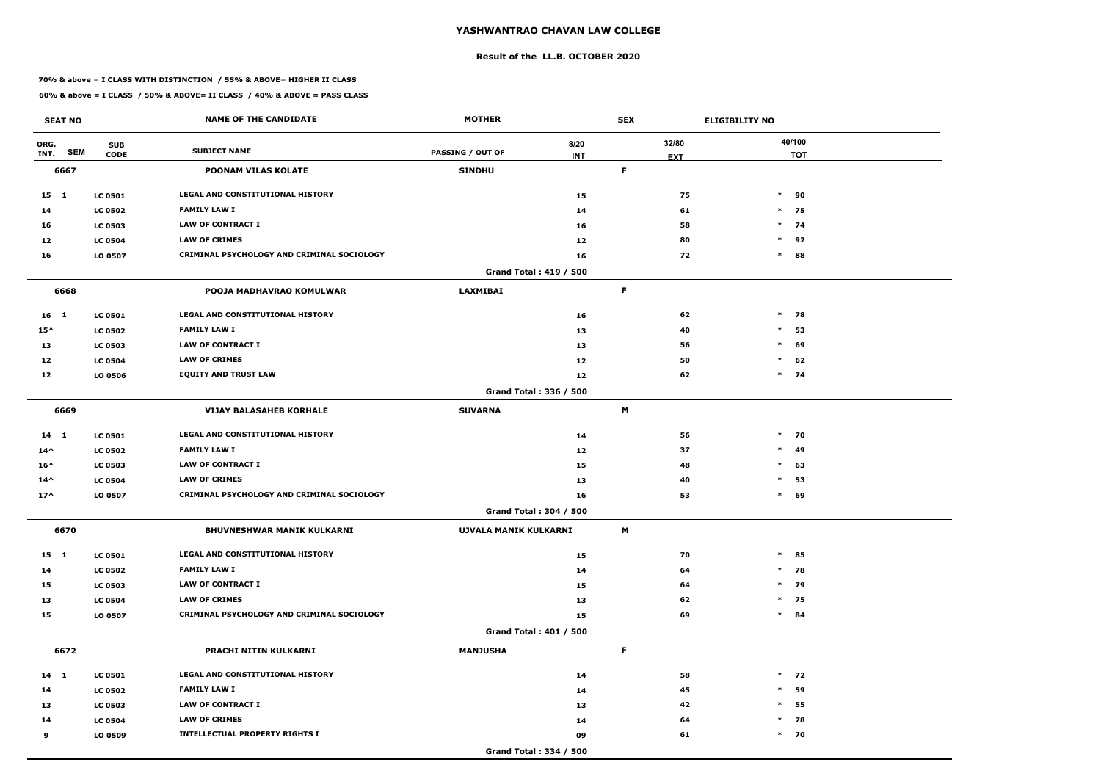#### **Result of the LL.B. OCTOBER 2020**

#### **70% & above = I CLASS WITH DISTINCTION / 55% & ABOVE= HIGHER II CLASS**

|               | <b>SEAT NO</b> |                           | <b>NAME OF THE CANDIDATE</b>               | <b>MOTHER</b>           |                               | <b>SEX</b>  |                     | <b>ELIGIBILITY NO</b> |                      |
|---------------|----------------|---------------------------|--------------------------------------------|-------------------------|-------------------------------|-------------|---------------------|-----------------------|----------------------|
| ORG.<br>INT.  | <b>SEM</b>     | <b>SUB</b><br><b>CODE</b> | <b>SUBJECT NAME</b>                        | <b>PASSING / OUT OF</b> | 8/20<br><b>INT</b>            |             | 32/80<br><b>EXT</b> |                       | 40/100<br><b>TOT</b> |
|               | 6667           |                           | <b>POONAM VILAS KOLATE</b>                 | <b>SINDHU</b>           |                               | $\mathsf F$ |                     |                       |                      |
| 15 1          |                | <b>LC 0501</b>            | <b>LEGAL AND CONSTITUTIONAL HISTORY</b>    |                         | 15                            |             | 75                  |                       | $*$ 90               |
| 14            |                | <b>LC 0502</b>            | <b>FAMILY LAW I</b>                        |                         | 14                            |             | 61                  |                       | $*$ 75               |
| 16            |                | <b>LC 0503</b>            | <b>LAW OF CONTRACT I</b>                   |                         | 16                            |             | 58                  |                       | $*$ 74               |
| 12            |                | <b>LC 0504</b>            | <b>LAW OF CRIMES</b>                       |                         | 12                            |             | 80                  | $\ast$                | 92                   |
| 16            |                | LO 0507                   | CRIMINAL PSYCHOLOGY AND CRIMINAL SOCIOLOGY |                         | 16                            |             | 72                  |                       | $*$ 88               |
|               |                |                           |                                            |                         | <b>Grand Total: 419 / 500</b> |             |                     |                       |                      |
|               | 6668           |                           | POOJA MADHAVRAO KOMULWAR                   | <b>LAXMIBAI</b>         |                               | F           |                     |                       |                      |
| 16 1          |                | <b>LC 0501</b>            | LEGAL AND CONSTITUTIONAL HISTORY           |                         | 16                            |             | 62                  | $\ast$                | 78                   |
| $15^{\wedge}$ |                | <b>LC 0502</b>            | <b>FAMILY LAW I</b>                        |                         | 13                            |             | 40                  | $\ast$                | 53                   |
| 13            |                | <b>LC 0503</b>            | <b>LAW OF CONTRACT I</b>                   |                         | 13                            |             | 56                  | $\ast$                | 69                   |
| 12            |                | <b>LC 0504</b>            | <b>LAW OF CRIMES</b>                       |                         | 12                            |             | 50                  |                       | $*$ 62               |
| 12            |                | LO 0506                   | <b>EQUITY AND TRUST LAW</b>                |                         | 12                            |             | 62                  |                       | $*$ 74               |
|               |                |                           |                                            |                         | Grand Total: 336 / 500        |             |                     |                       |                      |
|               | 6669           |                           | <b>VIJAY BALASAHEB KORHALE</b>             | <b>SUVARNA</b>          |                               | M           |                     |                       |                      |
| $14$ 1        |                | <b>LC 0501</b>            | <b>LEGAL AND CONSTITUTIONAL HISTORY</b>    |                         | 14                            |             | 56                  |                       | $*$ 70               |
| $14^{\wedge}$ |                | <b>LC 0502</b>            | <b>FAMILY LAW I</b>                        |                         | 12                            |             | 37                  | $\ast$                | 49                   |
| $16^{\wedge}$ |                | <b>LC 0503</b>            | <b>LAW OF CONTRACT I</b>                   |                         | 15                            |             | 48                  | $\ast$                | 63                   |
| $14^{\wedge}$ |                | <b>LC 0504</b>            | <b>LAW OF CRIMES</b>                       |                         | 13                            |             | 40                  | $\ast$                | 53                   |
| $17^$         |                | LO 0507                   | CRIMINAL PSYCHOLOGY AND CRIMINAL SOCIOLOGY |                         | 16                            |             | 53                  | $\ast$                | 69                   |
|               |                |                           |                                            |                         | Grand Total: 304 / 500        |             |                     |                       |                      |
|               | 6670           |                           | <b>BHUVNESHWAR MANIK KULKARNI</b>          | UJVALA MANIK KULKARNI   |                               | M           |                     |                       |                      |
| $15 \quad 1$  |                | <b>LC 0501</b>            | LEGAL AND CONSTITUTIONAL HISTORY           |                         | 15                            |             | 70                  |                       | $*$ 85               |
| 14            |                | <b>LC 0502</b>            | <b>FAMILY LAW I</b>                        |                         | 14                            |             | 64                  |                       | $*$ 78               |
| 15            |                | <b>LC 0503</b>            | <b>LAW OF CONTRACT I</b>                   |                         | 15                            |             | 64                  |                       | $*$ 79               |
| 13            |                | <b>LC 0504</b>            | <b>LAW OF CRIMES</b>                       |                         | 13                            |             | 62                  |                       | $*$ 75               |
| 15            |                | LO 0507                   | CRIMINAL PSYCHOLOGY AND CRIMINAL SOCIOLOGY |                         | 15                            |             | 69                  |                       | $*$ 84               |
|               |                |                           |                                            |                         | <b>Grand Total: 401 / 500</b> |             |                     |                       |                      |
|               | 6672           |                           | PRACHI NITIN KULKARNI                      | <b>MANJUSHA</b>         |                               | F           |                     |                       |                      |
| $14 \quad 1$  |                | <b>LC 0501</b>            | LEGAL AND CONSTITUTIONAL HISTORY           |                         | 14                            |             | 58                  |                       | $*$ 72               |
| 14            |                | <b>LC 0502</b>            | <b>FAMILY LAW I</b>                        |                         | 14                            |             | 45                  | $\ast$                | 59                   |
| 13            |                | <b>LC 0503</b>            | <b>LAW OF CONTRACT I</b>                   |                         | 13                            |             | 42                  | $\ast$                | 55                   |
| 14            |                | <b>LC 0504</b>            | <b>LAW OF CRIMES</b>                       |                         | 14                            |             | 64                  |                       | $*$ 78               |
| 9             |                | LO 0509                   | <b>INTELLECTUAL PROPERTY RIGHTS I</b>      |                         | 09                            |             | 61                  |                       | $*$ 70               |
|               |                |                           |                                            |                         | Grand Total: 334 / 500        |             |                     |                       |                      |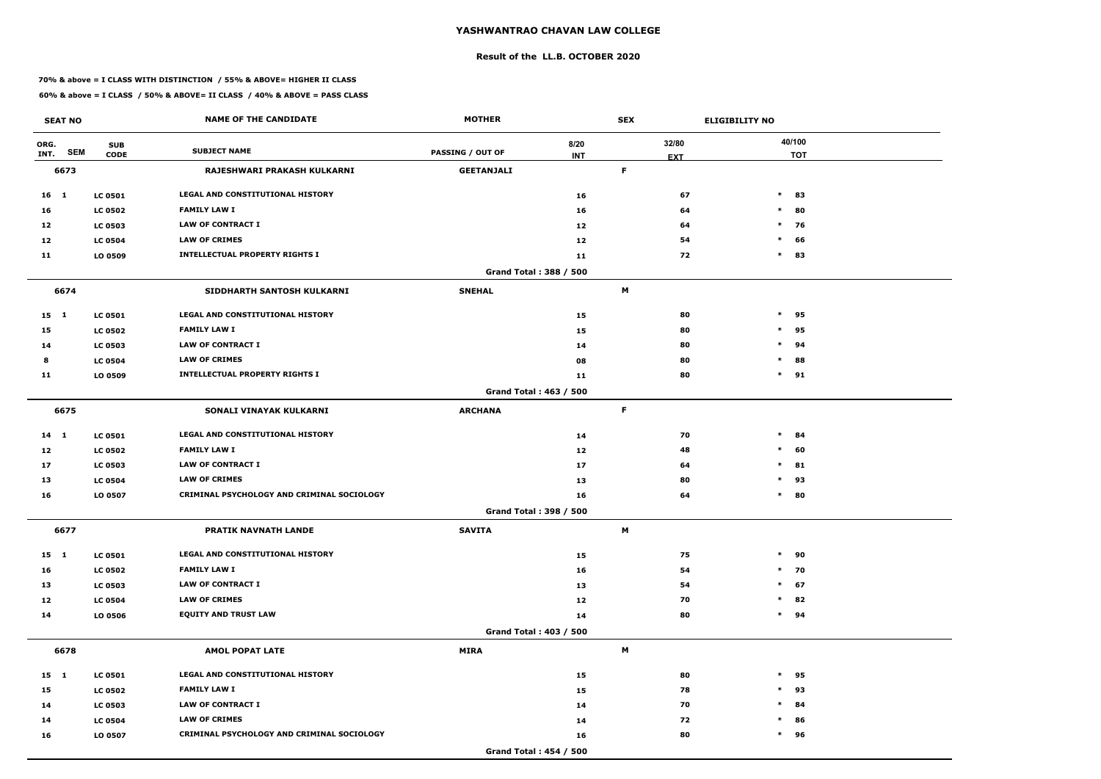#### **Result of the LL.B. OCTOBER 2020**

#### **70% & above = I CLASS WITH DISTINCTION / 55% & ABOVE= HIGHER II CLASS**

| <b>SEAT NO</b>  |                                         | <b>NAME OF THE CANDIDATE</b>               | <b>MOTHER</b>                 |                    | <b>SEX</b>          | <b>ELIGIBILITY NO</b> |
|-----------------|-----------------------------------------|--------------------------------------------|-------------------------------|--------------------|---------------------|-----------------------|
| ORG.<br>INT.    | <b>SUB</b><br><b>SEM</b><br><b>CODE</b> | <b>SUBJECT NAME</b>                        | <b>PASSING / OUT OF</b>       | 8/20<br><b>INT</b> | 32/80<br><b>EXT</b> | 40/100<br><b>TOT</b>  |
| 6673            |                                         | RAJESHWARI PRAKASH KULKARNI                | <b>GEETANJALI</b>             |                    | F.                  |                       |
| 16 <sub>1</sub> | <b>LC 0501</b>                          | LEGAL AND CONSTITUTIONAL HISTORY           |                               | 16                 |                     | 67<br>$\ast$<br>83    |
| 16              | <b>LC 0502</b>                          | <b>FAMILY LAW I</b>                        |                               | 16                 |                     | 64<br>80<br>$\ast$    |
| 12              | <b>LC 0503</b>                          | <b>LAW OF CONTRACT I</b>                   |                               | 12                 |                     | $*$ 76<br>64          |
| 12              | <b>LC 0504</b>                          | <b>LAW OF CRIMES</b>                       |                               | 12                 |                     | 54<br>$\ast$<br>66    |
| 11              | LO 0509                                 | <b>INTELLECTUAL PROPERTY RIGHTS I</b>      |                               | 11                 |                     | 72<br>$\ast$<br>83    |
|                 |                                         |                                            | Grand Total: 388 / 500        |                    |                     |                       |
| 6674            |                                         | SIDDHARTH SANTOSH KULKARNI                 | <b>SNEHAL</b>                 |                    | M                   |                       |
| $15 \quad 1$    | <b>LC 0501</b>                          | <b>LEGAL AND CONSTITUTIONAL HISTORY</b>    |                               | 15                 |                     | 80<br>$\ast$<br>95    |
| 15              | <b>LC 0502</b>                          | <b>FAMILY LAW I</b>                        |                               | 15                 |                     | 80<br>$\ast$<br>95    |
| 14              | <b>LC 0503</b>                          | <b>LAW OF CONTRACT I</b>                   |                               | 14                 |                     | 80<br>$\ast$<br>94    |
| 8               | <b>LC 0504</b>                          | <b>LAW OF CRIMES</b>                       |                               | 08                 |                     | 80<br>$\ast$<br>88    |
| 11              | LO 0509                                 | <b>INTELLECTUAL PROPERTY RIGHTS I</b>      |                               | 11                 |                     | $\ast$<br>80<br>91    |
|                 |                                         |                                            | <b>Grand Total: 463 / 500</b> |                    |                     |                       |
| 6675            |                                         | SONALI VINAYAK KULKARNI                    | <b>ARCHANA</b>                |                    | $\mathsf F$         |                       |
| $14$ 1          | <b>LC 0501</b>                          | LEGAL AND CONSTITUTIONAL HISTORY           |                               | 14                 |                     | $\ast$<br>70<br>84    |
| 12              | <b>LC 0502</b>                          | <b>FAMILY LAW I</b>                        |                               | 12                 |                     | 60<br>48<br>$\ast$    |
| 17              | <b>LC 0503</b>                          | <b>LAW OF CONTRACT I</b>                   |                               | 17                 |                     | $\ast$<br>81<br>64    |
| 13              | <b>LC 0504</b>                          | <b>LAW OF CRIMES</b>                       |                               | 13                 |                     | 80<br>$\ast$<br>93    |
| 16              | LO 0507                                 | CRIMINAL PSYCHOLOGY AND CRIMINAL SOCIOLOGY |                               | 16                 |                     | 64<br>$\ast$<br>80    |
|                 |                                         |                                            | <b>Grand Total: 398 / 500</b> |                    |                     |                       |
| 6677            |                                         | PRATIK NAVNATH LANDE                       | <b>SAVITA</b>                 |                    | M                   |                       |
| $15 \quad 1$    | <b>LC 0501</b>                          | LEGAL AND CONSTITUTIONAL HISTORY           |                               | 15                 |                     | 75<br>$\ast$<br>90    |
| 16              | <b>LC 0502</b>                          | <b>FAMILY LAW I</b>                        |                               | 16                 |                     | 70<br>54<br>$*$       |
| 13              | <b>LC 0503</b>                          | <b>LAW OF CONTRACT I</b>                   |                               | 13                 |                     | $\ast$<br>67<br>54    |
| 12              | <b>LC 0504</b>                          | <b>LAW OF CRIMES</b>                       |                               | 12                 |                     | 82<br>70<br>$\ast$    |
| 14              | LO 0506                                 | <b>EQUITY AND TRUST LAW</b>                |                               | 14                 |                     | 80<br>$\ast$<br>94    |
|                 |                                         |                                            | <b>Grand Total: 403 / 500</b> |                    |                     |                       |
| 6678            |                                         | <b>AMOL POPAT LATE</b>                     | <b>MIRA</b>                   |                    | M                   |                       |
| 15 1            | <b>LC 0501</b>                          | LEGAL AND CONSTITUTIONAL HISTORY           |                               | 15                 |                     | 80<br>$\ast$<br>95    |
| 15              | <b>LC 0502</b>                          | <b>FAMILY LAW I</b>                        |                               | 15                 |                     | 78<br>$\ast$<br>93    |
| 14              | <b>LC 0503</b>                          | <b>LAW OF CONTRACT I</b>                   |                               | 14                 |                     | 70<br>$\ast$<br>84    |
| 14              | <b>LC 0504</b>                          | <b>LAW OF CRIMES</b>                       |                               | 14                 |                     | 72<br>$\ast$<br>86    |
| 16              | LO 0507                                 | CRIMINAL PSYCHOLOGY AND CRIMINAL SOCIOLOGY |                               | 16                 |                     | $\ast$<br>96<br>80    |
|                 |                                         |                                            | Grand Total: 454 / 500        |                    |                     |                       |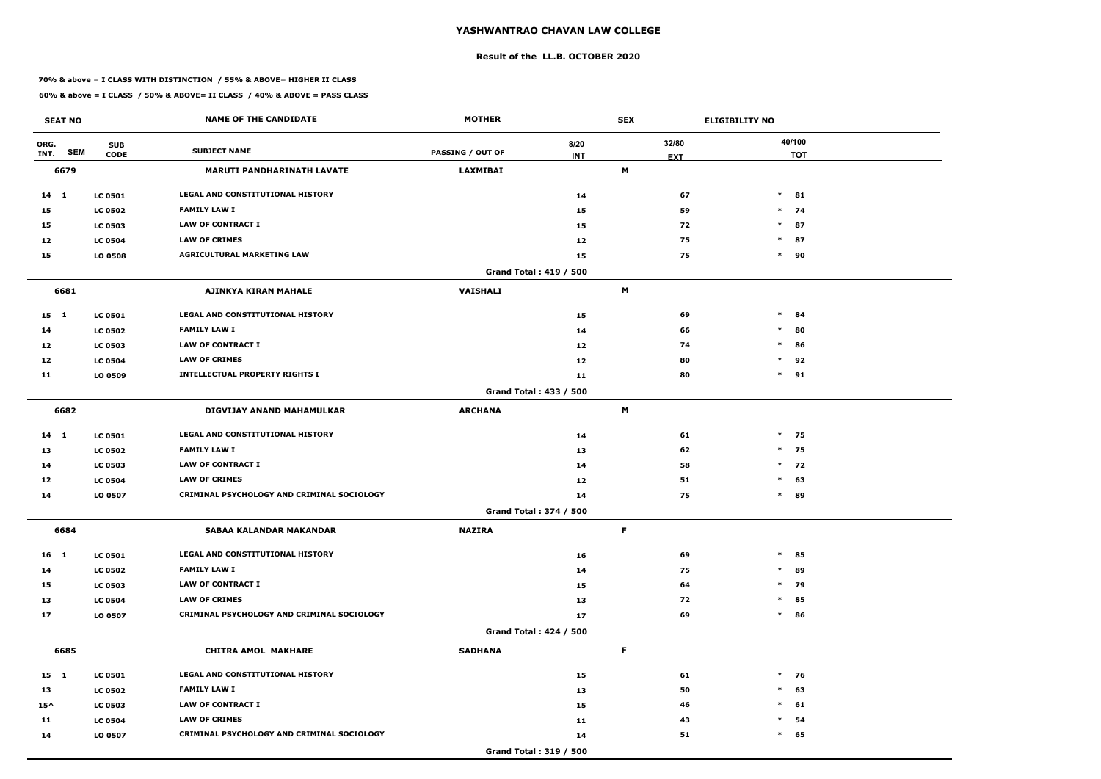#### **Result of the LL.B. OCTOBER 2020**

#### **70% & above = I CLASS WITH DISTINCTION / 55% & ABOVE= HIGHER II CLASS**

| <b>SEAT NO</b>             |                           | <b>NAME OF THE CANDIDATE</b>               | <b>MOTHER</b>           |                               | <b>SEX</b> |                     | <b>ELIGIBILITY NO</b> |
|----------------------------|---------------------------|--------------------------------------------|-------------------------|-------------------------------|------------|---------------------|-----------------------|
| ORG.<br><b>SEM</b><br>INT. | <b>SUB</b><br><b>CODE</b> | <b>SUBJECT NAME</b>                        | <b>PASSING / OUT OF</b> | 8/20<br><b>INT</b>            |            | 32/80<br><b>EXT</b> | 40/100<br><b>TOT</b>  |
| 6679                       |                           | <b>MARUTI PANDHARINATH LAVATE</b>          | <b>LAXMIBAI</b>         |                               | M          |                     |                       |
| $14 \quad 1$               | <b>LC 0501</b>            | LEGAL AND CONSTITUTIONAL HISTORY           |                         | 14                            |            | 67                  | $*$ 81                |
| 15                         | <b>LC 0502</b>            | <b>FAMILY LAW I</b>                        |                         | 15                            |            | 59                  | $*$ 74                |
| 15                         | <b>LC 0503</b>            | <b>LAW OF CONTRACT I</b>                   |                         | 15                            |            | 72                  | $\ast$<br>87          |
| 12                         | <b>LC 0504</b>            | <b>LAW OF CRIMES</b>                       |                         | 12                            |            | 75                  | $*$ 87                |
| 15                         | LO 0508                   | <b>AGRICULTURAL MARKETING LAW</b>          |                         | 15                            |            | 75                  | $*$ 90                |
|                            |                           |                                            |                         | <b>Grand Total: 419 / 500</b> |            |                     |                       |
| 6681                       |                           | <b>AJINKYA KIRAN MAHALE</b>                | <b>VAISHALI</b>         |                               | M          |                     |                       |
| $15 \quad 1$               | <b>LC 0501</b>            | LEGAL AND CONSTITUTIONAL HISTORY           |                         | 15                            |            | 69                  | $\ast$<br>84          |
| 14                         | <b>LC 0502</b>            | <b>FAMILY LAW I</b>                        |                         | 14                            |            | 66                  | $\ast$<br>80          |
| 12                         | <b>LC 0503</b>            | <b>LAW OF CONTRACT I</b>                   |                         | 12                            |            | 74                  | $\ast$<br>86          |
| 12                         | <b>LC 0504</b>            | <b>LAW OF CRIMES</b>                       |                         | 12                            |            | 80                  | $*$ 92                |
| 11                         | LO 0509                   | <b>INTELLECTUAL PROPERTY RIGHTS I</b>      |                         | 11                            |            | 80                  | $*$ 91                |
|                            |                           |                                            |                         | Grand Total: 433 / 500        |            |                     |                       |
| 6682                       |                           | DIGVIJAY ANAND MAHAMULKAR                  | <b>ARCHANA</b>          |                               | M          |                     |                       |
| $14$ 1                     | <b>LC 0501</b>            | LEGAL AND CONSTITUTIONAL HISTORY           |                         | 14                            |            | 61                  | $*$ 75                |
| 13                         | <b>LC 0502</b>            | <b>FAMILY LAW I</b>                        |                         | 13                            |            | 62                  | $*$ 75                |
| 14                         | <b>LC 0503</b>            | <b>LAW OF CONTRACT I</b>                   |                         | 14                            |            | 58                  | $*$ 72                |
| 12                         | <b>LC 0504</b>            | <b>LAW OF CRIMES</b>                       |                         | 12                            |            | 51                  | $\ast$<br>63          |
| 14                         | LO 0507                   | CRIMINAL PSYCHOLOGY AND CRIMINAL SOCIOLOGY |                         | 14                            |            | 75                  | $*$ 89                |
|                            |                           |                                            |                         | Grand Total: 374 / 500        |            |                     |                       |
| 6684                       |                           | SABAA KALANDAR MAKANDAR                    | <b>NAZIRA</b>           |                               | F          |                     |                       |
| $16 \quad 1$               | <b>LC 0501</b>            | <b>LEGAL AND CONSTITUTIONAL HISTORY</b>    |                         | 16                            |            | 69                  | $*$ 85                |
| 14                         | <b>LC 0502</b>            | <b>FAMILY LAW I</b>                        |                         | 14                            |            | 75                  | $*$ 89                |
| 15                         | <b>LC 0503</b>            | LAW OF CONTRACT I                          |                         | 15                            |            | 64                  | * 79                  |
| 13                         | <b>LC 0504</b>            | <b>LAW OF CRIMES</b>                       |                         | 13                            |            | 72                  | $*$ 85                |
| 17                         | LO 0507                   | CRIMINAL PSYCHOLOGY AND CRIMINAL SOCIOLOGY |                         | 17                            |            | 69                  | $*$ 86                |
|                            |                           |                                            |                         | Grand Total: 424 / 500        |            |                     |                       |
| 6685                       |                           | <b>CHITRA AMOL MAKHARE</b>                 | <b>SADHANA</b>          |                               | F.         |                     |                       |
| 15 1                       | <b>LC 0501</b>            | LEGAL AND CONSTITUTIONAL HISTORY           |                         | 15                            |            | 61                  | $*$ 76                |
| 13                         | <b>LC 0502</b>            | <b>FAMILY LAW I</b>                        |                         | 13                            |            | 50                  | $*$ 63                |
| $15^{\wedge}$              | <b>LC 0503</b>            | LAW OF CONTRACT I                          |                         | 15                            |            | 46                  | $\ast$<br>61          |
| 11                         | <b>LC 0504</b>            | <b>LAW OF CRIMES</b>                       |                         | 11                            |            | 43                  | $\ast$<br>54          |
| 14                         | LO 0507                   | CRIMINAL PSYCHOLOGY AND CRIMINAL SOCIOLOGY |                         | 14                            |            | 51                  | $\ast$<br>65          |
|                            |                           |                                            |                         | Grand Total: 319 / 500        |            |                     |                       |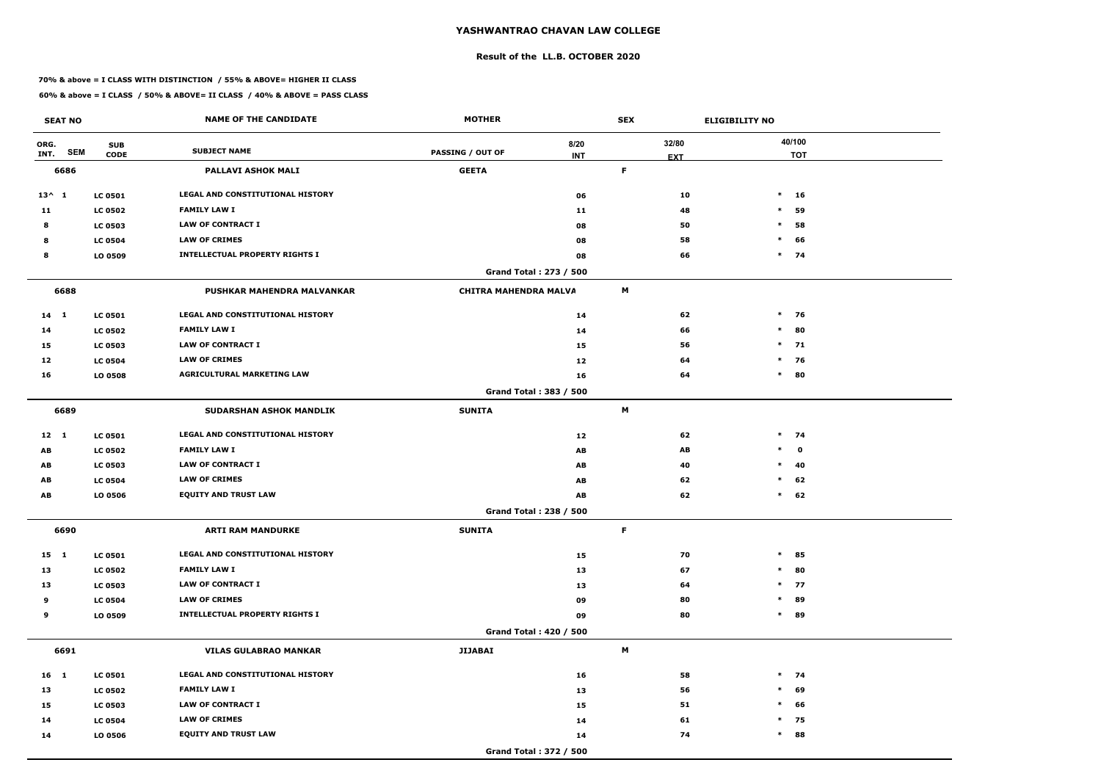#### **Result of the LL.B. OCTOBER 2020**

#### **70% & above = I CLASS WITH DISTINCTION / 55% & ABOVE= HIGHER II CLASS**

| <b>SEAT NO</b>             |                           | <b>NAME OF THE CANDIDATE</b>            | <b>MOTHER</b>                |                               | <b>SEX</b>                |                     | <b>ELIGIBILITY NO</b> |                      |
|----------------------------|---------------------------|-----------------------------------------|------------------------------|-------------------------------|---------------------------|---------------------|-----------------------|----------------------|
| ORG.<br><b>SEM</b><br>INT. | <b>SUB</b><br><b>CODE</b> | <b>SUBJECT NAME</b>                     | <b>PASSING / OUT OF</b>      | 8/20<br><b>INT</b>            |                           | 32/80<br><b>EXT</b> |                       | 40/100<br><b>TOT</b> |
| 6686                       |                           | PALLAVI ASHOK MALI                      | <b>GEETA</b>                 |                               | $\mathsf F$               |                     |                       |                      |
| $13^{\wedge} 1$            | <b>LC 0501</b>            | LEGAL AND CONSTITUTIONAL HISTORY        |                              | 06                            |                           | 10                  |                       | $*$ 16               |
| 11                         | <b>LC 0502</b>            | <b>FAMILY LAW I</b>                     |                              | 11                            |                           | 48                  | $\ast$                | 59                   |
| 8                          | <b>LC 0503</b>            | <b>LAW OF CONTRACT I</b>                |                              | 08                            |                           | 50                  | $\ast$                | 58                   |
| 8                          | <b>LC 0504</b>            | <b>LAW OF CRIMES</b>                    |                              | 08                            |                           | 58                  | $\ast$                | 66                   |
| 8                          | LO 0509                   | <b>INTELLECTUAL PROPERTY RIGHTS I</b>   |                              | 08                            |                           | 66                  |                       | $*$ 74               |
|                            |                           |                                         |                              | <b>Grand Total: 273 / 500</b> |                           |                     |                       |                      |
| 6688                       |                           | PUSHKAR MAHENDRA MALVANKAR              | <b>CHITRA MAHENDRA MALVA</b> |                               | M                         |                     |                       |                      |
| $14 \quad 1$               | <b>LC 0501</b>            | <b>LEGAL AND CONSTITUTIONAL HISTORY</b> |                              | 14                            |                           | 62                  |                       | $*$ 76               |
| 14                         | <b>LC 0502</b>            | <b>FAMILY LAW I</b>                     |                              | 14                            |                           | 66                  | $\ast$                | 80                   |
| 15                         | <b>LC 0503</b>            | <b>LAW OF CONTRACT I</b>                |                              | 15                            |                           | 56                  |                       | $*$ 71               |
| 12                         | <b>LC 0504</b>            | <b>LAW OF CRIMES</b>                    |                              | 12                            |                           | 64                  | $\ast$                | 76                   |
| 16                         | LO 0508                   | <b>AGRICULTURAL MARKETING LAW</b>       |                              | 16                            |                           | 64                  | $\ast$                | 80                   |
|                            |                           |                                         |                              | Grand Total: 383 / 500        |                           |                     |                       |                      |
| 6689                       |                           | <b>SUDARSHAN ASHOK MANDLIK</b>          | <b>SUNITA</b>                |                               | M                         |                     |                       |                      |
| $12 \quad 1$               | <b>LC 0501</b>            | LEGAL AND CONSTITUTIONAL HISTORY        |                              | 12                            |                           | 62                  |                       | $*$ 74               |
| AB                         | <b>LC 0502</b>            | <b>FAMILY LAW I</b>                     |                              | AB                            |                           | AB                  | $\ast$                | $\mathbf{o}$         |
| AB                         | <b>LC 0503</b>            | <b>LAW OF CONTRACT I</b>                |                              | AB                            |                           | 40                  |                       | $*$ 40               |
| AB                         | <b>LC 0504</b>            | <b>LAW OF CRIMES</b>                    |                              | AB                            |                           | 62                  | $\ast$                | 62                   |
| AB                         | LO 0506                   | <b>EQUITY AND TRUST LAW</b>             |                              | AB                            |                           | 62                  | $\ast$                | 62                   |
|                            |                           |                                         |                              | Grand Total: 238 / 500        |                           |                     |                       |                      |
| 6690                       |                           | <b>ARTI RAM MANDURKE</b>                | <b>SUNITA</b>                |                               | F                         |                     |                       |                      |
| 15 1                       | <b>LC 0501</b>            | LEGAL AND CONSTITUTIONAL HISTORY        |                              | 15                            |                           | 70                  |                       | $*$ 85               |
| 13                         | <b>LC 0502</b>            | <b>FAMILY LAW I</b>                     |                              | 13                            |                           | 67                  |                       | $*$ 80               |
| 13                         | <b>LC 0503</b>            | <b>LAW OF CONTRACT I</b>                |                              | 13                            |                           | 64                  |                       | $*$ 77               |
| 9                          | <b>LC 0504</b>            | <b>LAW OF CRIMES</b>                    |                              | 09                            |                           | 80                  |                       | * 89                 |
| 9                          | LO 0509                   | <b>INTELLECTUAL PROPERTY RIGHTS I</b>   |                              | 09                            |                           | 80                  |                       | $*$ 89               |
|                            |                           |                                         |                              | <b>Grand Total: 420 / 500</b> |                           |                     |                       |                      |
| 6691                       |                           | <b>VILAS GULABRAO MANKAR</b>            | <b>JIJABAI</b>               |                               | $\boldsymbol{\mathsf{M}}$ |                     |                       |                      |
| 16 1                       | <b>LC 0501</b>            | LEGAL AND CONSTITUTIONAL HISTORY        |                              | 16                            |                           | 58                  |                       | $*$ 74               |
| 13                         | <b>LC 0502</b>            | <b>FAMILY LAW I</b>                     |                              | 13                            |                           | 56                  |                       | $*$ 69               |
| 15                         | <b>LC 0503</b>            | LAW OF CONTRACT I                       |                              | 15                            |                           | 51                  |                       | $*$ 66               |
| 14                         | <b>LC 0504</b>            | <b>LAW OF CRIMES</b>                    |                              | 14                            |                           | 61                  |                       | $*$ 75               |
| 14                         | LO 0506                   | <b>EQUITY AND TRUST LAW</b>             |                              | 14                            |                           | 74                  | $\ast$                | 88                   |
|                            |                           |                                         |                              | Grand Total: 372 / 500        |                           |                     |                       |                      |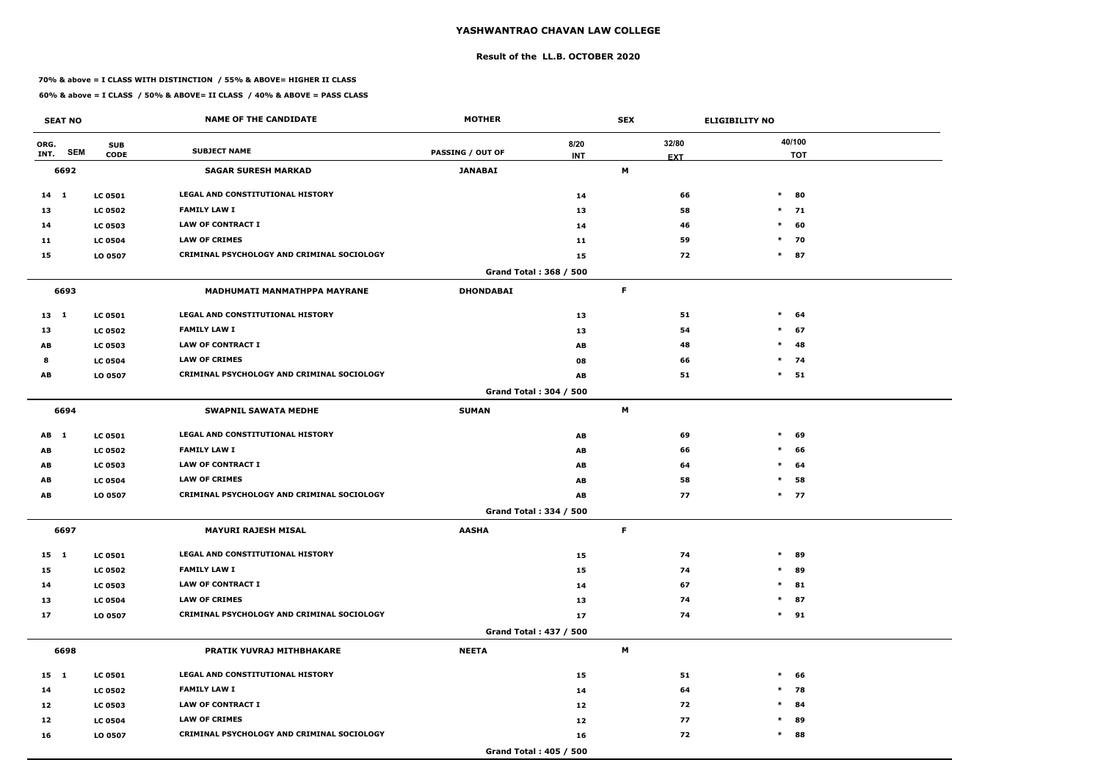#### **Result of the LL.B. OCTOBER 2020**

#### **70% & above = I CLASS WITH DISTINCTION / 55% & ABOVE= HIGHER II CLASS**

| <b>SEAT NO</b>  |                                         | <b>NAME OF THE CANDIDATE</b>               | <b>MOTHER</b>           |                        | <b>SEX</b> |                     | <b>ELIGIBILITY NO</b> |
|-----------------|-----------------------------------------|--------------------------------------------|-------------------------|------------------------|------------|---------------------|-----------------------|
| ORG.<br>INT.    | <b>SUB</b><br><b>SEM</b><br><b>CODE</b> | <b>SUBJECT NAME</b>                        | <b>PASSING / OUT OF</b> | 8/20<br><b>INT</b>     |            | 32/80<br><b>EXT</b> | 40/100<br><b>TOT</b>  |
| 6692            |                                         | <b>SAGAR SURESH MARKAD</b>                 | <b>JANABAI</b>          |                        | М          |                     |                       |
| $14 \quad 1$    | <b>LC 0501</b>                          | <b>LEGAL AND CONSTITUTIONAL HISTORY</b>    |                         | 14                     |            | 66                  | $\ast$<br>80          |
| 13              | <b>LC 0502</b>                          | <b>FAMILY LAW I</b>                        |                         | 13                     |            | 58                  | $*$ 71                |
| 14              | <b>LC 0503</b>                          | <b>LAW OF CONTRACT I</b>                   |                         | 14                     |            | 46                  | $\ast$<br>60          |
| 11              | <b>LC 0504</b>                          | <b>LAW OF CRIMES</b>                       |                         | 11                     |            | 59                  | $\ast$<br>70          |
| 15              | LO 0507                                 | CRIMINAL PSYCHOLOGY AND CRIMINAL SOCIOLOGY |                         | 15                     |            | 72                  | $\ast$<br>87          |
|                 |                                         |                                            |                         | Grand Total: 368 / 500 |            |                     |                       |
| 6693            |                                         | <b>MADHUMATI MANMATHPPA MAYRANE</b>        | <b>DHONDABAI</b>        |                        | F          |                     |                       |
| $13 \quad 1$    | <b>LC 0501</b>                          | LEGAL AND CONSTITUTIONAL HISTORY           |                         | 13                     |            | 51                  | $\ast$<br>64          |
| 13              | <b>LC 0502</b>                          | <b>FAMILY LAW I</b>                        |                         | 13                     |            | 54                  | $\ast$<br>67          |
| AB              | <b>LC 0503</b>                          | <b>LAW OF CONTRACT I</b>                   |                         | AB                     |            | 48                  | 48<br>$\ast$          |
| 8               | <b>LC 0504</b>                          | <b>LAW OF CRIMES</b>                       |                         | 08                     |            | 66                  | $*$ 74                |
| AB              | LO 0507                                 | CRIMINAL PSYCHOLOGY AND CRIMINAL SOCIOLOGY |                         | AB                     |            | 51                  | $\ast$<br>51          |
|                 |                                         |                                            |                         | Grand Total: 304 / 500 |            |                     |                       |
| 6694            |                                         | <b>SWAPNIL SAWATA MEDHE</b>                | <b>SUMAN</b>            |                        | M          |                     |                       |
| AB <sub>1</sub> | <b>LC 0501</b>                          | <b>LEGAL AND CONSTITUTIONAL HISTORY</b>    |                         | AB                     |            | 69                  | $\ast$<br>69          |
| AB              | <b>LC 0502</b>                          | <b>FAMILY LAW I</b>                        |                         | AB                     |            | 66                  | $\ast$<br>66          |
| AB              | <b>LC 0503</b>                          | <b>LAW OF CONTRACT I</b>                   |                         | AB                     |            | 64                  | $\ast$<br>64          |
| AB              | <b>LC 0504</b>                          | <b>LAW OF CRIMES</b>                       |                         | AB                     |            | 58                  | $\ast$<br>58          |
| AB              | LO 0507                                 | CRIMINAL PSYCHOLOGY AND CRIMINAL SOCIOLOGY |                         | AB                     |            | 77                  | $*$ 77                |
|                 |                                         |                                            |                         | Grand Total: 334 / 500 |            |                     |                       |
| 6697            |                                         | <b>MAYURI RAJESH MISAL</b>                 | <b>AASHA</b>            |                        | F          |                     |                       |
| $15 \quad 1$    | <b>LC 0501</b>                          | LEGAL AND CONSTITUTIONAL HISTORY           |                         | 15                     |            | 74                  | $\ast$<br>89          |
| 15              | <b>LC 0502</b>                          | <b>FAMILY LAW I</b>                        |                         | 15                     |            | 74                  | 89<br>$\ast$          |
| 14              | <b>LC 0503</b>                          | <b>LAW OF CONTRACT I</b>                   |                         | 14                     |            | 67                  | $\ast$<br>81          |
| 13              | <b>LC 0504</b>                          | <b>LAW OF CRIMES</b>                       |                         | 13                     |            | 74                  | 87<br>$\ast$          |
| 17              | LO 0507                                 | CRIMINAL PSYCHOLOGY AND CRIMINAL SOCIOLOGY |                         | 17                     |            | 74                  | $*$ 91                |
|                 |                                         |                                            |                         | Grand Total: 437 / 500 |            |                     |                       |
| 6698            |                                         | PRATIK YUVRAJ MITHBHAKARE                  | <b>NEETA</b>            |                        | M          |                     |                       |
| $15 \quad 1$    | <b>LC 0501</b>                          | LEGAL AND CONSTITUTIONAL HISTORY           |                         | 15                     |            | 51                  | $\ast$<br>66          |
| 14              | <b>LC 0502</b>                          | <b>FAMILY LAW I</b>                        |                         | 14                     |            | 64                  | $*$ 78                |
| 12              | <b>LC 0503</b>                          | LAW OF CONTRACT I                          |                         | 12                     |            | 72                  | 84<br>$\ast$          |
| 12              | <b>LC 0504</b>                          | <b>LAW OF CRIMES</b>                       |                         | 12                     |            | 77                  | 89<br>$\ast$          |
| 16              | LO 0507                                 | CRIMINAL PSYCHOLOGY AND CRIMINAL SOCIOLOGY |                         | 16                     |            | 72                  | $\ast$<br>88          |
|                 |                                         |                                            |                         | Grand Total: 405 / 500 |            |                     |                       |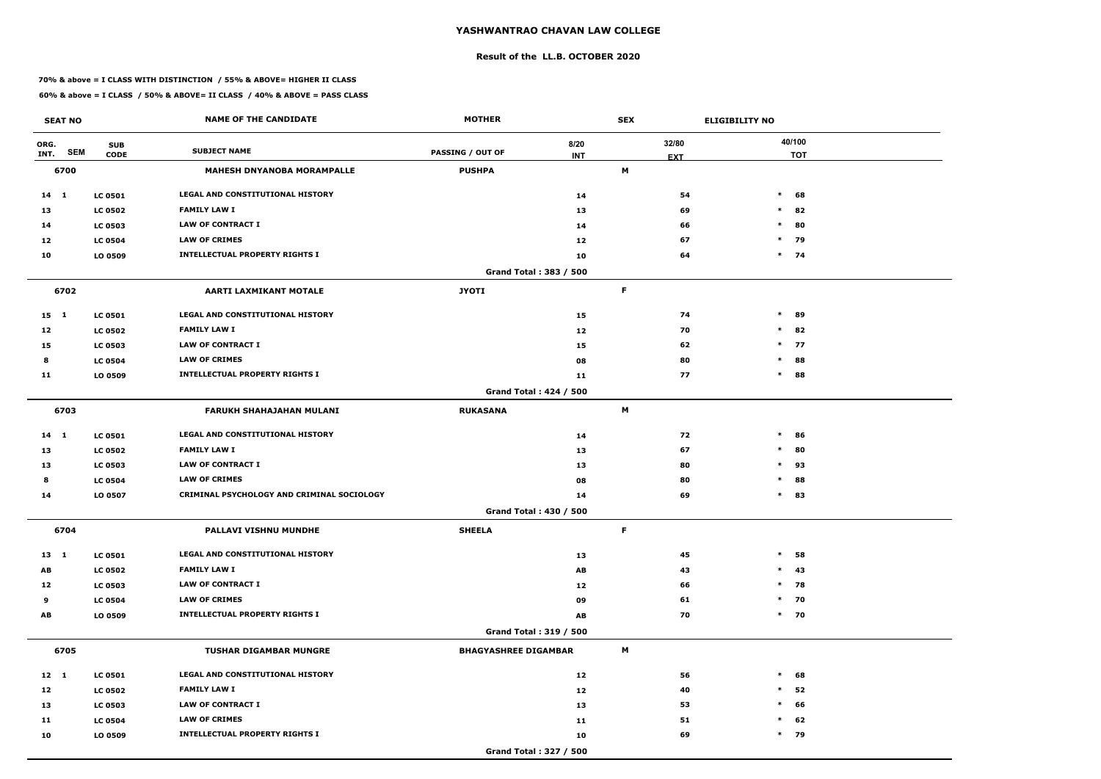#### **Result of the LL.B. OCTOBER 2020**

#### **70% & above = I CLASS WITH DISTINCTION / 55% & ABOVE= HIGHER II CLASS**

| <b>SEAT NO</b>             |                           | <b>NAME OF THE CANDIDATE</b>               | <b>MOTHER</b>               |                               | <b>SEX</b> |                     | <b>ELIGIBILITY NO</b> |
|----------------------------|---------------------------|--------------------------------------------|-----------------------------|-------------------------------|------------|---------------------|-----------------------|
| ORG.<br><b>SEM</b><br>INT. | <b>SUB</b><br><b>CODE</b> | <b>SUBJECT NAME</b>                        | <b>PASSING / OUT OF</b>     | 8/20<br><b>INT</b>            |            | 32/80<br><b>EXT</b> | 40/100<br><b>TOT</b>  |
| 6700                       |                           | <b>MAHESH DNYANOBA MORAMPALLE</b>          | <b>PUSHPA</b>               |                               | M          |                     |                       |
| 14 1                       | <b>LC 0501</b>            | LEGAL AND CONSTITUTIONAL HISTORY           |                             | 14                            |            | 54                  | $\ast$<br>68          |
| 13                         | <b>LC 0502</b>            | <b>FAMILY LAW I</b>                        |                             | 13                            |            | 69                  | $\ast$<br>82          |
| 14                         | <b>LC 0503</b>            | <b>LAW OF CONTRACT I</b>                   |                             | 14                            |            | 66                  | 80<br>$\ast$          |
| 12                         | <b>LC 0504</b>            | <b>LAW OF CRIMES</b>                       |                             | 12                            |            | 67                  | 79<br>$\ast$          |
| 10                         | LO 0509                   | <b>INTELLECTUAL PROPERTY RIGHTS I</b>      |                             | 10                            |            | 64                  | $*$ 74                |
|                            |                           |                                            |                             | Grand Total: 383 / 500        |            |                     |                       |
| 6702                       |                           | <b>AARTI LAXMIKANT MOTALE</b>              | <b>JYOTI</b>                |                               | F          |                     |                       |
| $15 \quad 1$               | <b>LC 0501</b>            | <b>LEGAL AND CONSTITUTIONAL HISTORY</b>    |                             | 15                            |            | 74                  | $\ast$<br>89          |
| 12                         | <b>LC 0502</b>            | <b>FAMILY LAW I</b>                        |                             | 12                            |            | 70                  | $\ast$<br>82          |
| 15                         | <b>LC 0503</b>            | <b>LAW OF CONTRACT I</b>                   |                             | 15                            |            | 62                  | $\ast$<br>77          |
| 8                          | <b>LC 0504</b>            | <b>LAW OF CRIMES</b>                       |                             | 08                            |            | 80                  | 88<br>$\ast$          |
| 11                         | LO 0509                   | <b>INTELLECTUAL PROPERTY RIGHTS I</b>      |                             | 11                            |            | 77                  | 88<br>$\ast$          |
|                            |                           |                                            |                             | Grand Total: 424 / 500        |            |                     |                       |
| 6703                       |                           | <b>FARUKH SHAHAJAHAN MULANI</b>            | <b>RUKASANA</b>             |                               | M          |                     |                       |
| $14$ 1                     | <b>LC 0501</b>            | LEGAL AND CONSTITUTIONAL HISTORY           |                             | 14                            |            | 72                  | $\ast$<br>86          |
| 13                         | <b>LC 0502</b>            | <b>FAMILY LAW I</b>                        |                             | 13                            |            | 67                  | 80<br>$\ast$          |
| 13                         | <b>LC 0503</b>            | <b>LAW OF CONTRACT I</b>                   |                             | 13                            |            | 80                  | $\ast$<br>93          |
| 8                          | <b>LC 0504</b>            | <b>LAW OF CRIMES</b>                       |                             | 08                            |            | 80                  | $\ast$<br>88          |
| 14                         | LO 0507                   | CRIMINAL PSYCHOLOGY AND CRIMINAL SOCIOLOGY |                             | 14                            |            | 69                  | $\ast$<br>83          |
|                            |                           |                                            |                             | <b>Grand Total: 430 / 500</b> |            |                     |                       |
| 6704                       |                           | PALLAVI VISHNU MUNDHE                      | <b>SHEELA</b>               |                               | F.         |                     |                       |
| 13 1                       | <b>LC 0501</b>            | LEGAL AND CONSTITUTIONAL HISTORY           |                             | 13                            |            | 45                  | $\ast$<br>58          |
| AB                         | <b>LC 0502</b>            | <b>FAMILY LAW I</b>                        |                             | AB                            |            | 43                  | $\ast$<br>43          |
| 12                         | <b>LC 0503</b>            | <b>LAW OF CONTRACT I</b>                   |                             | 12                            |            | 66                  | $*$ 78                |
| 9                          | <b>LC 0504</b>            | <b>LAW OF CRIMES</b>                       |                             | 09                            |            | 61                  | $*$ 70                |
| AB                         | LO 0509                   | <b>INTELLECTUAL PROPERTY RIGHTS I</b>      |                             | AB                            |            | 70                  | $*$ 70                |
|                            |                           |                                            |                             | <b>Grand Total: 319 / 500</b> |            |                     |                       |
| 6705                       |                           | <b>TUSHAR DIGAMBAR MUNGRE</b>              | <b>BHAGYASHREE DIGAMBAR</b> |                               | M          |                     |                       |
| $12 \quad 1$               | <b>LC 0501</b>            | LEGAL AND CONSTITUTIONAL HISTORY           |                             | 12                            |            | 56                  | $\ast$<br>68          |
| 12                         | <b>LC 0502</b>            | <b>FAMILY LAW I</b>                        |                             | 12                            |            | 40                  | 52<br>$\ast$          |
| 13                         | <b>LC 0503</b>            | <b>LAW OF CONTRACT I</b>                   |                             | 13                            |            | 53                  | 66<br>$\ast$          |
| 11                         | <b>LC 0504</b>            | <b>LAW OF CRIMES</b>                       |                             | 11                            |            | 51                  | 62<br>$\ast$          |
| 10                         | LO 0509                   | <b>INTELLECTUAL PROPERTY RIGHTS I</b>      |                             | 10                            |            | 69                  | $*$ 79                |
|                            |                           |                                            |                             | Grand Total: 327 / 500        |            |                     |                       |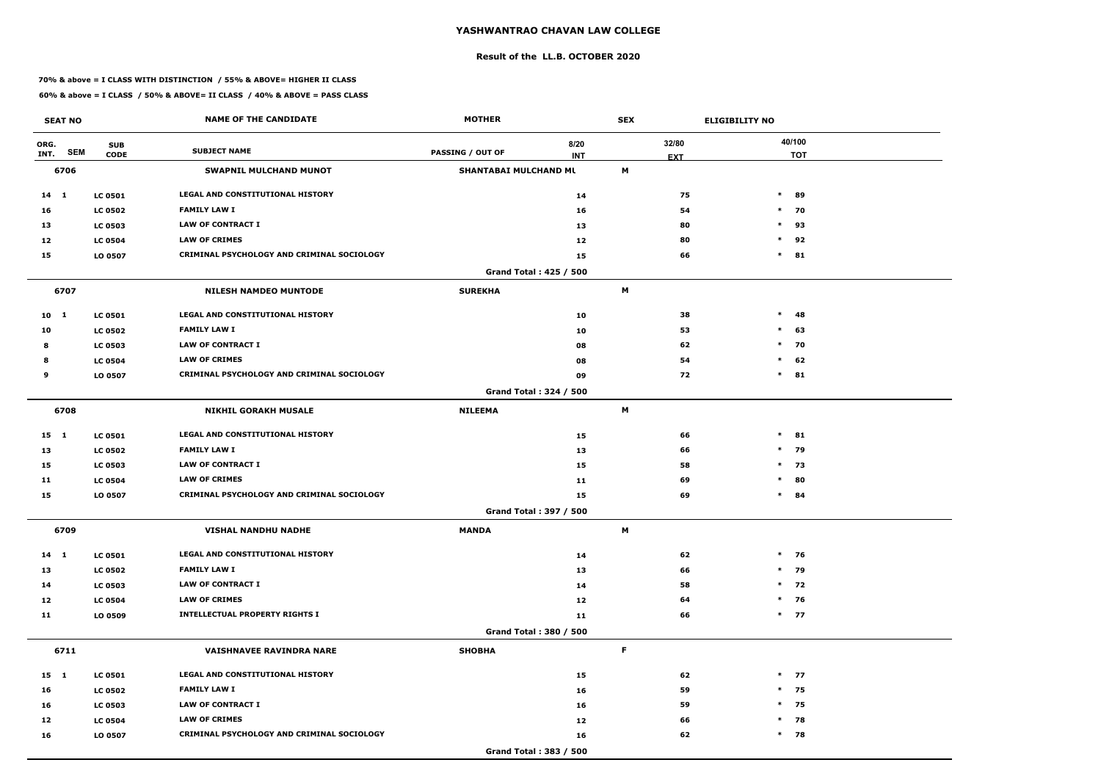#### **Result of the LL.B. OCTOBER 2020**

#### **70% & above = I CLASS WITH DISTINCTION / 55% & ABOVE= HIGHER II CLASS**

| <b>SEAT NO</b>             |                           | <b>NAME OF THE CANDIDATE</b>                      | <b>MOTHER</b>           |                               | <b>SEX</b> |                     | <b>ELIGIBILITY NO</b> |
|----------------------------|---------------------------|---------------------------------------------------|-------------------------|-------------------------------|------------|---------------------|-----------------------|
| ORG.<br><b>SEM</b><br>INT. | <b>SUB</b><br><b>CODE</b> | <b>SUBJECT NAME</b>                               | <b>PASSING / OUT OF</b> | 8/20<br><b>INT</b>            |            | 32/80<br><b>EXT</b> | 40/100<br><b>TOT</b>  |
| 6706                       |                           | <b>SWAPNIL MULCHAND MUNOT</b>                     | SHANTABAI MULCHAND ML   |                               | M          |                     |                       |
| $14 \quad 1$               | <b>LC 0501</b>            | <b>LEGAL AND CONSTITUTIONAL HISTORY</b>           |                         | 14                            |            | 75                  | $\ast$<br>89          |
| 16                         | <b>LC 0502</b>            | <b>FAMILY LAW I</b>                               |                         | 16                            |            | 54                  | $*$ 70                |
| 13                         | <b>LC 0503</b>            | <b>LAW OF CONTRACT I</b>                          |                         | 13                            |            | 80                  | $\ast$<br>93          |
| 12                         | <b>LC 0504</b>            | <b>LAW OF CRIMES</b>                              |                         | 12                            |            | 80                  | $\ast$<br>92          |
| 15                         | LO 0507                   | <b>CRIMINAL PSYCHOLOGY AND CRIMINAL SOCIOLOGY</b> |                         | 15                            |            | 66                  | $\ast$<br>81          |
|                            |                           |                                                   |                         | Grand Total: 425 / 500        |            |                     |                       |
| 6707                       |                           | <b>NILESH NAMDEO MUNTODE</b>                      | <b>SUREKHA</b>          |                               | M          |                     |                       |
| 10 <sub>1</sub>            | <b>LC 0501</b>            | <b>LEGAL AND CONSTITUTIONAL HISTORY</b>           |                         | 10                            |            | 38                  | $\ast$<br>48          |
| 10                         | <b>LC 0502</b>            | <b>FAMILY LAW I</b>                               |                         | 10                            |            | 53                  | $\ast$<br>63          |
| 8                          | <b>LC 0503</b>            | <b>LAW OF CONTRACT I</b>                          |                         | 08                            |            | 62                  | $\ast$<br>70          |
| 8                          | <b>LC 0504</b>            | <b>LAW OF CRIMES</b>                              |                         | 08                            |            | 54                  | 62<br>$\ast$          |
| 9                          | LO 0507                   | CRIMINAL PSYCHOLOGY AND CRIMINAL SOCIOLOGY        |                         | 09                            |            | 72                  | $\ast$<br>81          |
|                            |                           |                                                   |                         | <b>Grand Total: 324 / 500</b> |            |                     |                       |
| 6708                       |                           | <b>NIKHIL GORAKH MUSALE</b>                       | <b>NILEEMA</b>          |                               | М          |                     |                       |
| $15 \quad 1$               | <b>LC 0501</b>            | LEGAL AND CONSTITUTIONAL HISTORY                  |                         | 15                            |            | 66                  | $\ast$<br>81          |
| 13                         | <b>LC 0502</b>            | <b>FAMILY LAW I</b>                               |                         | 13                            |            | 66                  | 79<br>$\ast$          |
| 15                         | <b>LC 0503</b>            | <b>LAW OF CONTRACT I</b>                          |                         | 15                            |            | 58                  | 73<br>$\ast$          |
| 11                         | <b>LC 0504</b>            | <b>LAW OF CRIMES</b>                              |                         | 11                            |            | 69                  | $\ast$<br>80          |
| 15                         | LO 0507                   | CRIMINAL PSYCHOLOGY AND CRIMINAL SOCIOLOGY        |                         | 15                            |            | 69                  | $\ast$<br>84          |
|                            |                           |                                                   |                         | <b>Grand Total: 397 / 500</b> |            |                     |                       |
| 6709                       |                           | <b>VISHAL NANDHU NADHE</b>                        | <b>MANDA</b>            |                               | M          |                     |                       |
| $14 \quad 1$               | <b>LC 0501</b>            | LEGAL AND CONSTITUTIONAL HISTORY                  |                         | 14                            |            | 62                  | $*$ 76                |
| 13                         | <b>LC 0502</b>            | <b>FAMILY LAW I</b>                               |                         | 13                            |            | 66                  | $*$ 79                |
| 14                         | <b>LC 0503</b>            | <b>LAW OF CONTRACT I</b>                          |                         | 14                            |            | 58                  | $*$ 72                |
| 12                         | <b>LC 0504</b>            | <b>LAW OF CRIMES</b>                              |                         | 12                            |            | 64                  | $*$ 76                |
| 11                         | LO 0509                   | <b>INTELLECTUAL PROPERTY RIGHTS I</b>             |                         | 11                            |            | 66                  | $*$ 77                |
|                            |                           |                                                   |                         | Grand Total: 380 / 500        |            |                     |                       |
| 6711                       |                           | <b>VAISHNAVEE RAVINDRA NARE</b>                   | <b>SHOBHA</b>           |                               | F          |                     |                       |
| 15 1                       | <b>LC 0501</b>            | LEGAL AND CONSTITUTIONAL HISTORY                  |                         | 15                            |            | 62                  | $*$ 77                |
| 16                         | <b>LC 0502</b>            | <b>FAMILY LAW I</b>                               |                         | 16                            |            | 59                  | $*$ 75                |
| 16                         | <b>LC 0503</b>            | LAW OF CONTRACT I                                 |                         | 16                            |            | 59                  | $*$ 75                |
| 12                         | <b>LC 0504</b>            | <b>LAW OF CRIMES</b>                              |                         | 12                            |            | 66                  | $*$ 78                |
| 16                         | LO 0507                   | CRIMINAL PSYCHOLOGY AND CRIMINAL SOCIOLOGY        |                         | 16                            |            | 62                  | $*$ 78                |
|                            |                           |                                                   |                         | Grand Total: 383 / 500        |            |                     |                       |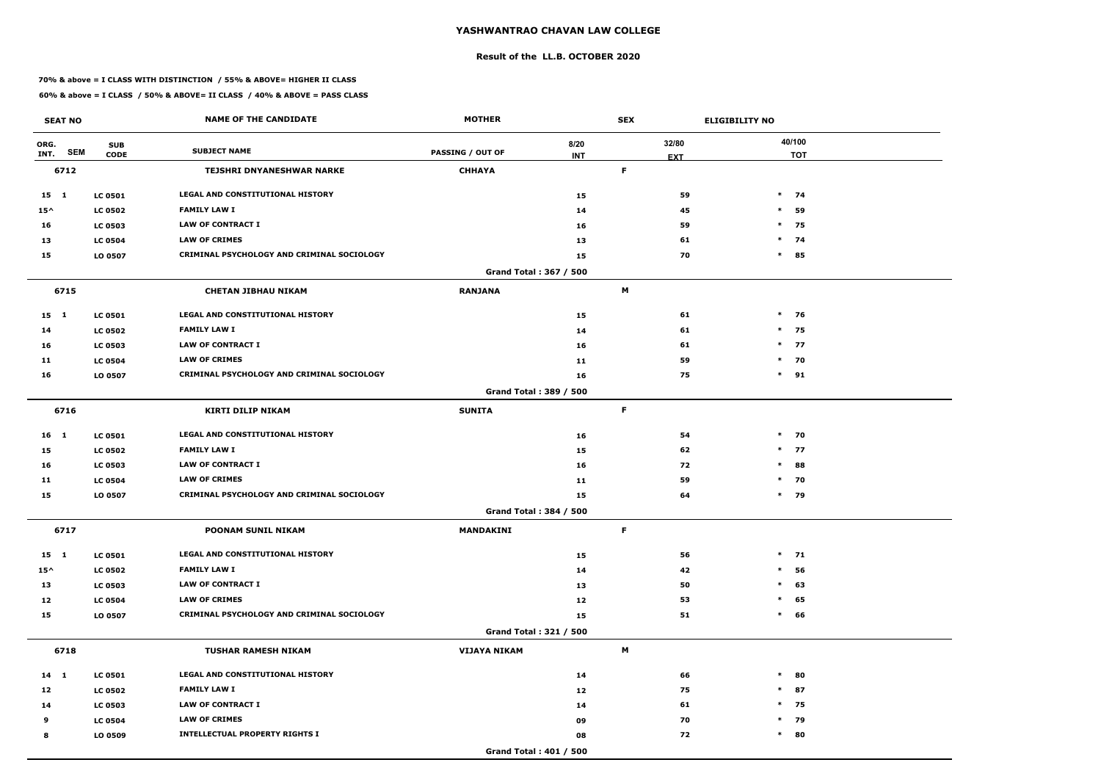#### **Result of the LL.B. OCTOBER 2020**

#### **70% & above = I CLASS WITH DISTINCTION / 55% & ABOVE= HIGHER II CLASS**

| <b>SEAT NO</b>             |                           | <b>NAME OF THE CANDIDATE</b>                      | <b>MOTHER</b>           |                    | <b>SEX</b> |                     | <b>ELIGIBILITY NO</b> |
|----------------------------|---------------------------|---------------------------------------------------|-------------------------|--------------------|------------|---------------------|-----------------------|
| ORG.<br><b>SEM</b><br>INT. | <b>SUB</b><br><b>CODE</b> | <b>SUBJECT NAME</b>                               | <b>PASSING / OUT OF</b> | 8/20<br><b>INT</b> |            | 32/80<br><b>EXT</b> | 40/100<br><b>TOT</b>  |
| 6712                       |                           | <b>TEJSHRI DNYANESHWAR NARKE</b>                  | <b>CHHAYA</b>           |                    | F          |                     |                       |
| 15 1                       | <b>LC 0501</b>            | <b>LEGAL AND CONSTITUTIONAL HISTORY</b>           |                         | 15                 |            | 59                  | $\ast$<br>74          |
| $15^{\wedge}$              | <b>LC 0502</b>            | <b>FAMILY LAW I</b>                               |                         | 14                 |            | 45                  | $\ast$<br>59          |
| 16                         | <b>LC 0503</b>            | <b>LAW OF CONTRACT I</b>                          |                         | 16                 |            | 59                  | 75<br>$\ast$          |
| 13                         | <b>LC 0504</b>            | <b>LAW OF CRIMES</b>                              |                         | 13                 |            | 61                  | $\ast$<br>74          |
| 15                         | LO 0507                   | <b>CRIMINAL PSYCHOLOGY AND CRIMINAL SOCIOLOGY</b> |                         | 15                 |            | 70                  | $\ast$<br>85          |
|                            |                           |                                                   | Grand Total: 367 / 500  |                    |            |                     |                       |
| 6715                       |                           | <b>CHETAN JIBHAU NIKAM</b>                        | <b>RANJANA</b>          |                    | M          |                     |                       |
| $15 \quad 1$               | <b>LC 0501</b>            | <b>LEGAL AND CONSTITUTIONAL HISTORY</b>           |                         | 15                 |            | 61                  | $\ast$<br>76          |
| 14                         | <b>LC 0502</b>            | <b>FAMILY LAW I</b>                               |                         | 14                 |            | 61                  | $*$ 75                |
| 16                         | <b>LC 0503</b>            | <b>LAW OF CONTRACT I</b>                          |                         | 16                 |            | 61                  | $*$ 77                |
| 11                         | <b>LC 0504</b>            | <b>LAW OF CRIMES</b>                              |                         | 11                 |            | 59                  | $*$ 70                |
| 16                         | LO 0507                   | <b>CRIMINAL PSYCHOLOGY AND CRIMINAL SOCIOLOGY</b> |                         | 16                 |            | 75                  | $\ast$<br>91          |
|                            |                           |                                                   | Grand Total: 389 / 500  |                    |            |                     |                       |
| 6716                       |                           | <b>KIRTI DILIP NIKAM</b>                          | <b>SUNITA</b>           |                    | F          |                     |                       |
| 16 1                       | <b>LC 0501</b>            | <b>LEGAL AND CONSTITUTIONAL HISTORY</b>           |                         | 16                 |            | 54                  | $*$ 70                |
| 15                         | <b>LC 0502</b>            | <b>FAMILY LAW I</b>                               |                         | 15                 |            | 62                  | $*$ 77                |
| 16                         | <b>LC 0503</b>            | <b>LAW OF CONTRACT I</b>                          |                         | 16                 |            | 72                  | $\ast$<br>88          |
| 11                         | <b>LC 0504</b>            | <b>LAW OF CRIMES</b>                              |                         | 11                 |            | 59                  | $*$ 70                |
| 15                         | LO 0507                   | CRIMINAL PSYCHOLOGY AND CRIMINAL SOCIOLOGY        |                         | 15                 |            | 64                  | $\ast$<br>79          |
|                            |                           |                                                   | Grand Total: 384 / 500  |                    |            |                     |                       |
| 6717                       |                           | POONAM SUNIL NIKAM                                | MANDAKINI               |                    | F          |                     |                       |
| $15 \quad 1$               | <b>LC 0501</b>            | LEGAL AND CONSTITUTIONAL HISTORY                  |                         | 15                 |            | 56                  | $*$ 71                |
| $15^{\wedge}$              | <b>LC 0502</b>            | <b>FAMILY LAW I</b>                               |                         | 14                 |            | 42                  | 56<br>$\ast$          |
| 13                         | <b>LC 0503</b>            | LAW OF CONTRACT I                                 |                         | 13                 |            | 50                  | $\ast$<br>63          |
| 12                         | <b>LC 0504</b>            | <b>LAW OF CRIMES</b>                              |                         | 12                 |            | 53                  | 65<br>$\ast$          |
| 15                         | LO 0507                   | <b>CRIMINAL PSYCHOLOGY AND CRIMINAL SOCIOLOGY</b> |                         | 15                 |            | 51                  | 66<br>$\ast$          |
|                            |                           |                                                   | Grand Total: 321 / 500  |                    |            |                     |                       |
| 6718                       |                           | <b>TUSHAR RAMESH NIKAM</b>                        | <b>VIJAYA NIKAM</b>     |                    | M          |                     |                       |
| 14 1                       | <b>LC 0501</b>            | LEGAL AND CONSTITUTIONAL HISTORY                  |                         | 14                 |            | 66                  | $\ast$<br>80          |
| 12                         | <b>LC 0502</b>            | <b>FAMILY LAW I</b>                               |                         | 12                 |            | 75                  | 87<br>$\ast$          |
| 14                         | <b>LC 0503</b>            | <b>LAW OF CONTRACT I</b>                          |                         | 14                 |            | 61                  | $*$ 75                |
| 9                          | <b>LC 0504</b>            | <b>LAW OF CRIMES</b>                              |                         | 09                 |            | 70                  | 79<br>$*$             |
| 8                          | LO 0509                   | <b>INTELLECTUAL PROPERTY RIGHTS I</b>             |                         | 08                 |            | 72                  | $*$ 80                |
|                            |                           |                                                   | Grand Total: 401 / 500  |                    |            |                     |                       |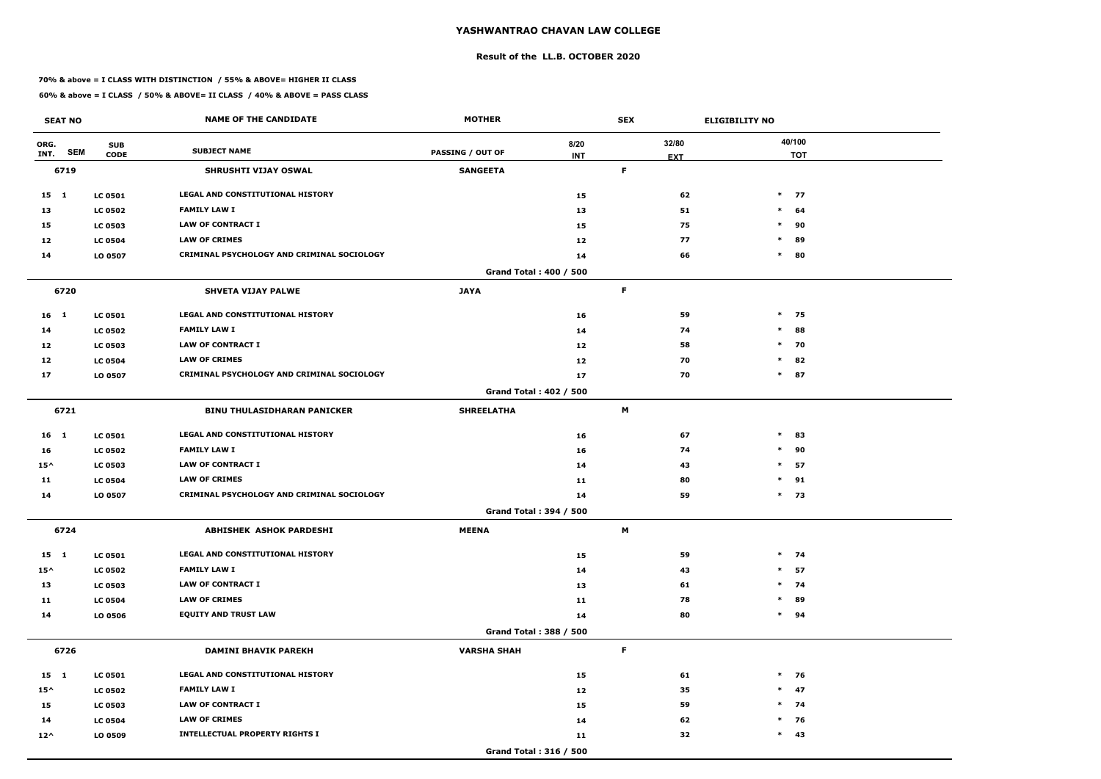#### **Result of the LL.B. OCTOBER 2020**

#### **70% & above = I CLASS WITH DISTINCTION / 55% & ABOVE= HIGHER II CLASS**

| <b>SEAT NO</b>  |            |                           | <b>NAME OF THE CANDIDATE</b>               | <b>MOTHER</b>                 |                    | <b>SEX</b>  |                     | <b>ELIGIBILITY NO</b> |
|-----------------|------------|---------------------------|--------------------------------------------|-------------------------------|--------------------|-------------|---------------------|-----------------------|
| ORG.<br>INT.    | <b>SEM</b> | <b>SUB</b><br><b>CODE</b> | <b>SUBJECT NAME</b>                        | <b>PASSING / OUT OF</b>       | 8/20<br><b>INT</b> |             | 32/80<br><b>EXT</b> | 40/100<br><b>TOT</b>  |
| 6719            |            |                           | SHRUSHTI VIJAY OSWAL                       | <b>SANGEETA</b>               |                    | F           |                     |                       |
| $15 \quad 1$    |            | <b>LC 0501</b>            | <b>LEGAL AND CONSTITUTIONAL HISTORY</b>    |                               | 15                 |             | 62                  | $*$ 77                |
| 13              |            | <b>LC 0502</b>            | <b>FAMILY LAW I</b>                        |                               | 13                 |             | 51                  | $\ast$<br>64          |
| 15              |            | <b>LC 0503</b>            | <b>LAW OF CONTRACT I</b>                   |                               | 15                 |             | 75                  | $\ast$<br>90          |
| 12              |            | <b>LC 0504</b>            | <b>LAW OF CRIMES</b>                       |                               | 12                 |             | 77                  | $\ast$<br>89          |
| 14              |            | LO 0507                   | CRIMINAL PSYCHOLOGY AND CRIMINAL SOCIOLOGY |                               | 14                 |             | 66                  | $\ast$<br>80          |
|                 |            |                           |                                            | <b>Grand Total: 400 / 500</b> |                    |             |                     |                       |
| 6720            |            |                           | <b>SHVETA VIJAY PALWE</b>                  | <b>JAYA</b>                   |                    | F           |                     |                       |
| 16 1            |            | <b>LC 0501</b>            | LEGAL AND CONSTITUTIONAL HISTORY           |                               | 16                 |             | 59                  | $*$ 75                |
| 14              |            | <b>LC 0502</b>            | <b>FAMILY LAW I</b>                        |                               | 14                 |             | 74                  | $\ast$<br>88          |
| 12              |            | <b>LC 0503</b>            | <b>LAW OF CONTRACT I</b>                   |                               | 12                 |             | 58                  | $*$ 70                |
| 12              |            | <b>LC 0504</b>            | <b>LAW OF CRIMES</b>                       |                               | 12                 |             | 70                  | 82<br>$\ast$          |
| 17              |            | LO 0507                   | CRIMINAL PSYCHOLOGY AND CRIMINAL SOCIOLOGY |                               | 17                 |             | 70                  | $\ast$<br>87          |
|                 |            |                           |                                            | Grand Total: 402 / 500        |                    |             |                     |                       |
| 6721            |            |                           | <b>BINU THULASIDHARAN PANICKER</b>         | <b>SHREELATHA</b>             |                    | M           |                     |                       |
| 16 <sub>1</sub> |            | <b>LC 0501</b>            | <b>LEGAL AND CONSTITUTIONAL HISTORY</b>    |                               | 16                 |             | 67                  | $\ast$<br>83          |
| 16              |            | <b>LC 0502</b>            | <b>FAMILY LAW I</b>                        |                               | 16                 |             | 74                  | $\ast$<br>90          |
| $15^{\wedge}$   |            | <b>LC 0503</b>            | <b>LAW OF CONTRACT I</b>                   |                               | 14                 |             | 43                  | $\ast$<br>57          |
| 11              |            | <b>LC 0504</b>            | <b>LAW OF CRIMES</b>                       |                               | 11                 |             | 80                  | $\ast$<br>91          |
| 14              |            | LO 0507                   | CRIMINAL PSYCHOLOGY AND CRIMINAL SOCIOLOGY |                               | 14                 |             | 59                  | $*$ 73                |
|                 |            |                           |                                            | Grand Total: 394 / 500        |                    |             |                     |                       |
| 6724            |            |                           | ABHISHEK ASHOK PARDESHI                    | <b>MEENA</b>                  |                    | M           |                     |                       |
| $15 \quad 1$    |            | <b>LC 0501</b>            | LEGAL AND CONSTITUTIONAL HISTORY           |                               | 15                 |             | 59                  | $*$ 74                |
| $15^{\wedge}$   |            | <b>LC 0502</b>            | <b>FAMILY LAW I</b>                        |                               | 14                 |             | 43                  | $*$ 57                |
| 13              |            | <b>LC 0503</b>            | LAW OF CONTRACT I                          |                               | 13                 |             | 61                  | $*$ 74                |
| 11              |            | <b>LC 0504</b>            | <b>LAW OF CRIMES</b>                       |                               | 11                 |             | 78                  | 89<br>$\ast$          |
| 14              |            | LO 0506                   | <b>EQUITY AND TRUST LAW</b>                |                               | 14                 |             | 80                  | $*$ 94                |
|                 |            |                           |                                            | Grand Total: 388 / 500        |                    |             |                     |                       |
| 6726            |            |                           | <b>DAMINI BHAVIK PAREKH</b>                | <b>VARSHA SHAH</b>            |                    | $\mathsf F$ |                     |                       |
| $15 \quad 1$    |            | <b>LC 0501</b>            | LEGAL AND CONSTITUTIONAL HISTORY           |                               | 15                 |             | 61                  | $*$ 76                |
| $15^{\wedge}$   |            | <b>LC 0502</b>            | <b>FAMILY LAW I</b>                        |                               | 12                 |             | 35                  | $*$ 47                |
| 15              |            | <b>LC 0503</b>            | LAW OF CONTRACT I                          |                               | 15                 |             | 59                  | $*$ 74                |
| 14              |            | <b>LC 0504</b>            | <b>LAW OF CRIMES</b>                       |                               | 14                 |             | 62                  | $*$ 76                |
| $12^{\wedge}$   |            | LO 0509                   | <b>INTELLECTUAL PROPERTY RIGHTS I</b>      |                               | 11                 |             | 32                  | $*$ 43                |
|                 |            |                           |                                            | Grand Total: 316 / 500        |                    |             |                     |                       |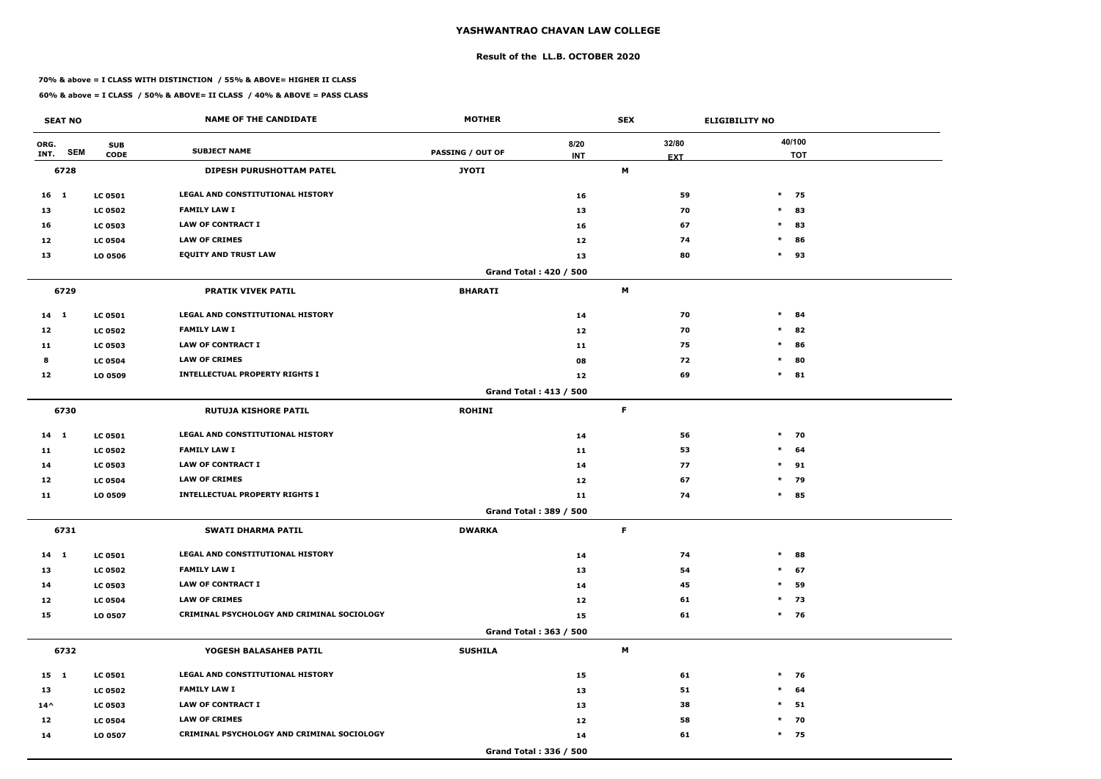#### **Result of the LL.B. OCTOBER 2020**

#### **70% & above = I CLASS WITH DISTINCTION / 55% & ABOVE= HIGHER II CLASS**

| <b>SEAT NO</b>  |                                         | <b>NAME OF THE CANDIDATE</b>               | <b>MOTHER</b>           |                               | <b>SEX</b>  |                     | <b>ELIGIBILITY NO</b> |                      |
|-----------------|-----------------------------------------|--------------------------------------------|-------------------------|-------------------------------|-------------|---------------------|-----------------------|----------------------|
| ORG.<br>INT.    | <b>SUB</b><br><b>SEM</b><br><b>CODE</b> | <b>SUBJECT NAME</b>                        | <b>PASSING / OUT OF</b> | 8/20<br><b>INT</b>            |             | 32/80<br><b>EXT</b> |                       | 40/100<br><b>TOT</b> |
| 6728            |                                         | <b>DIPESH PURUSHOTTAM PATEL</b>            | <b>JYOTI</b>            |                               | M           |                     |                       |                      |
| 16 <sub>1</sub> | <b>LC 0501</b>                          | LEGAL AND CONSTITUTIONAL HISTORY           |                         | 16                            |             | 59                  | $*$ 75                |                      |
| 13              | <b>LC 0502</b>                          | <b>FAMILY LAW I</b>                        |                         | 13                            |             | 70                  | $*$ 83                |                      |
| 16              | <b>LC 0503</b>                          | <b>LAW OF CONTRACT I</b>                   |                         | 16                            |             | 67                  | $\ast$                | 83                   |
| 12              | <b>LC 0504</b>                          | <b>LAW OF CRIMES</b>                       |                         | 12                            |             | 74                  | $\ast$                | 86                   |
| 13              | LO 0506                                 | <b>EQUITY AND TRUST LAW</b>                |                         | 13                            |             | 80                  | $*$ 93                |                      |
|                 |                                         |                                            |                         | <b>Grand Total: 420 / 500</b> |             |                     |                       |                      |
| 6729            |                                         | <b>PRATIK VIVEK PATIL</b>                  | <b>BHARATI</b>          |                               | M           |                     |                       |                      |
| $14 \quad 1$    | <b>LC 0501</b>                          | LEGAL AND CONSTITUTIONAL HISTORY           |                         | 14                            |             | 70                  | $\ast$                | 84                   |
| 12              | <b>LC 0502</b>                          | <b>FAMILY LAW I</b>                        |                         | 12                            |             | 70                  | $\ast$                | 82                   |
| 11              | <b>LC 0503</b>                          | <b>LAW OF CONTRACT I</b>                   |                         | 11                            |             | 75                  | $*$ 86                |                      |
| 8               | <b>LC 0504</b>                          | <b>LAW OF CRIMES</b>                       |                         | 08                            |             | 72                  | $\ast$                | 80                   |
| 12              | LO 0509                                 | <b>INTELLECTUAL PROPERTY RIGHTS I</b>      |                         | 12                            |             | 69                  | $*$ 81                |                      |
|                 |                                         |                                            |                         | Grand Total: 413 / 500        |             |                     |                       |                      |
| 6730            |                                         | <b>RUTUJA KISHORE PATIL</b>                | <b>ROHINI</b>           |                               | F           |                     |                       |                      |
| 14 1            | <b>LC 0501</b>                          | LEGAL AND CONSTITUTIONAL HISTORY           |                         | 14                            |             | 56                  | $*$ 70                |                      |
| 11              | <b>LC 0502</b>                          | <b>FAMILY LAW I</b>                        |                         | 11                            |             | 53                  | $*$ 64                |                      |
| 14              | <b>LC 0503</b>                          | <b>LAW OF CONTRACT I</b>                   |                         | 14                            |             | 77                  | $*$ 91                |                      |
| 12              | <b>LC 0504</b>                          | <b>LAW OF CRIMES</b>                       |                         | 12                            |             | 67                  | $\ast$                | 79                   |
| 11              | LO 0509                                 | <b>INTELLECTUAL PROPERTY RIGHTS I</b>      |                         | 11                            |             | 74                  | $*$ 85                |                      |
|                 |                                         |                                            |                         | Grand Total: 389 / 500        |             |                     |                       |                      |
| 6731            |                                         | <b>SWATI DHARMA PATIL</b>                  | <b>DWARKA</b>           |                               | $\mathsf F$ |                     |                       |                      |
| 14 1            | <b>LC 0501</b>                          | LEGAL AND CONSTITUTIONAL HISTORY           |                         | 14                            |             | 74                  | $*$ 88                |                      |
| 13              | <b>LC 0502</b>                          | <b>FAMILY LAW I</b>                        |                         | 13                            |             | 54                  | $*$ 67                |                      |
| 14              | <b>LC 0503</b>                          | <b>LAW OF CONTRACT I</b>                   |                         | 14                            |             | 45                  | $\ast$                | 59                   |
| 12              | <b>LC 0504</b>                          | <b>LAW OF CRIMES</b>                       |                         | 12                            |             | 61                  | $*$ 73                |                      |
| 15              | LO 0507                                 | CRIMINAL PSYCHOLOGY AND CRIMINAL SOCIOLOGY |                         | 15                            |             | 61                  | $*$ 76                |                      |
|                 |                                         |                                            |                         | Grand Total: 363 / 500        |             |                     |                       |                      |
| 6732            |                                         | YOGESH BALASAHEB PATIL                     | <b>SUSHILA</b>          |                               | M           |                     |                       |                      |
| 15 1            | <b>LC 0501</b>                          | LEGAL AND CONSTITUTIONAL HISTORY           |                         | 15                            |             | 61                  | $*$ 76                |                      |
| 13              | <b>LC 0502</b>                          | <b>FAMILY LAW I</b>                        |                         | 13                            |             | 51                  | $*$ 64                |                      |
| $14^{\wedge}$   | <b>LC 0503</b>                          | LAW OF CONTRACT I                          |                         | 13                            |             | 38                  | $*$ 51                |                      |
| 12              | <b>LC 0504</b>                          | <b>LAW OF CRIMES</b>                       |                         | 12                            |             | 58                  | $*$ 70                |                      |
| 14              | LO 0507                                 | CRIMINAL PSYCHOLOGY AND CRIMINAL SOCIOLOGY |                         | 14                            |             | 61                  | $*$ 75                |                      |
|                 |                                         |                                            |                         | Grand Total: 336 / 500        |             |                     |                       |                      |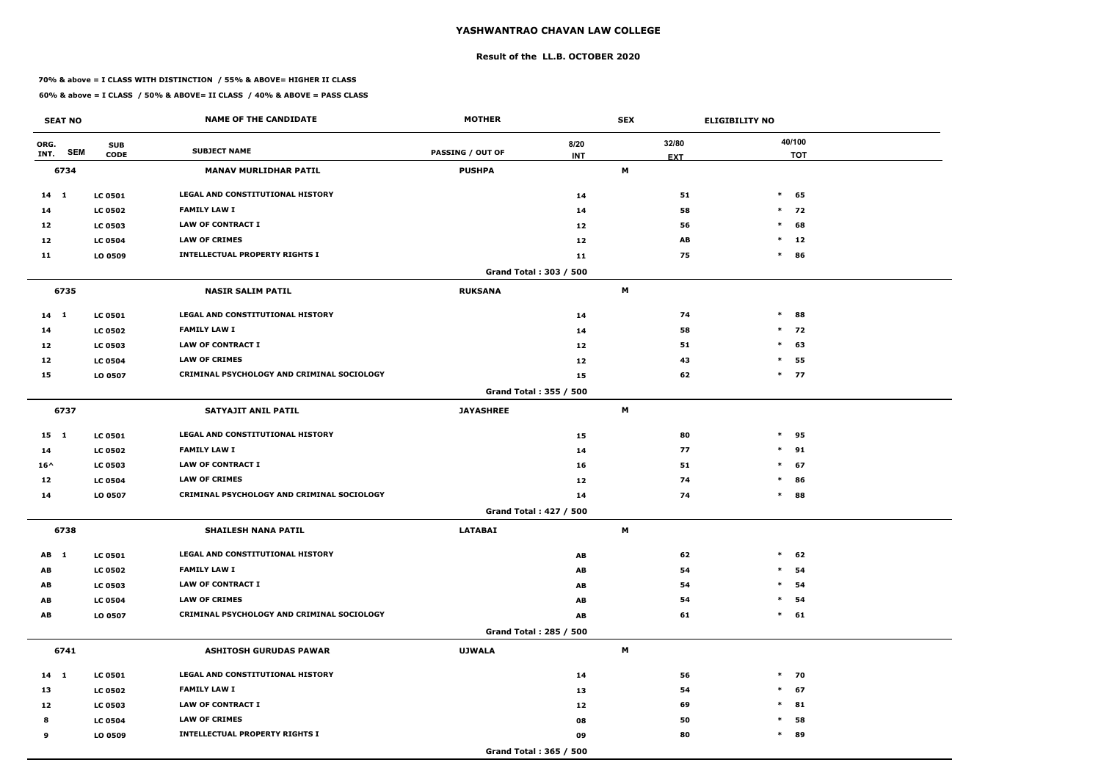#### **Result of the LL.B. OCTOBER 2020**

#### **70% & above = I CLASS WITH DISTINCTION / 55% & ABOVE= HIGHER II CLASS**

| <b>SEAT NO</b>             |                           | <b>NAME OF THE CANDIDATE</b>                      | <b>MOTHER</b>           |                               | <b>SEX</b> |                     | <b>ELIGIBILITY NO</b> |
|----------------------------|---------------------------|---------------------------------------------------|-------------------------|-------------------------------|------------|---------------------|-----------------------|
| ORG.<br><b>SEM</b><br>INT. | <b>SUB</b><br><b>CODE</b> | <b>SUBJECT NAME</b>                               | <b>PASSING / OUT OF</b> | 8/20<br><b>INT</b>            |            | 32/80<br><b>EXT</b> | 40/100<br><b>TOT</b>  |
| 6734                       |                           | <b>MANAV MURLIDHAR PATIL</b>                      | <b>PUSHPA</b>           |                               | M          |                     |                       |
| 14 1                       | <b>LC 0501</b>            | LEGAL AND CONSTITUTIONAL HISTORY                  |                         | 14                            |            | 51                  | $\ast$<br>65          |
| 14                         | <b>LC 0502</b>            | <b>FAMILY LAW I</b>                               |                         | 14                            |            | 58                  | $*$ 72                |
| 12                         | <b>LC 0503</b>            | <b>LAW OF CONTRACT I</b>                          |                         | 12                            |            | 56                  | $\ast$<br>68          |
| 12                         | <b>LC 0504</b>            | <b>LAW OF CRIMES</b>                              |                         | 12                            |            | AB                  | $\ast$<br>12          |
| 11                         | LO 0509                   | <b>INTELLECTUAL PROPERTY RIGHTS I</b>             |                         | 11                            |            | 75                  | $\ast$<br>86          |
|                            |                           |                                                   |                         | Grand Total: 303 / 500        |            |                     |                       |
| 6735                       |                           | <b>NASIR SALIM PATIL</b>                          | <b>RUKSANA</b>          |                               | M          |                     |                       |
| $14$ 1                     | <b>LC 0501</b>            | <b>LEGAL AND CONSTITUTIONAL HISTORY</b>           |                         | 14                            |            | 74                  | $\ast$<br>88          |
| 14                         | <b>LC 0502</b>            | <b>FAMILY LAW I</b>                               |                         | 14                            |            | 58                  | $*$ 72                |
| 12                         | <b>LC 0503</b>            | <b>LAW OF CONTRACT I</b>                          |                         | 12                            |            | 51                  | $\ast$<br>63          |
| 12                         | <b>LC 0504</b>            | <b>LAW OF CRIMES</b>                              |                         | 12                            |            | 43                  | 55<br>$\ast$          |
| 15                         | LO 0507                   | <b>CRIMINAL PSYCHOLOGY AND CRIMINAL SOCIOLOGY</b> |                         | 15                            |            | 62                  | $*$ 77                |
|                            |                           |                                                   |                         | Grand Total: 355 / 500        |            |                     |                       |
| 6737                       |                           | SATYAJIT ANIL PATIL                               | <b>JAYASHREE</b>        |                               | M          |                     |                       |
| $15 \quad 1$               | <b>LC 0501</b>            | LEGAL AND CONSTITUTIONAL HISTORY                  |                         | 15                            |            | 80                  | $\ast$<br>95          |
| 14                         | <b>LC 0502</b>            | <b>FAMILY LAW I</b>                               |                         | 14                            |            | 77                  | $\ast$<br>91          |
| $16^{\wedge}$              | <b>LC 0503</b>            | <b>LAW OF CONTRACT I</b>                          |                         | 16                            |            | 51                  | $\ast$<br>67          |
| 12                         | <b>LC 0504</b>            | <b>LAW OF CRIMES</b>                              |                         | 12                            |            | 74                  | $\ast$<br>86          |
| 14                         | LO 0507                   | CRIMINAL PSYCHOLOGY AND CRIMINAL SOCIOLOGY        |                         | 14                            |            | 74                  | $\ast$<br>88          |
|                            |                           |                                                   |                         | <b>Grand Total: 427 / 500</b> |            |                     |                       |
| 6738                       |                           | <b>SHAILESH NANA PATIL</b>                        | <b>LATABAI</b>          |                               | M          |                     |                       |
| AB 1                       | <b>LC 0501</b>            | LEGAL AND CONSTITUTIONAL HISTORY                  |                         | AB                            |            | 62                  | $\ast$<br>62          |
| AB                         | <b>LC 0502</b>            | <b>FAMILY LAW I</b>                               |                         | AB                            |            | 54                  | $\ast$<br>54          |
| AB                         | <b>LC 0503</b>            | <b>LAW OF CONTRACT I</b>                          |                         | AB                            |            | 54                  | $\ast$<br>54          |
| AB                         | <b>LC 0504</b>            | <b>LAW OF CRIMES</b>                              |                         | AB                            |            | 54                  | 54<br>$\ast$          |
| AB                         | LO 0507                   | CRIMINAL PSYCHOLOGY AND CRIMINAL SOCIOLOGY        |                         | AB                            |            | 61                  | 61<br>$\ast$          |
|                            |                           |                                                   |                         | Grand Total: 285 / 500        |            |                     |                       |
| 6741                       |                           | <b>ASHITOSH GURUDAS PAWAR</b>                     | <b>UJWALA</b>           |                               | M          |                     |                       |
| $14 \quad 1$               | <b>LC 0501</b>            | LEGAL AND CONSTITUTIONAL HISTORY                  |                         | 14                            |            | 56                  | $*$ 70                |
| 13                         | <b>LC 0502</b>            | <b>FAMILY LAW I</b>                               |                         | 13                            |            | 54                  | $\ast$<br>67          |
| 12                         | <b>LC 0503</b>            | <b>LAW OF CONTRACT I</b>                          |                         | 12                            |            | 69                  | $\ast$<br>81          |
| 8                          | <b>LC 0504</b>            | <b>LAW OF CRIMES</b>                              |                         | 08                            |            | 50                  | 58<br>$\ast$          |
| 9                          | LO 0509                   | <b>INTELLECTUAL PROPERTY RIGHTS I</b>             |                         | 09                            |            | 80                  | $\ast$<br>89          |
|                            |                           |                                                   |                         | Grand Total: 365 / 500        |            |                     |                       |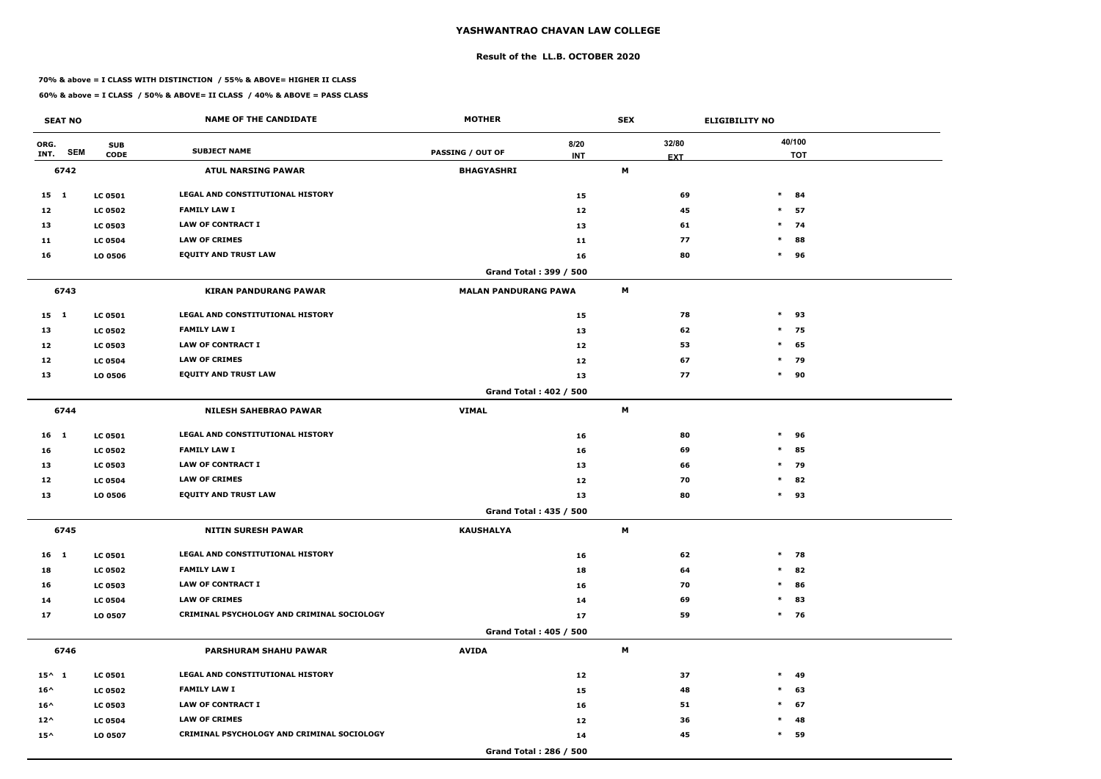#### **Result of the LL.B. OCTOBER 2020**

#### **70% & above = I CLASS WITH DISTINCTION / 55% & ABOVE= HIGHER II CLASS**

| <b>SEAT NO</b>             |                           | <b>NAME OF THE CANDIDATE</b>               | <b>MOTHER</b>                 |                    | <b>SEX</b> |                     | <b>ELIGIBILITY NO</b> |
|----------------------------|---------------------------|--------------------------------------------|-------------------------------|--------------------|------------|---------------------|-----------------------|
| ORG.<br><b>SEM</b><br>INT. | <b>SUB</b><br><b>CODE</b> | <b>SUBJECT NAME</b>                        | <b>PASSING / OUT OF</b>       | 8/20<br><b>INT</b> |            | 32/80<br><b>EXT</b> | 40/100<br><b>TOT</b>  |
| 6742                       |                           | <b>ATUL NARSING PAWAR</b>                  | <b>BHAGYASHRI</b>             |                    | M          |                     |                       |
| $15 \quad 1$               | <b>LC 0501</b>            | LEGAL AND CONSTITUTIONAL HISTORY           |                               | 15                 |            | 69                  | $*$ 84                |
| 12                         | <b>LC 0502</b>            | <b>FAMILY LAW I</b>                        |                               | 12                 |            | 45                  | $\ast$<br>57          |
| 13                         | <b>LC 0503</b>            | <b>LAW OF CONTRACT I</b>                   |                               | 13                 |            | 61                  | $*$ 74                |
| 11                         | <b>LC 0504</b>            | <b>LAW OF CRIMES</b>                       |                               | 11                 |            | 77                  | $\ast$<br>88          |
| 16                         | LO 0506                   | <b>EQUITY AND TRUST LAW</b>                |                               | 16                 |            | 80                  | $\ast$<br>96          |
|                            |                           |                                            | Grand Total: 399 / 500        |                    |            |                     |                       |
| 6743                       |                           | <b>KIRAN PANDURANG PAWAR</b>               | <b>MALAN PANDURANG PAWA</b>   |                    | M          |                     |                       |
| $15 \quad 1$               | <b>LC 0501</b>            | LEGAL AND CONSTITUTIONAL HISTORY           |                               | 15                 |            | 78                  | $*$ 93                |
| 13                         | <b>LC 0502</b>            | <b>FAMILY LAW I</b>                        |                               | 13                 |            | 62                  | $\ast$<br>75          |
| 12                         | <b>LC 0503</b>            | LAW OF CONTRACT I                          |                               | 12                 |            | 53                  | $*$ 65                |
| 12                         | <b>LC 0504</b>            | <b>LAW OF CRIMES</b>                       |                               | 12                 |            | 67                  | * 79                  |
| 13                         | LO 0506                   | <b>EQUITY AND TRUST LAW</b>                |                               | 13                 |            | 77                  | $\ast$<br>90          |
|                            |                           |                                            | <b>Grand Total: 402 / 500</b> |                    |            |                     |                       |
| 6744                       |                           | <b>NILESH SAHEBRAO PAWAR</b>               | <b>VIMAL</b>                  |                    | М          |                     |                       |
| $16 \quad 1$               | <b>LC 0501</b>            | LEGAL AND CONSTITUTIONAL HISTORY           |                               | 16                 |            | 80                  | $*$ 96                |
| 16                         | <b>LC 0502</b>            | <b>FAMILY LAW I</b>                        |                               | 16                 |            | 69                  | $\ast$<br>85          |
| 13                         | <b>LC 0503</b>            | <b>LAW OF CONTRACT I</b>                   |                               | 13                 |            | 66                  | $*$ 79                |
| 12                         | <b>LC 0504</b>            | <b>LAW OF CRIMES</b>                       |                               | 12                 |            | 70                  | $\ast$<br>82          |
| 13                         | LO 0506                   | <b>EQUITY AND TRUST LAW</b>                |                               | 13                 |            | 80                  | $*$ 93                |
|                            |                           |                                            | <b>Grand Total: 435 / 500</b> |                    |            |                     |                       |
| 6745                       |                           | <b>NITIN SURESH PAWAR</b>                  | <b>KAUSHALYA</b>              |                    | M          |                     |                       |
| 16 1                       | <b>LC 0501</b>            | <b>LEGAL AND CONSTITUTIONAL HISTORY</b>    |                               | 16                 |            | 62                  | $*$ 78                |
| 18                         | <b>LC 0502</b>            | <b>FAMILY LAW I</b>                        |                               | 18                 |            | 64                  | $*$ 82                |
| 16                         | <b>LC 0503</b>            | LAW OF CONTRACT I                          |                               | 16                 |            | 70                  | $*$ 86                |
| 14                         | <b>LC 0504</b>            | <b>LAW OF CRIMES</b>                       |                               | 14                 |            | 69                  | $*$ 83                |
| 17                         | LO 0507                   | CRIMINAL PSYCHOLOGY AND CRIMINAL SOCIOLOGY |                               | 17                 |            | 59                  | $*$ 76                |
|                            |                           |                                            | Grand Total: 405 / 500        |                    |            |                     |                       |
| 6746                       |                           | <b>PARSHURAM SHAHU PAWAR</b>               | <b>AVIDA</b>                  |                    | M          |                     |                       |
| $15^{\wedge}$ 1            | <b>LC 0501</b>            | LEGAL AND CONSTITUTIONAL HISTORY           |                               | 12                 |            | 37                  | $*$ 49                |
| $16^{\wedge}$              | <b>LC 0502</b>            | <b>FAMILY LAW I</b>                        |                               | 15                 |            | 48                  | $\ast$<br>63          |
| $16^{\wedge}$              | <b>LC 0503</b>            | LAW OF CONTRACT I                          |                               | 16                 |            | 51                  | $*$ 67                |
| $12^{\wedge}$              | <b>LC 0504</b>            | <b>LAW OF CRIMES</b>                       |                               | 12                 |            | 36                  | $*$ 48                |
| $15^{\wedge}$              | LO 0507                   | CRIMINAL PSYCHOLOGY AND CRIMINAL SOCIOLOGY |                               | 14                 |            | 45                  | $\ast$<br>59          |
|                            |                           |                                            | Grand Total: 286 / 500        |                    |            |                     |                       |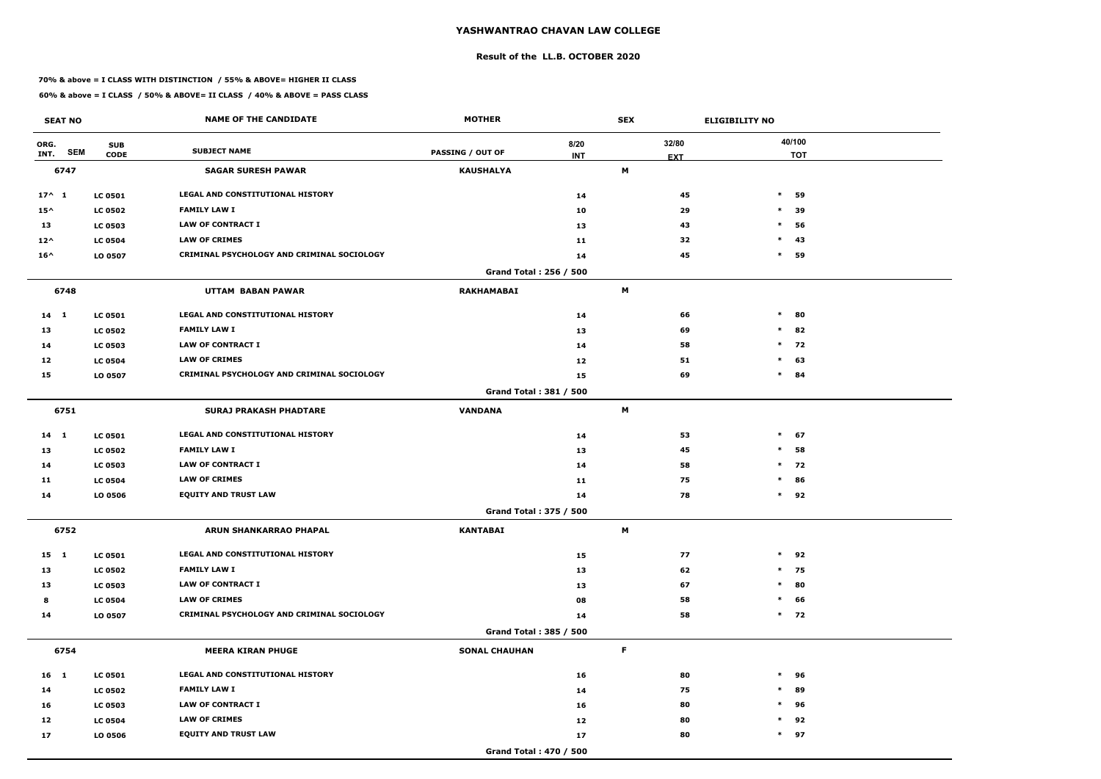#### **Result of the LL.B. OCTOBER 2020**

#### **70% & above = I CLASS WITH DISTINCTION / 55% & ABOVE= HIGHER II CLASS**

| <b>SEAT NO</b>             |                           | <b>NAME OF THE CANDIDATE</b>               | <b>MOTHER</b>           |                    | <b>SEX</b>  |                     | <b>ELIGIBILITY NO</b> |
|----------------------------|---------------------------|--------------------------------------------|-------------------------|--------------------|-------------|---------------------|-----------------------|
| ORG.<br><b>SEM</b><br>INT. | <b>SUB</b><br><b>CODE</b> | <b>SUBJECT NAME</b>                        | <b>PASSING / OUT OF</b> | 8/20<br><b>INT</b> |             | 32/80<br><b>EXT</b> | 40/100<br><b>TOT</b>  |
| 6747                       |                           | <b>SAGAR SURESH PAWAR</b>                  | <b>KAUSHALYA</b>        |                    | M           |                     |                       |
| $17^{\wedge} 1$            | <b>LC 0501</b>            | <b>LEGAL AND CONSTITUTIONAL HISTORY</b>    |                         | 14                 |             | 45                  | $\ast$<br>59          |
| $15^{\wedge}$              | <b>LC 0502</b>            | <b>FAMILY LAW I</b>                        |                         | 10                 |             | 29                  | $\ast$<br>39          |
| 13                         | <b>LC 0503</b>            | <b>LAW OF CONTRACT I</b>                   |                         | 13                 |             | 43                  | $\ast$<br>56          |
| $12^{\wedge}$              | <b>LC 0504</b>            | <b>LAW OF CRIMES</b>                       |                         | 11                 |             | 32                  | $\ast$<br>43          |
| $16^{\wedge}$              | LO 0507                   | CRIMINAL PSYCHOLOGY AND CRIMINAL SOCIOLOGY |                         | 14                 |             | 45                  | $\ast$<br>59          |
|                            |                           |                                            | Grand Total: 256 / 500  |                    |             |                     |                       |
| 6748                       |                           | UTTAM BABAN PAWAR                          | <b>RAKHAMABAI</b>       |                    | M           |                     |                       |
| $14$ 1                     | <b>LC 0501</b>            | LEGAL AND CONSTITUTIONAL HISTORY           |                         | 14                 |             | 66                  | $\ast$<br>80          |
| 13                         | <b>LC 0502</b>            | <b>FAMILY LAW I</b>                        |                         | 13                 |             | 69                  | $\ast$<br>82          |
| 14                         | <b>LC 0503</b>            | <b>LAW OF CONTRACT I</b>                   |                         | 14                 |             | 58                  | $*$ 72                |
| 12                         | <b>LC 0504</b>            | <b>LAW OF CRIMES</b>                       |                         | 12                 |             | 51                  | 63<br>$\ast$          |
| 15                         | LO 0507                   | CRIMINAL PSYCHOLOGY AND CRIMINAL SOCIOLOGY |                         | 15                 |             | 69                  | $\ast$<br>84          |
|                            |                           |                                            | Grand Total: 381 / 500  |                    |             |                     |                       |
| 6751                       |                           | <b>SURAJ PRAKASH PHADTARE</b>              | <b>VANDANA</b>          |                    | M           |                     |                       |
| 14 1                       | <b>LC 0501</b>            | LEGAL AND CONSTITUTIONAL HISTORY           |                         | 14                 |             | 53                  | $\ast$<br>67          |
| 13                         | <b>LC 0502</b>            | <b>FAMILY LAW I</b>                        |                         | 13                 |             | 45                  | 58<br>$\ast$          |
| 14                         | <b>LC 0503</b>            | <b>LAW OF CONTRACT I</b>                   |                         | 14                 |             | 58                  | $*$<br>72             |
| 11                         | <b>LC 0504</b>            | <b>LAW OF CRIMES</b>                       |                         | 11                 |             | 75                  | $\ast$<br>86          |
| 14                         | LO 0506                   | <b>EQUITY AND TRUST LAW</b>                |                         | 14                 |             | 78                  | $*$ 92                |
|                            |                           |                                            | Grand Total: 375 / 500  |                    |             |                     |                       |
| 6752                       |                           | ARUN SHANKARRAO PHAPAL                     | <b>KANTABAI</b>         |                    | M           |                     |                       |
| 15 1                       | <b>LC 0501</b>            | LEGAL AND CONSTITUTIONAL HISTORY           |                         | 15                 |             | 77                  | $*$ 92                |
| 13                         | <b>LC 0502</b>            | <b>FAMILY LAW I</b>                        |                         | 13                 |             | 62                  | $*$ 75                |
| 13                         | <b>LC 0503</b>            | <b>LAW OF CONTRACT I</b>                   |                         | 13                 |             | 67                  | 80<br>$\ast$          |
| 8                          | <b>LC 0504</b>            | <b>LAW OF CRIMES</b>                       |                         | 08                 |             | 58                  | 66<br>$\ast$          |
| 14                         | LO 0507                   | CRIMINAL PSYCHOLOGY AND CRIMINAL SOCIOLOGY |                         | 14                 |             | 58                  | $*$ 72                |
|                            |                           |                                            | Grand Total: 385 / 500  |                    |             |                     |                       |
| 6754                       |                           | <b>MEERA KIRAN PHUGE</b>                   | <b>SONAL CHAUHAN</b>    |                    | $\mathsf F$ |                     |                       |
| $16 \quad 1$               | <b>LC 0501</b>            | LEGAL AND CONSTITUTIONAL HISTORY           |                         | 16                 |             | 80                  | $\ast$<br>96          |
| 14                         | <b>LC 0502</b>            | <b>FAMILY LAW I</b>                        |                         | 14                 |             | 75                  | $\ast$<br>89          |
| 16                         | <b>LC 0503</b>            | LAW OF CONTRACT I                          |                         | 16                 |             | 80                  | 96<br>$\ast$          |
| 12                         | <b>LC 0504</b>            | <b>LAW OF CRIMES</b>                       |                         | 12                 |             | 80                  | 92<br>$\ast$          |
| 17                         | <b>LO 0506</b>            | <b>EQUITY AND TRUST LAW</b>                |                         | 17                 |             | 80                  | $*$ 97                |
|                            |                           |                                            | Grand Total: 470 / 500  |                    |             |                     |                       |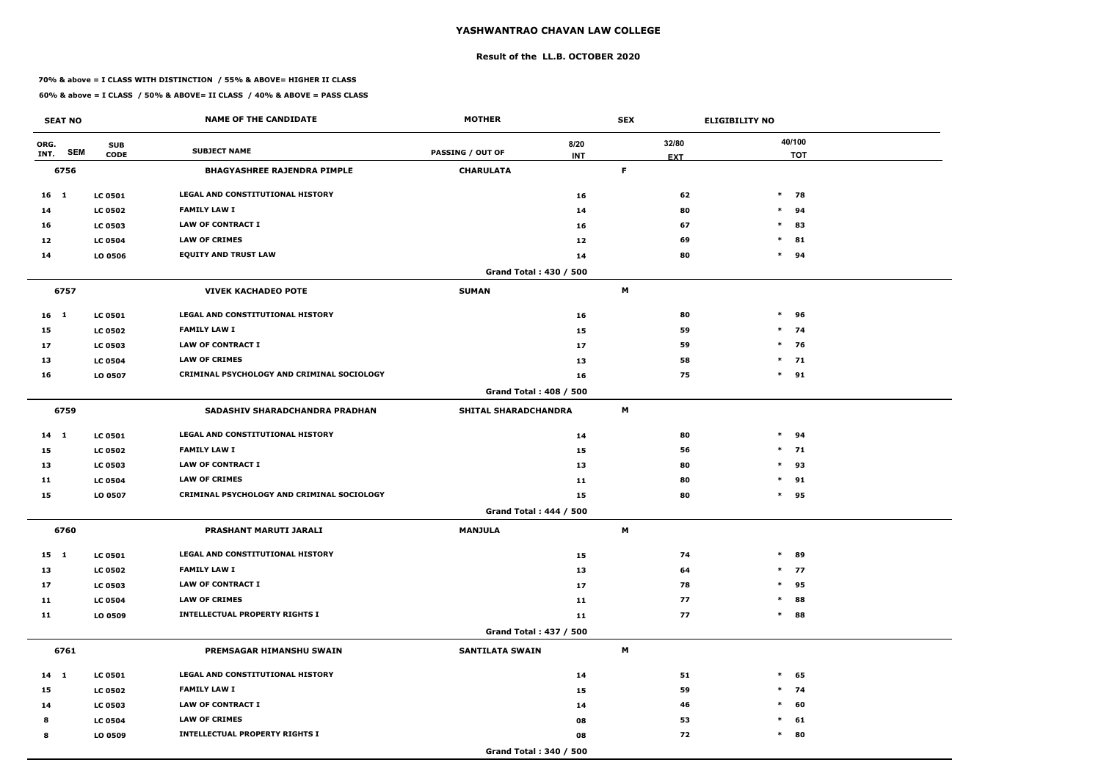#### **Result of the LL.B. OCTOBER 2020**

#### **70% & above = I CLASS WITH DISTINCTION / 55% & ABOVE= HIGHER II CLASS**

| <b>SEAT NO</b>             |                           | <b>NAME OF THE CANDIDATE</b>                      | <b>MOTHER</b>                 |                    | <b>SEX</b> |                     | <b>ELIGIBILITY NO</b> |
|----------------------------|---------------------------|---------------------------------------------------|-------------------------------|--------------------|------------|---------------------|-----------------------|
| ORG.<br><b>SEM</b><br>INT. | <b>SUB</b><br><b>CODE</b> | <b>SUBJECT NAME</b>                               | <b>PASSING / OUT OF</b>       | 8/20<br><b>INT</b> |            | 32/80<br><b>EXT</b> | 40/100<br><b>TOT</b>  |
| 6756                       |                           | <b>BHAGYASHREE RAJENDRA PIMPLE</b>                | <b>CHARULATA</b>              |                    | F          |                     |                       |
| 16 1                       | <b>LC 0501</b>            | <b>LEGAL AND CONSTITUTIONAL HISTORY</b>           |                               | 16                 |            | 62                  | $\ast$<br>78          |
| 14                         | <b>LC 0502</b>            | <b>FAMILY LAW I</b>                               |                               | 14                 |            | 80                  | $\ast$<br>94          |
| 16                         | <b>LC 0503</b>            | <b>LAW OF CONTRACT I</b>                          |                               | 16                 |            | 67                  | 83<br>$\ast$          |
| 12                         | <b>LC 0504</b>            | <b>LAW OF CRIMES</b>                              |                               | 12                 |            | 69                  | $\ast$<br>81          |
| 14                         | LO 0506                   | <b>EQUITY AND TRUST LAW</b>                       |                               | 14                 |            | 80                  | $\ast$<br>94          |
|                            |                           |                                                   | Grand Total: 430 / 500        |                    |            |                     |                       |
| 6757                       |                           | <b>VIVEK KACHADEO POTE</b>                        | <b>SUMAN</b>                  |                    | M          |                     |                       |
| $16$ 1                     | <b>LC 0501</b>            | <b>LEGAL AND CONSTITUTIONAL HISTORY</b>           |                               | 16                 |            | 80                  | $\ast$<br>96          |
| 15                         | <b>LC 0502</b>            | <b>FAMILY LAW I</b>                               |                               | 15                 |            | 59                  | $\ast$<br>74          |
| 17                         | <b>LC 0503</b>            | <b>LAW OF CONTRACT I</b>                          |                               | 17                 |            | 59                  | $\ast$<br>76          |
| 13                         | <b>LC 0504</b>            | <b>LAW OF CRIMES</b>                              |                               | 13                 |            | 58                  | $*$ 71                |
| 16                         | LO 0507                   | <b>CRIMINAL PSYCHOLOGY AND CRIMINAL SOCIOLOGY</b> |                               | 16                 |            | 75                  | $\ast$<br>91          |
|                            |                           |                                                   | Grand Total: 408 / 500        |                    |            |                     |                       |
| 6759                       |                           | SADASHIV SHARADCHANDRA PRADHAN                    | <b>SHITAL SHARADCHANDRA</b>   |                    | М          |                     |                       |
| 14 1                       | <b>LC 0501</b>            | LEGAL AND CONSTITUTIONAL HISTORY                  |                               | 14                 |            | 80                  | $\ast$<br>94          |
| 15                         | <b>LC 0502</b>            | <b>FAMILY LAW I</b>                               |                               | 15                 |            | 56                  | $\ast$<br>71          |
| 13                         | <b>LC 0503</b>            | <b>LAW OF CONTRACT I</b>                          |                               | 13                 |            | 80                  | $\ast$<br>93          |
| 11                         | <b>LC 0504</b>            | <b>LAW OF CRIMES</b>                              |                               | 11                 |            | 80                  | $\ast$<br>91          |
| 15                         | LO 0507                   | CRIMINAL PSYCHOLOGY AND CRIMINAL SOCIOLOGY        |                               | 15                 |            | 80                  | $\ast$<br>95          |
|                            |                           |                                                   | <b>Grand Total: 444 / 500</b> |                    |            |                     |                       |
| 6760                       |                           | <b>PRASHANT MARUTI JARALI</b>                     | <b>MANJULA</b>                |                    | M          |                     |                       |
| $15 \quad 1$               | <b>LC 0501</b>            | LEGAL AND CONSTITUTIONAL HISTORY                  |                               | 15                 |            | 74                  | $\ast$<br>89          |
| 13                         | <b>LC 0502</b>            | <b>FAMILY LAW I</b>                               |                               | 13                 |            | 64                  | 77<br>$\ast$          |
| 17                         | <b>LC 0503</b>            | LAW OF CONTRACT I                                 |                               | 17                 |            | 78                  | 95<br>$\ast$          |
| 11                         | <b>LC 0504</b>            | <b>LAW OF CRIMES</b>                              |                               | 11                 |            | 77                  | 88<br>$\ast$          |
| 11                         | LO 0509                   | <b>INTELLECTUAL PROPERTY RIGHTS I</b>             |                               | 11                 |            | 77                  | 88<br>$\ast$          |
|                            |                           |                                                   | <b>Grand Total: 437 / 500</b> |                    |            |                     |                       |
| 6761                       |                           | PREMSAGAR HIMANSHU SWAIN                          | <b>SANTILATA SWAIN</b>        |                    | M          |                     |                       |
| 14 1                       | <b>LC 0501</b>            | LEGAL AND CONSTITUTIONAL HISTORY                  |                               | 14                 |            | 51                  | $\ast$<br>65          |
| 15                         | <b>LC 0502</b>            | <b>FAMILY LAW I</b>                               |                               | 15                 |            | 59                  | 74<br>$\ast$          |
| 14                         | <b>LC 0503</b>            | <b>LAW OF CONTRACT I</b>                          |                               | 14                 |            | 46                  | $\ast$<br>60          |
| 8                          | <b>LC 0504</b>            | <b>LAW OF CRIMES</b>                              |                               | 08                 |            | 53                  | $\ast$<br>61          |
| 8                          | LO 0509                   | <b>INTELLECTUAL PROPERTY RIGHTS I</b>             |                               | 08                 |            | 72                  | $\ast$<br>80          |
|                            |                           |                                                   | Grand Total: 340 / 500        |                    |            |                     |                       |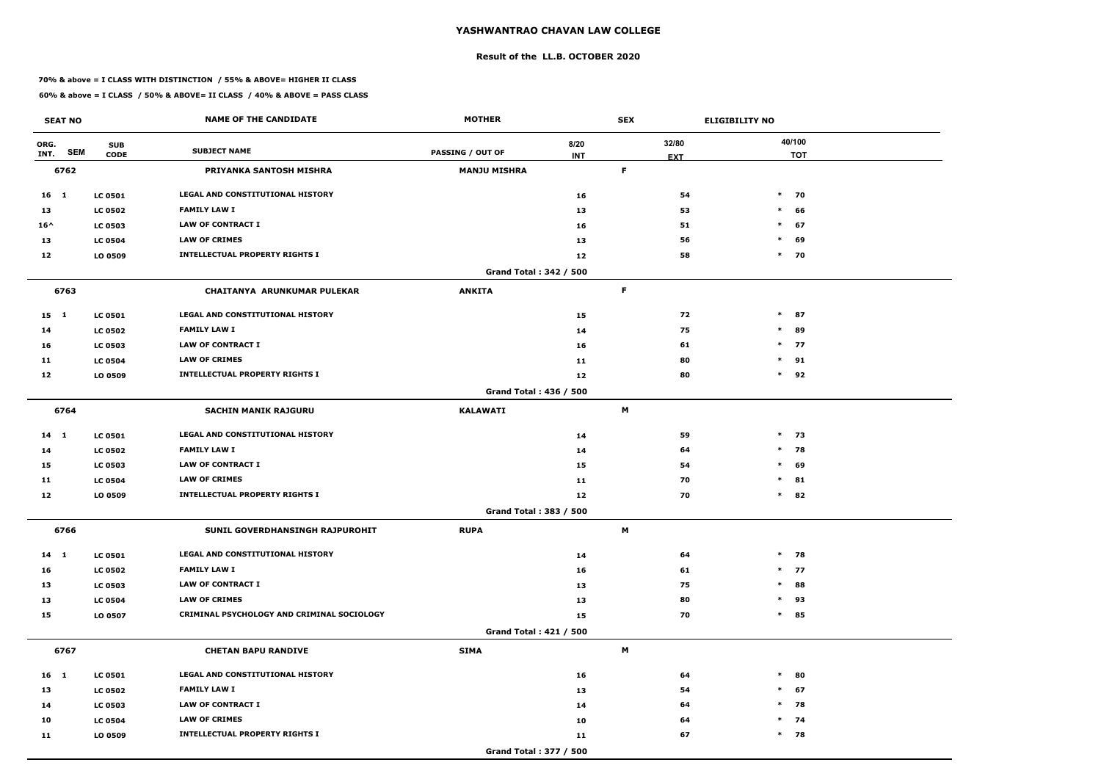#### **Result of the LL.B. OCTOBER 2020**

#### **70% & above = I CLASS WITH DISTINCTION / 55% & ABOVE= HIGHER II CLASS**

| <b>SEAT NO</b>             |                           | <b>NAME OF THE CANDIDATE</b>               | <b>MOTHER</b>                 |                    | <b>SEX</b>  |                     | <b>ELIGIBILITY NO</b> |
|----------------------------|---------------------------|--------------------------------------------|-------------------------------|--------------------|-------------|---------------------|-----------------------|
| ORG.<br><b>SEM</b><br>INT. | <b>SUB</b><br><b>CODE</b> | <b>SUBJECT NAME</b>                        | <b>PASSING / OUT OF</b>       | 8/20<br><b>INT</b> |             | 32/80<br><b>EXT</b> | 40/100<br><b>TOT</b>  |
| 6762                       |                           | PRIYANKA SANTOSH MISHRA                    | <b>MANJU MISHRA</b>           |                    | $\mathsf F$ |                     |                       |
| 16 1                       | <b>LC 0501</b>            | LEGAL AND CONSTITUTIONAL HISTORY           |                               | 16                 |             | 54                  | $\ast$<br>70          |
| 13                         | <b>LC 0502</b>            | <b>FAMILY LAW I</b>                        |                               | 13                 |             | 53                  | $\ast$<br>66          |
| $16^{\wedge}$              | <b>LC 0503</b>            | <b>LAW OF CONTRACT I</b>                   |                               | 16                 |             | 51                  | $\ast$<br>67          |
| 13                         | <b>LC 0504</b>            | <b>LAW OF CRIMES</b>                       |                               | 13                 |             | 56                  | 69<br>$\ast$          |
| 12                         | LO 0509                   | <b>INTELLECTUAL PROPERTY RIGHTS I</b>      |                               | 12                 |             | 58                  | $*$ 70                |
|                            |                           |                                            | Grand Total: 342 / 500        |                    |             |                     |                       |
| 6763                       |                           | <b>CHAITANYA ARUNKUMAR PULEKAR</b>         | <b>ANKITA</b>                 |                    | F           |                     |                       |
| $15 \quad 1$               | <b>LC 0501</b>            | <b>LEGAL AND CONSTITUTIONAL HISTORY</b>    |                               | 15                 |             | 72                  | $\ast$<br>87          |
| 14                         | <b>LC 0502</b>            | <b>FAMILY LAW I</b>                        |                               | 14                 |             | 75                  | $\ast$<br>89          |
| 16                         | <b>LC 0503</b>            | <b>LAW OF CONTRACT I</b>                   |                               | 16                 |             | 61                  | $*$ 77                |
| 11                         | <b>LC 0504</b>            | <b>LAW OF CRIMES</b>                       |                               | 11                 |             | 80                  | 91<br>$\ast$          |
| 12                         | LO 0509                   | <b>INTELLECTUAL PROPERTY RIGHTS I</b>      |                               | 12                 |             | 80                  | $\ast$<br>92          |
|                            |                           |                                            | Grand Total: 436 / 500        |                    |             |                     |                       |
| 6764                       |                           | <b>SACHIN MANIK RAJGURU</b>                | <b>KALAWATI</b>               |                    | M           |                     |                       |
| 14 1                       | <b>LC 0501</b>            | LEGAL AND CONSTITUTIONAL HISTORY           |                               | 14                 |             | 59                  | $*$ 73                |
| 14                         | <b>LC 0502</b>            | <b>FAMILY LAW I</b>                        |                               | 14                 |             | 64                  | $*$ 78                |
| 15                         | <b>LC 0503</b>            | <b>LAW OF CONTRACT I</b>                   |                               | 15                 |             | 54                  | $\ast$<br>69          |
| 11                         | <b>LC 0504</b>            | <b>LAW OF CRIMES</b>                       |                               | 11                 |             | 70                  | $\ast$<br>81          |
| 12                         | LO 0509                   | <b>INTELLECTUAL PROPERTY RIGHTS I</b>      |                               | 12                 |             | 70                  | $\ast$<br>82          |
|                            |                           |                                            | Grand Total: 383 / 500        |                    |             |                     |                       |
| 6766                       |                           | SUNIL GOVERDHANSINGH RAJPUROHIT            | <b>RUPA</b>                   |                    | M           |                     |                       |
| $14 \quad 1$               | <b>LC 0501</b>            | LEGAL AND CONSTITUTIONAL HISTORY           |                               | 14                 |             | 64                  | $*$ 78                |
| 16                         | <b>LC 0502</b>            | <b>FAMILY LAW I</b>                        |                               | 16                 |             | 61                  | $*$ 77                |
| 13                         | <b>LC 0503</b>            | <b>LAW OF CONTRACT I</b>                   |                               | 13                 |             | 75                  | $\ast$<br>88          |
| 13                         | <b>LC 0504</b>            | <b>LAW OF CRIMES</b>                       |                               | 13                 |             | 80                  | 93<br>$\ast$          |
| 15                         | LO 0507                   | CRIMINAL PSYCHOLOGY AND CRIMINAL SOCIOLOGY |                               | 15                 |             | 70                  | $\ast$<br>85          |
|                            |                           |                                            | <b>Grand Total: 421 / 500</b> |                    |             |                     |                       |
| 6767                       |                           | <b>CHETAN BAPU RANDIVE</b>                 | <b>SIMA</b>                   |                    | M           |                     |                       |
| $16 \quad 1$               | <b>LC 0501</b>            | LEGAL AND CONSTITUTIONAL HISTORY           |                               | 16                 |             | 64                  | $\ast$<br>80          |
| 13                         | <b>LC 0502</b>            | <b>FAMILY LAW I</b>                        |                               | 13                 |             | 54                  | 67<br>$\ast$          |
| 14                         | <b>LC 0503</b>            | <b>LAW OF CONTRACT I</b>                   |                               | 14                 |             | 64                  | $*$ 78                |
| 10                         | <b>LC 0504</b>            | <b>LAW OF CRIMES</b>                       |                               | 10                 |             | 64                  | $*$ 74                |
| 11                         | LO 0509                   | <b>INTELLECTUAL PROPERTY RIGHTS I</b>      |                               | 11                 |             | 67                  | $*$ 78                |
|                            |                           |                                            | Grand Total: 377 / 500        |                    |             |                     |                       |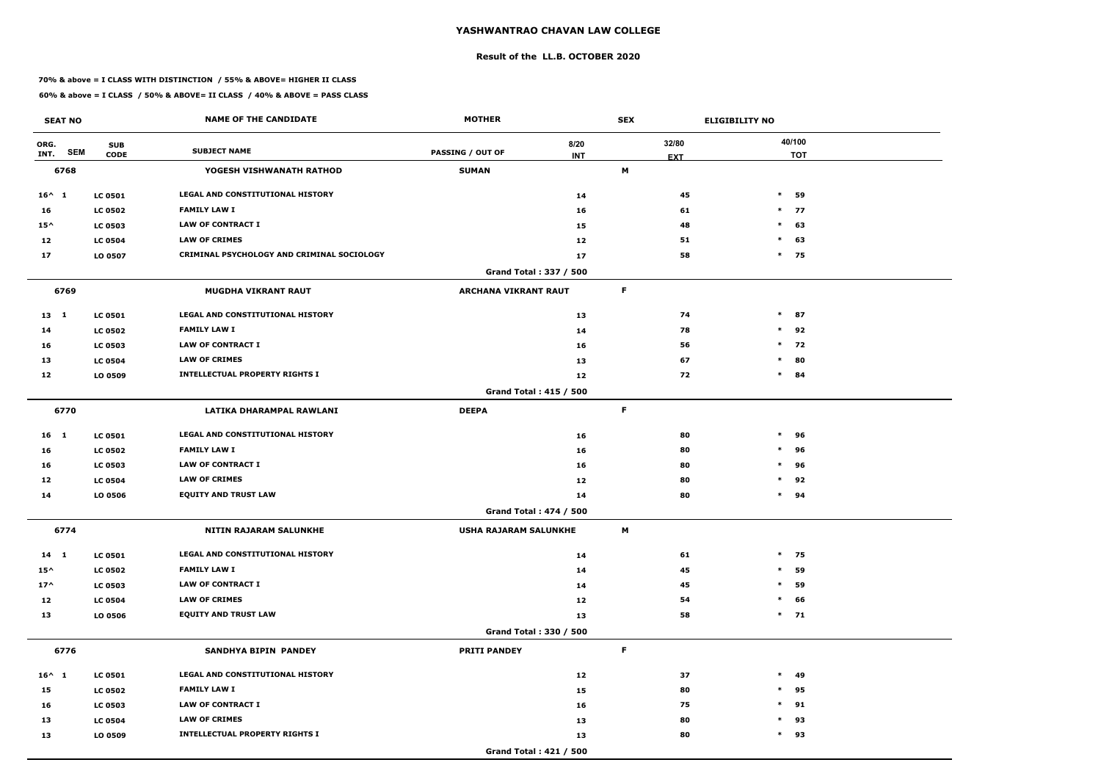#### **Result of the LL.B. OCTOBER 2020**

#### **70% & above = I CLASS WITH DISTINCTION / 55% & ABOVE= HIGHER II CLASS**

| <b>SEAT NO</b>             |                           | <b>NAME OF THE CANDIDATE</b>               | <b>MOTHER</b>               |                               | <b>SEX</b> |                     | <b>ELIGIBILITY NO</b> |
|----------------------------|---------------------------|--------------------------------------------|-----------------------------|-------------------------------|------------|---------------------|-----------------------|
| ORG.<br><b>SEM</b><br>INT. | <b>SUB</b><br><b>CODE</b> | <b>SUBJECT NAME</b>                        | <b>PASSING / OUT OF</b>     | 8/20<br><b>INT</b>            |            | 32/80<br><b>EXT</b> | 40/100<br><b>TOT</b>  |
| 6768                       |                           | YOGESH VISHWANATH RATHOD                   | <b>SUMAN</b>                |                               | M          |                     |                       |
| $16^{\wedge}$ 1            | <b>LC 0501</b>            | <b>LEGAL AND CONSTITUTIONAL HISTORY</b>    |                             | 14                            |            | 45                  | $\ast$<br>59          |
| 16                         | <b>LC 0502</b>            | <b>FAMILY LAW I</b>                        |                             | 16                            |            | 61                  | $*$ 77                |
| $15^{\wedge}$              | <b>LC 0503</b>            | <b>LAW OF CONTRACT I</b>                   |                             | 15                            |            | 48                  | $\ast$<br>63          |
| 12                         | <b>LC 0504</b>            | <b>LAW OF CRIMES</b>                       |                             | 12                            |            | 51                  | $\ast$<br>63          |
| 17                         | LO 0507                   | CRIMINAL PSYCHOLOGY AND CRIMINAL SOCIOLOGY |                             | 17                            |            | 58                  | $*$ 75                |
|                            |                           |                                            |                             | Grand Total: 337 / 500        |            |                     |                       |
| 6769                       |                           | <b>MUGDHA VIKRANT RAUT</b>                 | <b>ARCHANA VIKRANT RAUT</b> |                               | F          |                     |                       |
| 13 1                       | <b>LC 0501</b>            | <b>LEGAL AND CONSTITUTIONAL HISTORY</b>    |                             | 13                            |            | 74                  | $\ast$<br>87          |
| 14                         | <b>LC 0502</b>            | <b>FAMILY LAW I</b>                        |                             | 14                            |            | 78                  | $\ast$<br>92          |
| 16                         | <b>LC 0503</b>            | <b>LAW OF CONTRACT I</b>                   |                             | 16                            |            | 56                  | $*$ 72                |
| 13                         | <b>LC 0504</b>            | <b>LAW OF CRIMES</b>                       |                             | 13                            |            | 67                  | 80<br>$\ast$          |
| 12                         | LO 0509                   | <b>INTELLECTUAL PROPERTY RIGHTS I</b>      |                             | 12                            |            | 72                  | $\ast$<br>84          |
|                            |                           |                                            |                             | <b>Grand Total: 415 / 500</b> |            |                     |                       |
| 6770                       |                           | LATIKA DHARAMPAL RAWLANI                   | <b>DEEPA</b>                |                               | F          |                     |                       |
| 16 <sub>1</sub>            | <b>LC 0501</b>            | LEGAL AND CONSTITUTIONAL HISTORY           |                             | 16                            |            | 80                  | $\ast$<br>96          |
| 16                         | <b>LC 0502</b>            | <b>FAMILY LAW I</b>                        |                             | 16                            |            | 80                  | $\ast$<br>96          |
| 16                         | <b>LC 0503</b>            | <b>LAW OF CONTRACT I</b>                   |                             | 16                            |            | 80                  | $\ast$<br>96          |
| 12                         | <b>LC 0504</b>            | <b>LAW OF CRIMES</b>                       |                             | 12                            |            | 80                  | 92<br>$\ast$          |
| 14                         | LO 0506                   | <b>EQUITY AND TRUST LAW</b>                |                             | 14                            |            | 80                  | $\ast$<br>94          |
|                            |                           |                                            |                             | Grand Total: 474 / 500        |            |                     |                       |
| 6774                       |                           | NITIN RAJARAM SALUNKHE                     | USHA RAJARAM SALUNKHE       |                               | M          |                     |                       |
| $14 \quad 1$               | <b>LC 0501</b>            | LEGAL AND CONSTITUTIONAL HISTORY           |                             | 14                            |            | 61                  | $*$ 75                |
| $15^{\wedge}$              | <b>LC 0502</b>            | <b>FAMILY LAW I</b>                        |                             | 14                            |            | 45                  | $\ast$<br>59          |
| $17^{\wedge}$              | <b>LC 0503</b>            | LAW OF CONTRACT I                          |                             | 14                            |            | 45                  | 59<br>$\ast$          |
| 12                         | <b>LC 0504</b>            | <b>LAW OF CRIMES</b>                       |                             | 12                            |            | 54                  | 66<br>$\ast$          |
| 13                         | <b>LO 0506</b>            | <b>EQUITY AND TRUST LAW</b>                |                             | 13                            |            | 58                  | $*$ 71                |
|                            |                           |                                            |                             | Grand Total: 330 / 500        |            |                     |                       |
| 6776                       |                           | SANDHYA BIPIN PANDEY                       | <b>PRITI PANDEY</b>         |                               | F          |                     |                       |
| $16^{\wedge}$ 1            | <b>LC 0501</b>            | LEGAL AND CONSTITUTIONAL HISTORY           |                             | 12                            |            | 37                  | $\ast$<br>49          |
| 15                         | <b>LC 0502</b>            | <b>FAMILY LAW I</b>                        |                             | 15                            |            | 80                  | 95<br>$\ast$          |
| 16                         | <b>LC 0503</b>            | LAW OF CONTRACT I                          |                             | 16                            |            | 75                  | $*$ 91                |
| 13                         | <b>LC 0504</b>            | <b>LAW OF CRIMES</b>                       |                             | 13                            |            | 80                  | 93<br>$\ast$          |
| 13                         | LO 0509                   | <b>INTELLECTUAL PROPERTY RIGHTS I</b>      |                             | 13                            |            | 80                  | $*$ 93                |
|                            |                           |                                            |                             | Grand Total: 421 / 500        |            |                     |                       |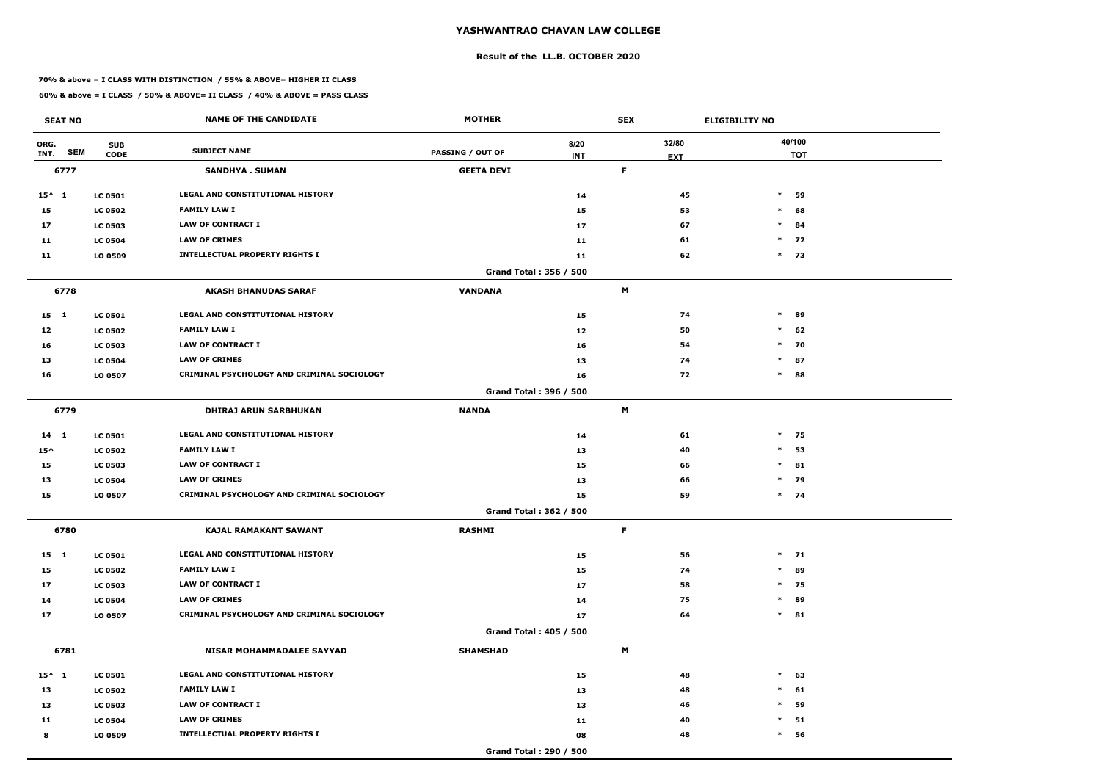#### **Result of the LL.B. OCTOBER 2020**

#### **70% & above = I CLASS WITH DISTINCTION / 55% & ABOVE= HIGHER II CLASS**

| <b>SEAT NO</b>             |                           | <b>NAME OF THE CANDIDATE</b>               | <b>MOTHER</b>           |                    | <b>SEX</b> |                     | <b>ELIGIBILITY NO</b> |                      |
|----------------------------|---------------------------|--------------------------------------------|-------------------------|--------------------|------------|---------------------|-----------------------|----------------------|
| ORG.<br><b>SEM</b><br>INT. | <b>SUB</b><br><b>CODE</b> | <b>SUBJECT NAME</b>                        | <b>PASSING / OUT OF</b> | 8/20<br><b>INT</b> |            | 32/80<br><b>EXT</b> |                       | 40/100<br><b>TOT</b> |
| 6777                       |                           | <b>SANDHYA. SUMAN</b>                      | <b>GEETA DEVI</b>       |                    | F          |                     |                       |                      |
| $15^{\wedge} 1$            | <b>LC 0501</b>            | LEGAL AND CONSTITUTIONAL HISTORY           |                         | 14                 |            | 45                  | $\ast$                | 59                   |
| 15                         | <b>LC 0502</b>            | <b>FAMILY LAW I</b>                        |                         | 15                 |            | 53                  | $\ast$                | 68                   |
| 17                         | <b>LC 0503</b>            | <b>LAW OF CONTRACT I</b>                   |                         | 17                 |            | 67                  | $\ast$                | 84                   |
| 11                         | <b>LC 0504</b>            | <b>LAW OF CRIMES</b>                       |                         | 11                 |            | 61                  |                       | $*$ 72               |
| 11                         | LO 0509                   | <b>INTELLECTUAL PROPERTY RIGHTS I</b>      |                         | 11                 |            | 62                  | $*$ 73                |                      |
|                            |                           |                                            | Grand Total: 356 / 500  |                    |            |                     |                       |                      |
| 6778                       |                           | <b>AKASH BHANUDAS SARAF</b>                | <b>VANDANA</b>          |                    | М          |                     |                       |                      |
| $15 \quad 1$               | <b>LC 0501</b>            | LEGAL AND CONSTITUTIONAL HISTORY           |                         | 15                 |            | 74                  | $\ast$                | 89                   |
| 12                         | <b>LC 0502</b>            | <b>FAMILY LAW I</b>                        |                         | 12                 |            | 50                  | $\ast$                | 62                   |
| 16                         | <b>LC 0503</b>            | <b>LAW OF CONTRACT I</b>                   |                         | 16                 |            | 54                  |                       | $*$ 70               |
| 13                         | <b>LC 0504</b>            | <b>LAW OF CRIMES</b>                       |                         | 13                 |            | 74                  | $\ast$                | 87                   |
| 16                         | LO 0507                   | CRIMINAL PSYCHOLOGY AND CRIMINAL SOCIOLOGY |                         | 16                 |            | 72                  | $\ast$                | 88                   |
|                            |                           |                                            | Grand Total: 396 / 500  |                    |            |                     |                       |                      |
| 6779                       |                           | <b>DHIRAJ ARUN SARBHUKAN</b>               | <b>NANDA</b>            |                    | M          |                     |                       |                      |
| 14 1                       | <b>LC 0501</b>            | LEGAL AND CONSTITUTIONAL HISTORY           |                         | 14                 |            | 61                  | $*$ 75                |                      |
| $15^{\wedge}$              | <b>LC 0502</b>            | <b>FAMILY LAW I</b>                        |                         | 13                 |            | 40                  | $*$                   | 53                   |
| 15                         | <b>LC 0503</b>            | <b>LAW OF CONTRACT I</b>                   |                         | 15                 |            | 66                  | $\ast$                | 81                   |
| 13                         | <b>LC 0504</b>            | <b>LAW OF CRIMES</b>                       |                         | 13                 |            | 66                  | $\ast$                | 79                   |
| 15                         | LO 0507                   | CRIMINAL PSYCHOLOGY AND CRIMINAL SOCIOLOGY |                         | 15                 |            | 59                  |                       | $*$ 74               |
|                            |                           |                                            | Grand Total: 362 / 500  |                    |            |                     |                       |                      |
| 6780                       |                           | <b>KAJAL RAMAKANT SAWANT</b>               | <b>RASHMI</b>           |                    | F          |                     |                       |                      |
| $15 \quad 1$               | <b>LC 0501</b>            | LEGAL AND CONSTITUTIONAL HISTORY           |                         | 15                 |            | 56                  |                       | $*$ 71               |
| 15                         | <b>LC 0502</b>            | <b>FAMILY LAW I</b>                        |                         | 15                 |            | 74                  |                       | $*$ 89               |
| 17                         | <b>LC 0503</b>            | LAW OF CONTRACT I                          |                         | 17                 |            | 58                  |                       | $*$ 75               |
| 14                         | <b>LC 0504</b>            | <b>LAW OF CRIMES</b>                       |                         | 14                 |            | 75                  |                       | * 89                 |
| 17                         | LO 0507                   | CRIMINAL PSYCHOLOGY AND CRIMINAL SOCIOLOGY |                         | 17                 |            | 64                  |                       | $*$ 81               |
|                            |                           |                                            | Grand Total: 405 / 500  |                    |            |                     |                       |                      |
| 6781                       |                           | <b>NISAR MOHAMMADALEE SAYYAD</b>           | <b>SHAMSHAD</b>         |                    | M          |                     |                       |                      |
| $15^{\wedge} 1$            | <b>LC 0501</b>            | LEGAL AND CONSTITUTIONAL HISTORY           |                         | 15                 |            | 48                  | $*$ 63                |                      |
| 13                         | <b>LC 0502</b>            | <b>FAMILY LAW I</b>                        |                         | 13                 |            | 48                  | $\ast$                | 61                   |
| 13                         | <b>LC 0503</b>            | LAW OF CONTRACT I                          |                         | 13                 |            | 46                  | $\ast$                | 59                   |
| 11                         | <b>LC 0504</b>            | <b>LAW OF CRIMES</b>                       |                         | 11                 |            | 40                  | $\ast$                | 51                   |
| 8                          | LO 0509                   | <b>INTELLECTUAL PROPERTY RIGHTS I</b>      |                         | 08                 |            | 48                  | $\ast$                | 56                   |
|                            |                           |                                            | Grand Total: 290 / 500  |                    |            |                     |                       |                      |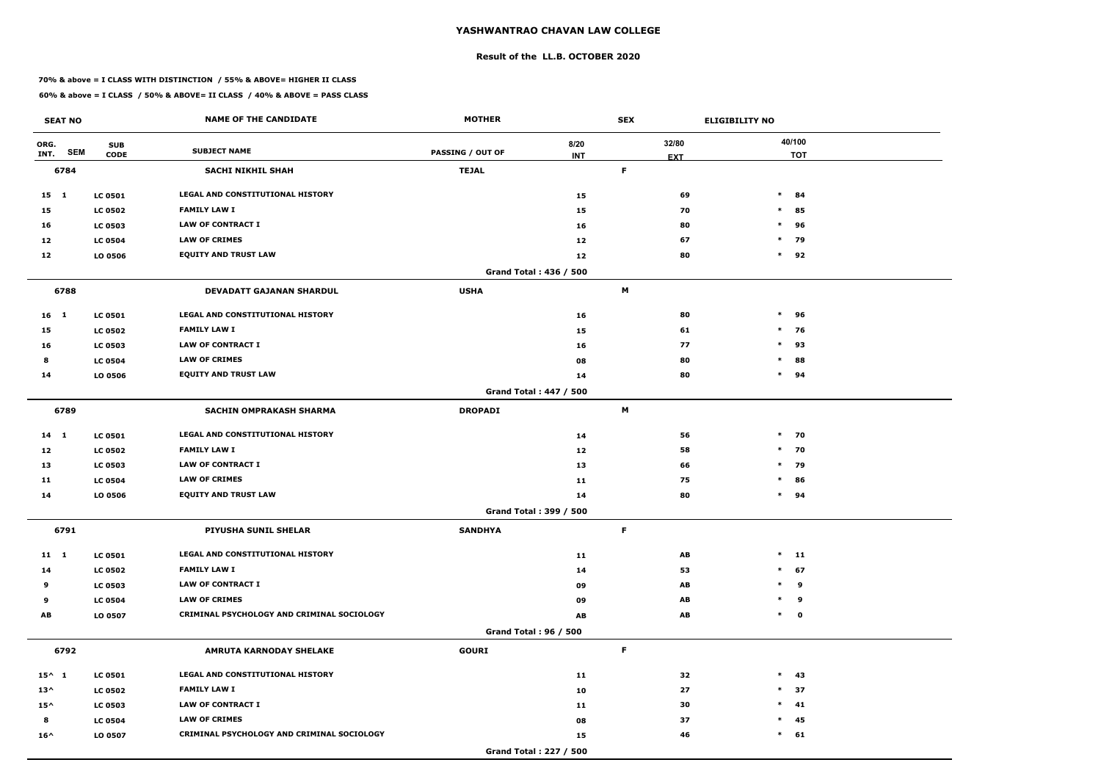#### **Result of the LL.B. OCTOBER 2020**

#### **70% & above = I CLASS WITH DISTINCTION / 55% & ABOVE= HIGHER II CLASS**

| <b>SEAT NO</b>  |            |                           | <b>NAME OF THE CANDIDATE</b>               | <b>MOTHER</b>           |                               | <b>SEX</b> |                     | <b>ELIGIBILITY NO</b> |                      |
|-----------------|------------|---------------------------|--------------------------------------------|-------------------------|-------------------------------|------------|---------------------|-----------------------|----------------------|
| ORG.<br>INT.    | <b>SEM</b> | <b>SUB</b><br><b>CODE</b> | <b>SUBJECT NAME</b>                        | <b>PASSING / OUT OF</b> | 8/20<br><b>INT</b>            |            | 32/80<br><b>EXT</b> |                       | 40/100<br><b>TOT</b> |
| 6784            |            |                           | <b>SACHI NIKHIL SHAH</b>                   | <b>TEJAL</b>            |                               | F          |                     |                       |                      |
| 15 1            |            | <b>LC 0501</b>            | LEGAL AND CONSTITUTIONAL HISTORY           |                         | 15                            |            | 69                  | $*$ 84                |                      |
| 15              |            | <b>LC 0502</b>            | <b>FAMILY LAW I</b>                        |                         | 15                            |            | 70                  | $\ast$                | 85                   |
| 16              |            | <b>LC 0503</b>            | <b>LAW OF CONTRACT I</b>                   |                         | 16                            |            | 80                  | $\ast$                | 96                   |
| 12              |            | <b>LC 0504</b>            | <b>LAW OF CRIMES</b>                       |                         | 12                            |            | 67                  | $*$ 79                |                      |
| 12              |            | LO 0506                   | <b>EQUITY AND TRUST LAW</b>                |                         | 12                            |            | 80                  | $*$ 92                |                      |
|                 |            |                           |                                            |                         | Grand Total: 436 / 500        |            |                     |                       |                      |
| 6788            |            |                           | DEVADATT GAJANAN SHARDUL                   | <b>USHA</b>             |                               | M          |                     |                       |                      |
| 16 <sub>1</sub> |            | <b>LC 0501</b>            | LEGAL AND CONSTITUTIONAL HISTORY           |                         | 16                            |            | 80                  | $\ast$                | 96                   |
| 15              |            | <b>LC 0502</b>            | <b>FAMILY LAW I</b>                        |                         | 15                            |            | 61                  | $\ast$                | 76                   |
| 16              |            | <b>LC 0503</b>            | <b>LAW OF CONTRACT I</b>                   |                         | 16                            |            | 77                  | $*$ 93                |                      |
| 8               |            | <b>LC 0504</b>            | <b>LAW OF CRIMES</b>                       |                         | 08                            |            | 80                  | $\ast$                | 88                   |
| 14              |            | LO 0506                   | <b>EQUITY AND TRUST LAW</b>                |                         | 14                            |            | 80                  | $*$ 94                |                      |
|                 |            |                           |                                            |                         | <b>Grand Total: 447 / 500</b> |            |                     |                       |                      |
| 6789            |            |                           | <b>SACHIN OMPRAKASH SHARMA</b>             | <b>DROPADI</b>          |                               | M          |                     |                       |                      |
| 14 1            |            | <b>LC 0501</b>            | LEGAL AND CONSTITUTIONAL HISTORY           |                         | 14                            |            | 56                  | $*$ 70                |                      |
| 12              |            | <b>LC 0502</b>            | <b>FAMILY LAW I</b>                        |                         | 12                            |            | 58                  | $*$ 70                |                      |
| 13              |            | <b>LC 0503</b>            | LAW OF CONTRACT I                          |                         | 13                            |            | 66                  | $*$ 79                |                      |
| 11              |            | <b>LC 0504</b>            | <b>LAW OF CRIMES</b>                       |                         | 11                            |            | 75                  | $\ast$                | 86                   |
| 14              |            | LO 0506                   | <b>EQUITY AND TRUST LAW</b>                |                         | 14                            |            | 80                  | $*$ 94                |                      |
|                 |            |                           |                                            |                         | Grand Total: 399 / 500        |            |                     |                       |                      |
| 6791            |            |                           | PIYUSHA SUNIL SHELAR                       | <b>SANDHYA</b>          |                               | F          |                     |                       |                      |
| 11 1            |            | <b>LC 0501</b>            | LEGAL AND CONSTITUTIONAL HISTORY           |                         | 11                            |            | AB                  | $*$ 11                |                      |
| 14              |            | <b>LC 0502</b>            | <b>FAMILY LAW I</b>                        |                         | 14                            |            | 53                  | $*$ 67                |                      |
| 9               |            | <b>LC 0503</b>            | <b>LAW OF CONTRACT I</b>                   |                         | 09                            |            | AB                  | * 9                   |                      |
| 9               |            | <b>LC 0504</b>            | <b>LAW OF CRIMES</b>                       |                         | 09                            |            | AB                  | * 9                   |                      |
| AB              |            | LO 0507                   | CRIMINAL PSYCHOLOGY AND CRIMINAL SOCIOLOGY |                         | AB                            |            | AB                  | $*$ 0                 |                      |
|                 |            |                           |                                            |                         | <b>Grand Total: 96 / 500</b>  |            |                     |                       |                      |
| 6792            |            |                           | <b>AMRUTA KARNODAY SHELAKE</b>             | <b>GOURI</b>            |                               | F.         |                     |                       |                      |
| $15^{\wedge}$ 1 |            | <b>LC 0501</b>            | LEGAL AND CONSTITUTIONAL HISTORY           |                         | 11                            |            | 32                  | $*$ 43                |                      |
| $13^{\wedge}$   |            | <b>LC 0502</b>            | <b>FAMILY LAW I</b>                        |                         | 10                            |            | 27                  | $*$ 37                |                      |
| $15^{\wedge}$   |            | <b>LC 0503</b>            | LAW OF CONTRACT I                          |                         | 11                            |            | 30                  | $*$ 41                |                      |
| 8               |            | <b>LC 0504</b>            | <b>LAW OF CRIMES</b>                       |                         | 08                            |            | 37                  | $*$ 45                |                      |
| $16^{\wedge}$   |            | LO 0507                   | CRIMINAL PSYCHOLOGY AND CRIMINAL SOCIOLOGY |                         | 15                            |            | 46                  | $*$ 61                |                      |
|                 |            |                           |                                            |                         | Grand Total: 227 / 500        |            |                     |                       |                      |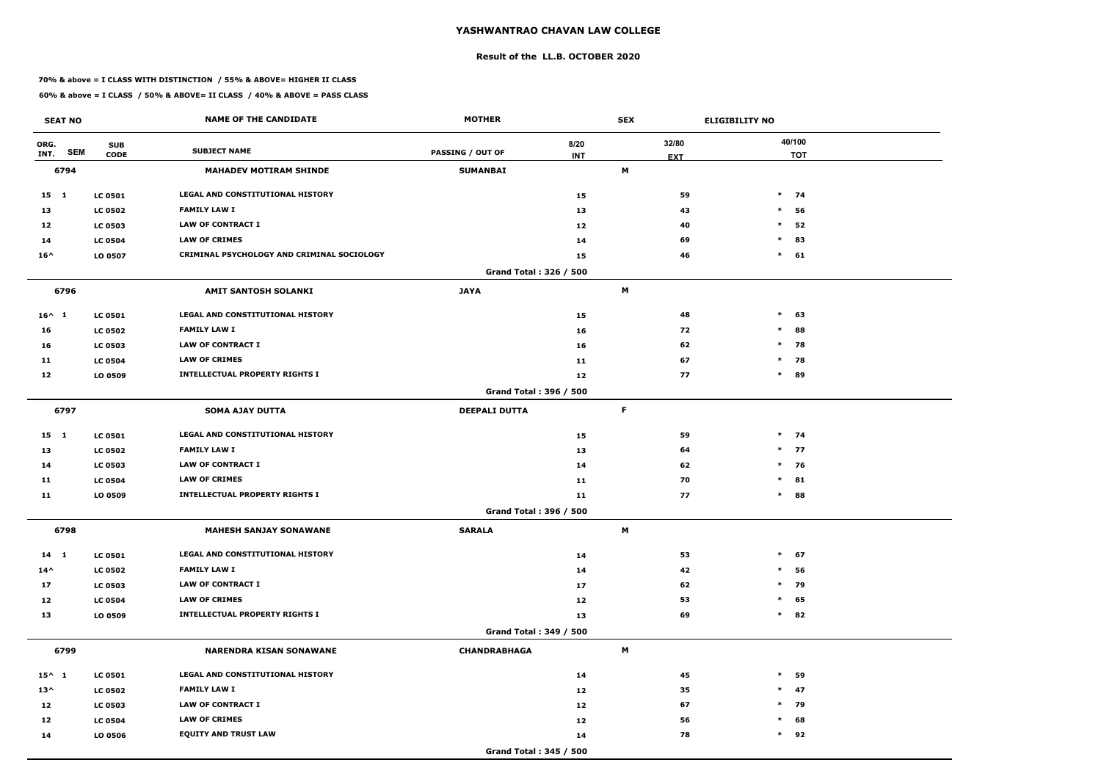### **Result of the LL.B. OCTOBER 2020**

#### **70% & above = I CLASS WITH DISTINCTION / 55% & ABOVE= HIGHER II CLASS**

| <b>SEAT NO</b>  |                                         | <b>NAME OF THE CANDIDATE</b>               | <b>MOTHER</b>           |                    | <b>SEX</b>     |                     | <b>ELIGIBILITY NO</b> |  |
|-----------------|-----------------------------------------|--------------------------------------------|-------------------------|--------------------|----------------|---------------------|-----------------------|--|
| ORG.<br>INT.    | <b>SUB</b><br><b>SEM</b><br><b>CODE</b> | <b>SUBJECT NAME</b>                        | <b>PASSING / OUT OF</b> | 8/20<br><b>INT</b> |                | 32/80<br><b>EXT</b> | 40/100<br><b>TOT</b>  |  |
| 6794            |                                         | <b>MAHADEV MOTIRAM SHINDE</b>              | <b>SUMANBAI</b>         |                    | M              |                     |                       |  |
| 15 1            | <b>LC 0501</b>                          | LEGAL AND CONSTITUTIONAL HISTORY           |                         | 15                 |                | 59                  | $*$ 74                |  |
| 13              | <b>LC 0502</b>                          | <b>FAMILY LAW I</b>                        |                         | 13                 |                | 43                  | $\ast$<br>56          |  |
| 12              | <b>LC 0503</b>                          | <b>LAW OF CONTRACT I</b>                   |                         | 12                 |                | 40                  | $\ast$<br>52          |  |
| 14              | <b>LC 0504</b>                          | <b>LAW OF CRIMES</b>                       |                         | 14                 |                | 69                  | $\ast$<br>83          |  |
| $16^{\wedge}$   | LO 0507                                 | CRIMINAL PSYCHOLOGY AND CRIMINAL SOCIOLOGY |                         | 15                 |                | 46                  | $*$ 61                |  |
|                 |                                         |                                            | Grand Total: 326 / 500  |                    |                |                     |                       |  |
| 6796            |                                         | AMIT SANTOSH SOLANKI                       | <b>JAYA</b>             |                    | M              |                     |                       |  |
| $16^{\wedge} 1$ | <b>LC 0501</b>                          | LEGAL AND CONSTITUTIONAL HISTORY           |                         | 15                 |                | 48                  | $\ast$<br>63          |  |
| 16              | <b>LC 0502</b>                          | <b>FAMILY LAW I</b>                        |                         | 16                 |                | 72                  | $\ast$<br>88          |  |
| 16              | <b>LC 0503</b>                          | <b>LAW OF CONTRACT I</b>                   |                         | 16                 |                | 62                  | $*$ 78                |  |
| 11              | <b>LC 0504</b>                          | <b>LAW OF CRIMES</b>                       |                         | 11                 |                | 67                  | $*$ 78                |  |
| 12              | LO 0509                                 | <b>INTELLECTUAL PROPERTY RIGHTS I</b>      |                         | 12                 |                | 77                  | $*$ 89                |  |
|                 |                                         |                                            | Grand Total: 396 / 500  |                    |                |                     |                       |  |
| 6797            |                                         | <b>SOMA AJAY DUTTA</b>                     | <b>DEEPALI DUTTA</b>    |                    | F              |                     |                       |  |
| $15 \quad 1$    | <b>LC 0501</b>                          | LEGAL AND CONSTITUTIONAL HISTORY           |                         | 15                 |                | 59                  | $*$ 74                |  |
| 13              | <b>LC 0502</b>                          | <b>FAMILY LAW I</b>                        |                         | 13                 |                | 64                  | $*$ 77                |  |
| 14              | <b>LC 0503</b>                          | <b>LAW OF CONTRACT I</b>                   |                         | 14                 |                | 62                  | $*$ 76                |  |
| 11              | <b>LC 0504</b>                          | <b>LAW OF CRIMES</b>                       |                         | 11                 |                | 70                  | $\ast$<br>81          |  |
| 11              | LO 0509                                 | <b>INTELLECTUAL PROPERTY RIGHTS I</b>      |                         | 11                 |                | 77                  | $\ast$<br>88          |  |
|                 |                                         |                                            | Grand Total: 396 / 500  |                    |                |                     |                       |  |
| 6798            |                                         | <b>MAHESH SANJAY SONAWANE</b>              | <b>SARALA</b>           |                    | M              |                     |                       |  |
| $14 \quad 1$    | <b>LC 0501</b>                          | LEGAL AND CONSTITUTIONAL HISTORY           |                         | 14                 |                | 53                  | $*$ 67                |  |
| $14^{\wedge}$   | <b>LC 0502</b>                          | <b>FAMILY LAW I</b>                        |                         | 14                 |                | 42                  | 56<br>$\ast$          |  |
| 17              | <b>LC 0503</b>                          | LAW OF CONTRACT I                          |                         | 17                 |                | 62                  | $*$<br>79             |  |
| 12              | <b>LC 0504</b>                          | <b>LAW OF CRIMES</b>                       |                         | 12                 |                | 53                  | $*$ 65                |  |
| 13              | LO 0509                                 | <b>INTELLECTUAL PROPERTY RIGHTS I</b>      |                         | 13                 |                | 69                  | $*$ 82                |  |
|                 |                                         |                                            | Grand Total: 349 / 500  |                    |                |                     |                       |  |
| 6799            |                                         | <b>NARENDRA KISAN SONAWANE</b>             | <b>CHANDRABHAGA</b>     |                    | $\blacksquare$ |                     |                       |  |
| $15^{\wedge}$ 1 | <b>LC 0501</b>                          | LEGAL AND CONSTITUTIONAL HISTORY           |                         | 14                 |                | 45                  | $\ast$<br>59          |  |
| $13^{\wedge}$   | <b>LC 0502</b>                          | <b>FAMILY LAW I</b>                        |                         | 12                 |                | 35                  | $*$ 47                |  |
| 12              | <b>LC 0503</b>                          | LAW OF CONTRACT I                          |                         | 12                 |                | 67                  | * 79                  |  |
| 12              | <b>LC 0504</b>                          | <b>LAW OF CRIMES</b>                       |                         | 12                 |                | 56                  | $*$ 68                |  |
| 14              | LO 0506                                 | <b>EQUITY AND TRUST LAW</b>                |                         | 14                 |                | 78                  | $*$ 92                |  |
|                 |                                         |                                            | Grand Total: 345 / 500  |                    |                |                     |                       |  |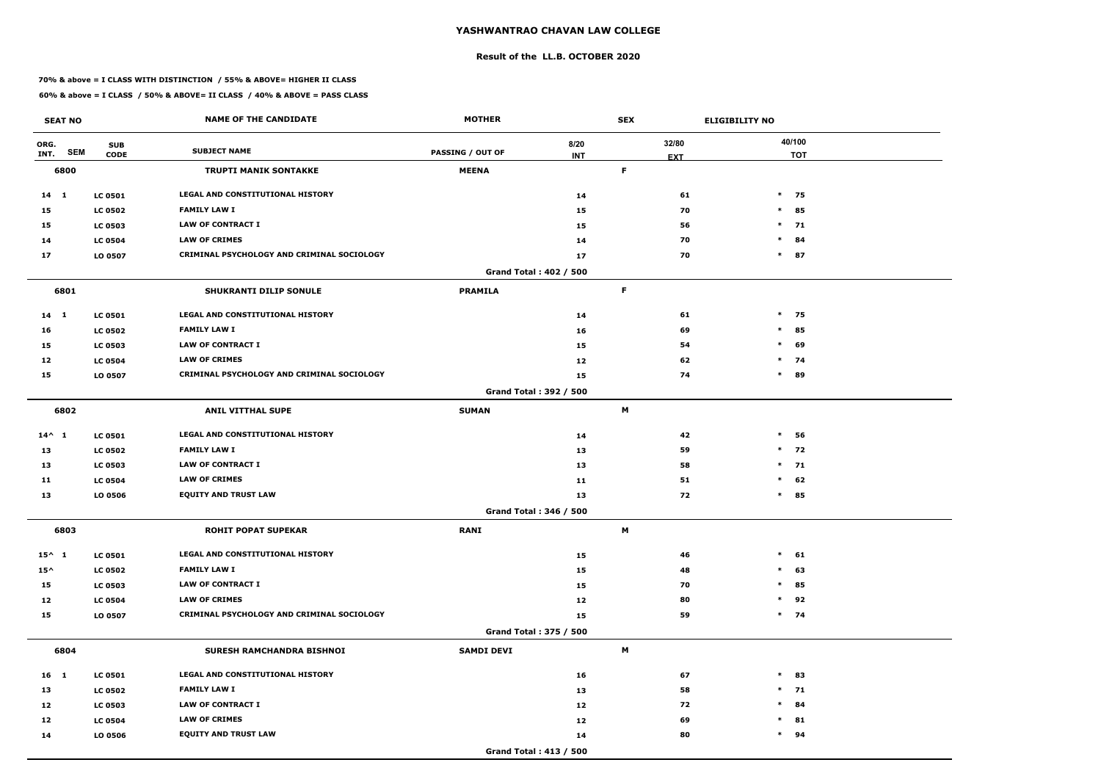#### **Result of the LL.B. OCTOBER 2020**

#### **70% & above = I CLASS WITH DISTINCTION / 55% & ABOVE= HIGHER II CLASS**

| <b>SEAT NO</b>             |                           | <b>NAME OF THE CANDIDATE</b>               | <b>MOTHER</b>           |                               | <b>SEX</b>                |                     | <b>ELIGIBILITY NO</b> |
|----------------------------|---------------------------|--------------------------------------------|-------------------------|-------------------------------|---------------------------|---------------------|-----------------------|
| ORG.<br><b>SEM</b><br>INT. | <b>SUB</b><br><b>CODE</b> | <b>SUBJECT NAME</b>                        | <b>PASSING / OUT OF</b> | 8/20<br><b>INT</b>            |                           | 32/80<br><b>EXT</b> | 40/100<br><b>TOT</b>  |
| 6800                       |                           | <b>TRUPTI MANIK SONTAKKE</b>               | <b>MEENA</b>            |                               | $\mathsf F$               |                     |                       |
| $14 \quad 1$               | <b>LC 0501</b>            | LEGAL AND CONSTITUTIONAL HISTORY           |                         | 14                            |                           | 61                  | $*$<br>75             |
| 15                         | <b>LC 0502</b>            | <b>FAMILY LAW I</b>                        |                         | 15                            |                           | 70                  | $\ast$<br>85          |
| 15                         | <b>LC 0503</b>            | <b>LAW OF CONTRACT I</b>                   |                         | 15                            |                           | 56                  | $\ast$<br>71          |
| 14                         | <b>LC 0504</b>            | <b>LAW OF CRIMES</b>                       |                         | 14                            |                           | 70                  | $\ast$<br>84          |
| 17                         | LO 0507                   | CRIMINAL PSYCHOLOGY AND CRIMINAL SOCIOLOGY |                         | 17                            |                           | 70                  | $\ast$<br>87          |
|                            |                           |                                            |                         | Grand Total: 402 / 500        |                           |                     |                       |
| 6801                       |                           | <b>SHUKRANTI DILIP SONULE</b>              | <b>PRAMILA</b>          |                               | F.                        |                     |                       |
| $14 \quad 1$               | <b>LC 0501</b>            | LEGAL AND CONSTITUTIONAL HISTORY           |                         | 14                            |                           | 61                  | $*$ 75                |
| 16                         | <b>LC 0502</b>            | <b>FAMILY LAW I</b>                        |                         | 16                            |                           | 69                  | $\ast$<br>85          |
| 15                         | <b>LC 0503</b>            | <b>LAW OF CONTRACT I</b>                   |                         | 15                            |                           | 54                  | $\ast$<br>69          |
| 12                         | <b>LC 0504</b>            | <b>LAW OF CRIMES</b>                       |                         | 12                            |                           | 62                  | $*$ 74                |
| 15                         | LO 0507                   | CRIMINAL PSYCHOLOGY AND CRIMINAL SOCIOLOGY |                         | 15                            |                           | 74                  | $\ast$<br>89          |
|                            |                           |                                            |                         | <b>Grand Total: 392 / 500</b> |                           |                     |                       |
| 6802                       |                           | <b>ANIL VITTHAL SUPE</b>                   | <b>SUMAN</b>            |                               | $\boldsymbol{\mathsf{M}}$ |                     |                       |
| $14^{\wedge} 1$            | <b>LC 0501</b>            | LEGAL AND CONSTITUTIONAL HISTORY           |                         | 14                            |                           | 42                  | $\ast$<br>56          |
| 13                         | <b>LC 0502</b>            | <b>FAMILY LAW I</b>                        |                         | 13                            |                           | 59                  | $*$<br>72             |
| 13                         | <b>LC 0503</b>            | <b>LAW OF CONTRACT I</b>                   |                         | 13                            |                           | 58                  | $*$ 71                |
| 11                         | <b>LC 0504</b>            | <b>LAW OF CRIMES</b>                       |                         | 11                            |                           | 51                  | $\ast$<br>62          |
| 13                         | LO 0506                   | <b>EQUITY AND TRUST LAW</b>                |                         | 13                            |                           | 72                  | $\ast$<br>85          |
|                            |                           |                                            |                         | Grand Total: 346 / 500        |                           |                     |                       |
| 6803                       |                           | <b>ROHIT POPAT SUPEKAR</b>                 | <b>RANI</b>             |                               | M                         |                     |                       |
| $15^{\wedge}$ 1            | <b>LC 0501</b>            | LEGAL AND CONSTITUTIONAL HISTORY           |                         | 15                            |                           | 46                  | $\ast$<br>61          |
| $15^{\wedge}$              | <b>LC 0502</b>            | <b>FAMILY LAW I</b>                        |                         | 15                            |                           | 48                  | 63<br>$\ast$          |
| 15                         | <b>LC 0503</b>            | LAW OF CONTRACT I                          |                         | 15                            |                           | 70                  | $\ast$<br>85          |
| 12                         | <b>LC 0504</b>            | <b>LAW OF CRIMES</b>                       |                         | 12                            |                           | 80                  | 92<br>$\ast$          |
| 15                         | LO 0507                   | CRIMINAL PSYCHOLOGY AND CRIMINAL SOCIOLOGY |                         | 15                            |                           | 59                  | $*$ 74                |
|                            |                           |                                            |                         | Grand Total: 375 / 500        |                           |                     |                       |
| 6804                       |                           | SURESH RAMCHANDRA BISHNOI                  | <b>SAMDI DEVI</b>       |                               | M                         |                     |                       |
| 16 <sub>1</sub>            | <b>LC 0501</b>            | LEGAL AND CONSTITUTIONAL HISTORY           |                         | 16                            |                           | 67                  | $\ast$<br>83          |
| 13                         | <b>LC 0502</b>            | <b>FAMILY LAW I</b>                        |                         | 13                            |                           | 58                  | $*$ 71                |
| 12                         | <b>LC 0503</b>            | LAW OF CONTRACT I                          |                         | 12                            |                           | 72                  | $\ast$<br>84          |
| 12                         | <b>LC 0504</b>            | <b>LAW OF CRIMES</b>                       |                         | 12                            |                           | 69                  | 81<br>$\ast$          |
| 14                         | LO 0506                   | <b>EQUITY AND TRUST LAW</b>                |                         | 14                            |                           | 80                  | $*$ 94                |
|                            |                           |                                            |                         | Grand Total: 413 / 500        |                           |                     |                       |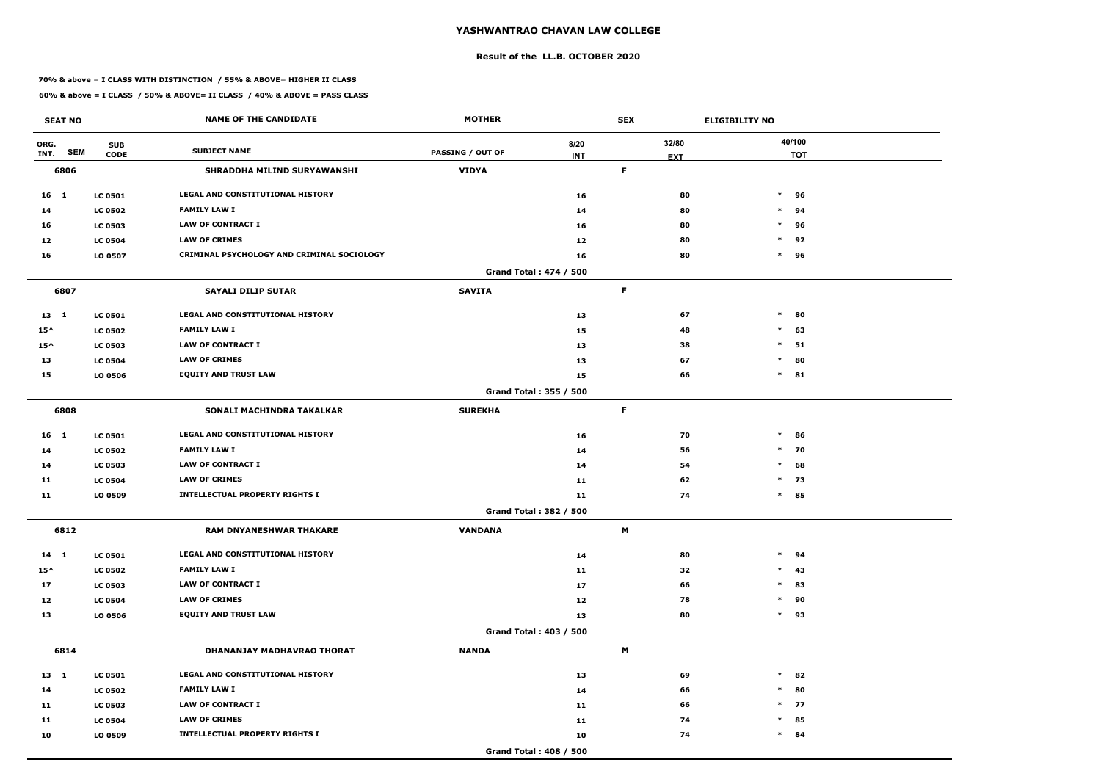#### **Result of the LL.B. OCTOBER 2020**

#### **70% & above = I CLASS WITH DISTINCTION / 55% & ABOVE= HIGHER II CLASS**

| <b>SEAT NO</b>             |                           | <b>NAME OF THE CANDIDATE</b>               | <b>MOTHER</b>           |                               | <b>SEX</b>          | <b>ELIGIBILITY NO</b> |
|----------------------------|---------------------------|--------------------------------------------|-------------------------|-------------------------------|---------------------|-----------------------|
| ORG.<br><b>SEM</b><br>INT. | <b>SUB</b><br><b>CODE</b> | <b>SUBJECT NAME</b>                        | <b>PASSING / OUT OF</b> | 8/20<br><b>INT</b>            | 32/80<br><b>EXT</b> | 40/100<br><b>TOT</b>  |
| 6806                       |                           | SHRADDHA MILIND SURYAWANSHI                | <b>VIDYA</b>            |                               | $\mathsf F$         |                       |
| $16 \quad 1$               | <b>LC 0501</b>            | LEGAL AND CONSTITUTIONAL HISTORY           |                         | 16                            |                     | 80<br>$\ast$<br>96    |
| 14                         | <b>LC 0502</b>            | <b>FAMILY LAW I</b>                        |                         | 14                            |                     | 80<br>$\ast$<br>94    |
| 16                         | <b>LC 0503</b>            | <b>LAW OF CONTRACT I</b>                   |                         | 16                            |                     | 80<br>$\ast$<br>96    |
| 12                         | <b>LC 0504</b>            | <b>LAW OF CRIMES</b>                       |                         | 12                            |                     | $\ast$<br>80<br>92    |
| 16                         | LO 0507                   | CRIMINAL PSYCHOLOGY AND CRIMINAL SOCIOLOGY |                         | 16                            |                     | $\ast$<br>80<br>96    |
|                            |                           |                                            |                         | Grand Total: 474 / 500        |                     |                       |
| 6807                       |                           | <b>SAYALI DILIP SUTAR</b>                  | <b>SAVITA</b>           |                               | F.                  |                       |
| $13 \quad 1$               | <b>LC 0501</b>            | LEGAL AND CONSTITUTIONAL HISTORY           |                         | 13                            |                     | 67<br>$\ast$<br>80    |
| $15^{\wedge}$              | <b>LC 0502</b>            | <b>FAMILY LAW I</b>                        |                         | 15                            |                     | 48<br>$\ast$<br>63    |
| $15^{\wedge}$              | <b>LC 0503</b>            | <b>LAW OF CONTRACT I</b>                   |                         | 13                            |                     | $\ast$<br>38<br>51    |
| 13                         | <b>LC 0504</b>            | <b>LAW OF CRIMES</b>                       |                         | 13                            |                     | 67<br>80<br>$\ast$    |
| 15                         | LO 0506                   | <b>EQUITY AND TRUST LAW</b>                |                         | 15                            |                     | 66<br>$\ast$<br>81    |
|                            |                           |                                            |                         | Grand Total: 355 / 500        |                     |                       |
| 6808                       |                           | SONALI MACHINDRA TAKALKAR                  | <b>SUREKHA</b>          |                               | $\mathsf F$         |                       |
| 16 <sub>1</sub>            | <b>LC 0501</b>            | LEGAL AND CONSTITUTIONAL HISTORY           |                         | 16                            |                     | 70<br>$\ast$<br>86    |
| 14                         | <b>LC 0502</b>            | <b>FAMILY LAW I</b>                        |                         | 14                            |                     | 70<br>56<br>$\ast$    |
| 14                         | <b>LC 0503</b>            | <b>LAW OF CONTRACT I</b>                   |                         | 14                            |                     | 54<br>$\ast$<br>68    |
| 11                         | <b>LC 0504</b>            | <b>LAW OF CRIMES</b>                       |                         | 11                            |                     | $*$ 73<br>62          |
| 11                         | LO 0509                   | <b>INTELLECTUAL PROPERTY RIGHTS I</b>      |                         | 11                            |                     | 74<br>$\ast$<br>85    |
|                            |                           |                                            |                         | Grand Total: 382 / 500        |                     |                       |
| 6812                       |                           | RAM DNYANESHWAR THAKARE                    | <b>VANDANA</b>          |                               | M                   |                       |
| $14 \quad 1$               | <b>LC 0501</b>            | LEGAL AND CONSTITUTIONAL HISTORY           |                         | 14                            |                     | 80<br>$\ast$<br>94    |
| $15^{\wedge}$              | <b>LC 0502</b>            | <b>FAMILY LAW I</b>                        |                         | 11                            |                     | 32<br>$\ast$<br>43    |
| 17                         | <b>LC 0503</b>            | <b>LAW OF CONTRACT I</b>                   |                         | 17                            |                     | 83<br>66<br>$\ast$    |
| 12                         | <b>LC 0504</b>            | <b>LAW OF CRIMES</b>                       |                         | 12                            |                     | 90<br>78<br>$\ast$    |
| 13                         | LO 0506                   | <b>EQUITY AND TRUST LAW</b>                |                         | 13                            |                     | 80<br>$*$ 93          |
|                            |                           |                                            |                         | <b>Grand Total: 403 / 500</b> |                     |                       |
| 6814                       |                           | DHANANJAY MADHAVRAO THORAT                 | <b>NANDA</b>            |                               | M                   |                       |
| $13 \quad 1$               | <b>LC 0501</b>            | LEGAL AND CONSTITUTIONAL HISTORY           |                         | 13                            |                     | 69<br>$\ast$<br>82    |
| 14                         | <b>LC 0502</b>            | <b>FAMILY LAW I</b>                        |                         | 14                            |                     | 80<br>66<br>$*$       |
| 11                         | <b>LC 0503</b>            | LAW OF CONTRACT I                          |                         | 11                            |                     | $*$ 77<br>66          |
| 11                         | <b>LC 0504</b>            | <b>LAW OF CRIMES</b>                       |                         | 11                            |                     | 85<br>74<br>$\ast$    |
| 10                         | LO 0509                   | <b>INTELLECTUAL PROPERTY RIGHTS I</b>      |                         | 10                            |                     | 74<br>$*$ 84          |
|                            |                           |                                            |                         | Grand Total: 408 / 500        |                     |                       |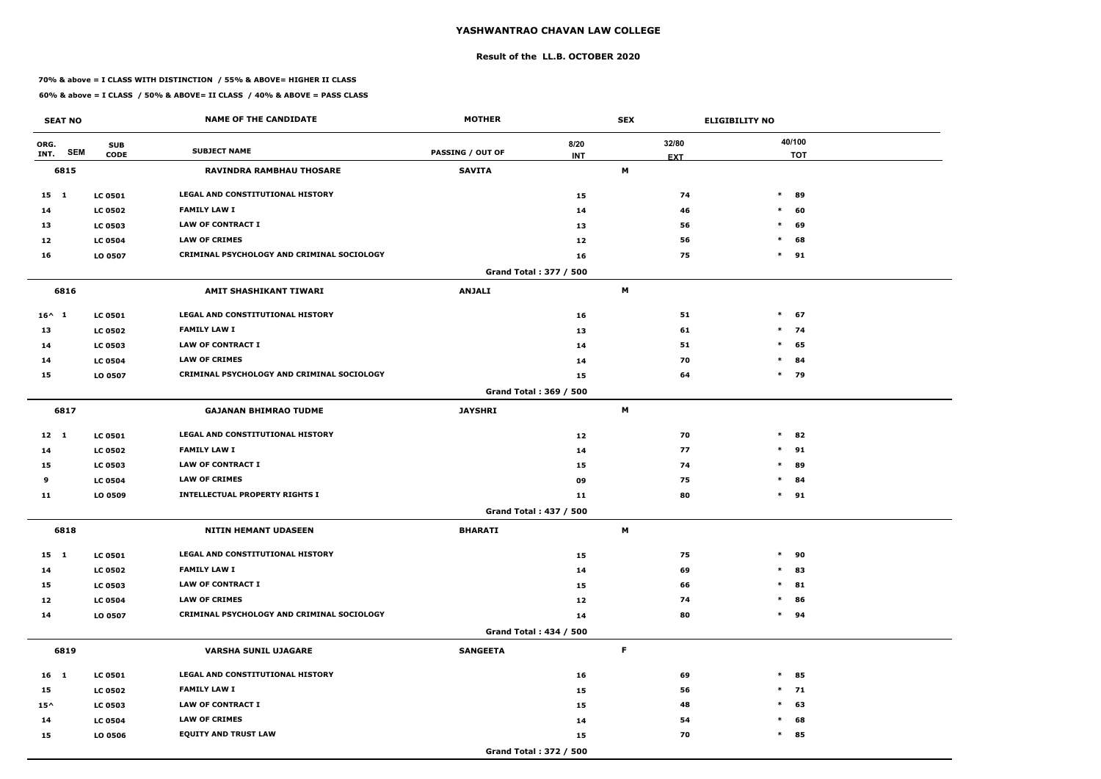#### **Result of the LL.B. OCTOBER 2020**

#### **70% & above = I CLASS WITH DISTINCTION / 55% & ABOVE= HIGHER II CLASS**

| <b>SEAT NO</b>             |                           | <b>NAME OF THE CANDIDATE</b>               | <b>MOTHER</b>           |                               | <b>SEX</b>                |                     | <b>ELIGIBILITY NO</b> |
|----------------------------|---------------------------|--------------------------------------------|-------------------------|-------------------------------|---------------------------|---------------------|-----------------------|
| ORG.<br><b>SEM</b><br>INT. | <b>SUB</b><br><b>CODE</b> | <b>SUBJECT NAME</b>                        | <b>PASSING / OUT OF</b> | 8/20<br><b>INT</b>            |                           | 32/80<br><b>EXT</b> | 40/100<br><b>TOT</b>  |
| 6815                       |                           | <b>RAVINDRA RAMBHAU THOSARE</b>            | <b>SAVITA</b>           |                               | M                         |                     |                       |
| $15 \quad 1$               | <b>LC 0501</b>            | LEGAL AND CONSTITUTIONAL HISTORY           |                         | 15                            |                           | 74                  | $\ast$<br>89          |
| 14                         | <b>LC 0502</b>            | <b>FAMILY LAW I</b>                        |                         | 14                            |                           | 46                  | $\ast$<br>60          |
| 13                         | <b>LC 0503</b>            | <b>LAW OF CONTRACT I</b>                   |                         | 13                            |                           | 56                  | $\ast$<br>69          |
| 12                         | <b>LC 0504</b>            | <b>LAW OF CRIMES</b>                       |                         | 12                            |                           | 56                  | $\ast$<br>68          |
| 16                         | LO 0507                   | CRIMINAL PSYCHOLOGY AND CRIMINAL SOCIOLOGY |                         | 16                            |                           | 75                  | $*$ 91                |
|                            |                           |                                            |                         | Grand Total: 377 / 500        |                           |                     |                       |
| 6816                       |                           | AMIT SHASHIKANT TIWARI                     | <b>ANJALI</b>           |                               | M                         |                     |                       |
| $16^{\wedge} 1$            | <b>LC 0501</b>            | LEGAL AND CONSTITUTIONAL HISTORY           |                         | 16                            |                           | 51                  | $\ast$<br>67          |
| 13                         | <b>LC 0502</b>            | <b>FAMILY LAW I</b>                        |                         | 13                            |                           | 61                  | $*$ 74                |
| 14                         | <b>LC 0503</b>            | <b>LAW OF CONTRACT I</b>                   |                         | 14                            |                           | 51                  | $\ast$<br>65          |
| 14                         | <b>LC 0504</b>            | <b>LAW OF CRIMES</b>                       |                         | 14                            |                           | 70                  | $\ast$<br>84          |
| 15                         | LO 0507                   | CRIMINAL PSYCHOLOGY AND CRIMINAL SOCIOLOGY |                         | 15                            |                           | 64                  | $\ast$<br>79          |
|                            |                           |                                            |                         | Grand Total: 369 / 500        |                           |                     |                       |
| 6817                       |                           | <b>GAJANAN BHIMRAO TUDME</b>               | <b>JAYSHRI</b>          |                               | $\boldsymbol{\mathsf{M}}$ |                     |                       |
| $12 \quad 1$               | <b>LC 0501</b>            | LEGAL AND CONSTITUTIONAL HISTORY           |                         | 12                            |                           | 70                  | $\ast$<br>82          |
| 14                         | <b>LC 0502</b>            | <b>FAMILY LAW I</b>                        |                         | 14                            |                           | 77                  | $\ast$<br>91          |
| 15                         | <b>LC 0503</b>            | <b>LAW OF CONTRACT I</b>                   |                         | 15                            |                           | 74                  | $\ast$<br>89          |
| 9                          | <b>LC 0504</b>            | <b>LAW OF CRIMES</b>                       |                         | 09                            |                           | 75                  | $\ast$<br>84          |
| 11                         | LO 0509                   | <b>INTELLECTUAL PROPERTY RIGHTS I</b>      |                         | 11                            |                           | 80                  | $*$ 91                |
|                            |                           |                                            |                         | <b>Grand Total: 437 / 500</b> |                           |                     |                       |
| 6818                       |                           | <b>NITIN HEMANT UDASEEN</b>                | <b>BHARATI</b>          |                               | M                         |                     |                       |
| $15 \quad 1$               | <b>LC 0501</b>            | LEGAL AND CONSTITUTIONAL HISTORY           |                         | 15                            |                           | 75                  | $\ast$<br>90          |
| 14                         | <b>LC 0502</b>            | <b>FAMILY LAW I</b>                        |                         | 14                            |                           | 69                  | $\ast$<br>83          |
| 15                         | <b>LC 0503</b>            | LAW OF CONTRACT I                          |                         | 15                            |                           | 66                  | $\ast$<br>81          |
| 12                         | <b>LC 0504</b>            | <b>LAW OF CRIMES</b>                       |                         | 12                            |                           | 74                  | $\ast$<br>86          |
| 14                         | LO 0507                   | CRIMINAL PSYCHOLOGY AND CRIMINAL SOCIOLOGY |                         | 14                            |                           | 80                  | $*$ 94                |
|                            |                           |                                            |                         | <b>Grand Total: 434 / 500</b> |                           |                     |                       |
| 6819                       |                           | <b>VARSHA SUNIL UJAGARE</b>                | <b>SANGEETA</b>         |                               | F.                        |                     |                       |
| 16 1                       | <b>LC 0501</b>            | LEGAL AND CONSTITUTIONAL HISTORY           |                         | 16                            |                           | 69                  | $\ast$<br>85          |
| 15                         | <b>LC 0502</b>            | <b>FAMILY LAW I</b>                        |                         | 15                            |                           | 56                  | $*$ 71                |
| $15^{\wedge}$              | <b>LC 0503</b>            | LAW OF CONTRACT I                          |                         | 15                            |                           | 48                  | $\ast$<br>63          |
| 14                         | <b>LC 0504</b>            | <b>LAW OF CRIMES</b>                       |                         | 14                            |                           | 54                  | 68<br>$\ast$          |
| 15                         | LO 0506                   | <b>EQUITY AND TRUST LAW</b>                |                         | 15                            |                           | 70                  | $\ast$<br>85          |
|                            |                           |                                            |                         | Grand Total: 372 / 500        |                           |                     |                       |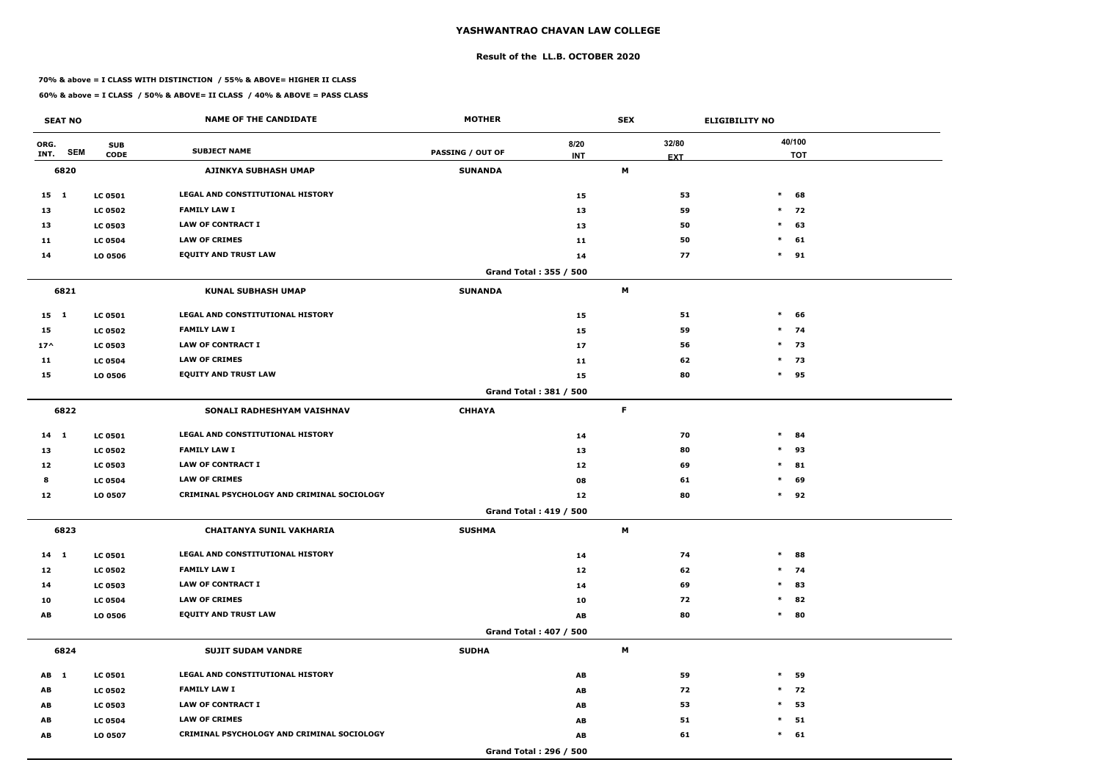#### **Result of the LL.B. OCTOBER 2020**

#### **70% & above = I CLASS WITH DISTINCTION / 55% & ABOVE= HIGHER II CLASS**

| <b>SEAT NO</b>     |                | <b>NAME OF THE CANDIDATE</b>               | <b>MOTHER</b>           |                               | <b>SEX</b> |            | <b>ELIGIBILITY NO</b> |
|--------------------|----------------|--------------------------------------------|-------------------------|-------------------------------|------------|------------|-----------------------|
| ORG.               | <b>SUB</b>     |                                            |                         | 8/20                          |            | 32/80      | 40/100                |
| <b>SEM</b><br>INT. | <b>CODE</b>    | <b>SUBJECT NAME</b>                        | <b>PASSING / OUT OF</b> | <b>INT</b>                    |            | <b>EXT</b> | <b>TOT</b>            |
| 6820               |                | <b>AJINKYA SUBHASH UMAP</b>                | <b>SUNANDA</b>          |                               | M          |            |                       |
| 15 1               | <b>LC 0501</b> | LEGAL AND CONSTITUTIONAL HISTORY           |                         | 15                            |            | 53         | $\ast$<br>68          |
| 13                 | <b>LC 0502</b> | <b>FAMILY LAW I</b>                        |                         | 13                            |            | 59         | $*$ 72                |
| 13                 | <b>LC 0503</b> | <b>LAW OF CONTRACT I</b>                   |                         | 13                            |            | 50         | $\ast$<br>63          |
| 11                 | <b>LC 0504</b> | <b>LAW OF CRIMES</b>                       |                         | 11                            |            | 50         | $\ast$<br>61          |
| 14                 | LO 0506        | <b>EQUITY AND TRUST LAW</b>                |                         | 14                            |            | 77         | $*$ 91                |
|                    |                |                                            |                         | Grand Total: 355 / 500        |            |            |                       |
| 6821               |                | <b>KUNAL SUBHASH UMAP</b>                  | <b>SUNANDA</b>          |                               | M          |            |                       |
| $15 \quad 1$       | <b>LC 0501</b> | LEGAL AND CONSTITUTIONAL HISTORY           |                         | 15                            |            | 51         | $\ast$<br>66          |
| 15                 | <b>LC 0502</b> | <b>FAMILY LAW I</b>                        |                         | 15                            |            | 59         | $*$ 74                |
| $17^{\wedge}$      | <b>LC 0503</b> | <b>LAW OF CONTRACT I</b>                   |                         | 17                            |            | 56         | $*$ 73                |
| 11                 | <b>LC 0504</b> | <b>LAW OF CRIMES</b>                       |                         | 11                            |            | 62         | $*$ 73                |
| 15                 | LO 0506        | <b>EQUITY AND TRUST LAW</b>                |                         | 15                            |            | 80         | 95<br>$\ast$          |
|                    |                |                                            |                         | <b>Grand Total: 381 / 500</b> |            |            |                       |
| 6822               |                | SONALI RADHESHYAM VAISHNAV                 | <b>CHHAYA</b>           |                               | F          |            |                       |
| 14 1               | <b>LC 0501</b> | LEGAL AND CONSTITUTIONAL HISTORY           |                         | 14                            |            | 70         | $\ast$<br>84          |
| 13                 | <b>LC 0502</b> | <b>FAMILY LAW I</b>                        |                         | 13                            |            | 80         | 93<br>$\ast$          |
| 12                 | <b>LC 0503</b> | <b>LAW OF CONTRACT I</b>                   |                         | 12                            |            | 69         | 81<br>$\ast$          |
| 8                  | <b>LC 0504</b> | <b>LAW OF CRIMES</b>                       |                         | 08                            |            | 61         | $\ast$<br>69          |
| 12                 | LO 0507        | CRIMINAL PSYCHOLOGY AND CRIMINAL SOCIOLOGY |                         | 12                            |            | 80         | $\ast$<br>92          |
|                    |                |                                            |                         | <b>Grand Total: 419 / 500</b> |            |            |                       |
| 6823               |                | <b>CHAITANYA SUNIL VAKHARIA</b>            | <b>SUSHMA</b>           |                               | M          |            |                       |
| $14 \quad 1$       | <b>LC 0501</b> | LEGAL AND CONSTITUTIONAL HISTORY           |                         | 14                            |            | 74         | $\ast$<br>88          |
| 12                 | <b>LC 0502</b> | <b>FAMILY LAW I</b>                        |                         | 12                            |            | 62         | $*$ 74                |
| 14                 | <b>LC 0503</b> | LAW OF CONTRACT I                          |                         | 14                            |            | 69         | 83<br>$\ast$          |
| 10                 | <b>LC 0504</b> | <b>LAW OF CRIMES</b>                       |                         | 10                            |            | 72         | 82<br>$\ast$          |
| AB                 | <b>LO 0506</b> | <b>EQUITY AND TRUST LAW</b>                |                         | AB                            |            | 80         | $\ast$<br>80          |
|                    |                |                                            |                         | Grand Total: 407 / 500        |            |            |                       |
| 6824               |                | <b>SUJIT SUDAM VANDRE</b>                  | <b>SUDHA</b>            |                               | M          |            |                       |
| AB 1               | <b>LC 0501</b> | LEGAL AND CONSTITUTIONAL HISTORY           |                         | AB                            |            | 59         | $\ast$<br>59          |
| AB                 | <b>LC 0502</b> | <b>FAMILY LAW I</b>                        |                         | AB                            |            | 72         | $*$ 72                |
| AB                 | <b>LC 0503</b> | LAW OF CONTRACT I                          |                         | AB                            |            | 53         | 53<br>$\ast$          |
| AB                 | <b>LC 0504</b> | <b>LAW OF CRIMES</b>                       |                         | AB                            |            | 51         | 51<br>$\ast$          |
| AB                 | LO 0507        | CRIMINAL PSYCHOLOGY AND CRIMINAL SOCIOLOGY |                         | AB                            |            | 61         | $\ast$<br>61          |
|                    |                |                                            |                         | Grand Total: 296 / 500        |            |            |                       |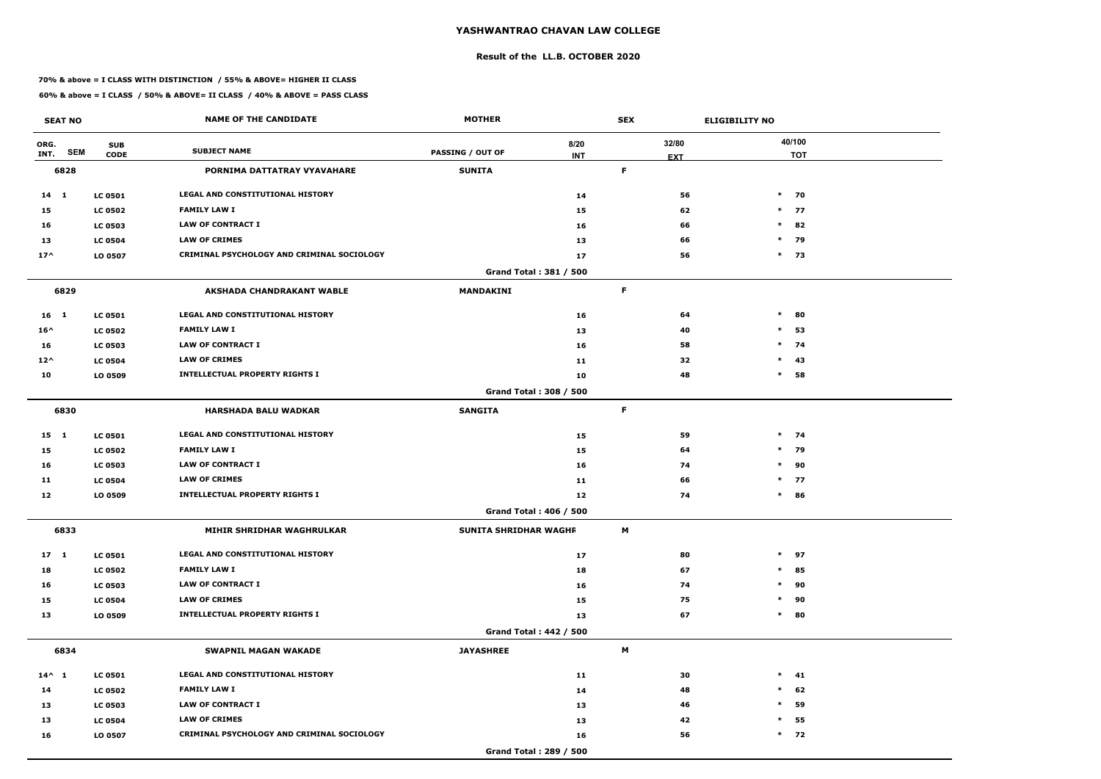#### **Result of the LL.B. OCTOBER 2020**

#### **70% & above = I CLASS WITH DISTINCTION / 55% & ABOVE= HIGHER II CLASS**

|                 | <b>SEAT NO</b> |                           | <b>NAME OF THE CANDIDATE</b>                      | <b>MOTHER</b>                 |                    | <b>SEX</b>  |                     | <b>ELIGIBILITY NO</b> |
|-----------------|----------------|---------------------------|---------------------------------------------------|-------------------------------|--------------------|-------------|---------------------|-----------------------|
| ORG.<br>INT.    | <b>SEM</b>     | <b>SUB</b><br><b>CODE</b> | <b>SUBJECT NAME</b>                               | <b>PASSING / OUT OF</b>       | 8/20<br><b>INT</b> |             | 32/80<br><b>EXT</b> | 40/100<br><b>TOT</b>  |
|                 | 6828           |                           | PORNIMA DATTATRAY VYAVAHARE                       | <b>SUNITA</b>                 |                    | $\mathsf F$ |                     |                       |
| 14 1            |                | <b>LC 0501</b>            | LEGAL AND CONSTITUTIONAL HISTORY                  |                               | 14                 |             | 56                  | $\ast$<br>70          |
| 15              |                | <b>LC 0502</b>            | <b>FAMILY LAW I</b>                               |                               | 15                 |             | 62                  | $*$ 77                |
| 16              |                | <b>LC 0503</b>            | <b>LAW OF CONTRACT I</b>                          |                               | 16                 |             | 66                  | $\ast$<br>82          |
| 13              |                | <b>LC 0504</b>            | <b>LAW OF CRIMES</b>                              |                               | 13                 |             | 66                  | $\ast$<br>79          |
| $17^{\wedge}$   |                | LO 0507                   | <b>CRIMINAL PSYCHOLOGY AND CRIMINAL SOCIOLOGY</b> |                               | 17                 |             | 56                  | $*$ 73                |
|                 |                |                           |                                                   | Grand Total: 381 / 500        |                    |             |                     |                       |
|                 | 6829           |                           | <b>AKSHADA CHANDRAKANT WABLE</b>                  | <b>MANDAKINI</b>              |                    | F           |                     |                       |
| 16 <sub>1</sub> |                | <b>LC 0501</b>            | <b>LEGAL AND CONSTITUTIONAL HISTORY</b>           |                               | 16                 |             | 64                  | $\ast$<br>80          |
| $16^{\wedge}$   |                | <b>LC 0502</b>            | <b>FAMILY LAW I</b>                               |                               | 13                 |             | 40                  | $\ast$<br>53          |
| 16              |                | <b>LC 0503</b>            | <b>LAW OF CONTRACT I</b>                          |                               | 16                 |             | 58                  | $\ast$<br>74          |
| $12^{\wedge}$   |                | <b>LC 0504</b>            | <b>LAW OF CRIMES</b>                              |                               | 11                 |             | 32                  | 43<br>$\ast$          |
| 10              |                | LO 0509                   | <b>INTELLECTUAL PROPERTY RIGHTS I</b>             |                               | 10                 |             | 48                  | $\ast$<br>58          |
|                 |                |                           |                                                   | <b>Grand Total: 308 / 500</b> |                    |             |                     |                       |
|                 | 6830           |                           | <b>HARSHADA BALU WADKAR</b>                       | <b>SANGITA</b>                |                    | F           |                     |                       |
| $15 \quad 1$    |                | <b>LC 0501</b>            | LEGAL AND CONSTITUTIONAL HISTORY                  |                               | 15                 |             | 59                  | $*$ 74                |
| 15              |                | <b>LC 0502</b>            | <b>FAMILY LAW I</b>                               |                               | 15                 |             | 64                  | $*$ 79                |
| 16              |                | <b>LC 0503</b>            | <b>LAW OF CONTRACT I</b>                          |                               | 16                 |             | 74                  | $\ast$<br>90          |
| 11              |                | <b>LC 0504</b>            | <b>LAW OF CRIMES</b>                              |                               | 11                 |             | 66                  | $*$ 77                |
| 12              |                | LO 0509                   | <b>INTELLECTUAL PROPERTY RIGHTS I</b>             |                               | 12                 |             | 74                  | $\ast$<br>86          |
|                 |                |                           |                                                   | Grand Total: 406 / 500        |                    |             |                     |                       |
|                 | 6833           |                           | MIHIR SHRIDHAR WAGHRULKAR                         | SUNITA SHRIDHAR WAGHF         |                    | M           |                     |                       |
| $17 \quad 1$    |                | <b>LC 0501</b>            | LEGAL AND CONSTITUTIONAL HISTORY                  |                               | 17                 |             | 80                  | $\ast$<br>97          |
| 18              |                | <b>LC 0502</b>            | <b>FAMILY LAW I</b>                               |                               | 18                 |             | 67                  | 85<br>$\ast$          |
| 16              |                | <b>LC 0503</b>            | <b>LAW OF CONTRACT I</b>                          |                               | 16                 |             | 74                  | $\ast$<br>90          |
| 15              |                | <b>LC 0504</b>            | <b>LAW OF CRIMES</b>                              |                               | 15                 |             | 75                  | 90<br>$\ast$          |
| 13              |                | LO 0509                   | <b>INTELLECTUAL PROPERTY RIGHTS I</b>             |                               | 13                 |             | 67                  | 80<br>$\ast$          |
|                 |                |                           |                                                   | <b>Grand Total: 442 / 500</b> |                    |             |                     |                       |
|                 | 6834           |                           | <b>SWAPNIL MAGAN WAKADE</b>                       | <b>JAYASHREE</b>              |                    | M           |                     |                       |
| $14^{\wedge}$ 1 |                | <b>LC 0501</b>            | LEGAL AND CONSTITUTIONAL HISTORY                  |                               | 11                 |             | 30                  | $*$ 41                |
| 14              |                | <b>LC 0502</b>            | <b>FAMILY LAW I</b>                               |                               | 14                 |             | 48                  | 62<br>$\ast$          |
| 13              |                | <b>LC 0503</b>            | <b>LAW OF CONTRACT I</b>                          |                               | 13                 |             | 46                  | 59<br>$\ast$          |
| 13              |                | <b>LC 0504</b>            | <b>LAW OF CRIMES</b>                              |                               | 13                 |             | 42                  | 55<br>$\ast$          |
| 16              |                | LO 0507                   | CRIMINAL PSYCHOLOGY AND CRIMINAL SOCIOLOGY        |                               | 16                 |             | 56                  | $*$ 72                |
|                 |                |                           |                                                   | Grand Total: 289 / 500        |                    |             |                     |                       |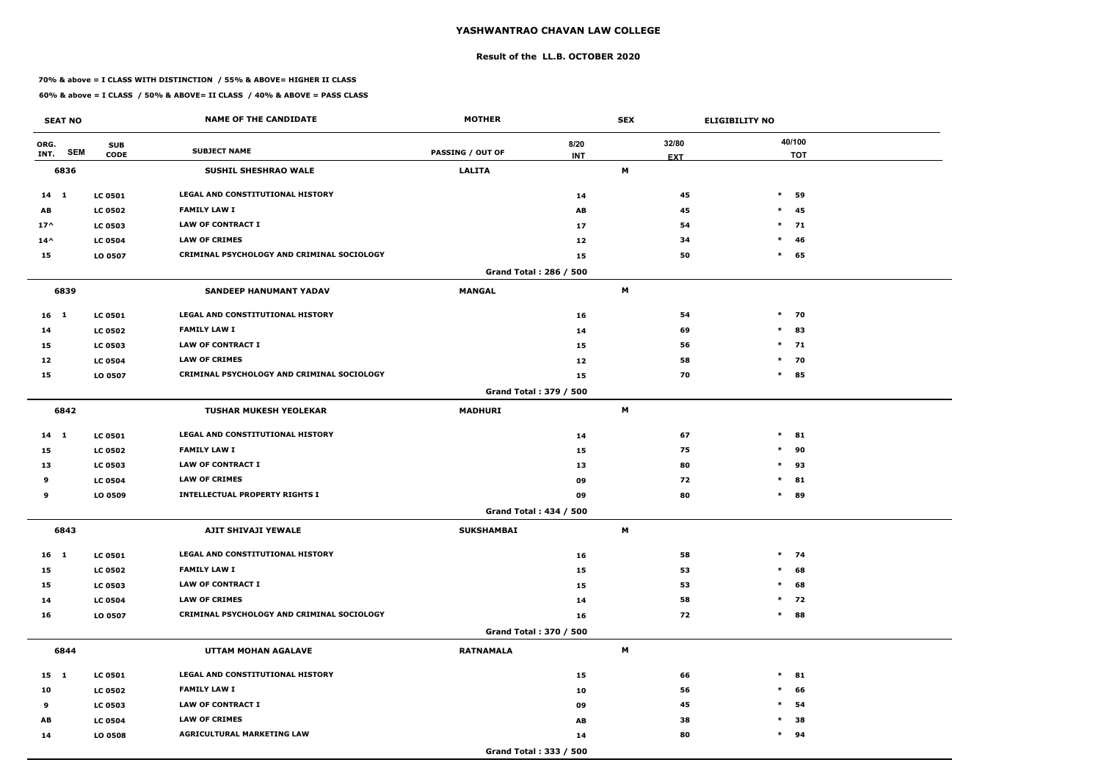#### **Result of the LL.B. OCTOBER 2020**

#### **70% & above = I CLASS WITH DISTINCTION / 55% & ABOVE= HIGHER II CLASS**

| <b>SEAT NO</b>             |                           | <b>NAME OF THE CANDIDATE</b>                      | <b>MOTHER</b>           |                    | <b>SEX</b>                |                     | <b>ELIGIBILITY NO</b> |    |
|----------------------------|---------------------------|---------------------------------------------------|-------------------------|--------------------|---------------------------|---------------------|-----------------------|----|
| ORG.<br><b>SEM</b><br>INT. | <b>SUB</b><br><b>CODE</b> | <b>SUBJECT NAME</b>                               | <b>PASSING / OUT OF</b> | 8/20<br><b>INT</b> |                           | 32/80<br><b>EXT</b> | 40/100<br><b>TOT</b>  |    |
| 6836                       |                           | <b>SUSHIL SHESHRAO WALE</b>                       | <b>LALITA</b>           |                    | M                         |                     |                       |    |
| $14$ 1                     | <b>LC 0501</b>            | LEGAL AND CONSTITUTIONAL HISTORY                  |                         | 14                 |                           | 45                  | $\ast$                | 59 |
| AB                         | <b>LC 0502</b>            | <b>FAMILY LAW I</b>                               |                         | AB                 |                           | 45                  | $*$ 45                |    |
| $17^$                      | <b>LC 0503</b>            | <b>LAW OF CONTRACT I</b>                          |                         | 17                 |                           | 54                  | $*$ 71                |    |
| $14^{\wedge}$              | <b>LC 0504</b>            | <b>LAW OF CRIMES</b>                              |                         | 12                 |                           | 34                  | $\ast$                | 46 |
| 15                         | LO 0507                   | CRIMINAL PSYCHOLOGY AND CRIMINAL SOCIOLOGY        |                         | 15                 |                           | 50                  | $*$ 65                |    |
|                            |                           |                                                   | Grand Total: 286 / 500  |                    |                           |                     |                       |    |
| 6839                       |                           | <b>SANDEEP HANUMANT YADAV</b>                     | <b>MANGAL</b>           |                    | M                         |                     |                       |    |
| 16 <sub>1</sub>            | <b>LC 0501</b>            | <b>LEGAL AND CONSTITUTIONAL HISTORY</b>           |                         | 16                 |                           | 54                  | $*$ 70                |    |
| 14                         | <b>LC 0502</b>            | <b>FAMILY LAW I</b>                               |                         | 14                 |                           | 69                  | $\ast$                | 83 |
| 15                         | <b>LC 0503</b>            | <b>LAW OF CONTRACT I</b>                          |                         | 15                 |                           | 56                  | $*$ 71                |    |
| 12                         | <b>LC 0504</b>            | <b>LAW OF CRIMES</b>                              |                         | 12                 |                           | 58                  | 70<br>$\ast$          |    |
| 15                         | LO 0507                   | <b>CRIMINAL PSYCHOLOGY AND CRIMINAL SOCIOLOGY</b> |                         | 15                 |                           | 70                  | $\ast$<br>85          |    |
|                            |                           |                                                   | Grand Total: 379 / 500  |                    |                           |                     |                       |    |
| 6842                       |                           | <b>TUSHAR MUKESH YEOLEKAR</b>                     | <b>MADHURI</b>          |                    | M                         |                     |                       |    |
| 14 1                       | <b>LC 0501</b>            | <b>LEGAL AND CONSTITUTIONAL HISTORY</b>           |                         | 14                 |                           | 67                  | $\ast$                | 81 |
| 15                         | <b>LC 0502</b>            | <b>FAMILY LAW I</b>                               |                         | 15                 |                           | 75                  | $\ast$                | 90 |
| 13                         | <b>LC 0503</b>            | <b>LAW OF CONTRACT I</b>                          |                         | 13                 |                           | 80                  | $*$ 93                |    |
| 9                          | <b>LC 0504</b>            | <b>LAW OF CRIMES</b>                              |                         | 09                 |                           | 72                  | $\ast$                | 81 |
| 9                          | LO 0509                   | <b>INTELLECTUAL PROPERTY RIGHTS I</b>             |                         | 09                 |                           | 80                  | $\ast$<br>89          |    |
|                            |                           |                                                   | Grand Total: 434 / 500  |                    |                           |                     |                       |    |
| 6843                       |                           | AJIT SHIVAJI YEWALE                               | <b>SUKSHAMBAI</b>       |                    | M                         |                     |                       |    |
| $16$ 1                     | <b>LC 0501</b>            | LEGAL AND CONSTITUTIONAL HISTORY                  |                         | 16                 |                           | 58                  | $*$ 74                |    |
| 15                         | <b>LC 0502</b>            | <b>FAMILY LAW I</b>                               |                         | 15                 |                           | 53                  | $*$ 68                |    |
| 15                         | <b>LC 0503</b>            | <b>LAW OF CONTRACT I</b>                          |                         | 15                 |                           | 53                  | $\ast$                | 68 |
| 14                         | <b>LC 0504</b>            | <b>LAW OF CRIMES</b>                              |                         | 14                 |                           | 58                  | $*$ 72                |    |
| 16                         | LO 0507                   | CRIMINAL PSYCHOLOGY AND CRIMINAL SOCIOLOGY        |                         | 16                 |                           | 72                  | $*$ 88                |    |
|                            |                           |                                                   | Grand Total: 370 / 500  |                    |                           |                     |                       |    |
| 6844                       |                           | UTTAM MOHAN AGALAVE                               | <b>RATNAMALA</b>        |                    | $\boldsymbol{\mathsf{M}}$ |                     |                       |    |
| 15 1                       | <b>LC 0501</b>            | LEGAL AND CONSTITUTIONAL HISTORY                  |                         | 15                 |                           | 66                  | $*$ 81                |    |
| 10                         | <b>LC 0502</b>            | <b>FAMILY LAW I</b>                               |                         | 10                 |                           | 56                  | $\ast$                | 66 |
| 9                          | <b>LC 0503</b>            | LAW OF CONTRACT I                                 |                         | 09                 |                           | 45                  | $\ast$                | 54 |
| AB                         | <b>LC 0504</b>            | <b>LAW OF CRIMES</b>                              |                         | AB                 |                           | 38                  | $\ast$                | 38 |
| 14                         | LO 0508                   | <b>AGRICULTURAL MARKETING LAW</b>                 |                         | 14                 |                           | 80                  | $*$ 94                |    |
|                            |                           |                                                   | Grand Total: 333 / 500  |                    |                           |                     |                       |    |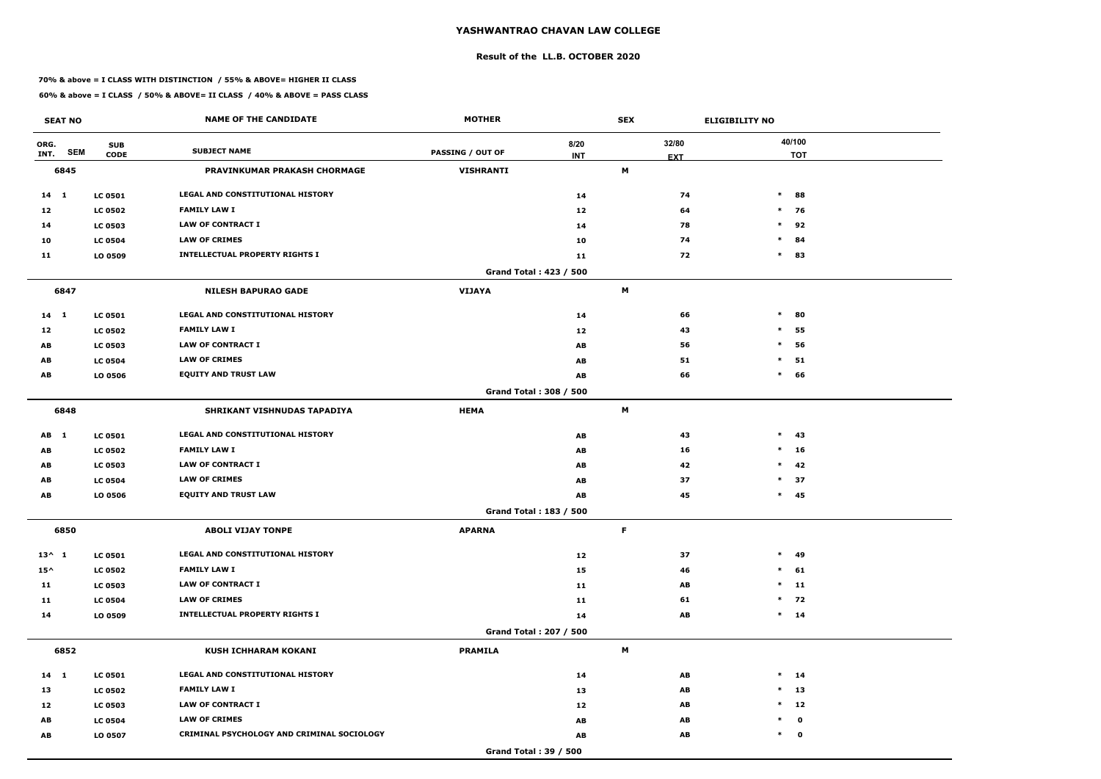#### **Result of the LL.B. OCTOBER 2020**

#### **70% & above = I CLASS WITH DISTINCTION / 55% & ABOVE= HIGHER II CLASS**

| <b>SEAT NO</b>             |                           | <b>NAME OF THE CANDIDATE</b>               | <b>MOTHER</b>                |                    | <b>SEX</b> |                     | <b>ELIGIBILITY NO</b> |
|----------------------------|---------------------------|--------------------------------------------|------------------------------|--------------------|------------|---------------------|-----------------------|
| ORG.<br><b>SEM</b><br>INT. | <b>SUB</b><br><b>CODE</b> | <b>SUBJECT NAME</b>                        | <b>PASSING / OUT OF</b>      | 8/20<br><b>INT</b> |            | 32/80<br><b>EXT</b> | 40/100<br><b>TOT</b>  |
| 6845                       |                           | PRAVINKUMAR PRAKASH CHORMAGE               | <b>VISHRANTI</b>             |                    | M          |                     |                       |
| $14 \quad 1$               | <b>LC 0501</b>            | LEGAL AND CONSTITUTIONAL HISTORY           |                              | 14                 |            | 74                  | $*$ 88                |
| 12                         | <b>LC 0502</b>            | <b>FAMILY LAW I</b>                        |                              | 12                 |            | 64                  | $*$ 76                |
| 14                         | <b>LC 0503</b>            | <b>LAW OF CONTRACT I</b>                   |                              | 14                 |            | 78                  | $\ast$<br>92          |
| 10                         | <b>LC 0504</b>            | <b>LAW OF CRIMES</b>                       |                              | 10                 |            | 74                  | $\ast$<br>84          |
| 11                         | LO 0509                   | <b>INTELLECTUAL PROPERTY RIGHTS I</b>      |                              | 11                 |            | 72                  | $\ast$<br>83          |
|                            |                           |                                            | Grand Total: 423 / 500       |                    |            |                     |                       |
| 6847                       |                           | <b>NILESH BAPURAO GADE</b>                 | <b>VIJAYA</b>                |                    | М          |                     |                       |
| $14 \quad 1$               | <b>LC 0501</b>            | <b>LEGAL AND CONSTITUTIONAL HISTORY</b>    |                              | 14                 |            | 66                  | $\ast$<br>80          |
| 12                         | <b>LC 0502</b>            | <b>FAMILY LAW I</b>                        |                              | 12                 |            | 43                  | $\ast$<br>55          |
| AB                         | <b>LC 0503</b>            | LAW OF CONTRACT I                          |                              | AB                 |            | 56                  | $\ast$<br>56          |
| AB                         | <b>LC 0504</b>            | <b>LAW OF CRIMES</b>                       |                              | AB                 |            | 51                  | $\ast$<br>51          |
| AB                         | LO 0506                   | <b>EQUITY AND TRUST LAW</b>                |                              | AB                 |            | 66                  | $\ast$<br>66          |
|                            |                           |                                            | Grand Total: 308 / 500       |                    |            |                     |                       |
| 6848                       |                           | SHRIKANT VISHNUDAS TAPADIYA                | <b>HEMA</b>                  |                    | M          |                     |                       |
| AB 1                       | <b>LC 0501</b>            | LEGAL AND CONSTITUTIONAL HISTORY           |                              | AB                 |            | 43                  | $*$ 43                |
| AB                         | <b>LC 0502</b>            | <b>FAMILY LAW I</b>                        |                              | AB                 |            | 16                  | $*$ 16                |
| AB                         | <b>LC 0503</b>            | <b>LAW OF CONTRACT I</b>                   |                              | AB                 |            | 42                  | $*$ 42                |
| AB                         | <b>LC 0504</b>            | <b>LAW OF CRIMES</b>                       |                              | AB                 |            | 37                  | $\ast$<br>37          |
| AB                         | LO 0506                   | <b>EQUITY AND TRUST LAW</b>                |                              | AB                 |            | 45                  | $*$ 45                |
|                            |                           |                                            | Grand Total: 183 / 500       |                    |            |                     |                       |
| 6850                       |                           | <b>ABOLI VIJAY TONPE</b>                   | <b>APARNA</b>                |                    | F          |                     |                       |
| $13^{\wedge} 1$            | <b>LC 0501</b>            | LEGAL AND CONSTITUTIONAL HISTORY           |                              | 12                 |            | 37                  | $*$ 49                |
| $15^{\wedge}$              | <b>LC 0502</b>            | <b>FAMILY LAW I</b>                        |                              | 15                 |            | 46                  | $*$ 61                |
| 11                         | <b>LC 0503</b>            | <b>LAW OF CONTRACT I</b>                   |                              | 11                 |            | AB                  | $*$ 11                |
| 11                         | <b>LC 0504</b>            | <b>LAW OF CRIMES</b>                       |                              | 11                 |            | 61                  | $*$ 72                |
| 14                         | LO 0509                   | <b>INTELLECTUAL PROPERTY RIGHTS I</b>      |                              | 14                 |            | AB                  | $*$ 14                |
|                            |                           |                                            | Grand Total: 207 / 500       |                    |            |                     |                       |
| 6852                       |                           | <b>KUSH ICHHARAM KOKANI</b>                | <b>PRAMILA</b>               |                    | M          |                     |                       |
| $14 \quad 1$               | <b>LC 0501</b>            | LEGAL AND CONSTITUTIONAL HISTORY           |                              | 14                 |            | AB                  | $*$ 14                |
| 13                         | <b>LC 0502</b>            | <b>FAMILY LAW I</b>                        |                              | 13                 |            | AB                  | $*$ 13                |
| 12                         | <b>LC 0503</b>            | LAW OF CONTRACT I                          |                              | 12                 |            | AB                  | $*$ 12                |
| AB                         | <b>LC 0504</b>            | <b>LAW OF CRIMES</b>                       |                              | AB                 |            | AB                  | $*$ 0                 |
| AB                         | LO 0507                   | CRIMINAL PSYCHOLOGY AND CRIMINAL SOCIOLOGY |                              | AB                 |            | AB                  | $*$ 0                 |
|                            |                           |                                            | <b>Grand Total: 39 / 500</b> |                    |            |                     |                       |